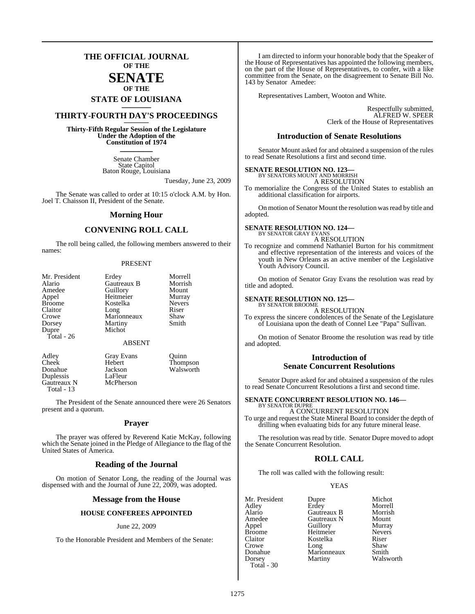## **THE OFFICIAL JOURNAL OF THE**

#### **SENATE OF THE**

# **STATE OF LOUISIANA \_\_\_\_\_\_\_**

## **THIRTY-FOURTH DAY'S PROCEEDINGS \_\_\_\_\_\_\_**

**Thirty-Fifth Regular Session of the Legislature Under the Adoption of the Constitution of 1974 \_\_\_\_\_\_\_**

> Senate Chamber State Capitol Baton Rouge, Louisiana

> > Tuesday, June 23, 2009

The Senate was called to order at 10:15 o'clock A.M. by Hon. Joel T. Chaisson II, President of the Senate.

#### **Morning Hour**

#### **CONVENING ROLL CALL**

The roll being called, the following members answered to their names:

#### PRESENT

| Mr. President | Erdey                 | Morrell |
|---------------|-----------------------|---------|
| Alario        | Gautreaux B           | Morrish |
| Amedee        |                       | Mount   |
| Appel         | Guillory<br>Heitmeier | Murray  |
| <b>Broome</b> | Kostelka              | Nevers  |
| Claitor       | Long                  | Riser   |
| Crowe         | Marionneaux           | Shaw    |
| Dorsey        | Martiny               | Smith   |
| Dupre         | Michot                |         |
| Total - 26    |                       |         |
|               | <b>ABSENT</b>         |         |
| Adley         | <b>Gray Evans</b>     | )uinn   |

Duplessis LaFleur<br>Gautreaux N McPherson Gautreaux N Total - 13

Cheek Hebert Thompson Donahue Jackson Walsworth<br>Duplessis LaFleur

The President of the Senate announced there were 26 Senators present and a quorum.

#### **Prayer**

The prayer was offered by Reverend Katie McKay, following which the Senate joined in the Pledge of Allegiance to the flag of the United States of America.

#### **Reading of the Journal**

On motion of Senator Long, the reading of the Journal was dispensed with and the Journal of June 22, 2009, was adopted.

#### **Message from the House**

#### **HOUSE CONFEREES APPOINTED**

#### June 22, 2009

To the Honorable President and Members of the Senate:

I am directed to inform your honorable body that the Speaker of the House of Representatives has appointed the following members, on the part of the House of Representatives, to confer, with a like committee from the Senate, on the disagreement to Senate Bill No. 143 by Senator Amedee:

Representatives Lambert, Wooton and White.

Respectfully submitted, ALFRED W. SPEER Clerk of the House of Representatives

#### **Introduction of Senate Resolutions**

Senator Mount asked for and obtained a suspension of the rules to read Senate Resolutions a first and second time.

#### **SENATE RESOLUTION NO. 123—** BY SENATORS MOUNT AND MORRISH

A RESOLUTION

To memorialize the Congress of the United States to establish an additional classification for airports.

On motion of Senator Mount the resolution was read by title and adopted.

#### **SENATE RESOLUTION NO. 124—** BY SENATOR GRAY EVANS

A RESOLUTION

To recognize and commend Nathaniel Burton for his commitment and effective representation of the interests and voices of the youth in New Orleans as an active member of the Legislative Youth Advisory Council.

On motion of Senator Gray Evans the resolution was read by title and adopted.

#### **SENATE RESOLUTION NO. 125—**

BY SENATOR BROOME A RESOLUTION

To express the sincere condolences of the Senate of the Legislature of Louisiana upon the death of Connel Lee "Papa" Sullivan.

On motion of Senator Broome the resolution was read by title and adopted.

#### **Introduction of Senate Concurrent Resolutions**

Senator Dupre asked for and obtained a suspension of the rules to read Senate Concurrent Resolutions a first and second time.

#### **SENATE CONCURRENT RESOLUTION NO. 146—** BY SENATOR DUPRE

A CONCURRENT RESOLUTION To urge and request the State Mineral Board to consider the depth of drilling when evaluating bids for any future mineral lease.

The resolution was read by title. Senator Dupre moved to adopt the Senate Concurrent Resolution.

#### **ROLL CALL**

The roll was called with the following result:

#### **YEAS**

Adley Erdey Morrell Alario Gautreaux B Morrish Amedee Gautreaux N Mount Appel Guillory Murray<br>Broome Heitmeier Nevers Broome Heitmeier Never<br>Claitor Kostelka Riser Claitor **Kostelka** Riser<br>Crowe Long Shaw Crowe Long Shaw<br>Donahue Marionneaux Smith Donahue Marionneaux<br>Dorsey Martiny Total - 30

Mr. President Dupre Michot<br>Adley Erdev Morrell Walsworth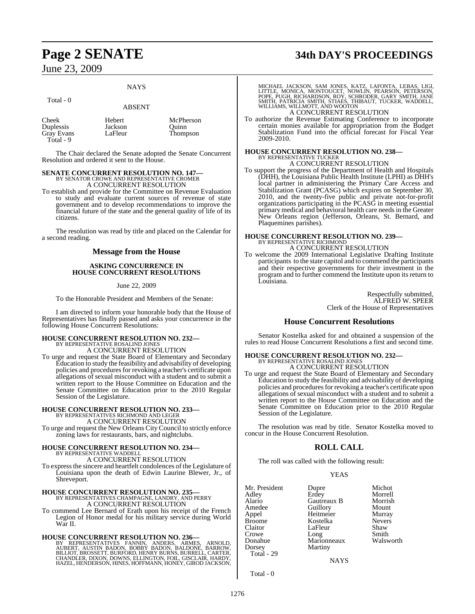#### **NAYS**

ABSENT

## Total - 0

| Cheek      | Hebert  | McPherson |
|------------|---------|-----------|
| Duplessis  | Jackson | Ouinn     |
| Gray Evans | LaFleur | Thompson  |
| Total - 9  |         |           |

The Chair declared the Senate adopted the Senate Concurrent Resolution and ordered it sent to the House.

## **SENATE CONCURRENT RESOLUTION NO. 147—** BY SENATOR CROWE AND REPRESENTATIVE CROMER A CONCURRENT RESOLUTION

To establish and provide for the Committee on Revenue Evaluation to study and evaluate current sources of revenue of state government and to develop recommendations to improve the financial future of the state and the general quality of life of its citizens.

The resolution was read by title and placed on the Calendar for a second reading.

#### **Message from the House**

#### **ASKING CONCURRENCE IN HOUSE CONCURRENT RESOLUTIONS**

#### June 22, 2009

To the Honorable President and Members of the Senate:

I am directed to inform your honorable body that the House of Representatives has finally passed and asks your concurrence in the following House Concurrent Resolutions:

# **HOUSE CONCURRENT RESOLUTION NO. 232—** BY REPRESENTATIVE ROSALIND JONES

A CONCURRENT RESOLUTION

To urge and request the State Board of Elementary and Secondary Education to study the feasibility and advisability of developing policies and procedures for revoking a teacher's certificate upon allegations of sexual misconduct with a student and to submit a written report to the House Committee on Education and the Senate Committee on Education prior to the 2010 Regular Session of the Legislature.

## **HOUSE CONCURRENT RESOLUTION NO. 233—** BY REPRESENTATIVES RICHMOND AND LEGER A CONCURRENT RESOLUTION

To urge and request the New Orleans City Council to strictly enforce zoning laws for restaurants, bars, and nightclubs.

## **HOUSE CONCURRENT RESOLUTION NO. 234—** BY REPRESENTATIVE WADDELL A CONCURRENT RESOLUTION

To expressthe sincere and heartfelt condolences of the Legislature of Louisiana upon the death of Edwin Laurine Blewer, Jr., of Shreveport.

# **HOUSE CONCURRENT RESOLUTION NO. 235—** BY REPRESENTATIVES CHAMPAGNE, LANDRY, AND PERRY

A CONCURRENT RESOLUTION

To commend Lee Bernard of Erath upon his receipt of the French Legion of Honor medal for his military service during World War II.

**HOUSE CONCURRENT RESOLUTION NO. 236**<br>BY REPRESENTATIVES FANNIN, ANDERS, ARMES, ARNOLD,<br>AUBERT, AUSTIN BADON, BOBBY BADON, BALDONE, BARROW,<br>BILLIOT, BROSSETT, BURFORD, HENRY BURNS, BURRELL, CARTER,<br>CHANDLER, DIXON, DOWNS,

# **Page 2 SENATE 34th DAY'S PROCEEDINGS**

MICHAEL JACKSON, SAM JONES, KATZ, LAFONTA, LEBAS, LIGI,<br>LITTLE, MONICA, MONTOUCET, NOWLIN, PEARSON, PETERSON,<br>POPE, PUGH, RICHARDSON, ROY, SCHRODER, GARY SMITH, JANE<br>SMITH, PATRICIA SMITH, STIAES, THIBAUT, TUCKER, WADDELL, A CONCURRENT RESOLUTION

To authorize the Revenue Estimating Conference to incorporate certain monies available for appropriation from the Budget Stabilization Fund into the official forecast for Fiscal Year 2009-2010.

# **HOUSE CONCURRENT RESOLUTION NO. 238—** BY REPRESENTATIVE TUCKER

A CONCURRENT RESOLUTION

To support the progress of the Department of Health and Hospitals (DHH), the Louisiana Public Health Institute (LPHI) as DHH's local partner in administering the Primary Care Access and Stabilization Grant (PCASG) which expires on September 30, 2010, and the twenty-five public and private not-for-profit organizations participating in the PCASG in meeting essential primary medical and behavioral health care needs in the Greater New Orleans region (Jefferson, Orleans, St. Bernard, and Plaquemines parishes).

## **HOUSE CONCURRENT RESOLUTION NO. 239—** BY REPRESENTATIVE RICHMOND A CONCURRENT RESOLUTION

To welcome the 2009 International Legislative Drafting Institute participants to the state capitol and to commend the participants and their respective governments for their investment in the program and to further commend the Institute upon its return to Louisiana.

> Respectfully submitted, ALFRED W. SPEER Clerk of the House of Representatives

#### **House Concurrent Resolutions**

Senator Kostelka asked for and obtained a suspension of the rules to read House Concurrent Resolutions a first and second time.

#### **HOUSE CONCURRENT RESOLUTION NO. 232—** BY REPRESENTATIVE ROSALIND JONES

A CONCURRENT RESOLUTION

To urge and request the State Board of Elementary and Secondary Education to study the feasibility and advisability of developing policies and procedures for revoking a teacher's certificate upon allegations of sexual misconduct with a student and to submit a written report to the House Committee on Education and the Senate Committee on Education prior to the 2010 Regular Session of the Legislature.

The resolution was read by title. Senator Kostelka moved to concur in the House Concurrent Resolution.

## **ROLL CALL**

The roll was called with the following result:

YEAS

| Mr. President     | Dupre       | Michot        |
|-------------------|-------------|---------------|
| Adley             | Erdey       | Morrell       |
| Alario            | Gautreaux B | Morrish       |
| Amedee            | Guillory    | Mount         |
| Appel             | Heitmeier   | Murray        |
| Broome            | Kostelka    | <b>Nevers</b> |
| Claitor           | LaFleur     | Shaw          |
| Crowe             | Long        | Smith         |
| Donahue           | Marionneaux | Walsworth     |
| Dorsey            | Martiny     |               |
| <b>Total</b> - 29 |             |               |
|                   |             |               |

**NAYS** 

Total - 0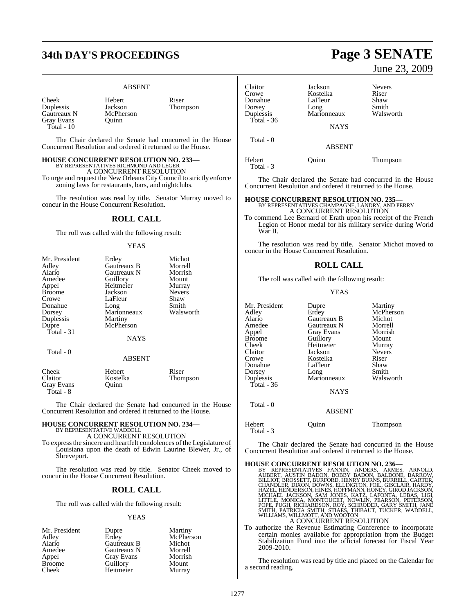# **34th DAY'S PROCEEDINGS Page 3 SENATE**

#### ABSENT

Thompson

| Cheek       |
|-------------|
| Duplessis   |
| Gautreaux N |
| Gray Evans  |
| Total - 10  |

Total - 8

Hebert Riser<br>Iackson Thom McPherson Quinn

The Chair declared the Senate had concurred in the House Concurrent Resolution and ordered it returned to the House.

#### **HOUSE CONCURRENT RESOLUTION NO. 233—**

BY REPRESENTATIVES RICHMOND AND LEGER

A CONCURRENT RESOLUTION To urge and request the New Orleans City Council to strictly enforce zoning laws for restaurants, bars, and nightclubs.

The resolution was read by title. Senator Murray moved to concur in the House Concurrent Resolution.

#### **ROLL CALL**

The roll was called with the following result:

#### YEAS

| Mr. President     | Erdey         | Michot        |
|-------------------|---------------|---------------|
| Adley             | Gautreaux B   | Morrell       |
| Alario            | Gautreaux N   | Morrish       |
| Amedee            | Guillory      | Mount         |
| Appel             | Heitmeier     | Murray        |
| <b>Broome</b>     | Jackson       | <b>Nevers</b> |
| Crowe             | LaFleur       | Shaw          |
| Donahue           | Long          | Smith         |
| Dorsey            | Marionneaux   | Walsworth     |
| Duplessis         | Martiny       |               |
| Dupre             | McPherson     |               |
| Total $-31$       |               |               |
|                   | <b>NAYS</b>   |               |
| Total - 0         |               |               |
|                   | <b>ABSENT</b> |               |
| Cheek             | Hebert        | Riser         |
| Claitor           | Kostelka      | Thompson      |
| <b>Grav Evans</b> | Ouinn         |               |

The Chair declared the Senate had concurred in the House Concurrent Resolution and ordered it returned to the House.

# **HOUSE CONCURRENT RESOLUTION NO. 234—** BY REPRESENTATIVE WADDELL A CONCURRENT RESOLUTION

To expressthe sincere and heartfelt condolences of the Legislature of Louisiana upon the death of Edwin Laurine Blewer, Jr., of Shreveport.

The resolution was read by title. Senator Cheek moved to concur in the House Concurrent Resolution.

## **ROLL CALL**

The roll was called with the following result:

#### YEAS

| Mr. President | Dupre       | Martiny   |
|---------------|-------------|-----------|
| Adley         | Erdey       | McPherson |
| Alario        | Gautreaux B | Michot    |
| Amedee        | Gautreaux N | Morrell   |
| Appel         | Gray Evans  | Morrish   |
| <b>Broome</b> | Guillory    | Mount     |
| Cheek         | Heitmeier   | Murray    |

# June 23, 2009

| Claitor<br>Crowe    | Jackson<br>Kostelka | <b>Nevers</b><br>Riser |
|---------------------|---------------------|------------------------|
| Donahue             | LaFleur             | Shaw                   |
| Dorsey<br>Duplessis | Long<br>Marionneaux | Smith<br>Walsworth     |
| Total - 36          |                     |                        |
|                     | <b>NAYS</b>         |                        |
| Total - 0           |                     |                        |
|                     | <b>ABSENT</b>       |                        |
| Hebert<br>Total - 3 | Ouinn               | Thompson               |

The Chair declared the Senate had concurred in the House Concurrent Resolution and ordered it returned to the House.

**HOUSE CONCURRENT RESOLUTION NO. 235—** BY REPRESENTATIVES CHAMPAGNE, LANDRY, AND PERRY A CONCURRENT RESOLUTION

To commend Lee Bernard of Erath upon his receipt of the French Legion of Honor medal for his military service during World War II.

The resolution was read by title. Senator Michot moved to concur in the House Concurrent Resolution.

#### **ROLL CALL**

The roll was called with the following result:

#### YEAS

| Mr. President<br>Adley<br>Alario<br>Amedee<br>Appel<br>Broome<br>Cheek<br>Claitor<br>Crowe<br>Donahue<br>Dorsey<br>Duplessis<br><b>Total - 36</b> | Dupre<br>Erdey<br>Gautreaux B<br>Gautreaux N<br><b>Gray Evans</b><br>Guillory<br>Heitmeier<br>Jackson<br>Kostelka<br>LaFleur<br>Long<br>Marionneaux | Martiny<br>McPherson<br>Michot<br>Morrell<br>Morrish<br>Mount<br>Murray<br><b>Nevers</b><br>Riser<br>Shaw<br>Smith<br>Walsworth |
|---------------------------------------------------------------------------------------------------------------------------------------------------|-----------------------------------------------------------------------------------------------------------------------------------------------------|---------------------------------------------------------------------------------------------------------------------------------|
|                                                                                                                                                   |                                                                                                                                                     |                                                                                                                                 |
|                                                                                                                                                   | <b>NAYS</b>                                                                                                                                         |                                                                                                                                 |
| Total - 0                                                                                                                                         | <b>ABSENT</b>                                                                                                                                       |                                                                                                                                 |
|                                                                                                                                                   |                                                                                                                                                     |                                                                                                                                 |

Hebert Quinn Thompson Total - 3

The Chair declared the Senate had concurred in the House Concurrent Resolution and ordered it returned to the House.

#### **HOUSE CONCURRENT RESOLUTION NO. 236—**

- BY REPRESENTATIVES FANNIN, ANDERS, ARMES, ARNOLD,<br>AUBERT, AUSTIN BADON, BOBBY BADON, BALDONE, BARROW,<br>BILLIOT,BROSSETT,BURFORD,HENRYBURNS,BURRELL,CARTUR,<br>CHANDLER,DIXON,DOWNS,ELLINGTON,FOIL,GISCLAIR,HARDY,<br>HAZEL,HENDERSON, A CONCURRENT RESOLUTION
- To authorize the Revenue Estimating Conference to incorporate certain monies available for appropriation from the Budget Stabilization Fund into the official forecast for Fiscal Year 2009-2010.

The resolution was read by title and placed on the Calendar for a second reading.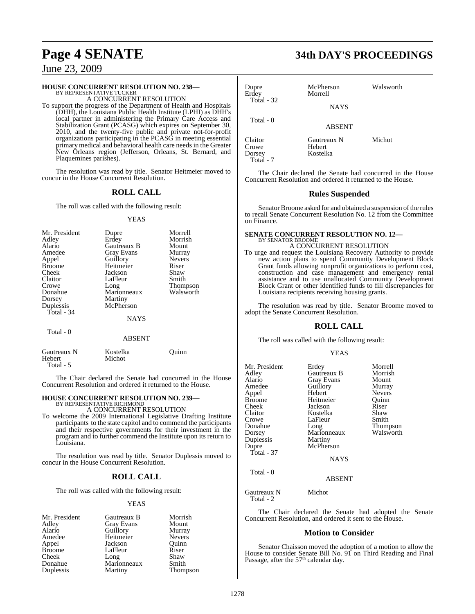# **HOUSE CONCURRENT RESOLUTION NO. 238—** BY REPRESENTATIVE TUCKER

A CONCURRENT RESOLUTION

To support the progress of the Department of Health and Hospitals (DHH), the Louisiana Public Health Institute (LPHI) as DHH's local partner in administering the Primary Care Access and Stabilization Grant (PCASG) which expires on September 30, 2010, and the twenty-five public and private not-for-profit organizations participating in the PCASG in meeting essential primary medical and behavioral health care needs in the Greater New Orleans region (Jefferson, Orleans, St. Bernard, and Plaquemines parishes).

The resolution was read by title. Senator Heitmeier moved to concur in the House Concurrent Resolution.

#### **ROLL CALL**

The roll was called with the following result:

#### YEAS

| Mr. President | Dupre       | Morrell       |
|---------------|-------------|---------------|
| Adley         | Erdey       | Morrish       |
| Alario        | Gautreaux B | Mount         |
| Amedee        | Gray Evans  | Murray        |
| Appel         | Guillory    | <b>Nevers</b> |
| <b>Broome</b> | Heitmeier   | Riser         |
| Cheek         | Jackson     | Shaw          |
| Claitor       | LaFleur     | Smith         |
| Crowe         | Long        | Thompson      |
| Donahue       | Marionneaux | Walsworth     |
| Dorsey        | Martiny     |               |
| Duplessis     | McPherson   |               |
| Total - 34    |             |               |
|               | <b>NAYS</b> |               |
| Total - 0     |             |               |
|               | ABSENT      |               |

| Gautreaux N         | Kostelka | Ouinn |
|---------------------|----------|-------|
| Hebert<br>Total - 5 | Michot   |       |

The Chair declared the Senate had concurred in the House Concurrent Resolution and ordered it returned to the House.

# **HOUSE CONCURRENT RESOLUTION NO. 239—** BY REPRESENTATIVE RICHMOND

A CONCURRENT RESOLUTION

To welcome the 2009 International Legislative Drafting Institute participants to the state capitol and to commend the participants and their respective governments for their investment in the program and to further commend the Institute upon its return to Louisiana.

The resolution was read by title. Senator Duplessis moved to concur in the House Concurrent Resolution.

#### **ROLL CALL**

The roll was called with the following result:

#### YEAS

| Mr. President | Gautreaux B       | Morrish         |
|---------------|-------------------|-----------------|
| Adley         | <b>Gray Evans</b> | Mount           |
| Alario        | Guillory          | Murray          |
| Amedee        | Heitmeier         | <b>Nevers</b>   |
| Appel         | Jackson           | Ouinn           |
| <b>Broome</b> | LaFleur           | Riser           |
| Cheek         | Long              | Shaw            |
| Donahue       | Marionneaux       | Smith           |
| Duplessis     | Martiny           | <b>Thompson</b> |

# **Page 4 SENATE 34th DAY'S PROCEEDINGS**

| Dupre<br>Erdev                          | McPherson<br>Morrell              | Walsworth |
|-----------------------------------------|-----------------------------------|-----------|
| Total $-32$                             | <b>NAYS</b>                       |           |
| Total - 0                               | <b>ABSENT</b>                     |           |
| Claitor<br>Crowe<br>Dorsey<br>Total - 7 | Gautreaux N<br>Hebert<br>Kostelka | Michot    |

The Chair declared the Senate had concurred in the House Concurrent Resolution and ordered it returned to the House.

#### **Rules Suspended**

Senator Broome asked for and obtained a suspension of the rules to recall Senate Concurrent Resolution No. 12 from the Committee on Finance.

#### **SENATE CONCURRENT RESOLUTION NO. 12—** BY SENATOR BROOME

A CONCURRENT RESOLUTION To urge and request the Louisiana Recovery Authority to provide new action plans to spend Community Development Block Grant funds allowing nonprofit organizations to perform cost, construction and case management and emergency rental assistance and to use unallocated Community Development Block Grant or other identified funds to fill discrepancies for Louisiana recipients receiving housing grants.

The resolution was read by title. Senator Broome moved to adopt the Senate Concurrent Resolution.

#### **ROLL CALL**

The roll was called with the following result:

#### YEAS

| Mr. President | Erdey             | Morrell         |
|---------------|-------------------|-----------------|
| Adley         | Gautreaux B       | Morrish         |
| Alario        | <b>Gray Evans</b> | Mount           |
| Amedee        |                   |                 |
|               | Guillory          | Murray          |
| Appel         | Hebert            | <b>Nevers</b>   |
| <b>Broome</b> | Heitmeier         | Ouinn           |
| Cheek         | Jackson           | Riser           |
| Claitor       | Kostelka          | Shaw            |
| Crowe         | LaFleur           | Smith           |
| Donahue       | Long              | <b>Thompson</b> |
| Dorsey        | Marionneaux       | Walsworth       |
| Duplessis     | Martiny           |                 |
| Dupre         | McPherson         |                 |
| Total - 37    |                   |                 |
|               | <b>NAYS</b>       |                 |
| Total - 0     |                   |                 |
|               | <b>ABSENT</b>     |                 |

Gautreaux N Michot Total - 2

The Chair declared the Senate had adopted the Senate Concurrent Resolution, and ordered it sent to the House.

#### **Motion to Consider**

Senator Chaisson moved the adoption of a motion to allow the House to consider Senate Bill No. 91 on Third Reading and Final<br>Passage, after the 57<sup>th</sup> calendar day.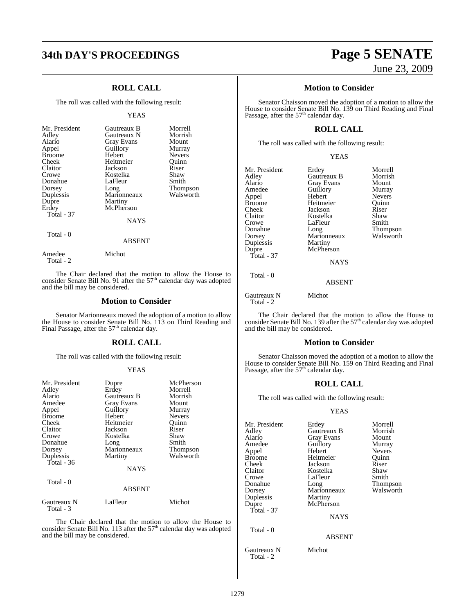# **34th DAY'S PROCEEDINGS Page 5 SENATE**

## **ROLL CALL**

The roll was called with the following result:

#### YEAS

| Mr. President<br>Adley<br>Alario<br>Appel<br><b>Broome</b><br>Cheek<br>Claitor<br>Crowe<br>Donahue<br>Dorsey<br>Duplessis<br>Dupre<br>Erdey<br><b>Total - 37</b> | Gautreaux B<br>Gautreaux N<br>Gray Evans<br>Guillory<br>Hebert<br>Heitmeier<br>Jackson<br>Kostelka<br>LaFleur<br>Long<br>Marionneaux<br>Martiny<br>McPherson<br><b>NAYS</b> | Morrell<br>Morrish<br>Mount<br>Murray<br><b>Nevers</b><br>Ouinn<br>Riser<br>Shaw<br>Smith<br>Thompson<br>Walsworth |
|------------------------------------------------------------------------------------------------------------------------------------------------------------------|-----------------------------------------------------------------------------------------------------------------------------------------------------------------------------|--------------------------------------------------------------------------------------------------------------------|
| Total - 0                                                                                                                                                        | ABSENT                                                                                                                                                                      |                                                                                                                    |

Amedee Michot

Total - 2

The Chair declared that the motion to allow the House to consider Senate Bill No. 91 after the  $57<sup>th</sup>$  calendar day was adopted and the bill may be considered.

#### **Motion to Consider**

Senator Marionneaux moved the adoption of a motion to allow the House to consider Senate Bill No. 113 on Third Reading and<br>Final Passage, after the 57<sup>th</sup> calendar day.

#### **ROLL CALL**

The roll was called with the following result:

#### YEAS

| Mr. President<br>Adley<br>Alario<br>Amedee<br>Appel<br><b>Broome</b><br>Cheek<br>Claitor<br>Crowe<br>Donahue<br>Dorsey<br>Duplessis<br>Total - 36 | Dupre<br>Erdey<br>Gautreaux B<br><b>Gray Evans</b><br>Guillory<br>Hebert<br>Heitmeier<br>Jackson<br>Kostelka<br>Long<br>Marionneaux<br>Martiny<br><b>NAYS</b> | McPherson<br>Morrell<br>Morrish<br>Mount<br>Murray<br><b>Nevers</b><br>Ouinn<br>Riser<br>Shaw<br>Smith<br><b>Thompson</b><br>Walsworth |
|---------------------------------------------------------------------------------------------------------------------------------------------------|---------------------------------------------------------------------------------------------------------------------------------------------------------------|----------------------------------------------------------------------------------------------------------------------------------------|
| Total - 0                                                                                                                                         |                                                                                                                                                               |                                                                                                                                        |
|                                                                                                                                                   | <b>ABSENT</b>                                                                                                                                                 |                                                                                                                                        |
| Gautreaux N<br>Total - 3                                                                                                                          | LaFleur                                                                                                                                                       | Michot                                                                                                                                 |

The Chair declared that the motion to allow the House to consider Senate Bill No. 113 after the  $57<sup>th</sup>$  calendar day was adopted and the bill may be considered.

# June 23, 2009

#### **Motion to Consider**

Senator Chaisson moved the adoption of a motion to allow the House to consider Senate Bill No. 139 on Third Reading and Final<br>Passage, after the 57<sup>th</sup> calendar day.

#### **ROLL CALL**

The roll was called with the following result:

Mr. President Erdey Morrell<br>Adley Gautreaux B Morrish Adley Gautreaux B Morrisl<br>Alario Gray Evans Mount Alario Gray Evans Mount<br>Alario Gray Evans Mount<br>Amedee Guillory Murray Amedee Guillory Murray<br>Appel Hebert Nevers Appel Hebert Nevers<br>Broome Heitmeier Quinn Broome Heitmeier Quinn<br>Cheek Jackson Riser Cheek Jackson Riser<br>Claitor Kostelka Shaw Claitor **Kostelka** Shaw<br>Crowe LaFleur Smith Crowe LaFleur Smith<br>Donahue Long Thompson Donahue Long Thompson Dorsey Marionneaux Walsworth Duplessis Martiny<br>Dupre McPhers Total - 37

McPherson

Total - 0

ABSENT

**NAYS** 

Gautreaux N Michot Total - 2

The Chair declared that the motion to allow the House to consider Senate Bill No. 139 after the  $57<sup>th</sup>$  calendar day was adopted and the bill may be considered.

#### **Motion to Consider**

Senator Chaisson moved the adoption of a motion to allow the House to consider Senate Bill No. 159 on Third Reading and Final Passage, after the  $57<sup>th</sup>$  calendar day.

#### **ROLL CALL**

The roll was called with the following result:

#### YEAS

| Mr. President | Erdey             | Morrell       |
|---------------|-------------------|---------------|
| Adley         | Gautreaux B       | Morrish       |
| Alario        | <b>Gray Evans</b> | Mount         |
| Amedee        | Guillory          | Murray        |
| Appel         | Hebert            | <b>Nevers</b> |
| <b>Broome</b> | Heitmeier         | Ouinn         |
| Cheek         | Jackson           | Riser         |
| Claitor       | Kostelka          | Shaw          |
| Crowe         | LaFleur           | Smith         |
| Donahue       | Long              | Thompson      |
| Dorsey        | Marionneaux       | Walsworth     |
| Duplessis     | Martiny           |               |
| Dupre         | McPherson         |               |
| $Total - 37$  |                   |               |
|               | <b>NAYS</b>       |               |
| Total - 0     |                   |               |
|               | ABSENT            |               |
| Gautreaux N   | Michot            |               |

Total - 2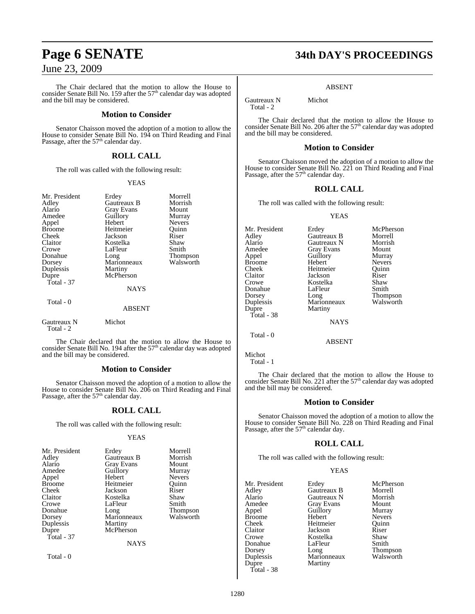The Chair declared that the motion to allow the House to consider Senate Bill No. 159 after the  $57<sup>th</sup>$  calendar day was adopted and the bill may be considered.

#### **Motion to Consider**

Senator Chaisson moved the adoption of a motion to allow the House to consider Senate Bill No. 194 on Third Reading and Final Passage, after the  $57<sup>th</sup>$  calendar day.

#### **ROLL CALL**

The roll was called with the following result:

#### YEAS

| Mr. President<br>Adley<br>Alario<br>Amedee<br>Appel<br><b>Broome</b><br>Cheek<br>Claitor<br>Crowe<br>Donahue<br>Dorsey<br>Duplessis<br>Dupre<br>Total - 37 | Erdey<br>Gautreaux B<br><b>Gray Evans</b><br>Guillory<br>Hebert<br>Heitmeier<br>Jackson<br>Kostelka<br>LaFleur<br>Long<br>Marionneaux<br>Martiny<br>McPherson<br><b>NAYS</b> | Morrell<br>Morrish<br>Mount<br>Murray<br><b>Nevers</b><br>Ouinn<br>Riser<br>Shaw<br>Smith<br>Thompson<br>Walsworth |
|------------------------------------------------------------------------------------------------------------------------------------------------------------|------------------------------------------------------------------------------------------------------------------------------------------------------------------------------|--------------------------------------------------------------------------------------------------------------------|
| Total - 0                                                                                                                                                  | ABSENT                                                                                                                                                                       |                                                                                                                    |
| Gautreaux N<br>Total - 2                                                                                                                                   | Michot                                                                                                                                                                       |                                                                                                                    |

The Chair declared that the motion to allow the House to consider Senate Bill No. 194 after the 57<sup>th</sup> calendar day was adopted and the bill may be considered.

#### **Motion to Consider**

Senator Chaisson moved the adoption of a motion to allow the House to consider Senate Bill No. 206 on Third Reading and Final<br>Passage, after the 57<sup>th</sup> calendar day.

#### **ROLL CALL**

The roll was called with the following result:

#### YEAS

| Alario<br><b>Gray Evans</b><br>Mount<br>Amedee<br>Guillory<br>Murray<br>Hebert<br>Appel | <b>Nevers</b>  |
|-----------------------------------------------------------------------------------------|----------------|
| Broome<br>Heitmeier<br>Cheek<br>Jackson                                                 | Ouinn<br>Riser |
| Claitor<br>Kostelka                                                                     | Shaw           |
| Crowe<br>LaFleur                                                                        | Smith          |
| Donahue<br>Long                                                                         | Thompson       |
| Marionneaux<br>Dorsey                                                                   | Walsworth      |
| Duplessis<br>Martiny                                                                    |                |
| McPherson<br>Dupre                                                                      |                |
| Total - 37                                                                              |                |
| <b>NAYS</b>                                                                             |                |

Total - 0

# **Page 6 SENATE 34th DAY'S PROCEEDINGS**

#### ABSENT

Gautreaux N Michot Total - 2

The Chair declared that the motion to allow the House to consider Senate Bill No. 206 after the 57<sup>th</sup> calendar day was adopted and the bill may be considered.

#### **Motion to Consider**

Senator Chaisson moved the adoption of a motion to allow the House to consider Senate Bill No. 221 on Third Reading and Final<br>Passage, after the 57<sup>th</sup> calendar day.

#### **ROLL CALL**

The roll was called with the following result:

#### YEAS

| Mr. President | Erdey             | McPherson     |
|---------------|-------------------|---------------|
| Adlev         | Gautreaux B       | Morrell       |
| Alario        | Gautreaux N       | Morrish       |
| Amedee        | <b>Gray Evans</b> | Mount         |
| Appel         | Guillory          | Murray        |
| Broome        | Hebert            | <b>Nevers</b> |
| Cheek         | Heitmeier         | Ouinn         |
| Claitor       | Jackson           | Riser         |
| Crowe         | Kostelka          | Shaw          |
| Donahue       | LaFleur           | Smith         |
| Dorsey        | Long              | Thompson      |
| Duplessis     | Marionneaux       | Walsworth     |
| Dupre         | Martiny           |               |
| Total - 38    |                   |               |
|               | <b>NAYS</b>       |               |
| Total - 0     |                   |               |

Michot Total - 1

The Chair declared that the motion to allow the House to consider Senate Bill No. 221 after the 57<sup>th</sup> calendar day was adopted and the bill may be considered.

ABSENT

#### **Motion to Consider**

Senator Chaisson moved the adoption of a motion to allow the House to consider Senate Bill No. 228 on Third Reading and Final Passage, after the 57<sup>th</sup> calendar day.

#### **ROLL CALL**

The roll was called with the following result:

#### YEAS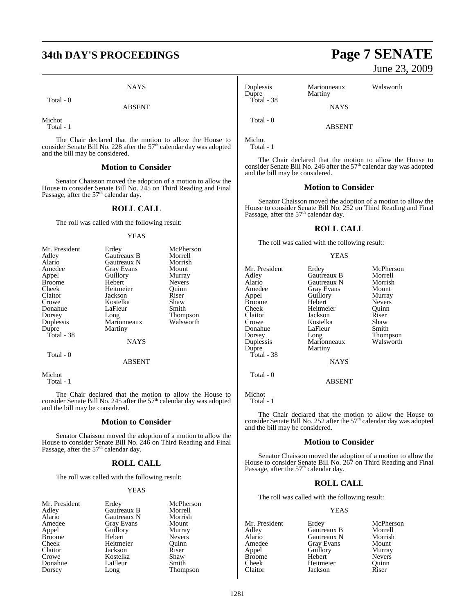# **34th DAY'S PROCEEDINGS Page 7 SENATE**

**NAYS** 

Total - 0

ABSENT

Michot Total - 1

The Chair declared that the motion to allow the House to consider Senate Bill No. 228 after the  $57<sup>th</sup>$  calendar day was adopted and the bill may be considered.

#### **Motion to Consider**

Senator Chaisson moved the adoption of a motion to allow the House to consider Senate Bill No. 245 on Third Reading and Final<br>Passage, after the 57<sup>th</sup> calendar day.

#### **ROLL CALL**

The roll was called with the following result:

#### **YEAS**

| Mr. President | Erdey             | McPherson       |
|---------------|-------------------|-----------------|
| Adley         | Gautreaux B       | Morrell         |
| Alario        | Gautreaux N       | Morrish         |
| Amedee        | <b>Gray Evans</b> | Mount           |
| Appel         | Guillory          | Murray          |
| <b>Broome</b> | Hebert            | <b>Nevers</b>   |
| Cheek         | Heitmeier         | Ouinn           |
| Claitor       | Jackson           | Riser           |
| Crowe         | Kostelka          | Shaw            |
| Donahue       | LaFleur           | Smith           |
| Dorsey        | Long              | <b>Thompson</b> |
| Duplessis     | Marionneaux       | Walsworth       |
| Dupre         | Martiny           |                 |
| Total - 38    |                   |                 |
|               | <b>NAYS</b>       |                 |
| Total - 0     |                   |                 |
|               |                   |                 |

ABSENT

Michot Total - 1

The Chair declared that the motion to allow the House to consider Senate Bill No. 245 after the  $57<sup>th</sup>$  calendar day was adopted and the bill may be considered.

#### **Motion to Consider**

Senator Chaisson moved the adoption of a motion to allow the House to consider Senate Bill No. 246 on Third Reading and Final<br>Passage, after the 57<sup>th</sup> calendar day.

#### **ROLL CALL**

The roll was called with the following result:

#### YEAS

| Gautreaux B<br>Morrell<br>Adley<br>Morrish<br>Alario<br>Gautreaux N<br>Amedee<br><b>Gray Evans</b><br>Mount |  |
|-------------------------------------------------------------------------------------------------------------|--|
|                                                                                                             |  |
|                                                                                                             |  |
|                                                                                                             |  |
| Guillory<br>Appel<br>Murray                                                                                 |  |
| <b>Broome</b><br>Hebert<br><b>Nevers</b>                                                                    |  |
| Heitmeier<br>Cheek<br>Ouinn                                                                                 |  |
| Claitor<br>Riser<br>Jackson                                                                                 |  |
| Crowe<br>Kostelka<br>Shaw                                                                                   |  |
| Donahue<br>Smith<br>LaFleur                                                                                 |  |
| Dorsey<br>Thompson<br>Long                                                                                  |  |

rdey McPherson<br>Fautreaux B Morrell Fautreaux B<br>Fautreaux N Morrish Fautreaux N Morrish<br>Fray Evans Mount Amedeus Stray Evans<br>Amedeus Mount Murray Nevers<sup>1</sup> leitmeier Quinn<br>ackson Riser ackson Riser<br>Costelka Shaw Lostelka Shaw<br>CaFleur Smith

# June 23, 2009

| Duplessis<br>Dupre | Marionneaux<br>Martiny | Walsworth |  |
|--------------------|------------------------|-----------|--|
| Total - 38         | <b>NAYS</b>            |           |  |
| Total - 0          | ABSENT                 |           |  |

Michot

Total - 1

The Chair declared that the motion to allow the House to consider Senate Bill No. 246 after the  $57<sup>th</sup>$  calendar day was adopted and the bill may be considered.

#### **Motion to Consider**

Senator Chaisson moved the adoption of a motion to allow the House to consider Senate Bill No. 252 on Third Reading and Final Passage, after the  $57<sup>th</sup>$  calendar day.

#### **ROLL CALL**

The roll was called with the following result:

#### YEAS

| Mr. President | Erdey       | McPherson       |
|---------------|-------------|-----------------|
| Adley         | Gautreaux B | Morrell         |
| Alario        | Gautreaux N | Morrish         |
| Amedee        | Gray Evans  | Mount           |
| Appel         | Guillory    | Murray          |
| <b>Broome</b> | Hebert      | <b>Nevers</b>   |
| Cheek         | Heitmeier   | Ouinn           |
| Claitor       | Jackson     | Riser           |
| Crowe         | Kostelka    | Shaw            |
| Donahue       | LaFleur     | Smith           |
| Dorsey        | Long        | <b>Thompson</b> |
| Duplessis     | Marionneaux | Walsworth       |
| Dupre         | Martiny     |                 |
| Total - 38    |             |                 |
|               | NAYS        |                 |
| Total - 0     |             |                 |

Michot

Total - 1

The Chair declared that the motion to allow the House to consider Senate Bill No. 252 after the  $57<sup>th</sup>$  calendar day was adopted and the bill may be considered.

ABSENT

#### **Motion to Consider**

Senator Chaisson moved the adoption of a motion to allow the House to consider Senate Bill No. 267 on Third Reading and Final Passage, after the  $57<sup>th</sup>$  calendar day.

#### **ROLL CALL**

The roll was called with the following result:

#### YEAS

| Mr. President | Erdey             | McPherson     |
|---------------|-------------------|---------------|
| Adley         | Gautreaux B       | Morrell       |
| Alario        | Gautreaux N       | Morrish       |
| Amedee        | <b>Gray Evans</b> | Mount         |
| Appel         | Guillory          | Murray        |
| <b>Broome</b> | Hebert            | <b>Nevers</b> |
| Cheek         | Heitmeier         | Ouinn         |
| Claitor       | Jackson           | Riser         |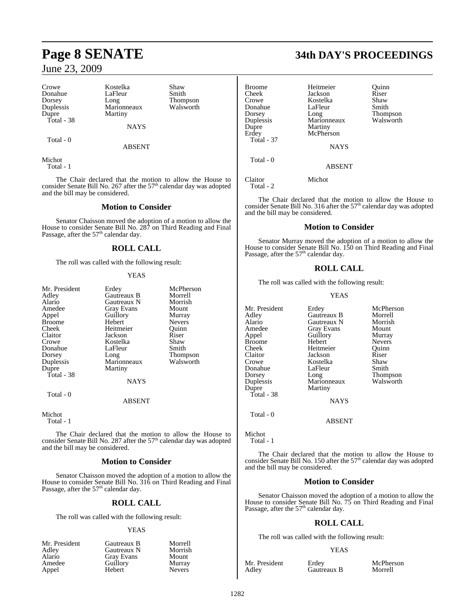Crowe Kostelka Shaw Donahue LaFle<br>Dorsey Long Duplessis Marionneaux<br>Dupre Martiny Total - 38

Dorsey Long Thompson<br>
Duplessis Marionneaux Walsworth Martiny

NAYS

Total - 0

ABSENT

Michot Total - 1

The Chair declared that the motion to allow the House to consider Senate Bill No. 267 after the 57<sup>th</sup> calendar day was adopted and the bill may be considered.

#### **Motion to Consider**

Senator Chaisson moved the adoption of a motion to allow the House to consider Senate Bill No. 287 on Third Reading and Final<br>Passage, after the 57<sup>th</sup> calendar day.

## **ROLL CALL**

The roll was called with the following result:

#### YEAS

| Mr. President | Erdey             | McPherson       |
|---------------|-------------------|-----------------|
| Adley         | Gautreaux B       | Morrell         |
| Alario        | Gautreaux N       | Morrish         |
| Amedee        |                   | Mount           |
|               | <b>Gray Evans</b> |                 |
| Appel         | Guillory          | Murray          |
| <b>Broome</b> | Hebert            | <b>Nevers</b>   |
| Cheek         | Heitmeier         | Ouinn           |
| Claitor       | Jackson           | Riser           |
| Crowe         | Kostelka          | Shaw            |
| Donahue       | LaFleur           | Smith           |
| Dorsey        | Long              | <b>Thompson</b> |
| Duplessis     | Marionneaux       | Walsworth       |
| Dupre         | Martiny           |                 |
| Total - 38    |                   |                 |
|               | <b>NAYS</b>       |                 |
| Total - 0     |                   |                 |
|               | ABSENT            |                 |

Michot

Total - 1

The Chair declared that the motion to allow the House to consider Senate Bill No. 287 after the  $57<sup>th</sup>$  calendar day was adopted and the bill may be considered.

#### **Motion to Consider**

Senator Chaisson moved the adoption of a motion to allow the House to consider Senate Bill No. 316 on Third Reading and Final<br>Passage, after the 57<sup>th</sup> calendar day.

## **ROLL CALL**

The roll was called with the following result:

#### YEAS

| Mr. President | Gautreaux B | Morrell       |
|---------------|-------------|---------------|
| Adley         | Gautreaux N | Morrish       |
| Alario        | Gray Evans  | Mount         |
| Amedee        | Guillory    | Murray        |
| Appel         | Hebert      | <b>Nevers</b> |

# **Page 8 SENATE 34th DAY'S PROCEEDINGS**

| <b>Broome</b> | Heitmeier     | Ouinn     |
|---------------|---------------|-----------|
| Cheek         | Jackson       | Riser     |
| Crowe         | Kostelka      | Shaw      |
| Donahue       | LaFleur       | Smith     |
| Dorsey        | Long          | Thompson  |
| Duplessis     | Marionneaux   | Walsworth |
| Dupre         | Martiny       |           |
| Erdey         | McPherson     |           |
| Total - 37    |               |           |
|               | <b>NAYS</b>   |           |
| Total - 0     |               |           |
|               | <b>ABSENT</b> |           |
| Claitor       | Michot        |           |
|               |               |           |

Total - 2

The Chair declared that the motion to allow the House to consider Senate Bill No. 316 after the  $57<sup>th</sup>$  calendar day was adopted and the bill may be considered.

#### **Motion to Consider**

Senator Murray moved the adoption of a motion to allow the House to consider Senate Bill No. 150 on Third Reading and Final Passage, after the  $57<sup>th</sup>$  calendar day.

#### **ROLL CALL**

The roll was called with the following result:

#### YEAS

| Mr. President<br>Adley<br>Alario<br>Amedee<br>Appel<br><b>Broome</b><br>Cheek<br>Claitor<br>Crowe<br>Donahue<br>Dorsey<br>Duplessis<br>Dupre<br>Total - 38 | Erdey<br>Gautreaux B<br>Gautreaux N<br><b>Gray Evans</b><br>Guillory<br>Hebert<br>Heitmeier<br>Jackson<br>Kostelka<br>LaFleur<br>Long<br>Marionneaux<br>Martiny<br><b>NAYS</b> | McPherson<br>Morrell<br>Morrish<br>Mount<br>Murray<br><b>Nevers</b><br>Ouinn<br>Riser<br>Shaw<br>Smith<br>Thompson<br>Walsworth |
|------------------------------------------------------------------------------------------------------------------------------------------------------------|--------------------------------------------------------------------------------------------------------------------------------------------------------------------------------|---------------------------------------------------------------------------------------------------------------------------------|
| Total - 0                                                                                                                                                  |                                                                                                                                                                                |                                                                                                                                 |
|                                                                                                                                                            | <b>ABSENT</b>                                                                                                                                                                  |                                                                                                                                 |

Michot Total - 1

The Chair declared that the motion to allow the House to consider Senate Bill No. 150 after the  $57<sup>th</sup>$  calendar day was adopted and the bill may be considered.

## **Motion to Consider**

Senator Chaisson moved the adoption of a motion to allow the House to consider Senate Bill No. 75 on Third Reading and Final<br>Passage, after the 57<sup>th</sup> calendar day.

## **ROLL CALL**

The roll was called with the following result:

#### YEAS

Mr. President Erdey McPherson<br>Adley Gautreaux B Morrell

Gautreaux B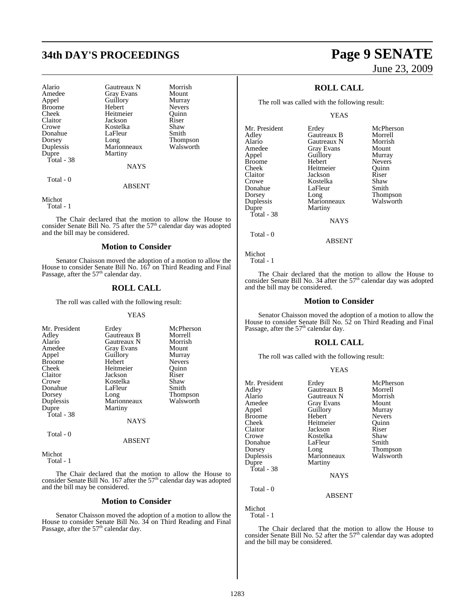# **34th DAY'S PROCEEDINGS Page 9 SENATE**

| Alario<br>Amedee<br>Appel<br><b>Broome</b><br>Cheek<br>Claitor<br>Crowe<br>Donahue<br>Dorsey<br>Duplessis<br>Dupre | Gautreaux N<br><b>Gray Evans</b><br>Guillory<br>Hebert<br>Heitmeier<br>Jackson<br>Kostelka<br>LaFleur<br>Long<br>Marionneaux<br>Martiny | Morrish<br>Mount<br>Murray<br><b>Nevers</b><br>Ouinn<br>Riser<br>Shaw<br>Smith<br><b>Thompson</b><br>Walsworth |
|--------------------------------------------------------------------------------------------------------------------|-----------------------------------------------------------------------------------------------------------------------------------------|----------------------------------------------------------------------------------------------------------------|
| Total - 38                                                                                                         | <b>NAYS</b>                                                                                                                             |                                                                                                                |

Total - 0

#### ABSENT

Michot

Total - 1

The Chair declared that the motion to allow the House to consider Senate Bill No. 75 after the  $57<sup>th</sup>$  calendar day was adopted and the bill may be considered.

#### **Motion to Consider**

Senator Chaisson moved the adoption of a motion to allow the House to consider Senate Bill No. 167 on Third Reading and Final Passage, after the  $57<sup>th</sup>$  calendar day.

#### **ROLL CALL**

The roll was called with the following result:

#### YEAS

| Mr. President                        | Erdey       | McPherson       |
|--------------------------------------|-------------|-----------------|
| Adley                                | Gautreaux B | Morrell         |
| Alario                               | Gautreaux N | Morrish         |
| Amedee                               | Gray Evans  | Mount           |
| Appel                                | Guillory    | Murray          |
| <b>Broome</b>                        | Hebert      | <b>Nevers</b>   |
| Cheek                                | Heitmeier   | Ouinn           |
| Claitor                              | Jackson     | Riser           |
| Crowe                                | Kostelka    | Shaw            |
| Donahue                              | LaFleur     | Smith           |
| Dorsey                               | Long        | <b>Thompson</b> |
| Duplessis                            | Marionneaux | Walsworth       |
| Dupre                                | Martiny     |                 |
| Total - 38                           |             |                 |
|                                      | <b>NAYS</b> |                 |
| $T_{\alpha\uparrow\alpha}1$ $\Omega$ |             |                 |

Total - 0

Michot

Total - 1

The Chair declared that the motion to allow the House to consider Senate Bill No. 167 after the  $57<sup>th</sup>$  calendar day was adopted and the bill may be considered.

ABSENT

#### **Motion to Consider**

Senator Chaisson moved the adoption of a motion to allow the House to consider Senate Bill No. 34 on Third Reading and Final Passage, after the 57<sup>th</sup> calendar day.

# June 23, 2009

## **ROLL CALL**

The roll was called with the following result:

YEAS

| Mr. President | Erdey       | McPherson     |
|---------------|-------------|---------------|
| Adley         | Gautreaux B | Morrell       |
| Alario        | Gautreaux N | Morrish       |
| Amedee        | Gray Evans  | Mount         |
| Appel         | Guillory    | Murray        |
| <b>Broome</b> | Hebert      | <b>Nevers</b> |
| Cheek         | Heitmeier   | Ouinn         |
| Claitor       | Jackson     | Riser         |
| Crowe         | Kostelka    | Shaw          |
| Donahue       | LaFleur     | Smith         |
| Dorsey        | Long        | Thompson      |
| Duplessis     | Marionneaux | Walsworth     |
| Dupre         | Martiny     |               |
| Total - 38    |             |               |
|               | <b>NAYS</b> |               |
|               |             |               |

NAYS

Total - 0

Michot Total - 1

The Chair declared that the motion to allow the House to consider Senate Bill No. 34 after the  $57<sup>th</sup>$  calendar day was adopted and the bill may be considered.

ABSENT

#### **Motion to Consider**

Senator Chaisson moved the adoption of a motion to allow the House to consider Senate Bill No. 52 on Third Reading and Final Passage, after the  $57<sup>th</sup>$  calendar day.

#### **ROLL CALL**

The roll was called with the following result:

#### YEAS

| Erdey             | McPherson     |
|-------------------|---------------|
| Gautreaux B       | Morrell       |
| Gautreaux N       | Morrish       |
| <b>Gray Evans</b> | Mount         |
| Guillory          | Murray        |
| Hebert            | <b>Nevers</b> |
| Heitmeier         | Ouinn         |
| Jackson           | Riser         |
| Kostelka          | Shaw          |
| LaFleur           | Smith         |
|                   | Thompson      |
| Marionneaux       | Walsworth     |
| Martiny           |               |
|                   |               |
| <b>NAYS</b>       |               |
|                   |               |
| <b>ABSENT</b>     |               |
|                   | Long          |

Michot

Total - 1

The Chair declared that the motion to allow the House to consider Senate Bill No. 52 after the  $57<sup>th</sup>$  calendar day was adopted and the bill may be considered.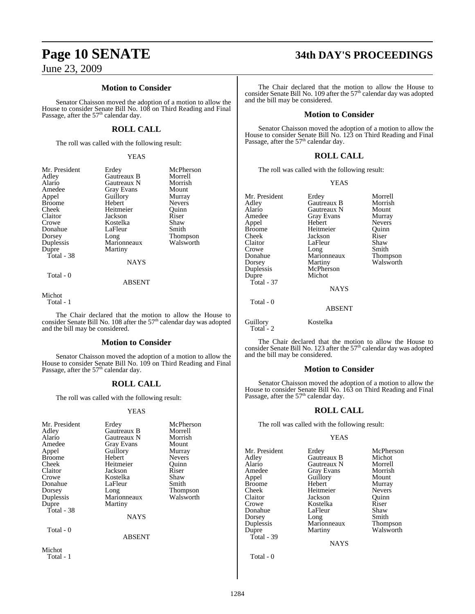#### **Motion to Consider**

Senator Chaisson moved the adoption of a motion to allow the House to consider Senate Bill No. 108 on Third Reading and Final<br>Passage, after the 57<sup>th</sup> calendar day.

#### **ROLL CALL**

The roll was called with the following result:

YEAS

| Mr. President<br>Adley<br>Alario<br>Amedee<br>Appel<br><b>Broome</b><br>Cheek<br>Claitor<br>Crowe<br>Donahue<br>Dorsey<br>Duplessis<br>Dupre<br>Total - 38 | Erdey<br>Gautreaux B<br>Gautreaux N<br>Gray Evans<br>Guillory<br>Hebert<br>Heitmeier<br>Jackson<br>Kostelka<br>LaFleur<br>Long<br>Marionneaux<br>Martiny<br><b>NAYS</b> | McPherson<br>Morrell<br>Morrish<br>Mount<br>Murray<br>Nevers<br>Ouinn<br>Riser<br>Shaw<br>Smith<br>Thompson<br>Walsworth |
|------------------------------------------------------------------------------------------------------------------------------------------------------------|-------------------------------------------------------------------------------------------------------------------------------------------------------------------------|--------------------------------------------------------------------------------------------------------------------------|
|                                                                                                                                                            |                                                                                                                                                                         |                                                                                                                          |
| Total - 0                                                                                                                                                  | <b>ABSENT</b>                                                                                                                                                           |                                                                                                                          |

Michot Total - 1

The Chair declared that the motion to allow the House to consider Senate Bill No. 108 after the  $57<sup>th</sup>$  calendar day was adopted and the bill may be considered.

#### **Motion to Consider**

Senator Chaisson moved the adoption of a motion to allow the House to consider Senate Bill No. 109 on Third Reading and Final Passage, after the  $57<sup>th</sup>$  calendar day.

#### **ROLL CALL**

The roll was called with the following result:

#### YEAS

| Mr. President<br>Adley<br>Alario<br>Amedee<br>Appel<br><b>Broome</b><br>Cheek<br>Claitor<br>Crowe<br>Donahue<br>Dorsey<br>Duplessis<br>Dupre<br>Total - 38 | Erdey<br>Gautreaux B<br>Gautreaux N<br><b>Gray Evans</b><br>Guillory<br>Hebert<br>Heitmeier<br>Jackson<br>Kostelka<br>LaFleur<br>Long<br>Marionneaux<br>Martiny<br><b>NAYS</b> | McPherson<br>Morrell<br>Morrish<br>Mount<br>Murray<br><b>Nevers</b><br>Ouinn<br>Riser<br>Shaw<br>Smith<br>Thompson<br>Walsworth |
|------------------------------------------------------------------------------------------------------------------------------------------------------------|--------------------------------------------------------------------------------------------------------------------------------------------------------------------------------|---------------------------------------------------------------------------------------------------------------------------------|
| Total - 0                                                                                                                                                  | <b>ABSENT</b>                                                                                                                                                                  |                                                                                                                                 |

Michot Total - 1

# **Page 10 SENATE 34th DAY'S PROCEEDINGS**

The Chair declared that the motion to allow the House to consider Senate Bill No. 109 after the  $57<sup>th</sup>$  calendar day was adopted and the bill may be considered.

#### **Motion to Consider**

Senator Chaisson moved the adoption of a motion to allow the House to consider Senate Bill No. 123 on Third Reading and Final Passage, after the  $57<sup>th</sup>$  calendar day.

#### **ROLL CALL**

The roll was called with the following result:

YEAS

| Mr. President | Erdey         | Morrell       |
|---------------|---------------|---------------|
| Adley         | Gautreaux B   | Morrish       |
| Alario        | Gautreaux N   | Mount         |
| Amedee        | Gray Evans    | Murray        |
| Appel         | Hebert        | <b>Nevers</b> |
| <b>Broome</b> | Heitmeier     | Quinn         |
| Cheek         | Jackson       | Riser         |
| Claitor       | LaFleur       | Shaw          |
| Crowe         | Long          | Smith         |
| Donahue       | Marionneaux   | Thompson      |
| Dorsey        | Martiny       | Walsworth     |
| Duplessis     | McPherson     |               |
| Dupre         | Michot        |               |
| Total - 37    |               |               |
|               | <b>NAYS</b>   |               |
| Total - 0     |               |               |
|               | <b>ABSENT</b> |               |
| Guillory      | Kostelka      |               |

The Chair declared that the motion to allow the House to consider Senate Bill No. 123 after the 57<sup>th</sup> calendar day was adopted and the bill may be considered.

#### **Motion to Consider**

Senator Chaisson moved the adoption of a motion to allow the House to consider Senate Bill No. 163 on Third Reading and Final<br>Passage, after the 57<sup>th</sup> calendar day.

#### **ROLL CALL**

The roll was called with the following result:

#### YEAS

Mr. President Erdey McPherson<br>Adley Gautreaux B Michot Adley Gautreaux B Michot Alario Gautreaux N Morrell<br>Amedee Gray Evans Morrish Amedee Gray Evans Morrisl<br>Appel Guillory Mount Appel Guillory<br>Broome Hebert Broome Hebert Murray<br>Cheek Heitmeier Nevers Cheek Heitmeier Nevers<br>Claitor Jackson Quinn Claitor Jackson Quinn Donahue LaFleur Shaw<br>Dorsey Long Smith Dorsey Long Smith<br>
Duplessis Marionneaux Thompson Duplessis Marionneaux<br>
Dupre Martiny Total - 39

Kostelka Riser<br>LaFleur Shaw

Walsworth

NAYS

Total - 0

 $Total - 2$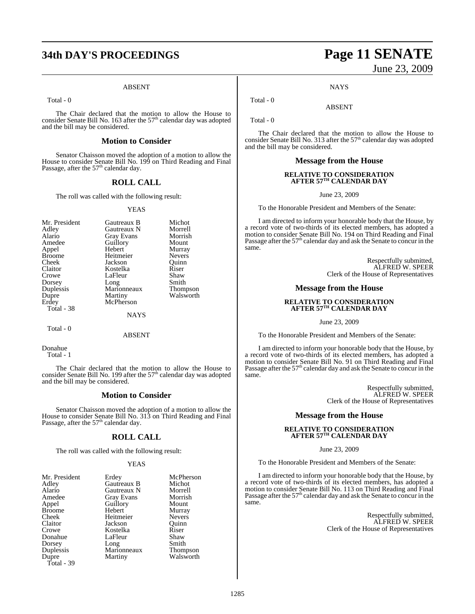# **34th DAY'S PROCEEDINGS Page 11 SENATE**

#### ABSENT

Total - 0

The Chair declared that the motion to allow the House to consider Senate Bill No. 163 after the  $57<sup>th</sup>$  calendar day was adopted and the bill may be considered.

#### **Motion to Consider**

Senator Chaisson moved the adoption of a motion to allow the House to consider Senate Bill No. 199 on Third Reading and Final Passage, after the 57<sup>th</sup> calendar day.

#### **ROLL CALL**

The roll was called with the following result:

#### YEAS

| Mr. President | Gautreaux B       | Michot        |
|---------------|-------------------|---------------|
| Adley         | Gautreaux N       | Morrell       |
| Alario        | <b>Gray Evans</b> | Morrish       |
| Amedee        | Guillory          | Mount         |
| Appel         | Hebert            | Murray        |
| <b>Broome</b> | Heitmeier         | <b>Nevers</b> |
| Cheek         | Jackson           | Ouinn         |
| Claitor       | Kostelka          | Riser         |
| Crowe         | LaFleur           | Shaw          |
| Dorsey        | Long              | Smith         |
| Duplessis     | Marionneaux       | Thompson      |
| Dupre         | Martiny           | Walsworth     |
| Erdey         | McPherson         |               |
| Total - 38    |                   |               |
|               | <b>NAYS</b>       |               |
|               |                   |               |

Total - 0

ABSENT

Donahue Total - 1

The Chair declared that the motion to allow the House to consider Senate Bill No. 199 after the  $57<sup>th</sup>$  calendar day was adopted and the bill may be considered.

#### **Motion to Consider**

Senator Chaisson moved the adoption of a motion to allow the House to consider Senate Bill No. 313 on Third Reading and Final<br>Passage, after the 57<sup>th</sup> calendar day.

#### **ROLL CALL**

The roll was called with the following result:

#### **YEAS**

| Mr. President | Erdey       | McPherson     |
|---------------|-------------|---------------|
| Adley         | Gautreaux B | Michot        |
| Alario        | Gautreaux N | Morrell       |
| Amedee        | Gray Evans  | Morrish       |
| Appel         | Guillory    | Mount         |
| <b>Broome</b> | Hebert      | Murray        |
| Cheek         | Heitmeier   | <b>Nevers</b> |
| Claitor       | Jackson     | Ouinn         |
| Crowe         | Kostelka    | Riser         |
| Donahue       | LaFleur     | Shaw          |
| Dorsey        | Long        | Smith         |
| Duplessis     | Marionneaux | Thompson      |
| Dupre         | Martiny     | Walsworth     |
| Total - 39    |             |               |

# June 23, 2009

**NAYS** 

ABSENT

Total - 0

Total - 0

The Chair declared that the motion to allow the House to consider Senate Bill No. 313 after the 57<sup>th</sup> calendar day was adopted and the bill may be considered.

#### **Message from the House**

#### **RELATIVE TO CONSIDERATION AFTER 57TH CALENDAR DAY**

June 23, 2009

To the Honorable President and Members of the Senate:

I am directed to inform your honorable body that the House, by a record vote of two-thirds of its elected members, has adopted a motion to consider Senate Bill No. 194 on Third Reading and Final<br>Passage after the 57<sup>th</sup> calendar day and ask the Senate to concur in the same.

> Respectfully submitted, ALFRED W. SPEER Clerk of the House of Representatives

#### **Message from the House**

# **RELATIVE TO CONSIDERATION AFTER 57TH CALENDAR DAY**

June 23, 2009

To the Honorable President and Members of the Senate:

I am directed to inform your honorable body that the House, by a record vote of two-thirds of its elected members, has adopted a motion to consider Senate Bill No. 91 on Third Reading and Final Passage after the 57<sup>th</sup> calendar day and ask the Senate to concur in the same.

> Respectfully submitted, ALFRED W. SPEER Clerk of the House of Representatives

#### **Message from the House**

# **RELATIVE TO CONSIDERATION AFTER 57TH CALENDAR DAY**

June 23, 2009

To the Honorable President and Members of the Senate:

I am directed to inform your honorable body that the House, by a record vote of two-thirds of its elected members, has adopted a motion to consider Senate Bill No. 113 on Third Reading and Final Passage after the 57<sup>th</sup> calendar day and ask the Senate to concur in the same.

> Respectfully submitted, ALFRED W. SPEER Clerk of the House of Representatives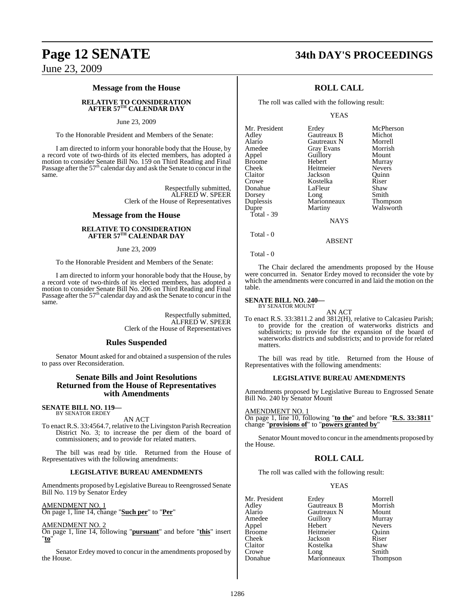#### **Message from the House**

#### **RELATIVE TO CONSIDERATION AFTER 57TH CALENDAR DAY**

#### June 23, 2009

To the Honorable President and Members of the Senate:

I am directed to inform your honorable body that the House, by a record vote of two-thirds of its elected members, has adopted a motion to consider Senate Bill No. 159 on Third Reading and Final<br>Passage after the 57<sup>th</sup> calendar day and ask the Senate to concur in the same.

> Respectfully submitted, ALFRED W. SPEER Clerk of the House of Representatives

#### **Message from the House**

#### **RELATIVE TO CONSIDERATION AFTER 57TH CALENDAR DAY**

#### June 23, 2009

To the Honorable President and Members of the Senate:

I am directed to inform your honorable body that the House, by a record vote of two-thirds of its elected members, has adopted a motion to consider Senate Bill No. 206 on Third Reading and Final Passage after the 57<sup>th</sup> calendar day and ask the Senate to concur in the same.

> Respectfully submitted, ALFRED W. SPEER Clerk of the House of Representatives

#### **Rules Suspended**

Senator Mount asked for and obtained a suspension of the rules to pass over Reconsideration.

#### **Senate Bills and Joint Resolutions Returned from the House of Representatives with Amendments**

**SENATE BILL NO. 119—** BY SENATOR ERDEY

AN ACT

To enact R.S. 33:4564.7, relative to the Livingston Parish Recreation District No. 3; to increase the per diem of the board of commissioners; and to provide for related matters.

The bill was read by title. Returned from the House of Representatives with the following amendments:

#### **LEGISLATIVE BUREAU AMENDMENTS**

Amendments proposed by Legislative Bureau to Reengrossed Senate Bill No. 119 by Senator Erdey

AMENDMENT NO. 1 On page 1, line 14, change "**Such per**" to "**Per**"

#### AMENDMENT NO. 2

On page 1, line 14, following "**pursuant**" and before "**this**" insert "**to**"

Senator Erdey moved to concur in the amendments proposed by the House.

# **Page 12 SENATE 34th DAY'S PROCEEDINGS**

#### **ROLL CALL**

The roll was called with the following result:

YEAS

| Mr. President | Erdey       | McPherson     |
|---------------|-------------|---------------|
|               |             |               |
| Adley         | Gautreaux B | Michot        |
| Alario        | Gautreaux N | Morrell       |
| Amedee        | Gray Evans  | Morrish       |
| Appel         | Guillory    | Mount         |
| <b>Broome</b> | Hebert      | Murray        |
| Cheek         | Heitmeier   | <b>Nevers</b> |
| Claitor       | Jackson     | Ouinn         |
| Crowe         | Kostelka    | Riser         |
| Donahue       | LaFleur     | Shaw          |
| Dorsey        | Long        | Smith         |
| Duplessis     | Marionneaux | Thompson      |
| Dupre         | Martiny     | Walsworth     |
| Total - 39    |             |               |
|               | <b>NAYS</b> |               |
|               |             |               |

Total - 0

Total - 0

The Chair declared the amendments proposed by the House were concurred in. Senator Erdey moved to reconsider the vote by which the amendments were concurred in and laid the motion on the table.

ABSENT

#### **SENATE BILL NO. 240—** BY SENATOR MOUNT

AN ACT To enact R.S. 33:3811.2 and 3812(H), relative to Calcasieu Parish; to provide for the creation of waterworks districts and subdistricts; to provide for the expansion of the board of waterworks districts and subdistricts; and to provide for related matters.

The bill was read by title. Returned from the House of Representatives with the following amendments:

#### **LEGISLATIVE BUREAU AMENDMENTS**

Amendments proposed by Legislative Bureau to Engrossed Senate Bill No. 240 by Senator Mount

AMENDMENT NO. 1

On page 1, line 10, following "**to the**" and before "**R.S. 33:3811**" change "**provisions of**" to "**powers granted by**"

Senator Mount moved to concur in the amendments proposed by the House.

#### **ROLL CALL**

The roll was called with the following result:

YEAS

| Mr. President | Erdey       | Morrell       |
|---------------|-------------|---------------|
| Adley         | Gautreaux B | Morrish       |
| Alario        | Gautreaux N | Mount         |
| Amedee        | Guillory    | Murray        |
| Appel         | Hebert      | <b>Nevers</b> |
| Broome        | Heitmeier   | Ouinn         |
| Cheek         | Jackson     | Riser         |
| Claitor       | Kostelka    | Shaw          |
| Crowe         | Long        | Smith         |
| Donahue       | Marionneaux | Thompson      |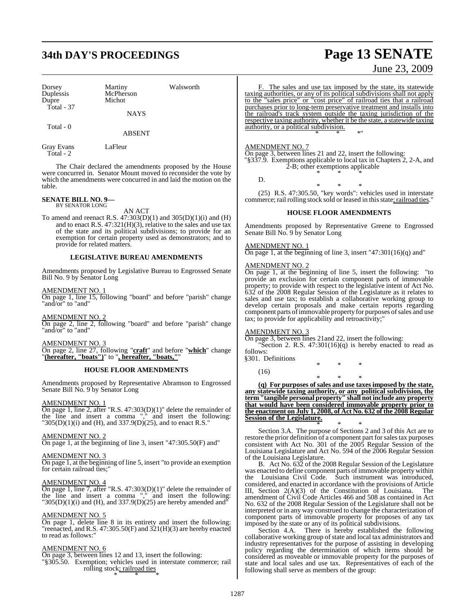# **34th DAY'S PROCEEDINGS Page 13 SENATE**

| Dorsey<br>Duplessis<br>Dupre | Martiny<br>McPherson<br>Michot | Walsworth |
|------------------------------|--------------------------------|-----------|
| Total - 37                   | <b>NAYS</b>                    |           |
| Total - 0                    | ABSENT                         |           |

Gray Evans LaFleur Total - 2

The Chair declared the amendments proposed by the House were concurred in. Senator Mount moved to reconsider the vote by which the amendments were concurred in and laid the motion on the table.

# **SENATE BILL NO. 9—** BY SENATOR LONG

AN ACT

To amend and reenact R.S.  $47:303(D)(1)$  and  $305(D)(1)(i)$  and  $(H)$ and to enact R.S. 47:321(H)(3), relative to the sales and use tax of the state and its political subdivisions; to provide for an exemption for certain property used as demonstrators; and to provide for related matters.

#### **LEGISLATIVE BUREAU AMENDMENTS**

Amendments proposed by Legislative Bureau to Engrossed Senate Bill No. 9 by Senator Long

AMENDMENT NO. 1 On page 1, line 15, following "board" and before "parish" change "and/or" to "and"

AMENDMENT NO. 2 On page 2, line 2, following "board" and before "parish" change

"and/or" to "and"

AMENDMENT NO. 3

On page 2, line 27, following "**craft**" and before "**which**" change "**(hereafter, "boats")**" to "**, hereafter, "boats,"**"

#### **HOUSE FLOOR AMENDMENTS**

Amendments proposed by Representative Abramson to Engrossed Senate Bill No. 9 by Senator Long

#### AMENDMENT NO. 1

On page 1, line 2, after "R.S. 47:303(D)(1)" delete the remainder of the line and insert a comma "," and insert the following: "305(D)(1)(i) and (H), and 337.9(D)(25), and to enact R.S."

#### AMENDMENT NO. 2

On page 1, at the beginning of line 3, insert "47:305.50(F) and"

#### AMENDMENT NO. 3

On page 1, at the beginning of line 5, insert "to provide an exemption for certain railroad ties;"

#### AMENDMENT NO. 4

On page 1, line 7, after "R.S. 47:303(D)(1)" delete the remainder of the line and insert a comma "," and insert the following: "305(D)(1)(i) and (H), and 337.9(D)(25) are hereby amended and "

#### AMENDMENT NO. 5

On page 1, delete line 8 in its entirety and insert the following: "reenacted, and R.S.  $47:305.50(F)$  and  $321(H)(3)$  are hereby enacted to read as follows:"

#### AMENDMENT NO. 6

On page 3, between lines 12 and 13, insert the following: "§305.50. Exemption; vehicles used in interstate commerce; rail rolling stock<u>; railroad ties</u> \* \* \*

F. The sales and use tax imposed by the state, its statewide taxing authorities, or any of its political subdivisions shall not apply to the "sales price" or "cost price" of railroad ties that a railroad purchases prior to long-term preservative treatment and installs into the railroad's track system outside the taxing jurisdiction of the respective taxing authority, whether it be the state, a statewide taxing authority, or a political subdivision. \* \* \*"

#### AMENDMENT NO. 7

On page 3, between lines 21 and 22, insert the following: "§337.9. Exemptions applicable to local tax in Chapters 2, 2-A, and 2-B; other exemptions applicable \* \* \*

D.

\* \* \* (25) R.S. 47:305.50, "key words": vehicles used in interstate commerce; rail rolling stock sold or leased in this state; railroad ties."

#### **HOUSE FLOOR AMENDMENTS**

Amendments proposed by Representative Greene to Engrossed Senate Bill No. 9 by Senator Long

#### AMENDMENT NO. 1

On page 1, at the beginning of line 3, insert  $"47:301(16)(q)$  and"

#### AMENDMENT NO. 2

On page 1, at the beginning of line 5, insert the following: "to provide an exclusion for certain component parts of immovable property; to provide with respect to the legislative intent of Act No. 632 of the 2008 Regular Session of the Legislature as it relates to sales and use tax; to establish a collaborative working group to develop certain proposals and make certain reports regarding component parts of immovable property for purposes of sales and use tax; to provide for applicability and retroactivity;"

#### AMENDMENT NO. 3

On page 3, between lines 21and 22, insert the following:

"Section 2. R.S.  $47:301(16)(q)$  is hereby enacted to read as follows:

§301. Definitions \* \* \*

(16)

\* \* \* **(q) For purposes of sales and use taxes imposed by the state, any statewide taxing authority, or any political subdivision, the term"tangible personal property" shall notinclude any property that would have been considered immovable property prior to the enactment on July 1, 2008, of Act No. 632 of the 2008 Regular Session of the Legislature.**

\* \* \* Section 3.A. The purpose of Sections 2 and 3 of this Act are to restore the prior definition of a component part for sales tax purposes consistent with Act No. 301 of the 2005 Regular Session of the Louisiana Legislature and Act No. 594 of the 2006 Regular Session of the Louisiana Legislature.

B. Act No. 632 of the 2008 Regular Session of the Legislature was enacted to define component parts of immovable property within the Louisiana Civil Code. Such instrument was introduced, considered, and enacted in accordance with the provisions of Article III, Section 2(A)(3) of the Constitution of Louisiana. The amendment of Civil Code Articles 466 and 508 as contained in Act No. 632 of the 2008 Regular Session of the Legislature shall not be interpreted or in any way construed to change the characterization of component parts of immovable property for proposes of any tax imposed by the state or any of its political subdivisions.

Section 4.A. There is hereby established the following collaborative working group of state and local tax administrators and industry representatives for the purpose of assisting in developing policy regarding the determination of which items should be considered as moveable or immovable property for the purposes of state and local sales and use tax. Representatives of each of the following shall serve as members of the group:

June 23, 2009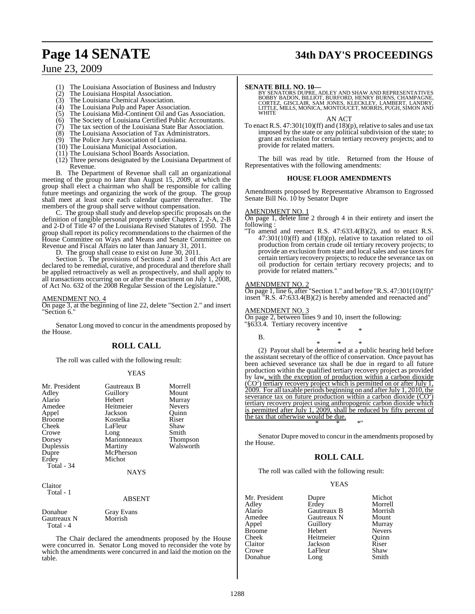# **Page 14 SENATE 34th DAY'S PROCEEDINGS**

## June 23, 2009

- The Louisiana Association of Business and Industry
- $(2)$  The Louisiana Hospital Association.<br>(3) The Louisiana Chemical Association
- The Louisiana Chemical Association.
- (4) The Louisiana Pulp and Paper Association.
- (5) The Louisiana Mid-Continent Oil and Gas Association.
- (6) The Society of Louisiana Certified Public Accountants.<br>(7) The tax section of the Louisiana State Bar Association. The tax section of the Louisiana State Bar Association.
- (8) The Louisiana Association of Tax Administrators.
- (9) The Police Jury Association of Louisiana.
- (10) The Louisiana Municipal Association.
- (11) The Louisiana School Boards Association.
- (12) Three persons designated by the Louisiana Department of Revenue.

B. The Department of Revenue shall call an organizational meeting of the group no later than August 15, 2009, at which the group shall elect a chairman who shall be responsible for calling group snan elect a channique wave comments of the group. The group<br>future meetings and organizing the work of the group. The group<br>shall meet at least once each calendar quarter thereafter. The shall meet at least once each calendar quarter thereafter. members of the group shall serve without compensation.

C. The group shall study and develop specific proposals on the definition of tangible personal property under Chapters 2, 2-A, 2-B and 2-D of Title 47 of the Louisiana Revised Statutes of 1950. The group shall report its policy recommendations to the chairmen of the House Committee on Ways and Means and Senate Committee on Revenue and Fiscal Affairs no later than January 31, 2011.

D. The group shall cease to exist on June 30, 2011.

Section 5. The provisions of Sections 2 and 3 of this Act are declared to be remedial, curative, and procedural and therefore shall be applied retroactively as well as prospectively, and shall apply to all transactions occurring on or after the enactment on July 1, 2008, of Act No. 632 of the 2008 Regular Session of the Legislature."

#### AMENDMENT NO. 4

On page 3, at the beginning of line 22, delete "Section 2." and insert "Section 6."

Senator Long moved to concur in the amendments proposed by the House.

#### **ROLL CALL**

The roll was called with the following result:

#### YEAS

| Mr. President<br>Adley<br>Alario<br>Amedee<br>Appel<br><b>Broome</b><br>Cheek<br>Crowe<br>Dorsey<br>Duplessis<br>Dupre<br>Erdey<br>Total - 34 | Gautreaux B<br>Guillory<br>Hebert<br>Heitmeier<br>Jackson<br>Kostelka<br>LaFleur<br>Long<br>Marionneaux<br>Martiny<br>McPherson<br>Michot<br><b>NAYS</b> | Morrell<br>Mount<br>Murray<br><b>Nevers</b><br>Ouinn<br>Riser<br>Shaw<br>Smith<br>Thompson<br>Walsworth |
|-----------------------------------------------------------------------------------------------------------------------------------------------|----------------------------------------------------------------------------------------------------------------------------------------------------------|---------------------------------------------------------------------------------------------------------|
| Claitor<br>Total - 1                                                                                                                          | ABSENT                                                                                                                                                   |                                                                                                         |
| Donahue<br>Gautreaux N<br>Total - 4                                                                                                           | Gray Evans<br>Morrish                                                                                                                                    |                                                                                                         |

The Chair declared the amendments proposed by the House were concurred in. Senator Long moved to reconsider the vote by which the amendments were concurred in and laid the motion on the table.

**SENATE BILL NO. 10—**<br>BY SENATORS DUPRE, ADLEY AND SHAW AND REPRESENTATIVES<br>BOBBY BADON, BILLIOT, BURFORD, HENRY BURNS, CHAMPAGNE,<br>CORTEZ, GISCLAIR, SAM JONES, KLECKLEY, LAMBERT, LANDRY,<br>LITTLE, MILLS, MONICA, MONTOUCET, M

AN ACT

To enact R.S. 47:301(10)(ff) and (18)(p), relative to sales and use tax imposed by the state or any political subdivision of the state; to grant an exclusion for certain tertiary recovery projects; and to provide for related matters.

The bill was read by title. Returned from the House of Representatives with the following amendments:

#### **HOUSE FLOOR AMENDMENTS**

Amendments proposed by Representative Abramson to Engrossed Senate Bill No. 10 by Senator Dupre

#### AMENDMENT NO. 1

On page 1, delete line 2 through 4 in their entirety and insert the following :

"To amend and reenact R.S. 47:633.4(B)(2), and to enact R.S. 47:301(10)(ff) and (18)(p), relative to taxation related to oil production from certain crude oil tertiary recovery projects; to provide an exclusion from state and local sales and use taxes for certain tertiary recovery projects; to reduce the severance tax on oil production for certain tertiary recovery projects; and to provide for related matters."

#### AMENDMENT NO. 2

On page 1, line 6, after "Section 1." and before "R.S. 47:301(10)(ff)" insert "R.S. 47:633.4(B)(2) is hereby amended and reenacted and"

#### AMENDMENT NO. 3

B.

On page 2, between lines 9 and 10, insert the following: "§633.4. Tertiary recovery incentive \* \* \*

\* \* \* (2) Payout shall be determined at a public hearing held before the assistant secretary of the office of conservation. Once payout has been achieved severance tax shall be due in regard to all future production within the qualified tertiary recovery project as provided by law, with the exception of production within a carbon dioxide  $(CO<sup>2</sup>)$  tertiary recovery project which is permitted on or after July 1, 2009. For all taxable periods beginning on and after July 1, 2010, the severance tax on future production within a carbon dioxide  $(CO<sup>2</sup>)$ tertiary recovery project using anthropogenic carbon dioxide which is permitted after July 1, 2009, shall be reduced by fifty percent of the tax that otherwise would be due.

Senator Dupre moved to concur in the amendments proposed by the House.

\* \* \*"

#### **ROLL CALL**

The roll was called with the following result:

#### YEAS

| Mr. President | Dupre       | Michot        |
|---------------|-------------|---------------|
| Adley         | Erdey       | Morrell       |
| Alario        | Gautreaux B | Morrish       |
| Amedee        | Gautreaux N | Mount         |
| Appel         | Guillory    | Murray        |
| <b>Broome</b> | Hebert      | <b>Nevers</b> |
| Cheek         | Heitmeier   | Ouinn         |
| Claitor       | Jackson     | Riser         |
| Crowe         | LaFleur     | Shaw          |
| Donahue       | Long        | Smith         |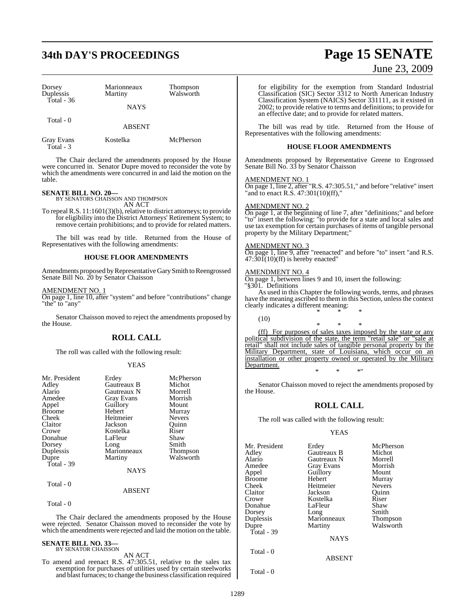# **34th DAY'S PROCEEDINGS Page 15 SENATE**

| Dorsey<br>Duplessis | Marionneaux<br>Martiny | <b>Thompson</b><br>Walsworth |
|---------------------|------------------------|------------------------------|
| Total - $36$        | <b>NAYS</b>            |                              |
| Total - 0           | <b>ABSENT</b>          |                              |
| Gray Evans          | Kostelka               | McPherson                    |

The Chair declared the amendments proposed by the House were concurred in. Senator Dupre moved to reconsider the vote by which the amendments were concurred in and laid the motion on the table.

# **SENATE BILL NO. 20—** BY SENATORS CHAISSON AND THOMPSON

Total - 3

AN ACT

To repeal R.S. 11:1601(3)(b), relative to district attorneys; to provide for eligibility into the District Attorneys' Retirement System; to remove certain prohibitions; and to provide for related matters.

The bill was read by title. Returned from the House of Representatives with the following amendments:

#### **HOUSE FLOOR AMENDMENTS**

Amendments proposed byRepresentativeGarySmith to Reengrossed Senate Bill No. 20 by Senator Chaisson

#### AMENDMENT NO. 1

On page 1, line 10, after "system" and before "contributions" change "the" to "any"

Senator Chaisson moved to reject the amendments proposed by the House.

#### **ROLL CALL**

The roll was called with the following result:

#### YEAS

| Mr. President | Erdey             | McPherson       |
|---------------|-------------------|-----------------|
| Adley         | Gautreaux B       | Michot          |
| Alario        | Gautreaux N       | Morrell         |
| Amedee        | <b>Gray Evans</b> | Morrish         |
| Appel         | Guillory          | Mount           |
| <b>Broome</b> | Hebert            | Murray          |
| Cheek         | Heitmeier         | <b>Nevers</b>   |
| Claitor       | Jackson           | Ouinn           |
| Crowe         | Kostelka          | Riser           |
| Donahue       | LaFleur           | Shaw            |
| Dorsey        | Long              | Smith           |
| Duplessis     | Marionneaux       | <b>Thompson</b> |
| Dupre         | Martiny           | Walsworth       |
| Total - 39    |                   |                 |
|               | NAYS              |                 |
| Total - 0     |                   |                 |

#### ABSENT

Total - 0

The Chair declared the amendments proposed by the House were rejected. Senator Chaisson moved to reconsider the vote by which the amendments were rejected and laid the motion on the table.

# **SENATE BILL NO. 33—** BY SENATOR CHAISSON

AN ACT

To amend and reenact R.S. 47:305.51, relative to the sales tax exemption for purchases of utilities used by certain steelworks and blast furnaces; to change the business classification required

June 23, 2009

for eligibility for the exemption from Standard Industrial Classification (SIC) Sector 3312 to North American Industry Classification System (NAICS) Sector 331111, as it existed in 2002; to provide relative to terms and definitions; to provide for an effective date; and to provide for related matters.

The bill was read by title. Returned from the House of Representatives with the following amendments:

#### **HOUSE FLOOR AMENDMENTS**

Amendments proposed by Representative Greene to Engrossed Senate Bill No. 33 by Senator Chaisson

#### AMENDMENT NO. 1

On page 1, line 2, after "R.S. 47:305.51," and before "relative" insert "and to enact R.S. 47:301(10)(ff),"

#### AMENDMENT NO. 2

On page 1, at the beginning of line 7, after "definitions;" and before "to" insert the following: "to provide for a state and local sales and use tax exemption for certain purchases of items of tangible personal property by the Military Department;"

#### AMENDMENT NO. 3

On page 1, line 9, after "reenacted" and before "to" insert "and R.S.  $47:30\tilde{I}(10)$ (ff) is hereby enacted"

#### AMENDMENT NO. 4

On page 1, between lines 9 and 10, insert the following: "§301. Definitions

As used in this Chapter the following words, terms, and phrases have the meaning ascribed to them in this Section, unless the context clearly indicates a different meaning: \* \* \*

(10)

\* \* \* (ff) For purposes of sales taxes imposed by the state or any political subdivision of the state, the term "retail sale" or "sale at retail" shall not include sales of tangible personal property by the Military Department, state of Louisiana, which occur on an installation or other property owned or operated by the Military Department. \* \* \*"

Senator Chaisson moved to reject the amendments proposed by the House.

#### **ROLL CALL**

The roll was called with the following result:

Heitmeier

Marionneaux<br>Martiny

#### YEAS

Mr. President Erdey McPherson<br>Adley Gautreaux B Michot Adley Gautreaux B Michot Alario Gautreaux N Morrell Amedee Gray Evans Morrisl<br>
Appel Guillory Mount Broome Hebert Murray<br>Cheek Heitmeier Nevers Claitor Jackson Quinn Donahue LaFleur Shaw<br>Dorsey Long Smith Dorsey Long Smith<br>
Duplessis Marionneaux Thompson Dupre Martiny Walsworth Total - 39 Total - 0

Guillory Mount<br>
Hebert Murray Kostelka Riser<br>LaFleur Shaw

**NAYS** 

ABSENT

Total - 0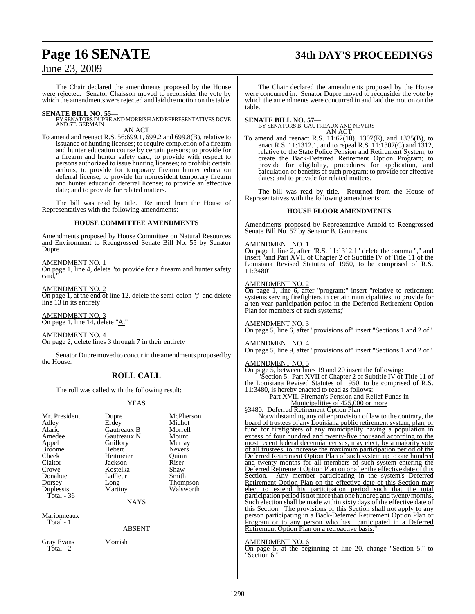# **Page 16 SENATE 34th DAY'S PROCEEDINGS**

## June 23, 2009

The Chair declared the amendments proposed by the House were rejected. Senator Chaisson moved to reconsider the vote by which the amendments were rejected and laid the motion on the table.

**SENATE BILL NO. 55—**<br>BY SENATORS DUPRE AND MORRISH AND REPRESENTATIVES DOVE<br>AND ST. GERMAIN

AN ACT

To amend and reenact R.S. 56:699.1, 699.2 and 699.8(B), relative to issuance of hunting licenses; to require completion of a firearm and hunter education course by certain persons; to provide for a firearm and hunter safety card; to provide with respect to persons authorized to issue hunting licenses; to prohibit certain actions; to provide for temporary firearm hunter education deferral license; to provide for nonresident temporary firearm and hunter education deferral license; to provide an effective date; and to provide for related matters.

The bill was read by title. Returned from the House of Representatives with the following amendments:

#### **HOUSE COMMITTEE AMENDMENTS**

Amendments proposed by House Committee on Natural Resources and Environment to Reengrossed Senate Bill No. 55 by Senator Dupre

#### AMENDMENT NO. 1

On page 1, line 4, delete "to provide for a firearm and hunter safety card;

AMENDMENT NO. 2 On page 1, at the end of line 12, delete the semi-colon ";" and delete line  $1\overline{3}$  in its entirety

AMENDMENT NO. 3 On page 1, line 14, delete "A."

AMENDMENT NO. 4 On page 2, delete lines 3 through 7 in their entirety

Senator Dupre moved to concur in the amendments proposed by the House.

## **ROLL CALL**

The roll was called with the following result:

#### YEAS

| Mr. President<br>Adley<br>Alario<br>Amedee<br>Appel<br><b>Broome</b><br>Cheek<br>Claitor<br>Crowe<br>Donahue<br>Dorsey | Dupre<br>Erdey<br>Gautreaux B<br>Gautreaux N<br>Guillory<br>Hebert<br>Heitmeier<br>Jackson<br>Kostelka<br>LaFleur<br>Long | McPherson<br>Michot<br>Morrell<br>Mount<br>Murray<br><b>Nevers</b><br>Ouinn<br>Riser<br>Shaw<br>Smith<br><b>Thompson</b> |
|------------------------------------------------------------------------------------------------------------------------|---------------------------------------------------------------------------------------------------------------------------|--------------------------------------------------------------------------------------------------------------------------|
|                                                                                                                        |                                                                                                                           |                                                                                                                          |
| Duplessis<br>Total - $36$                                                                                              | Martiny                                                                                                                   | Walsworth                                                                                                                |
|                                                                                                                        | <b>NAYS</b>                                                                                                               |                                                                                                                          |
| Marionneaux                                                                                                            |                                                                                                                           |                                                                                                                          |

Total - 1

ABSENT

Gray Evans Morrish Total - 2

The Chair declared the amendments proposed by the House were concurred in. Senator Dupre moved to reconsider the vote by which the amendments were concurred in and laid the motion on the table.

**SENATE BILL NO. 57—** BY SENATORS B. GAUTREAUX AND NEVERS AN ACT

To amend and reenact R.S. 11:62(10), 1307(E), and 1335(B), to enact R.S. 11:1312.1, and to repeal R.S. 11:1307(C) and 1312, relative to the State Police Pension and Retirement System; to create the Back-Deferred Retirement Option Program; to provide for eligibility, procedures for application, and calculation of benefits of such program; to provide for effective dates; and to provide for related matters.

The bill was read by title. Returned from the House of Representatives with the following amendments:

#### **HOUSE FLOOR AMENDMENTS**

Amendments proposed by Representative Arnold to Reengrossed Senate Bill No. 57 by Senator B. Gautreaux

#### AMENDMENT NO. 1

On page 1, line 2, after "R.S. 11:1312.1" delete the comma "," and insert "and Part XVII of Chapter 2 of Subtitle IV of Title 11 of the Louisiana Revised Statutes of 1950, to be comprised of R.S. 11:3480"

#### AMENDMENT NO. 2

On page 1, line 6, after "program;" insert "relative to retirement systems serving firefighters in certain municipalities; to provide for a ten year participation period in the Deferred Retirement Option Plan for members of such systems;

#### AMENDMENT NO. 3

On page 5, line 6, after "provisions of" insert "Sections 1 and 2 of"

#### AMENDMENT NO. 4

On page 5, line 9, after "provisions of" insert "Sections 1 and 2 of"

#### AMENDMENT NO. 5

On page 5, between lines 19 and 20 insert the following: "Section 5. Part XVII of Chapter 2 of Subtitle IV of Title 11 of the Louisiana Revised Statutes of 1950, to be comprised of R.S. 11:3480, is hereby enacted to read as follows: Part XVII. Fireman's Pension and Relief Funds in

Municipalities of 425,000 or more

§3480. Deferred Retirement Option Plan

Notwithstanding any other provision of law to the contrary, the board of trustees of any Louisiana public retirement system, plan, or fund for firefighters of any municipality having a population in excess of four hundred and twenty-five thousand according to the most recent federal decennial census, may elect, by a majority vote of all trustees, to increase the maximum participation period of the Deferred Retirement Option Plan of such system up to one hundred and twenty months for all members of such system entering the Deferred Retirement Option Plan on or after the effective date of this Section. Any member participating in the system's Deferred Retirement Option Plan on the effective date of this Section may elect to extend his participation period such that the total participation period is not more than one hundred and twenty months. Such election shall be made within sixty days of the effective date of this Section. The provisions of this Section shall not apply to any person participating in a Back-Deferred Retirement Option Plan or Program or to any person who has participated in a Deferred Retirement Option Plan on a retroactive basis."

#### AMENDMENT NO. 6

On page 5, at the beginning of line 20, change "Section 5." to "Section 6."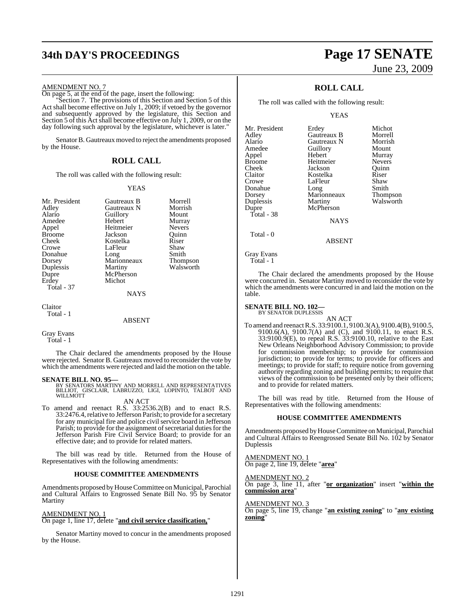# **34th DAY'S PROCEEDINGS Page 17 SENATE**

# June 23, 2009

#### AMENDMENT NO. 7

On page 5, at the end of the page, insert the following:

"Section 7. The provisions of this Section and Section 5 of this Act shall become effective on July 1, 2009; if vetoed by the governor and subsequently approved by the legislature, this Section and Section 5 of this Act shall become effective on July 1, 2009, or on the day following such approval by the legislature, whichever is later."

Senator B. Gautreaux moved to reject the amendments proposed by the House.

#### **ROLL CALL**

The roll was called with the following result:

#### YEAS

| Mr. President     | Gautreaux B | Morrell         |
|-------------------|-------------|-----------------|
| Adley             | Gautreaux N | Morrish         |
| Alario            | Guillory    | Mount           |
|                   |             |                 |
| Amedee            | Hebert      | Murray          |
| Appel             | Heitmeier   | <b>Nevers</b>   |
| <b>Broome</b>     | Jackson     | Ouinn           |
| Cheek             | Kostelka    | Riser           |
| Crowe             | LaFleur     | Shaw            |
| Donahue           | Long        | Smith           |
| Dorsey            | Marionneaux | <b>Thompson</b> |
| Duplessis         | Martiny     | Walsworth       |
| Dupre             | McPherson   |                 |
| Erdey             | Michot      |                 |
| <b>Total - 37</b> |             |                 |
|                   | <b>NAYS</b> |                 |
| Claitor           |             |                 |
| Total - 1         |             |                 |

#### **ABSENT**

```
Gray Evans
   Total - 1
```
The Chair declared the amendments proposed by the House were rejected. Senator B. Gautreaux moved to reconsider the vote by which the amendments were rejected and laid the motion on the table.

#### **SENATE BILL NO. 95—**

BY SENATORS MARTINY AND MORRELL AND REPRESENTATIVES<br>BILLIOT, GISCLAIR, LABRUZZO, LIGI, LOPINTO, TALBOT AND<br>WILLMOTT

#### AN ACT

To amend and reenact R.S. 33:2536.2(B) and to enact R.S. 33:2476.4, relative to Jefferson Parish; to provide for a secretary for any municipal fire and police civil service board in Jefferson Parish; to provide for the assignment of secretarial duties for the Jefferson Parish Fire Civil Service Board; to provide for an effective date; and to provide for related matters.

The bill was read by title. Returned from the House of Representatives with the following amendments:

#### **HOUSE COMMITTEE AMENDMENTS**

Amendments proposed by House Committee on Municipal, Parochial and Cultural Affairs to Engrossed Senate Bill No. 95 by Senator Martiny

#### AMENDMENT NO. 1

On page 1, line 17, delete "**and civil service classification,**"

Senator Martiny moved to concur in the amendments proposed by the House.

## **ROLL CALL**

The roll was called with the following result:

YEAS

| Mr. President | Erdey       | Michot        |
|---------------|-------------|---------------|
| Adley         | Gautreaux B | Morrell       |
| Alario        | Gautreaux N | Morrish       |
| Amedee        | Guillory    | Mount         |
| Appel         | Hebert      | Murray        |
| Broome        | Heitmeier   | <b>Nevers</b> |
| Cheek         | Jackson     | Ouinn         |
| Claitor       | Kostelka    | Riser         |
| Crowe         | LaFleur     | Shaw          |
| Donahue       | Long        | Smith         |
| Dorsey        | Marionneaux | Thompson      |
| Duplessis     | Martiny     | Walsworth     |
| Dupre         | McPherson   |               |
| Total - 38    |             |               |
|               | <b>NAYS</b> |               |
| Total - 0     |             |               |
|               | ABSENT      |               |

Gray Evans Total - 1

The Chair declared the amendments proposed by the House were concurred in. Senator Martiny moved to reconsider the vote by which the amendments were concurred in and laid the motion on the table.

#### **SENATE BILL NO. 102—**

BY SENATOR DUPLESSIS

AN ACT To amend and reenact R.S. 33:9100.1, 9100.3(A), 9100.4(B), 9100.5, 9100.6(A), 9100.7(A) and (C), and 9100.11, to enact R.S. 33:9100.9(E), to repeal R.S. 33:9100.10, relative to the East New Orleans Neighborhood Advisory Commission; to provide for commission membership; to provide for commission jurisdiction; to provide for terms; to provide for officers and meetings; to provide for staff; to require notice from governing authority regarding zoning and building permits; to require that views of the commission to be presented only by their officers; and to provide for related matters.

The bill was read by title. Returned from the House of Representatives with the following amendments:

#### **HOUSE COMMITTEE AMENDMENTS**

Amendments proposed by House Committee on Municipal, Parochial and Cultural Affairs to Reengrossed Senate Bill No. 102 by Senator Duplessis

AMENDMENT NO. 1 On page 2, line 19, delete "**area**"

#### AMENDMENT NO. 2

On page 3, line 11, after "**or organization**" insert "**within the commission area**"

AMENDMENT NO. 3 On page 5, line 19, change "**an existing zoning**" to "**any existing zoning**"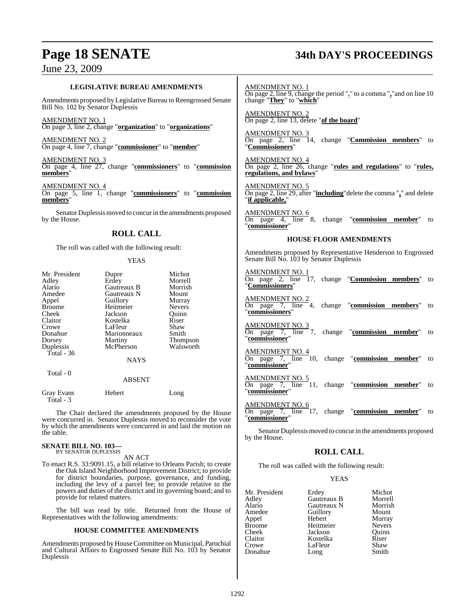# **Page 18 SENATE 34th DAY'S PROCEEDINGS**

| <b>LEGISLATIVE BUREAU AMENDMENTS</b>                                                                                                                                                             |                                                             |                                                              | AMENDMENT NO. 1<br>On page 2, line 9, change the period "." to a comma ", "and on line 10                    |
|--------------------------------------------------------------------------------------------------------------------------------------------------------------------------------------------------|-------------------------------------------------------------|--------------------------------------------------------------|--------------------------------------------------------------------------------------------------------------|
| Amendments proposed by Legislative Bureau to Reengrossed Senate<br>Bill No. 102 by Senator Duplessis                                                                                             |                                                             |                                                              | change "They" to "which"                                                                                     |
| AMENDMENT NO. 1                                                                                                                                                                                  | On page 3, line 2, change "organization" to "organizations" |                                                              | <u>AMENDMENT NO. 2</u><br>On page 2, line 13, delete "of the board"                                          |
| <u>AMENDMENT NO. 2</u>                                                                                                                                                                           | On page 4, line 7, change "commissioner" to "member"        |                                                              | AMENDMENT NO. 3<br>On page 2, line 14, change "Commission members" to<br>"Commissioners"                     |
| AMENDMENT NO. 3<br>members"                                                                                                                                                                      |                                                             | On page 4, line 27, change "commissioners" to "commission    | AMENDMENT NO. 4<br>On page 2, line 26, change "rules and regulations" to "rules,<br>regulations, and bylaws" |
| AMENDMENT NO. 4<br>members'                                                                                                                                                                      |                                                             | On page 5, line 1, change "commissioners" to "commission     | AMENDMENT NO. 5<br>On page 2, line 29, after "including" delete the comma "," and delete<br>"if applicable," |
| by the House.                                                                                                                                                                                    |                                                             | Senator Duplessis moved to concur in the amendments proposed | AMENDMENT NO. 6<br>On page 4, line 8, change "commission member" to<br>"commissioner"                        |
| <b>ROLL CALL</b>                                                                                                                                                                                 |                                                             |                                                              | <b>HOUSE FLOOR AMENDMENTS</b>                                                                                |
| The roll was called with the following result:<br><b>YEAS</b>                                                                                                                                    |                                                             |                                                              | Amendments proposed by Representative Henderson to Engrossed<br>Senate Bill No. 103 by Senator Duplessis     |
| Mr. President<br>Adley<br>Alario                                                                                                                                                                 | Dupre<br>Erdey<br>Gautreaux B                               | Michot<br>Morrell<br>Morrish                                 | AMENDMENT NO. 1<br>On page 2, line 17, change " <b>Commission members</b> " to<br>"Commissioners"            |
| Amedee<br>Appel<br><b>Broome</b><br>Cheek                                                                                                                                                        | Gautreaux N<br>Guillory<br>Heitmeier<br>Jackson             | Mount<br>Murray<br>Nevers<br>Quinn                           | AMENDMENT NO. 2<br>On page 7, line 4, change "commission members" to<br>"commissioners"                      |
| Claitor<br>Crowe<br>Donahue<br>Dorsey                                                                                                                                                            | Kostelka<br>LaFleur<br>Marionneaux<br>Martiny               | Riser<br>Shaw<br>Smith<br><b>Thompson</b>                    | <u>AMENDMENT NO. 3</u><br>On page $7$ , line $7$ ,<br>change "commission member" to<br>"commissioner"        |
| Duplessis<br>Total - 36                                                                                                                                                                          | McPherson<br><b>NAYS</b>                                    | Walsworth                                                    | <u>AMENDMENT NO. 4</u><br>On page 7, line 10, change "commission member"<br>to<br>"commissioner"             |
| Total - 0                                                                                                                                                                                        | <b>ABSENT</b>                                               |                                                              | AMENDMENT NO. 5<br>On page 7, line 11, change "commission member" to<br>"commissioner"                       |
| Gray Evans<br>Total - 3                                                                                                                                                                          | Hebert                                                      | Long                                                         | AMENDMENT NO. 6                                                                                              |
| The Chair declared the amendments proposed by the House<br>were concurred in. Senator Duplessis moved to reconsider the vote<br>by which the amendments were concurred in and laid the motion on |                                                             |                                                              | $\overline{On}$ page 7, line 17, change "commission member"<br>to<br>"commissioner"                          |
| the table.                                                                                                                                                                                       |                                                             |                                                              | Senator Duplessis moved to concur in the amendments proposed<br>by the House.                                |
| <b>SENATE BILL NO. 103—</b><br>BY SENATOR DUPLESSIS                                                                                                                                              |                                                             |                                                              | <b>ROLL CALL</b>                                                                                             |
| AN ACT<br>To enact R.S. 33:9091.15, a bill relative to Orleans Parish; to create                                                                                                                 |                                                             |                                                              | The roll was called with the following result:                                                               |
| the Oak Island Neighborhood Improvement District; to provide<br>for district boundaries, purpose, governance, and funding,                                                                       |                                                             |                                                              | <b>YEAS</b>                                                                                                  |

YEAS

| Mr. President | Erdey       | Michot        |
|---------------|-------------|---------------|
| Adley         | Gautreaux B | Morrell       |
| Alario        | Gautreaux N | Morrish       |
| Amedee        | Guillory    | Mount         |
| Appel         | Hebert      | Murray        |
| <b>Broome</b> | Heitmeier   | <b>Nevers</b> |
| Cheek         | Jackson     | Ouinn         |
| Claitor       | Kostelka    | Riser         |
| Crowe         | LaFleur     | Shaw          |
| Donahue       | Long        | Smith         |

The bill was read by title. Returned from the House of Representatives with the following amendments:

provide for related matters.

#### **HOUSE COMMITTEE AMENDMENTS**

including the levy of a parcel fee; to provide relative to the powers and duties of the district and its governing board; and to

Amendments proposed byHouseCommittee on Municipal, Parochial and Cultural Affairs to Engrossed Senate Bill No. 103 by Senator Duplessis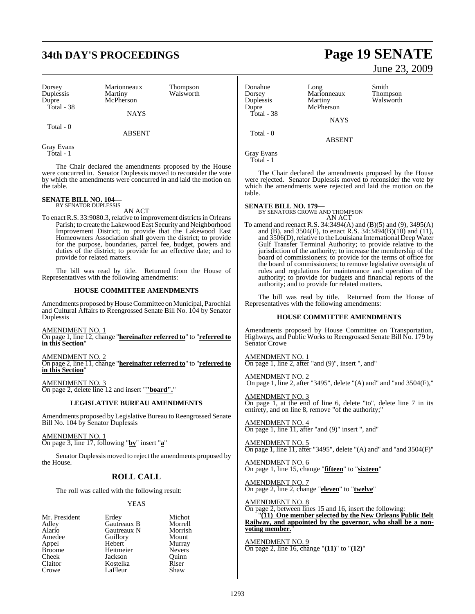# **34th DAY'S PROCEEDINGS Page 19 SENATE**

| Dorsey<br>Duplessis<br>Dupre | Marionneaux<br>Martiny<br>McPherson | <b>Thompson</b><br>Walsworth |
|------------------------------|-------------------------------------|------------------------------|
| Total - 38                   | <b>NAYS</b>                         |                              |
| Total - 0                    |                                     |                              |

Gray Evans Total - 1

The Chair declared the amendments proposed by the House were concurred in. Senator Duplessis moved to reconsider the vote by which the amendments were concurred in and laid the motion on the table.

ABSENT

# **SENATE BILL NO. 104—** BY SENATOR DUPLESSIS

AN ACT

To enact R.S. 33:9080.3, relative to improvement districts in Orleans Parish; to create the Lakewood East Security and Neighborhood Improvement District; to provide that the Lakewood East Homeowners Association shall govern the district; to provide for the purpose, boundaries, parcel fee, budget, powers and duties of the district; to provide for an effective date; and to provide for related matters.

The bill was read by title. Returned from the House of Representatives with the following amendments:

#### **HOUSE COMMITTEE AMENDMENTS**

Amendments proposed by House Committee on Municipal, Parochial and Cultural Affairs to Reengrossed Senate Bill No. 104 by Senator Duplessis

AMENDMENT NO. 1 On page 1, line 12, change "**hereinafter referred to**" to "**referred to in this Section**"

AMENDMENT NO. 2 On page 2, line 11, change "**hereinafter referred to**" to "**referred to in this Section**"

AMENDMENT NO. 3 On page 2, delete line 12 and insert "**"board".**"

#### **LEGISLATIVE BUREAU AMENDMENTS**

Amendments proposed by Legislative Bureau to Reengrossed Senate Bill No. 104 by Senator Duplessis

AMENDMENT NO. 1 On page 3, line 17, following "**by**" insert "**a**"

Senator Duplessis moved to reject the amendments proposed by the House.

## **ROLL CALL**

The roll was called with the following result:

#### YEAS

| Mr. President | Erdey       | Michot        |
|---------------|-------------|---------------|
| Adley         | Gautreaux B | Morrell       |
| Alario        | Gautreaux N | Morrish       |
| Amedee        | Guillory    | Mount         |
| Appel         | Hebert      | Murray        |
| <b>Broome</b> | Heitmeier   | <b>Nevers</b> |
| Cheek         | Jackson     | Ouinn         |
| Claitor       | Kostelka    | Riser         |
| Crowe         | LaFleur     | Shaw          |

# June 23, 2009

Donahue Long Smith Dorsey Marionneaux Thompson Duplessis Martiny Walsworth<br>
Dupre McPherson McPherson Total - 38 **NAYS**  Total - 0 ABSENT Gray Evans

Total - 1

The Chair declared the amendments proposed by the House were rejected. Senator Duplessis moved to reconsider the vote by which the amendments were rejected and laid the motion on the table.

**SENATE BILL NO. 179—**

BY SENATORS CROWE AND THOMPSON AN ACT

To amend and reenact R.S. 34:3494(A) and (B)(5) and (9), 3495(A) and (B), and 3504(F), to enact R.S. 34:3494(B)(10) and (11), and 3506(D), relative to the Louisiana International Deep Water Gulf Transfer Terminal Authority; to provide relative to the jurisdiction of the authority; to increase the membership of the board of commissioners; to provide for the terms of office for the board of commissioners; to remove legislative oversight of rules and regulations for maintenance and operation of the authority; to provide for budgets and financial reports of the authority; and to provide for related matters.

The bill was read by title. Returned from the House of Representatives with the following amendments:

#### **HOUSE COMMITTEE AMENDMENTS**

Amendments proposed by House Committee on Transportation, Highways, and Public Works to Reengrossed Senate Bill No. 179 by Senator Crowe

AMENDMENT NO. 1  $\frac{\text{AMENDMENT NO. 1}}{\text{On page 1, line 2, after "and (9)", insert ", and" }$ 

AMENDMENT NO. 2 On page 1, line 2, after "3495", delete "(A) and " and " and  $3504$ (F),"

AMENDMENT NO. 3 On page 1, at the end of line 6, delete "to", delete line 7 in its entirety, and on line 8, remove "of the authority;"

AMENDMENT NO. 4 On page 1, line 11, after "and (9)" insert ", and"

AMENDMENT NO. 5 On page 1, line  $11$ , after "3495", delete "(A) and" and "and  $3504(F)$ "

AMENDMENT NO. 6 On page 1, line 15, change "**fifteen**" to "**sixteen**"

AMENDMENT NO. 7 On page 2, line 2, change "**eleven**" to "**twelve**"

AMENDMENT NO. 8

On page 2, between lines 15 and 16, insert the following: "**(11) One member selected by the New Orleans Public Belt Railway, and appointed by the governor, who shall be a nonvoting member.**"

AMENDMENT NO. 9 On page 2, line 16, change "**(11)**" to "**(12)**"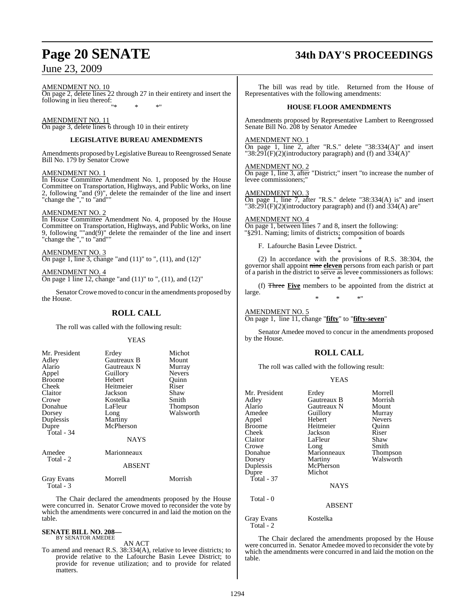## AMENDMENT NO. 10

On page 2, delete lines 22 through 27 in their entirety and insert the following in lieu thereof: "\* \* \*"

#### AMENDMENT NO. 11

On page 3, delete lines 6 through 10 in their entirety

#### **LEGISLATIVE BUREAU AMENDMENTS**

Amendments proposed by Legislative Bureau to Reengrossed Senate Bill No. 179 by Senator Crowe

#### AMENDMENT NO. 1

In House Committee Amendment No. 1, proposed by the House Committee on Transportation, Highways, and Public Works, on line 2, following "and (9)", delete the remainder of the line and insert "change the "," to "and""

#### AMENDMENT NO. 2

In House Committee Amendment No. 4, proposed by the House Committee on Transportation, Highways, and Public Works, on line 9, following ""and $(\hat{9})$ " delete the remainder of the line and insert "change the "," to "and""

#### AMENDMENT NO. 3 On page 1, line 3, change "and (11)" to ", (11), and (12)"

AMENDMENT NO. 4 On page 1 line 12, change "and  $(11)$ " to ",  $(11)$ , and  $(12)$ "

Senator Crowe moved to concur in the amendments proposed by the House.

## **ROLL CALL**

The roll was called with the following result:

#### YEAS

| Mr. President<br>Adley<br>Alario<br>Appel<br><b>Broome</b><br>Cheek<br>Claitor<br>Crowe<br>Donahue<br>Dorsey<br>Duplessis<br>Dupre | Erdey<br>Gautreaux B<br>Gautreaux N<br>Guillory<br>Hebert<br>Heitmeier<br>Jackson<br>Kostelka<br>LaFleur<br>Long<br>Martiny<br>McPherson | Michot<br>Mount<br>Murray<br><b>Nevers</b><br>Quinn<br>Riser<br>Shaw<br>Smith<br>Thompson<br>Walsworth |
|------------------------------------------------------------------------------------------------------------------------------------|------------------------------------------------------------------------------------------------------------------------------------------|--------------------------------------------------------------------------------------------------------|
| Total - 34                                                                                                                         | <b>NAYS</b>                                                                                                                              |                                                                                                        |
| Amedee<br>Total - 2                                                                                                                | Marionneaux                                                                                                                              |                                                                                                        |
|                                                                                                                                    | <b>ABSENT</b>                                                                                                                            |                                                                                                        |
| <b>Gray Evans</b><br>$Total - 3$                                                                                                   | Morrell                                                                                                                                  | Morrish                                                                                                |

The Chair declared the amendments proposed by the House were concurred in. Senator Crowe moved to reconsider the vote by which the amendments were concurred in and laid the motion on the table.

#### **SENATE BILL NO. 208—**

BY SENATOR AMEDEE AN ACT

To amend and reenact R.S. 38:334(A), relative to levee districts; to provide relative to the Lafourche Basin Levee District; to provide for revenue utilization; and to provide for related **matters** 

# **Page 20 SENATE 34th DAY'S PROCEEDINGS**

The bill was read by title. Returned from the House of Representatives with the following amendments:

#### **HOUSE FLOOR AMENDMENTS**

Amendments proposed by Representative Lambert to Reengrossed Senate Bill No. 208 by Senator Amedee

#### AMENDMENT NO. 1

On page 1, line 2, after "R.S." delete "38:334(A)" and insert "38:29 $\tilde{I}(F)(2)$ (introductory paragraph) and (f) and 334(A)"

AMENDMENT NO. 2

On page 1, line 3, after "District;" insert "to increase the number of levee commissioners;"

#### AMENDMENT NO. 3

On page 1, line 7, after "R.S." delete "38:334(A) is" and insert "38:29 $\tilde{1}(F)(2)$ (introductory paragraph) and (f) and 334(A) are"

AMENDMENT NO. 4 On page 1, between lines 7 and 8, insert the following: "§291. Naming; limits of districts; composition of boards \* \* \*

F. Lafourche Basin Levee District. \* \* \*

(2) In accordance with the provisions of R.S. 38:304, the governor shall appoint nine **eleven** persons from each parish or part of a parish in the district to serve as levee commissioners as follows: \* \* \*

(f) Three **Five** members to be appointed from the district at large. \* \* \*"

AMENDMENT NO. 5 On page 1, line 11, change "**fifty**" to "**fifty-seven**"

Senator Amedee moved to concur in the amendments proposed by the House.

## **ROLL CALL**

The roll was called with the following result:

|--|--|

| Mr. President<br>Adley<br>Alario<br>Amedee<br>Appel<br><b>Broome</b><br>Cheek<br>Claitor<br>Crowe<br>Donahue<br>Dorsey<br>Duplessis<br>Dupre<br>Total - $37$<br>Total - 0 | Erdey<br>Gautreaux B<br>Gautreaux N<br>Guillory<br>Hebert<br>Heitmeier<br>Jackson<br>LaFleur<br>Long<br>Marionneaux<br>Martiny<br>McPherson<br>Michot<br><b>NAYS</b><br><b>ABSENT</b> | Morrell<br>Morrish<br>Mount<br>Murray<br><b>Nevers</b><br>Ouinn<br>Riser<br>Shaw<br>Smith<br>Thompson<br>Walsworth |
|---------------------------------------------------------------------------------------------------------------------------------------------------------------------------|---------------------------------------------------------------------------------------------------------------------------------------------------------------------------------------|--------------------------------------------------------------------------------------------------------------------|
|                                                                                                                                                                           | Kostelka                                                                                                                                                                              |                                                                                                                    |
| Gray Evans<br>Total - 2                                                                                                                                                   |                                                                                                                                                                                       |                                                                                                                    |

The Chair declared the amendments proposed by the House were concurred in. Senator Amedee moved to reconsider the vote by which the amendments were concurred in and laid the motion on the table.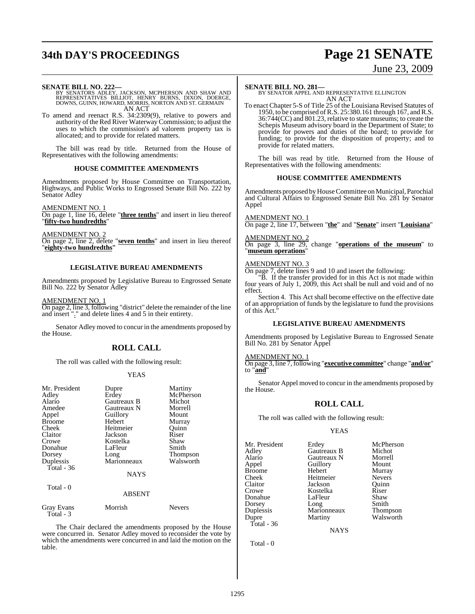# **34th DAY'S PROCEEDINGS Page 21 SENATE**

# June 23, 2009

- **SENATE BILL NO. 222—**<br>BY SENATORS ADLEY, JACKSON, MCPHERSON AND SHAW AND<br>REPRESENTATIVES BILLIOT, HENRY BURNS, DIXON, DOERGE,<br>DOWNS, GUINN, HOWARD, MORRIS, NORTON AND ST. GERMAIN<br>AN ACT
- To amend and reenact R.S. 34:2309(9), relative to powers and authority of the Red River Waterway Commission; to adjust the uses to which the commission's ad valorem property tax is allocated; and to provide for related matters.

The bill was read by title. Returned from the House of Representatives with the following amendments:

#### **HOUSE COMMITTEE AMENDMENTS**

Amendments proposed by House Committee on Transportation, Highways, and Public Works to Engrossed Senate Bill No. 222 by Senator Adley

AMENDMENT NO. 1 On page 1, line 16, delete "**three tenths**" and insert in lieu thereof "**fifty-two hundredths**"

AMENDMENT NO. 2 On page 2, line 2, delete "**seven tenths**" and insert in lieu thereof "**eighty-two hundredths"**

#### **LEGISLATIVE BUREAU AMENDMENTS**

Amendments proposed by Legislative Bureau to Engrossed Senate Bill No. 222 by Senator Adley

AMENDMENT NO. 1 On page 2, line 3, following "district" delete the remainder of the line

and insert "." and delete lines 4 and 5 in their entirety.

Senator Adley moved to concur in the amendments proposed by the House.

#### **ROLL CALL**

The roll was called with the following result:

#### YEAS

| Mr. President<br>Adley<br>Alario<br>Amedee<br>Appel<br><b>Broome</b><br>Cheek<br>Claitor<br>Crowe<br>Donahue<br>Dorsey<br>Duplessis<br>Total - 36 | Dupre<br>Erdey<br>Gautreaux B<br>Gautreaux N<br>Guillory<br>Hebert<br>Heitmeier<br>Jackson<br>Kostelka<br>LaFleur<br>Long<br>Marionneaux | Martiny<br>McPherson<br>Michot<br>Morrell<br>Mount<br>Murray<br>Ouinn<br>Riser<br>Shaw<br>Smith<br><b>Thompson</b><br>Walsworth |
|---------------------------------------------------------------------------------------------------------------------------------------------------|------------------------------------------------------------------------------------------------------------------------------------------|---------------------------------------------------------------------------------------------------------------------------------|
|                                                                                                                                                   | <b>NAYS</b>                                                                                                                              |                                                                                                                                 |
| Total - 0                                                                                                                                         | <b>ABSENT</b>                                                                                                                            |                                                                                                                                 |
| Gray Evans                                                                                                                                        | Morrish                                                                                                                                  | <b>Nevers</b>                                                                                                                   |

Total - 3

The Chair declared the amendments proposed by the House were concurred in. Senator Adley moved to reconsider the vote by which the amendments were concurred in and laid the motion on the table.

#### **SENATE BILL NO. 281—**

BY SENATOR APPEL AND REPRESENTATIVE ELLINGTON AN ACT

To enact Chapter 5-S of Title 25 of the Louisiana Revised Statutes of 1950, to be comprised ofR.S. 25:380.161 through 167, andR.S. 36:744(CC) and 801.23, relative to state museums; to create the Schepis Museum advisory board in the Department of State; to provide for powers and duties of the board; to provide for funding; to provide for the disposition of property; and to provide for related matters.

The bill was read by title. Returned from the House of Representatives with the following amendments:

#### **HOUSE COMMITTEE AMENDMENTS**

Amendments proposed by House Committee on Municipal, Parochial and Cultural Affairs to Engrossed Senate Bill No. 281 by Senator Appel

#### AMENDMENT NO. 1

On page 2, line 17, between "**the**" and "**Senate**" insert "**Louisiana**"

#### AMENDMENT NO. 2

On page 3, line 29, change "**operations of the museum**" to "**museum operations**"

#### AMENDMENT NO. 3

On page 7, delete lines 9 and 10 and insert the following:

"B. If the transfer provided for in this Act is not made within four years of July 1, 2009, this Act shall be null and void and of no effect.

Section 4. This Act shall become effective on the effective date of an appropriation of funds by the legislature to fund the provisions of this Act."

#### **LEGISLATIVE BUREAU AMENDMENTS**

Amendments proposed by Legislative Bureau to Engrossed Senate Bill No. 281 by Senator Appel

#### AMENDMENT NO. 1

On page 3, line 7,following "**executive committee**" change "**and/or**" to "**and**"

Senator Appel moved to concur in the amendments proposed by the House.

#### **ROLL CALL**

The roll was called with the following result:

#### YEAS

| Mr. President<br>Adlev<br>Alario<br>Appel<br>Broome<br>Cheek<br>Claitor<br>Crowe | Erdey<br>Gautreaux B<br>Gautreaux N<br>Guillory<br>Hebert<br>Heitmeier<br>Jackson<br>Kostelka | McPherson<br>Michot<br>Morrell<br>Mount<br>Murray<br><b>Nevers</b><br>Ouinn<br>Riser |
|----------------------------------------------------------------------------------|-----------------------------------------------------------------------------------------------|--------------------------------------------------------------------------------------|
|                                                                                  |                                                                                               |                                                                                      |
|                                                                                  |                                                                                               |                                                                                      |
|                                                                                  |                                                                                               |                                                                                      |
|                                                                                  |                                                                                               |                                                                                      |
|                                                                                  |                                                                                               |                                                                                      |
| Donahue                                                                          | LaFleur                                                                                       | Shaw                                                                                 |
| Dorsey                                                                           |                                                                                               | Smith                                                                                |
| Duplessis                                                                        | Long<br>Marionneaux                                                                           | <b>Thompson</b>                                                                      |
| Dupre                                                                            | Martiny                                                                                       | Walsworth                                                                            |
| Total - 36                                                                       |                                                                                               |                                                                                      |

**NAYS** 

Total - 0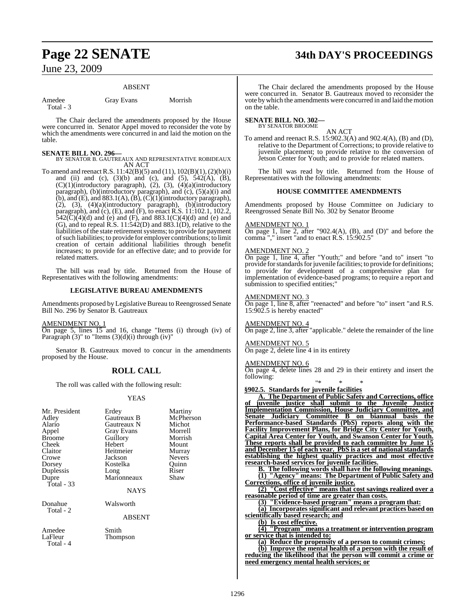# **Page 22 SENATE 34th DAY'S PROCEEDINGS**

## June 23, 2009

#### ABSENT

| Amedee    | <b>Gray Evans</b> | Morrish |
|-----------|-------------------|---------|
| Total - 3 |                   |         |

The Chair declared the amendments proposed by the House were concurred in. Senator Appel moved to reconsider the vote by which the amendments were concurred in and laid the motion on the table.

#### **SENATE BILL NO. 296—**

BY SENATOR B. GAUTREAUX AND REPRESENTATIVE ROBIDEAUX AN ACT

To amend and reenact R.S.  $11:42(B)(5)$  and  $(11)$ ,  $102(B)(1)$ ,  $(2)(b)(i)$ and (ii) and (c),  $(3)(b)$  and (c), and  $(5)$ ,  $542(A)$ ,  $(B)$ , (C)(1)(introductory paragraph), (2), (3), (4)(a)(introductory paragraph), (b)(introductory paragraph), and (c), (5)(a)(i) and (b), and (E), and  $883.1(A)$ , (B),  $(C)(1)$ (introductory paragraph), (2), (3), (4)(a)(introductory paragraph), (b)(introductory paragraph), and (c), (E), and (F), to enact R.S. 11:102.1, 102.2,  $542(\text{C})(4)(\text{d})$  and (e) and (F), and 883.1(C)(4)(d) and (e) and (G), and to repeal  $\hat{R}$ . S. 11:542(D) and 883.1(D), relative to the liabilities of the state retirement systems; to provide for payment ofsuch liabilities; to provide for employer contributions; to limit creation of certain additional liabilities through benefit increases; to provide for an effective date; and to provide for related matters.

The bill was read by title. Returned from the House of Representatives with the following amendments:

#### **LEGISLATIVE BUREAU AMENDMENTS**

Amendments proposed by Legislative Bureau to Reengrossed Senate Bill No. 296 by Senator B. Gautreaux

#### AMENDMENT NO. 1

On page 5, lines 15 and 16, change "Items (i) through (iv) of Paragraph  $(3)$ " to "Items  $(3)(d)(i)$  through  $(iv)$ "

Senator B. Gautreaux moved to concur in the amendments proposed by the House.

#### **ROLL CALL**

The roll was called with the following result:

#### YEAS

| Mr. President<br>Adley<br>Alario<br>Appel<br><b>Broome</b><br>Cheek<br>Claitor<br>Crowe<br>Dorsey<br>Duplessis<br>Dupre<br>Total - $33$ | Erdey<br>Gautreaux B<br>Gautreaux N<br>Gray Evans<br>Guillory<br>Hebert<br>Heitmeier<br>Jackson<br>Kostelka<br>Long<br>Marionneaux<br><b>NAYS</b> | Martiny<br>McPherson<br>Michot<br>Morrell<br>Morrish<br>Mount<br>Murray<br><b>Nevers</b><br>Quinn<br>Riser<br>Shaw |
|-----------------------------------------------------------------------------------------------------------------------------------------|---------------------------------------------------------------------------------------------------------------------------------------------------|--------------------------------------------------------------------------------------------------------------------|
| Donahue<br>Total - 2                                                                                                                    | Walsworth<br><b>ABSENT</b>                                                                                                                        |                                                                                                                    |
| Amedee<br>LaFleur<br>Total - 4                                                                                                          | Smith<br>Thompson                                                                                                                                 |                                                                                                                    |

The Chair declared the amendments proposed by the House were concurred in. Senator B. Gautreaux moved to reconsider the vote bywhich the amendments were concurred in and laid the motion on the table.

#### **SENATE BILL NO. 302—** BY SENATOR BROOME

AN ACT

To amend and reenact R.S. 15:902.3(A) and 902.4(A), (B) and (D), relative to the Department of Corrections; to provide relative to juvenile placement; to provide relative to the conversion of Jetson Center for Youth; and to provide for related matters.

The bill was read by title. Returned from the House of Representatives with the following amendments:

#### **HOUSE COMMITTEE AMENDMENTS**

Amendments proposed by House Committee on Judiciary to Reengrossed Senate Bill No. 302 by Senator Broome

#### AMENDMENT NO. 1

On page 1, line 2, after "902.4(A), (B), and (D)" and before the comma "," insert "and to enact R.S. 15:902.5"

#### AMENDMENT NO. 2

On page 1, line 4, after "Youth;" and before "and to" insert "to provide for standards for juvenile facilities; to provide for definitions; to provide for development of a comprehensive plan for implementation of evidence-based programs; to require a report and submission to specified entities;"

#### AMENDMENT NO. 3

On page 1, line 8, after "reenacted" and before "to" insert "and R.S. 15:902.5 is hereby enacted"

AMENDMENT NO. 4 On page 2, line 3, after "applicable." delete the remainder of the line

AMENDMENT NO. 5 On page 2, delete line 4 in its entirety

#### MENDMENT NO. 6

On page 4, delete lines 28 and 29 in their entirety and insert the following:

"\* \* \* **§902.5. Standards for juvenile facilities**

**A. The Department of Public Safety and Corrections, office of juvenile justice shall submit to the Juvenile Justice Implementation Commission, House Judiciary Committee, and Senate Judiciary Committee B on biannual basis the Performance-based Standards (PbS) reports along with the Facility Improvement Plans, for Bridge City Center for Youth, Capital Area Center for Youth, and Swanson Center for Youth. These reports shall be provided to each committee by June 15 and December 15 of each year. PbS is a set of national standards establishing the highest quality practices and most effective research-based services for juvenile facilities.**

**B. The following words shall have the following meanings. (1) "Agency" means: The Department of Public Safety and Corrections, office of juvenile justice.**

**(2) "Cost effective" means that cost savings realized over a reasonable period of time are greater than costs.**

**(3) "Evidence-based program" means a program that:**

**(a) Incorporates significant and relevant practices based on**

**scientifically based research; and**

**(b) Is cost effective.**

**(4) "Program" means a treatment or intervention program or service that is intended to:**

**(a) Reduce the propensity of a person to commit crimes; (b) Improve the mental health of a person with the result of reducing the likelihood that the person will commit a crime or**

**need emergency mental health services; or**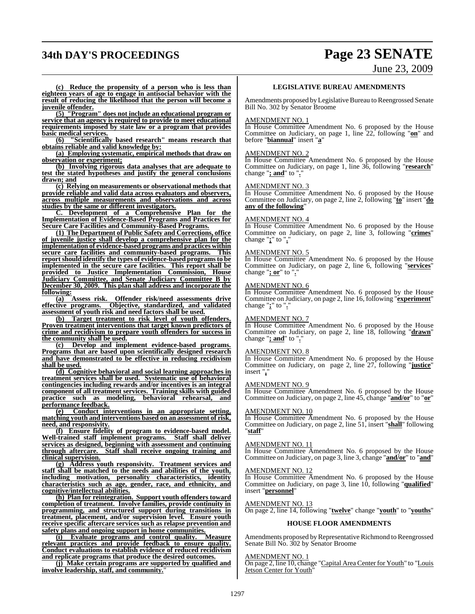# **34th DAY'S PROCEEDINGS Page 23 SENATE**

June 23, 2009

**(c) Reduce the propensity of a person who is less than eighteen years of age to engage in antisocial behavior with the result of reducing the likelihood that the person will become a juvenile offender.**

**(5) "Program" does not include an educational program or service that an agency is required to provide to meet educational requirements imposed by state law or a program that provides basic medical services.**

**(6) "Scientifically based research" means research that obtains reliable and valid knowledge by:**

**(a) Employing systematic, empirical methods that draw on observation or experiment;**

**(b) Involving rigorous data analyses that are adequate to test the stated hypotheses and justify the general conclusions drawn; and**

**(c) Relying on measurements or observational methods that provide reliable and valid data across evaluators and observers, across multiple measurements and observations and across studies by the same or different investigators.**

**C. Development of a Comprehensive Plan for the Implementation of Evidence-Based Programs and Practices for Secure Care Facilities and Community-Based Programs.**

**(1) The Department of Public Safety and Corrections, office of juvenile justice shall develop a comprehensive plan for the implementation of evidence-based programs and practices within** secure care facilities and community-based programs. **reportshould identify the types of evidence-based programsto be implemented in the secure care facilities. This report shall be provided to Justice Implementation Commission, House Judiciary Committee, and Senate Judiciary Committee B by December 30, 2009. This plan shall address and incorporate the** following:<br>(a)

**(a) Assess risk. Offender risk/need assessments drive effective programs. Objective, standardized, and validated assessment of youth risk and need factors shall be used.**

**(b) Target treatment to risk level of youth offenders. Proven treatment interventions that target known predictors of crime and recidivism to prepare youth offenders for success in the community shall be used.**

**(c) Develop and implement evidence-based programs. Programs that are based upon scientifically designed research and have demonstrated to be effective in reducing recidivism shall be used.**

**(d) Cognitive behavioral and social learning approaches in treatment services shall be used. Systematic use of behavioral contingencies including rewards and/or incentives is an integral component of all treatment services. Training skills with guided practice such as modeling, behavioral rehearsal, and performance feedback.**

**(e) Conduct interventions in an appropriate setting, matching youth and interventions based on an assessment of risk, need, and responsivity.**

**(f) Ensure fidelity of program to evidence-based model. Well-trained staff implement programs. Staff shall deliver services as designed, beginning with assessment and continuing through aftercare. Staff shall receive ongoing training and clinical supervision.**

**(g) Address youth responsivity. Treatment services and staff shall be matched to the needs and abilities of the youth, including motivation, personality characteristics, identity characteristics such as age, gender, race, and ethnicity, and cognitive/intellectual abilities.**

**(h) Plan for reintegration. Support youth offenders toward completion of treatment. Involve families, provide continuity in programming, and structured support during transitions in treatment, placement, and/or supervision level. Ensure youth receive specific aftercare services such as relapse prevention and safety plans and ongoing support in home communities.**

**(i) Evaluate programs and control quality. Measure relevant practices and provide feedback to ensure quality. Conduct evaluations to establish evidence of reduced recidivism and replicate programs that produce the desired outcomes.**

**(j) Make certain programs are supported by qualified and** involve leadership, staff, and community.

#### **LEGISLATIVE BUREAU AMENDMENTS**

Amendments proposed by Legislative Bureau to Reengrossed Senate Bill No. 302 by Senator Broome

#### AMENDMENT NO. 1

In House Committee Amendment No. 6 proposed by the House Committee on Judiciary, on page 1, line 22, following "**on**" and before "**biannual**" insert "**a**"

#### AMENDMENT NO. 2

In House Committee Amendment No. 6 proposed by the House Committee on Judiciary, on page 1, line 36, following "**research**" change "**; and**" to "**.**"

#### AMENDMENT NO. 3

In House Committee Amendment No. 6 proposed by the House Committee on Judiciary, on page 2, line 2, following "**to**" insert "**do any of the following**"

#### AMENDMENT NO. 4

In House Committee Amendment No. 6 proposed by the House Committee on Judiciary, on page 2, line 3, following "**crimes**" change "**;**" to "**.**"

#### AMENDMENT NO. 5

In House Committee Amendment No. 6 proposed by the House Committee on Judiciary, on page 2, line 6, following "**services**" change "**; or**" to "**.**"

#### AMENDMENT NO. 6

In House Committee Amendment No. 6 proposed by the House Committee on Judiciary, on page 2, line 16, following "**experiment**" change "**;**" to "**.**"

#### AMENDMENT NO. 7

In House Committee Amendment No. 6 proposed by the House Committee on Judiciary, on page 2, line 18, following "**drawn**" change "**; and**" to "**.**"

#### AMENDMENT NO. 8

In House Committee Amendment No. 6 proposed by the House Committee on Judiciary, on page 2, line 27, following "**justice**" insert "**,**"

#### AMENDMENT NO. 9

In House Committee Amendment No. 6 proposed by the House Committee on Judiciary, on page 2, line 45, change "**and/or**" to "**or**"

#### AMENDMENT NO. 10

In House Committee Amendment No. 6 proposed by the House Committee on Judiciary, on page 2, line 51, insert "**shall**" following "**staff**"

#### AMENDMENT NO. 11

In House Committee Amendment No. 6 proposed by the House Committee on Judiciary, on page 3, line 3, change "**and/or**" to "**and**"

#### AMENDMENT NO. 12

In House Committee Amendment No. 6 proposed by the House Committee on Judiciary, on page 3, line 10, following "**qualified**" insert "**personnel**"

#### AMENDMENT NO. 13

On page 2, line 14, following "**twelve**" change "**youth**" to "**youths**"

#### **HOUSE FLOOR AMENDMENTS**

Amendments proposed by Representative Richmond to Reengrossed Senate Bill No. 302 by Senator Broome

#### AMENDMENT NO. 1

On page 2, line 10, change "Capital Area Center for Youth" to "Louis Jetson Center for Youth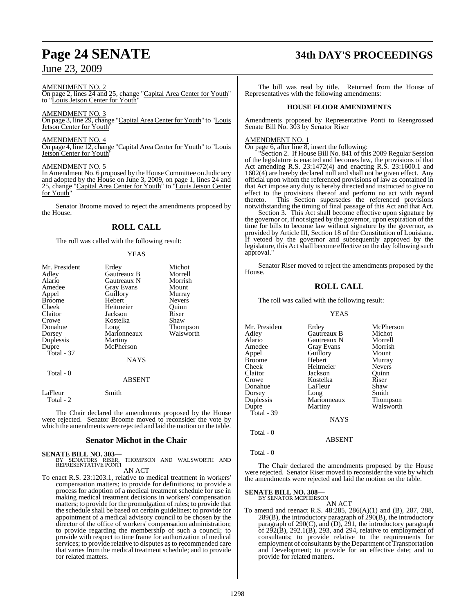#### AMENDMENT NO. 2

On page 2, lines 24 and 25, change "Capital Area Center for Youth" to "Louis Jetson Center for Youth"

#### AMENDMENT NO. 3

On page 3, line 29, change "Capital Area Center for Youth" to "Louis Jetson Center for Youth

#### AMENDMENT NO. 4

On page 4, line 12, change "Capital Area Center for Youth" to "Louis Jetson Center for Youth"

#### AMENDMENT NO. 5

In Amendment No. 6 proposed by the House Committee on Judiciary and adopted by the House on June 3, 2009, on page 1, lines 24 and 25, change "Capital Area Center for Youth" to "Louis Jetson Center for Youth"

Senator Broome moved to reject the amendments proposed by the House.

#### **ROLL CALL**

The roll was called with the following result:

|     | YEAS |  |
|-----|------|--|
|     |      |  |
| . . |      |  |

| Mr. President        | Erdey             | Michot        |
|----------------------|-------------------|---------------|
| Adley                | Gautreaux B       | Morrell       |
| Alario               | Gautreaux N       | Morrish       |
| Amedee               | <b>Gray Evans</b> | Mount         |
| Appel                | Guillory          | Murray        |
| <b>Broome</b>        | Hebert            | <b>Nevers</b> |
| Cheek                | Heitmeier         | Quinn         |
| Claitor              | Jackson           | Riser         |
| Crowe                | Kostelka          | Shaw          |
| Donahue              | Long              | Thompson      |
| Dorsey               | Marionneaux       | Walsworth     |
| Duplessis            | Martiny           |               |
| Dupre                | McPherson         |               |
| Total $-37$          |                   |               |
|                      | <b>NAYS</b>       |               |
| Total - 0            |                   |               |
|                      | ABSENT            |               |
| LaFleur<br>Total - 2 | Smith             |               |

The Chair declared the amendments proposed by the House were rejected. Senator Broome moved to reconsider the vote by which the amendments were rejected and laid the motion on the table.

#### **Senator Michot in the Chair**

**SENATE BILL NO. 303—**

BY SENATORS RISER, THOMPSON AND WALSWORTH AND REPRESENTATIVE PONTI

#### AN ACT

To enact R.S. 23:1203.1, relative to medical treatment in workers' compensation matters; to provide for definitions; to provide a process for adoption of a medical treatment schedule for use in making medical treatment decisions in workers' compensation matters; to provide for the promulgation of rules; to provide that the schedule shall be based on certain guidelines; to provide for appointment of a medical advisory council to be chosen by the director of the office of workers' compensation administration; to provide regarding the membership of such a council; to provide with respect to time frame for authorization of medical services; to provide relative to disputes as to recommended care that varies from the medical treatment schedule; and to provide for related matters.

# **Page 24 SENATE 34th DAY'S PROCEEDINGS**

The bill was read by title. Returned from the House of Representatives with the following amendments:

#### **HOUSE FLOOR AMENDMENTS**

Amendments proposed by Representative Ponti to Reengrossed Senate Bill No. 303 by Senator Riser

#### AMENDMENT NO. 1

On page 6, after line 8, insert the following:

"Section 2. If House Bill No. 841 of this 2009 Regular Session of the legislature is enacted and becomes law, the provisions of that Act amending R.S. 23:1472(4) and enacting R.S. 23:1600.1 and 1602(4) are hereby declared null and shall not be given effect. Any official upon whom the referenced provisions of law as contained in that Act impose any duty is hereby directed and instructed to give no effect to the provisions thereof and perform no act with regard thereto. This Section supersedes the referenced provisions notwithstanding the timing of final passage of this Act and that Act.

Section 3. This Act shall become effective upon signature by the governor or, if not signed by the governor, upon expiration of the time for bills to become law without signature by the governor, as provided by Article III, Section 18 of the Constitution of Louisiana. If vetoed by the governor and subsequently approved by the legislature, this Act shall become effective on the day following such approval."

Senator Riser moved to reject the amendments proposed by the House.

## **ROLL CALL**

The roll was called with the following result:

#### YEAS

| Mr. President | Erdey       | McPherson       |
|---------------|-------------|-----------------|
| Adley         | Gautreaux B | Michot          |
| Alario        | Gautreaux N | Morrell         |
| Amedee        | Gray Evans  | Morrish         |
| Appel         | Guillory    | Mount           |
| Broome        | Hebert      | Murray          |
| Cheek         | Heitmeier   | <b>Nevers</b>   |
| Claitor       | Jackson     | Ouinn           |
| Crowe         | Kostelka    | Riser           |
| Donahue       | LaFleur     | Shaw            |
| Dorsey        | Long        | Smith           |
| Duplessis     | Marionneaux | <b>Thompson</b> |
| Dupre         | Martiny     | Walsworth       |
| Total - 39    |             |                 |
|               | <b>NAYS</b> |                 |
| Total - 0     |             |                 |

Total - 0

The Chair declared the amendments proposed by the House were rejected. Senator Riser moved to reconsider the vote by which the amendments were rejected and laid the motion on the table.

ABSENT

# **SENATE BILL NO. 308—**<br>BY SENATOR MCPHERSON

AN ACT

To amend and reenact R.S. 48:285, 286(A)(1) and (B), 287, 288, 289(B), the introductory paragraph of 290(B), the introductory paragraph of 290(C), and (D), 291, the introductory paragraph of  $2\overline{9}2(\overline{B})$ ,  $292.1(\overline{B})$ ,  $293$ , and  $294$ , relative to employment of consultants; to provide relative to the requirements for employment of consultants by the Department of Transportation and Development; to provide for an effective date; and to provide for related matters.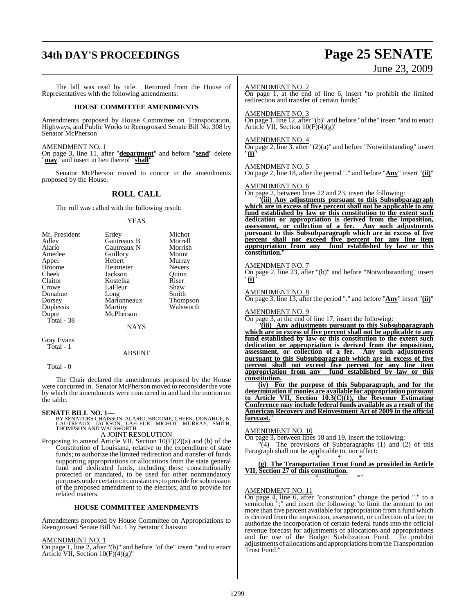# **34th DAY'S PROCEEDINGS Page 25 SENATE**

# June 23, 2009

The bill was read by title. Returned from the House of Representatives with the following amendments: **HOUSE COMMITTEE AMENDMENTS** Amendments proposed by House Committee on Transportation, Highways, and Public Works to Reengrossed Senate Bill No. 308 by Senator McPherson AMENDMENT NO. 1 On page 3, line 11, after "**department**" and before "**send**" delete "**may**" and insert in lieu thereof "**shall**" Senator McPherson moved to concur in the amendments proposed by the House. **ROLL CALL** The roll was called with the following result: YEAS Mr. President Erdey Michot<br>Adley Gautreaux B Morrell Adley Gautreaux B Morrell Alario Gautreaux N Morrish<br>Amedee Guillory Mount Amedeu<br>
Amedeu<br>
Amedeu<br>
Amedeu<br>
Mount<br>
Murray Appel Hebert Murray<br>Broome Heitmeier Nevers Broome Heitmeier Nevers<br>
Cheek Jackson Ouinn Cheek Jackson Quinn Kostelka Riser<br>LaFleur Shaw Crowe LaFleur Shaw<br>Donahue Long Smith Donahue Long Smith<br>Dorsey Marionneaux Thompson Dorsey Marionneaux<br>
Duplessis Martiny Walsworth Dupre McPherson Total - 38 NAYS Gray Evans Total - 1 AMENDMENT NO. 2 On page 1, at the end of line 6, insert "to prohibit the limited redirection and transfer of certain funds;" AMENDMENT NO. 3 On page 1, line 12, after "(b)" and before "of the" insert "and to enact Article VII, Section  $10(F)(4)(g)$ " AMENDMENT NO. 4 On page 2, line 3, after "(2)(a)" and before "Notwithstanding" insert "**(i)**" AMENDMENT NO. 5 On page 2, line 18, after the period "." and before "**Any**" insert "**(ii)**" AMENDMENT NO. 6 On page 2, between lines 22 and 23, insert the following: "**(iii) Any adjustments pursuant to this Subsubparagraph which are in excess of five percent shall not be applicable to any fund established by law or this constitution to the extent such dedication or appropriation is derived from the imposition, assessment, or collection of a fee. Any such adjustments pursuant to this Subsubparagraph which are in excess of five percent shall not exceed five percent for any line item appropriation from any fund established by law or this constitution.**" AMENDMENT NO. 7 On page 2, line 23, after "(b)" and before "Notwithstanding" insert "**(i)**" AMENDMENT NO. 8 On page 3, line 13, after the period "." and before "**Any**" insert "**(ii)**" AMENDMENT NO. 9 On page 3, at the end of line 17, insert the following: "**(iii) Any adjustments pursuant to this Subsubparagraph which are in excess of five percent shall not be applicable to any fund established by law or this constitution to the extent such dedication or appropriation is derived from the imposition,**

ABSENT

Total - 0

The Chair declared the amendments proposed by the House were concurred in. Senator McPherson moved to reconsider the vote by which the amendments were concurred in and laid the motion on the table.

#### **SENATE BILL NO. 1—**

BY SENATORS CHAISSON, ALARIO, BROOME, CHEEK, DONAHUE, N.<br>GAUTREAUX, JACKSON, LAFLEUR, MICHOT, MURRAY, SMITH,<br>THOMPSON AND WALSWORTH

A JOINT RESOLUTION

Proposing to amend Article VII, Section 10(F)(2)(a) and (b) of the Constitution of Louisiana, relative to the expenditure of state funds; to authorize the limited redirection and transfer of funds supporting appropriations or allocations from the state general fund and dedicated funds, including those constitutionally protected or mandated, to be used for other nonmandatory purposes under certain circumstances; to provide forsubmission of the proposed amendment to the electors; and to provide for related matters.

#### **HOUSE COMMITTEE AMENDMENTS**

Amendments proposed by House Committee on Appropriations to Reengrossed Senate Bill No. 1 by Senator Chaisson

#### AMENDMENT NO. 1

On page 1, line 2, after "(b)" and before "of the" insert "and to enact Article VII, Section 10(F)(4)(g)"

**assessment, or collection of a fee. Any such adjustments pursuant to this Subsubparagraph which are in excess of five percent shall not exceed five percent for any line item appropriation from any fund established by law or this constitution.**

**(iv) For the purpose of this Subparagraph, and for the determination if monies are available for appropriation pursuant to Article VII, Section 10.3(C)(1), the Revenue Estimating Conference may include federal funds available as a result of the American Recovery and Reinvestment Act of 2009 in the official forecast.**"

#### AMENDMENT NO. 10

On page 3, between lines 18 and 19, insert the following:

 $\mathbb{T}(4)$  The provisions of Subparagraphs (1) and (2) of this Paragraph shall not be applicable to, nor affect:

#### \* \* \* **(g) The Transportation Trust Fund as provided in Article VII, Section 27 of this constitution.** \* \* \*"

#### AMENDMENT NO. 11

On page 4, line 6, after "constitution" change the period "." to a semicolon ";" and insert the following: "to limit the amount to not more than five percent available for appropriation from a fund which is derived from the imposition, assessment, or collection of a fee; to authorize the incorporation of certain federal funds into the official revenue forecast for adjustments of allocations and appropriations and for use of the Budget Stabilization Fund. To prohibit adjustments of allocations and appropriations from the Transportation Trust Fund."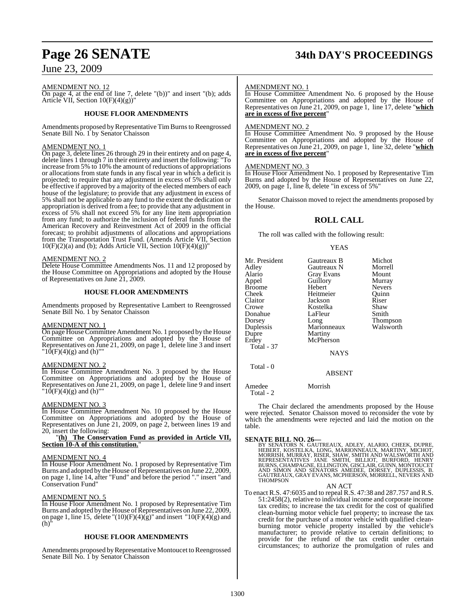# **Page 26 SENATE 34th DAY'S PROCEEDINGS**

## June 23, 2009

AMENDMENT NO. 12

On page 4, at the end of line 7, delete "(b))" and insert "(b); adds Article VII, Section 10(F)(4)(g))"

#### **HOUSE FLOOR AMENDMENTS**

Amendments proposed by Representative Tim Burns to Reengrossed Senate Bill No. 1 by Senator Chaisson

#### AMENDMENT NO. 1

On page 3, delete lines 26 through 29 in their entirety and on page 4, delete lines 1 through 7 in their entirety and insert the following: "To increase from 5% to 10% the amount of reductions of appropriations or allocations from state funds in any fiscal year in which a deficit is projected; to require that any adjustment in excess of 5% shall only be effective if approved by a majority of the elected members of each house of the legislature; to provide that any adjustment in excess of 5% shall not be applicable to any fund to the extent the dedication or appropriation is derived from a fee; to provide that any adjustment in excess of 5% shall not exceed 5% for any line item appropriation from any fund; to authorize the inclusion of federal funds from the American Recovery and Reinvestment Act of 2009 in the official forecast; to prohibit adjustments of allocations and appropriations from the Transportation Trust Fund. (Amends Article VII, Section  $10(F)(2)(a)$  and (b); Adds Article VII, Section  $10(F)(4)(g)$ 

#### AMENDMENT NO. 2

Delete House Committee Amendments Nos. 11 and 12 proposed by the House Committee on Appropriations and adopted by the House of Representatives on June 21, 2009.

#### **HOUSE FLOOR AMENDMENTS**

Amendments proposed by Representative Lambert to Reengrossed Senate Bill No. 1 by Senator Chaisson

#### AMENDMENT NO. 1

On page HouseCommittee Amendment No. 1 proposed by the House Committee on Appropriations and adopted by the House of Representatives on June 21, 2009, on page 1, delete line 3 and insert " $10(F)(4)(g)$  and (h)""

#### AMENDMENT NO. 2

In House Committee Amendment No. 3 proposed by the House Committee on Appropriations and adopted by the House of Representatives on June 21, 2009, on page 1, delete line 9 and insert  $10(F)(4)(g)$  and (h)""

#### AMENDMENT NO. 3

In House Committee Amendment No. 10 proposed by the House Committee on Appropriations and adopted by the House of Representatives on June 21, 2009, on page 2, between lines 19 and 20, insert the following:

#### "**(h) The Conservation Fund as provided in Article VII, Section 10-A of this constitution.**"

#### AMENDMENT NO. 4

In House Floor Amendment No. 1 proposed by Representative Tim Burns and adopted by the House of Representatives on June 22, 2009, on page 1, line 14, after "Fund" and before the period "." insert "and Conservation Fund"

#### AMENDMENT NO. 5

In House Floor Amendment No. 1 proposed by Representative Tim Burns and adopted by the House of Representatives on June 22, 2009, on page 1, line 15, delete " $(10)(F)(4)(g)$ " and insert " $10(F)(4)(g)$  and  $(h)<sup>7</sup>$ 

#### **HOUSE FLOOR AMENDMENTS**

Amendments proposed by Representative Montoucet to Reengrossed Senate Bill No. 1 by Senator Chaisson

#### AMENDMENT NO. 1

In House Committee Amendment No. 6 proposed by the House Committee on Appropriations and adopted by the House of Representatives on June 21, 2009, on page 1, line 17, delete "**which are in excess of five percent**"

#### AMENDMENT NO. 2

In House Committee Amendment No. 9 proposed by the House Committee on Appropriations and adopted by the House of Representatives on June 21, 2009, on page 1, line 32, delete "**which are in excess of five percent**"

#### AMENDMENT NO. 3

In House Floor Amendment No. 1 proposed by Representative Tim Burns and adopted by the House of Representatives on June 22, 2009, on page 1, line 8, delete "in excess of 5%"

Senator Chaisson moved to reject the amendments proposed by the House.

## **ROLL CALL**

The roll was called with the following result:

#### YEAS

| Mr. President<br>Adlev<br>Alario<br>Appel<br>Broome<br>Cheek<br>Claitor<br>Crowe<br>Donahue<br>Dorsey<br>Duplessis<br>Dupre<br>Erdev<br>Total - 37 | Gautreaux B<br>Gautreaux N<br><b>Gray Evans</b><br>Guillory<br>Hebert<br>Heitmeier<br>Jackson<br>Kostelka<br>LaFleur<br>Long<br>Marionneaux<br>Martiny<br>McPherson<br><b>NAYS</b> | Michot<br>Morrell<br>Mount<br>Murray<br><b>Nevers</b><br>Quinn<br>Riser<br>Shaw<br>Smith<br>Thompson<br>Walsworth |
|----------------------------------------------------------------------------------------------------------------------------------------------------|------------------------------------------------------------------------------------------------------------------------------------------------------------------------------------|-------------------------------------------------------------------------------------------------------------------|
| Total - 0                                                                                                                                          | <b>ABSENT</b>                                                                                                                                                                      |                                                                                                                   |

Amedee Morrish Total - 2

The Chair declared the amendments proposed by the House were rejected. Senator Chaisson moved to reconsider the vote by which the amendments were rejected and laid the motion on the table.

**SENATE BILL NO. 26—**<br>BY SENATORS N. GAUTREAUX, ADLEY, ALARIO, CHEEK, DUPRE, HEBERT, KOSTELKA, LONG, MARIONNEAUX, MARTINY, MICHOT,<br>MORRISH, MURRAY, RISER, SHAW, SMITH AND WALSWORTH AND<br>REPRESENTATIVES JANE SMITH, BILLIOT, **THOMPSON** 

AN ACT

To enact R.S. 47:6035 and to repeal R.S. 47:38 and 287.757 and R.S. 51:2458(2), relative to individual income and corporate income tax credits; to increase the tax credit for the cost of qualified clean-burning motor vehicle fuel property; to increase the tax credit for the purchase of a motor vehicle with qualified cleanburning motor vehicle property installed by the vehicle's manufacturer; to provide relative to certain definitions; to provide for the refund of the tax credit under certain circumstances; to authorize the promulgation of rules and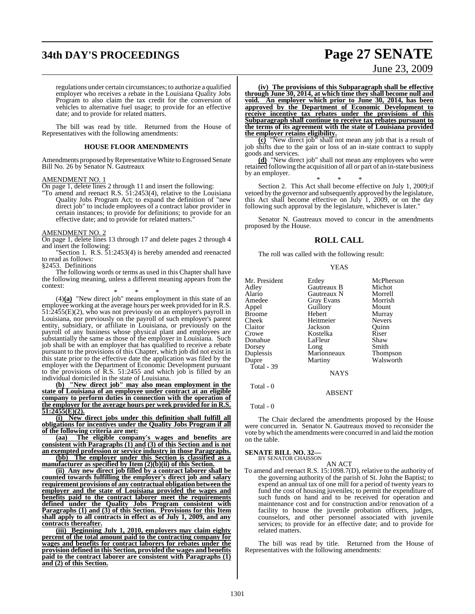# **34th DAY'S PROCEEDINGS Page 27 SENATE**

June 23, 2009

regulations under certain circumstances; to authorize a qualified employer who receives a rebate in the Louisiana Quality Jobs Program to also claim the tax credit for the conversion of vehicles to alternative fuel usage; to provide for an effective date; and to provide for related matters.

The bill was read by title. Returned from the House of Representatives with the following amendments:

#### **HOUSE FLOOR AMENDMENTS**

Amendments proposed by Representative White to Engrossed Senate Bill No. 26 by Senator N. Gautreaux

#### AMENDMENT NO. 1

On page 1, delete lines 2 through 11 and insert the following:

"To amend and reenact R.S. 51:2453(4), relative to the Louisiana Quality Jobs Program Act; to expand the definition of "new direct job" to include employees of a contract labor provider in certain instances; to provide for definitions; to provide for an effective date; and to provide for related matters.

#### AMENDMENT NO. 2

On page 1, delete lines 13 through 17 and delete pages 2 through 4 and insert the following:

"Section 1. R.S. 51:2453(4) is hereby amended and reenacted to read as follows:

§2453. Definitions

The following words or terms as used in this Chapter shall have the following meaning, unless a different meaning appears from the context:

\* \* \*

(4)**(a)** "New direct job" means employment in this state of an employee working at the average hours per week provided for in R.S.  $51:2455(E)(2)$ , who was not previously on an employer's payroll in Louisiana, nor previously on the payroll of such employer's parent entity, subsidiary, or affiliate in Louisiana, or previously on the payroll of any business whose physical plant and employees are substantially the same as those of the employer in Louisiana. Such job shall be with an employer that has qualified to receive a rebate pursuant to the provisions of this Chapter, which job did not exist in this state prior to the effective date the application was filed by the employer with the Department of Economic Development pursuant to the provisions of R.S. 51:2455 and which job is filled by an individual domiciled in the state of Louisiana.

**(b) "New direct job" may also mean employment in the state of Louisiana of an employee under contract at an eligible company to perform duties in connection with the operation of the employer for the average hours per week provided for in R.S. 51:2455(E)(2).**

**(i) New direct jobs under this definition shall fulfill all obligations for incentives under the Quality Jobs Program if all of the following criteria are met:**

**(aa) The eligible company's wages and benefits are consistent with Paragraphs (1) and (3) of this Section and is not an exempted profession or service industry in those Paragraphs.**

**(bb) The employer under this Section is classified as a manufacturer as specified by Item (2)(b)(ii) of this Section.**

**(ii) Any new direct job filled by a contract laborer shall be counted towards fulfilling the employer's direct job and salary requirement provisions of any contractual obligation between the employer and the state of Louisiana provided the wages and benefits paid to the contract laborer meet the requirements defined under the Quality Jobs Program consistent with Paragraphs (1) and (3) of this Section. Provisions for this Item shall apply to all contracts in effect as of July 1, 2009, and any contracts thereafter.**

**(iii) Beginning July 1, 2010, employers may claim eighty percent of the total amount paid to the contracting company for wages and benefits for contract laborers for rebates under the provision defined in this Section, provided the wages and benefits paid to the contract laborer are consistent with Paragraphs (1) and (2) of this Section.**

**(iv) The provisions of this Subparagraph shall be effective through June 30, 2014, at which time they shall become null and void. An employer which prior to June 30, 2014, has been approved by the Department of Economic Development to receive incentive tax rebates under the provisions of this Subparagraph shall continue to receive tax rebates pursuant to the terms of its agreement with the state of Louisiana provided the employer retains eligibility.**

**(c)** "New direct job" shall not mean any job that is a result of job shifts due to the gain or loss of an in-state contract to supply goods and services.

**(d)** "New direct job" shall not mean any employees who were retained following the acquisition of all or part of an in-state business by an employer.

\* \* \* Section 2. This Act shall become effective on July 1, 2009;if vetoed by the governor and subsequently approved by the legislature, this Act shall become effective on July 1, 2009, or on the day following such approval by the legislature, whichever is later."

Senator N. Gautreaux moved to concur in the amendments proposed by the House.

#### **ROLL CALL**

The roll was called with the following result:

**YEAS** 

| Erdey<br>Gautreaux B<br>Gautreaux N<br><b>Gray Evans</b><br>Guillory<br>Hebert<br>Heitmeier<br>Jackson<br>Kostelka<br>LaFleur | McPherson<br>Michot<br>Morrell<br>Morrish<br>Mount<br>Murray<br><b>Nevers</b><br>Ouinn<br>Riser<br>Shaw |
|-------------------------------------------------------------------------------------------------------------------------------|---------------------------------------------------------------------------------------------------------|
|                                                                                                                               |                                                                                                         |
|                                                                                                                               |                                                                                                         |
|                                                                                                                               |                                                                                                         |
|                                                                                                                               |                                                                                                         |
|                                                                                                                               |                                                                                                         |
|                                                                                                                               |                                                                                                         |
|                                                                                                                               | Smith                                                                                                   |
| Marionneaux                                                                                                                   | Thompson                                                                                                |
|                                                                                                                               | Walsworth                                                                                               |
|                                                                                                                               |                                                                                                         |
| <b>NAYS</b>                                                                                                                   |                                                                                                         |
|                                                                                                                               | Long<br>Martiny                                                                                         |

ABSENT

Total - 0

Total - 0

The Chair declared the amendments proposed by the House were concurred in. Senator N. Gautreaux moved to reconsider the vote by which the amendments were concurred in and laid the motion on the table.

**SENATE BILL NO. 32—**<br>BY SENATOR CHAISSON

AN ACT

To amend and reenact R.S. 15:1098.7(D), relative to the authority of the governing authority of the parish of St. John the Baptist; to expend an annual tax of one mill for a period of twenty years to fund the cost of housing juveniles; to permit the expenditure of such funds on hand and to be received for operation and maintenance cost and for construction and/or renovation of a facility to house the juvenile probation officers, judges, counselors, and other personnel associated with juvenile services; to provide for an effective date; and to provide for related matters.

The bill was read by title. Returned from the House of Representatives with the following amendments: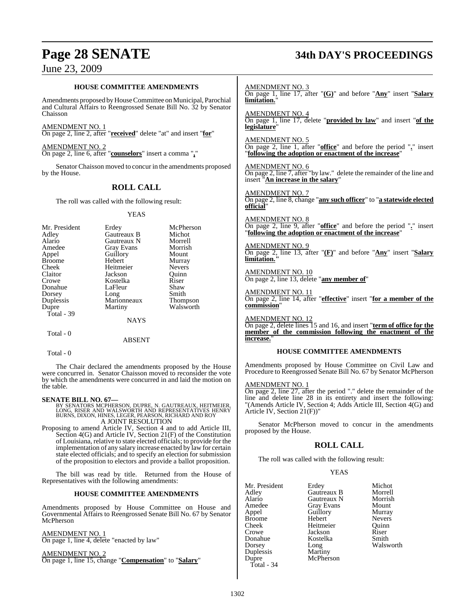# **Page 28 SENATE 34th DAY'S PROCEEDINGS**

## June 23, 2009

#### **HOUSE COMMITTEE AMENDMENTS**

Amendments proposed by House Committee on Municipal, Parochial and Cultural Affairs to Reengrossed Senate Bill No. 32 by Senator Chaisson

AMENDMENT NO. 1 On page 2, line 2, after "**received**" delete "at" and insert "**for**"

AMENDMENT NO. 2 On page 2, line 6, after "**counselors**" insert a comma "**,**"

Senator Chaisson moved to concur in the amendments proposed by the House.

## **ROLL CALL**

The roll was called with the following result:

#### YEAS

| Mr. President<br>Adley | Erdey<br>Gautreaux B | McPherson<br>Michot |
|------------------------|----------------------|---------------------|
| Alario                 | Gautreaux N          | Morrell             |
| Amedee                 | Gray Evans           | Morrish             |
| Appel                  | Guillory             | Mount               |
| <b>Broome</b>          | Hebert               | Murray              |
| Cheek                  | Heitmeier            | <b>Nevers</b>       |
| Claitor                | Jackson              | Ouinn               |
| Crowe                  | Kostelka             | Riser               |
| Donahue                | LaFleur              | Shaw                |
| Dorsey                 | Long                 | Smith               |
| Duplessis              | Marionneaux          | <b>Thompson</b>     |
| Dupre                  | Martiny              | Walsworth           |
| Total - 39             |                      |                     |
|                        | NAYS                 |                     |

## ABSENT

Total - 0

Total - 0

The Chair declared the amendments proposed by the House were concurred in. Senator Chaisson moved to reconsider the vote by which the amendments were concurred in and laid the motion on the table.

**SENATE BILL NO. 67—**<br>BY SENATORS MCPHERSON, DUPRE, N. GAUTREAUX, HEITMEIER,<br>LONG, RISER AND WALSWORTH AND REPRESENTATIVES HENRY<br>BURNS, DIXON, HINES, LEGER, PEARSON, RICHARD AND ROY A JOINT RESOLUTION

Proposing to amend Article IV, Section 4 and to add Article III, Section 4(G) and Article IV, Section 21(F) of the Constitution of Louisiana, relative to state elected officials; to provide for the implementation of any salary increase enacted by law for certain state elected officials; and to specify an election for submission of the proposition to electors and provide a ballot proposition.

The bill was read by title. Returned from the House of Representatives with the following amendments:

#### **HOUSE COMMITTEE AMENDMENTS**

Amendments proposed by House Committee on House and Governmental Affairs to Reengrossed Senate Bill No. 67 by Senator **McPherson** 

AMENDMENT NO. 1 On page 1, line 4, delete "enacted by law"

AMENDMENT NO. 2 On page 1, line 15, change "**Compensation**" to "**Salary**" AMENDMENT NO. 3 On page 1, line 17, after "**(G)**" and before "**Any**" insert "**Salary limitation.**"

AMENDMENT NO. 4 On page 1, line 17, delete "**provided by law**" and insert "**of the legislature**"

AMENDMENT NO. 5 On page 2, line 1, after "**office**" and before the period "**.**" insert "**following the adoption or enactment of the increase**"

AMENDMENT NO. 6 On page 2, line 7, after "by law." delete the remainder of the line and insert "**An increase in the salary**"

AMENDMENT NO. 7

On page 2, line 8, change "**any such officer**" to "**a statewide elected official**"

AMENDMENT NO. 8 On page 2, line 9, after "**office**" and before the period "**.**" insert "**following the adoption or enactment of the increase**"

AMENDMENT NO. 9 On page 2, line 13, after "**(F)**" and before "**Any**" insert "**Salary limitation."**

AMENDMENT NO. 10 On page 2, line 13, delete "**any member of**"

AMENDMENT NO. 11 On page 2, line 14, after "**effective**" insert "**for a member of the commission**"

AMENDMENT NO. 12

On page 2, delete lines 15 and 16, and insert "**term of office for the member of the commission following the enactment of the increase.**"

#### **HOUSE COMMITTEE AMENDMENTS**

Amendments proposed by House Committee on Civil Law and Procedure to Reengrossed Senate Bill No. 67 by Senator McPherson

#### AMENDMENT NO. 1

 $\overline{On}$  page 2, line 27, after the period "." delete the remainder of the line and delete line 28 in its entirety and insert the following: "(Amends Article IV, Section 4; Adds Article III, Section 4(G) and Article IV, Section 21(F))"

Senator McPherson moved to concur in the amendments proposed by the House.

## **ROLL CALL**

The roll was called with the following result:

#### YEAS

| Mr. President<br>Adley<br>Alario<br>Amedee<br>Appel<br>Broome<br>Cheek<br>Crowe<br>Donahue | Erdey<br>Gautreaux B<br>Gautreaux N<br><b>Gray Evans</b><br>Guillory<br>Hebert<br>Heitmeier<br>Jackson<br>Kostelka | Michot<br>Morrell<br>Morrish<br>Mount<br>Murray<br><b>Nevers</b><br>Ouinn<br>Riser<br>Smith<br>Walsworth |
|--------------------------------------------------------------------------------------------|--------------------------------------------------------------------------------------------------------------------|----------------------------------------------------------------------------------------------------------|
|                                                                                            |                                                                                                                    |                                                                                                          |
| Dorsey                                                                                     | Long                                                                                                               |                                                                                                          |
| Duplessis<br>Dupre                                                                         | Martiny<br>McPherson                                                                                               |                                                                                                          |
| Total - 34                                                                                 |                                                                                                                    |                                                                                                          |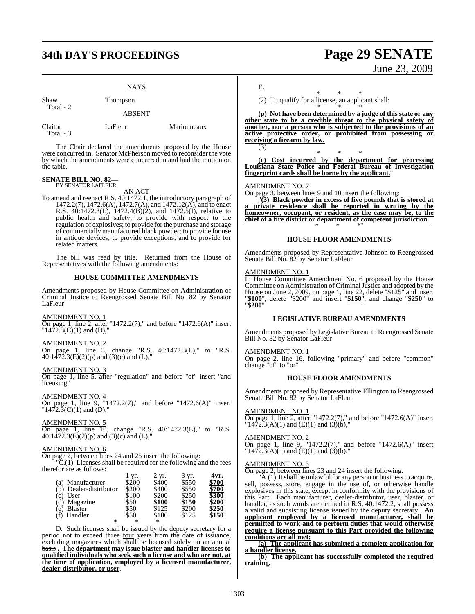# **34th DAY'S PROCEEDINGS Page 29 SENATE**

|      | <b>NAYS</b> |
|------|-------------|
| Shaw | Thompson    |

Total - 2

ABSENT

| Claitor   | LaFleur | Marionneaux |
|-----------|---------|-------------|
| Total - 3 |         |             |

The Chair declared the amendments proposed by the House were concurred in. Senator McPherson moved to reconsider the vote by which the amendments were concurred in and laid the motion on the table.

#### **SENATE BILL NO. 82—** BY SENATOR LAFLEUR

AN ACT

To amend and reenact R.S. 40:1472.1, the introductory paragraph of 1472.2(7), 1472.6(A), 1472.7(A), and 1472.12(A), and to enact R.S. 40:1472.3(L), 1472.4(B)(2), and 1472.5(I), relative to public health and safety; to provide with respect to the regulation of explosives; to provide for the purchase and storage of commercially manufactured black powder; to provide for use in antique devices; to provide exceptions; and to provide for related matters.

The bill was read by title. Returned from the House of Representatives with the following amendments:

#### **HOUSE COMMITTEE AMENDMENTS**

Amendments proposed by House Committee on Administration of Criminal Justice to Reengrossed Senate Bill No. 82 by Senator LaFleur

AMENDMENT NO. 1

On page 1, line 2, after "1472.2(7)," and before "1472.6(A)" insert " $1472.3(C)(1)$  and (D),"

AMENDMENT NO. 2

On page 1, line 3, change "R.S. 40:1472.3(L)," to "R.S.  $40:1\overline{472}.3(E)(2)(p)$  and  $(3)(c)$  and  $(L)$ ,"

AMENDMENT NO. 3

On page 1, line 5, after "regulation" and before "of" insert "and licensing"

AMENDMENT NO. 4 On page 1, line 9, "1472.2(7)," and before "1472.6(A)" insert  $"1472.3(C)(1)$  and (D),"

AMENDMENT NO. 5

On page 1, line 10, change "R.S. 40:1472.3(L)," to "R.S.  $40:1\overline{472}.3(E)(2)(p)$  and  $(3)(c)$  and  $(L)$ ,"

#### AMENDMENT NO. 6

On page 2, between lines 24 and 25 insert the following:

 $\overline{C}$ .(1) Licenses shall be required for the following and the fees therefor are as follows:

|                        | 1 yr. | 2 yr. | 3 yr. | 1vr.               |
|------------------------|-------|-------|-------|--------------------|
| Manufacturer<br>(a)    | \$200 | \$400 | \$550 | \$700              |
| (b) Dealer-distributor | \$200 | \$400 | \$550 | \$700              |
| User<br>(c)            | \$100 | \$200 | \$250 | \$300              |
| (d) Magazine           | \$50  | \$100 | \$150 | \$200              |
| <b>Blaster</b><br>e)   | \$50  | \$125 | \$200 | \$250              |
| (f) Handler            | \$50  | \$100 | \$125 | $\$15\overline{0}$ |
| *                      | *     | *     |       |                    |

D. Such licenses shall be issued by the deputy secretary for a period not to exceed three four years from the date of issuance, excluding magazines which shall be licensed solely on an annual basis **. The department may issue blaster and handler licenses to qualified individuals who seek such a license and who are not, at the time of application, employed by a licensed manufacturer, dealer-distributor, or user**.

June 23, 2009

E.

\* \* \* (2) To qualify for a license, an applicant shall:

\* \* \*

**(p) Not have been determined by a judge of this state or any other state to be a credible threat to the physical safety of another, nor a person who is subjected to the provisions of an active protective order, or prohibited from possessing or receiving a firearm by law.** (3)

\* \* \* **(c) Cost incurred by the department for processing Louisiana State Police and Federal Bureau of Investigation fingerprint cards shall be borne by the applicant.**"

#### AMENDMENT NO. 7

On page 3, between lines 9 and 10 insert the following:

"**(3) Black powder in excess of five pounds that is stored at a private residence shall be reported in writing by the homeowner, occupant, or resident, as the case may be, to the chief of a fire district or department of competent jurisdiction.** \* \* \*"

#### **HOUSE FLOOR AMENDMENTS**

Amendments proposed by Representative Johnson to Reengrossed Senate Bill No. 82 by Senator LaFleur

#### AMENDMENT NO. 1

In House Committee Amendment No. 6 proposed by the House Committee on Administration of Criminal Justice and adopted by the House on June 2, 2009, on page 1, line 22, delete "\$125" and insert "**\$100**", delete "\$200" and insert "**\$150**", and change "**\$250**" to "**\$200**"

#### **LEGISLATIVE BUREAU AMENDMENTS**

Amendments proposed by Legislative Bureau to Reengrossed Senate Bill No. 82 by Senator LaFleur

#### AMENDMENT NO. 1

On page 2, line 16, following "primary" and before "common" change "of" to "or"

#### **HOUSE FLOOR AMENDMENTS**

Amendments proposed by Representative Ellington to Reengrossed Senate Bill No. 82 by Senator LaFleur

#### AMENDMENT NO. 1

On page 1, line 2, after "1472.2(7)," and before "1472.6(A)" insert " $14\overline{7}2.\overline{3}(A)(1)$  and  $(E)(1)$  and  $(3)(b)$ ,"

#### AMENDMENT NO. 2

On page 1, line 9, "1472.2(7)," and before "1472.6(A)" insert " $1472.3(A)(1)$  and  $(E)(1)$  and  $(3)(b)$ ,"

#### AMENDMENT NO. 3

On page 2, between lines 23 and 24 insert the following:

"A.(1) It shall be unlawful for any person or business to acquire, sell, possess, store, engage in the use of, or otherwise handle explosives in this state, except in conformity with the provisions of this Part. Each manufacturer, dealer-distributor, user, blaster, or handler, as such words are defined in R.S. 40:1472.2, shall possess a valid and subsisting license issued by the deputy secretary. **An applicant employed by a licensed manufacturer, shall be permitted to work and to perform duties that would otherwise require a license pursuant to this Part provided the following conditions are all met:**

**(a) The applicant has submitted a complete application for a handler license.**

**(b) The applicant has successfully completed the required training.**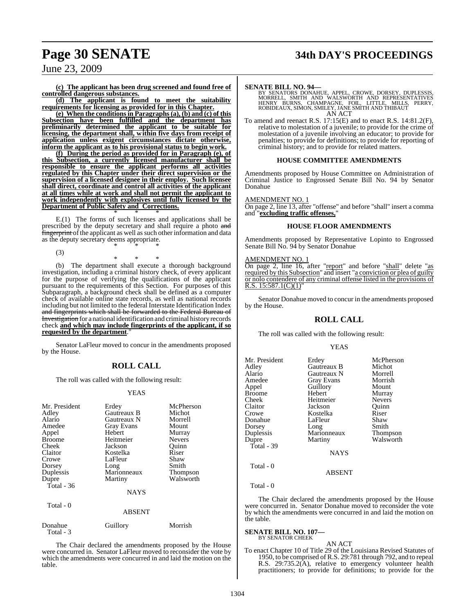# **Page 30 SENATE 34th DAY'S PROCEEDINGS**

## June 23, 2009

**(c) The applicant has been drug screened and found free of controlled dangerous substances.**

**(d) The applicant is found to meet the suitability requirements for licensing as provided for in this Chapter.**

**(e) When the conditions in Paragraphs (a), (b) and (c) of this Subsection have been fulfilled and the department has preliminarily determined the applicant to be suitable for licensing, the department shall, within five days from receipt of application unless exigent circumstances dictate otherwise, inform the applicant as to his provisional status to begin work.**

**(f) During the period as provided for in Paragraph (e), of this Subsection, a currently licensed manufacturer shall be responsible to ensure the applicant performs all activities regulated by this Chapter under their direct supervision or the supervision of a licensed designee in their employ. Such licensee shall direct, coordinate and control all activities of the applicant at all times while at work and shall not permit the applicant to work independently with explosives until fully licensed by the Department of Public Safety and Corrections.** \* \* \*

E.(1) The forms of such licenses and applications shall be prescribed by the deputy secretary and shall require a photo and fingerprint of the applicant as well as such other information and data as the deputy secretary deems appropriate. \* \* \*

(3)

\* \* \* (b) The department shall execute a thorough background investigation, including a criminal history check, of every applicant for the purpose of verifying the qualifications of the applicant pursuant to the requirements of this Section. For purposes of this Subparagraph, a background check shall be defined as a computer check of available online state records, as well as national records including but not limited to the federal Interstate Identification Index and fingerprints which shall be forwarded to the Federal Bureau of Investigation for a national identification and criminal history records check **and which may include fingerprints of the applicant, if so** requested by the department.

Senator LaFleur moved to concur in the amendments proposed by the House.

## **ROLL CALL**

The roll was called with the following result:

#### YEAS

| Mr. President<br>Adley<br>Alario<br>Amedee<br>Appel<br><b>Broome</b><br>Cheek<br>Claitor<br>Crowe<br>Dorsey<br>Duplessis<br>Dupre<br>Total - $36$<br>Total - 0 | Erdey<br>Gautreaux B<br>Gautreaux N<br><b>Gray Evans</b><br>Hebert<br>Heitmeier<br>Jackson<br>Kostelka<br>LaFleur<br>Long<br>Marionneaux<br>Martiny<br><b>NAYS</b><br><b>ABSENT</b> | McPherson<br>Michot<br>Morrell<br>Mount<br>Murray<br><b>Nevers</b><br>Quinn<br>Riser<br>Shaw<br>Smith<br>Thompson<br>Walsworth |
|----------------------------------------------------------------------------------------------------------------------------------------------------------------|-------------------------------------------------------------------------------------------------------------------------------------------------------------------------------------|--------------------------------------------------------------------------------------------------------------------------------|
|                                                                                                                                                                |                                                                                                                                                                                     |                                                                                                                                |
| Donahue<br>Total - 3                                                                                                                                           | Guillory                                                                                                                                                                            | Morrish                                                                                                                        |

The Chair declared the amendments proposed by the House were concurred in. Senator LaFleur moved to reconsider the vote by which the amendments were concurred in and laid the motion on the table.

SENATE BILL NO. 94—<br>BY SENATORS DONAHUE, APPEL, CROWE, DORSEY, DUPLESSIS, MORRELL, SMITH AND REPRESENTATIVES<br>MORRELL, SMITH AND MALSWORTH AND REPRESENTATIVES<br>HENRY BURNS, CHAMPAGNE, FOIL, LITTLE, MILLS, PERRY,<br>ROBIDEAUX, S AN ACT

To amend and reenact R.S. 17:15(E) and to enact R.S. 14:81.2(F), relative to molestation of a juvenile; to provide for the crime of molestation of a juvenile involving an educator; to provide for penalties; to provide for definitions; to provide for reporting of criminal history; and to provide for related matters.

#### **HOUSE COMMITTEE AMENDMENTS**

Amendments proposed by House Committee on Administration of Criminal Justice to Engrossed Senate Bill No. 94 by Senator Donahue

#### AMENDMENT NO. 1

On page 2, line 13, after "offense" and before "shall" insert a comma and "**excluding traffic offenses,**"

#### **HOUSE FLOOR AMENDMENTS**

Amendments proposed by Representative Lopinto to Engrossed Senate Bill No. 94 by Senator Donahue

#### AMENDMENT NO. 1

On page 2, line 16, after "report" and before "shall" delete "as required by this Subsection" and insert "a conviction or plea of guilty or nolo contendere of any criminal offense listed in the provisions of  $R.S. 15:587.1(C)(1)$ 

Senator Donahue moved to concur in the amendments proposed by the House.

#### **ROLL CALL**

The roll was called with the following result:

#### YEAS

| Mr. President<br>Adley<br>Alario<br>Amedee<br>Appel<br>Broome<br>Cheek<br>Claitor | Erdey<br>Gautreaux B<br>Gautreaux N<br><b>Gray Evans</b><br>Guillory<br>Hebert<br>Heitmeier<br>Jackson | McPherson<br>Michot<br>Morrell<br>Morrish<br>Mount<br>Murray<br><b>Nevers</b><br>Ouinn |
|-----------------------------------------------------------------------------------|--------------------------------------------------------------------------------------------------------|----------------------------------------------------------------------------------------|
| Crowe<br>Donahue                                                                  | Kostelka<br>LaFleur                                                                                    | Riser<br>Shaw                                                                          |
| Dorsey                                                                            | Long                                                                                                   | Smith                                                                                  |
| Duplessis                                                                         | Marionneaux                                                                                            | <b>Thompson</b>                                                                        |
| Dupre                                                                             | Martiny                                                                                                | Walsworth                                                                              |
| Total - 39                                                                        |                                                                                                        |                                                                                        |
|                                                                                   | <b>NAYS</b>                                                                                            |                                                                                        |
| Total $-0$                                                                        |                                                                                                        |                                                                                        |
|                                                                                   | <b>ABSENT</b>                                                                                          |                                                                                        |

#### Total - 0

The Chair declared the amendments proposed by the House were concurred in. Senator Donahue moved to reconsider the vote by which the amendments were concurred in and laid the motion on the table.

#### **SENATE BILL NO. 107—**

BY SENATOR CHEEK AN ACT

To enact Chapter 10 of Title 29 of the Louisiana Revised Statutes of 1950, to be comprised of R.S. 29:781 through 792, and to repeal R.S. 29:735.2(A), relative to emergency volunteer health practitioners; to provide for definitions; to provide for the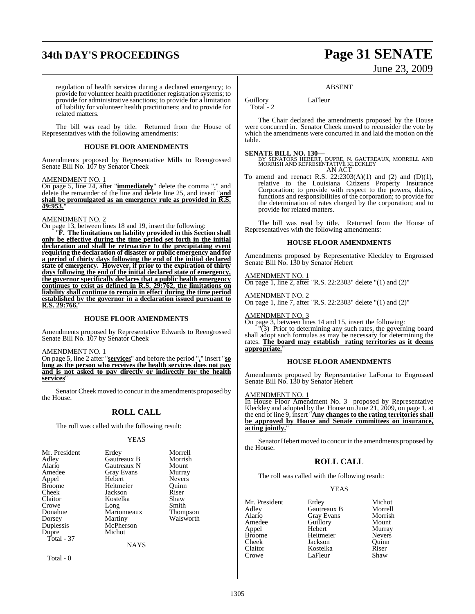# **34th DAY'S PROCEEDINGS Page 31 SENATE**

# June 23, 2009

regulation of health services during a declared emergency; to provide for volunteer health practitioner registration systems; to provide for administrative sanctions; to provide for a limitation of liability for volunteer health practitioners; and to provide for related matters.

The bill was read by title. Returned from the House of Representatives with the following amendments:

#### **HOUSE FLOOR AMENDMENTS**

Amendments proposed by Representative Mills to Reengrossed Senate Bill No. 107 by Senator Cheek

#### AMENDMENT NO. 1

On page 5, line 24, after "**immediately**" delete the comma "," and delete the remainder of the line and delete line 25, and insert "**and shall be promulgated as an emergency rule as provided in R.S. 49:953.**"

#### AMENDMENT NO. 2

On page 13, between lines 18 and 19, insert the following:

"**F. The limitations on liability provided in this Section shall only be effective during the time period set forth in the initial declaration and shall be retroactive to the precipitating event requiring the declaration of disaster or public emergency and for a period of thirty days following the end of the initial declared state of emergency. However, if prior to the expiration of thirty days following the end of the initial declared state of emergency, the governor specifically declares that a public health emergency continues to exist as defined in R.S. 29:762, the limitations on liability shall continue to remain in effect during the time period established by the governor in a declaration issued pursuant to R.S. 29:766.**"

#### **HOUSE FLOOR AMENDMENTS**

Amendments proposed by Representative Edwards to Reengrossed Senate Bill No. 107 by Senator Cheek

#### AMENDMENT NO. 1

On page 5, line 2 after "**services**" and before the period "**.**" insert "**so long as the person who receives the health services does not pay and is not asked to pay directly or indirectly for the health services**"

Senator Cheek moved to concur in the amendments proposed by the House.

#### **ROLL CALL**

The roll was called with the following result:

#### YEAS

| Mr. President |             | Morrell         |
|---------------|-------------|-----------------|
|               | Erdey       |                 |
| Adley         | Gautreaux B | Morrish         |
| Alario        | Gautreaux N | Mount           |
| Amedee        | Gray Evans  | Murray          |
| Appel         | Hebert      | <b>Nevers</b>   |
| Broome        | Heitmeier   | Ouinn           |
| Cheek         | Jackson     | Riser           |
| Claitor       | Kostelka    | Shaw            |
| Crowe         | Long        | Smith           |
| Donahue       | Marionneaux | <b>Thompson</b> |
| Dorsey        | Martiny     | Walsworth       |
| Duplessis     | McPherson   |                 |
| Dupre         | Michot      |                 |
| Total - 37    |             |                 |
|               | <b>NAYS</b> |                 |
|               |             |                 |

Total - 0

ABSENT

Guillory LaFleur

Total<sup>-</sup>2

The Chair declared the amendments proposed by the House were concurred in. Senator Cheek moved to reconsider the vote by which the amendments were concurred in and laid the motion on the table.

#### **SENATE BILL NO. 130—**

BY SENATORS HEBERT, DUPRE, N. GAUTREAUX, MORRELL AND MORRISH AND REPRESENTATIVE KLECKLEY AN ACT

To amend and reenact R.S.  $22:2303(A)(1)$  and  $(2)$  and  $(D)(1)$ , relative to the Louisiana Citizens Property Insurance Corporation; to provide with respect to the powers, duties, functions and responsibilities of the corporation; to provide for the determination of rates charged by the corporation; and to provide for related matters.

The bill was read by title. Returned from the House of Representatives with the following amendments:

#### **HOUSE FLOOR AMENDMENTS**

Amendments proposed by Representative Kleckley to Engrossed Senate Bill No. 130 by Senator Hebert

AMENDMENT NO. 1 On page 1, line 2, after "R.S. 22:2303" delete "(1) and (2)"

AMENDMENT NO. 2 On page 1, line 7, after "R.S. 22:2303" delete "(1) and (2)"

#### AMENDMENT NO. 3

On page 3, between lines 14 and 15, insert the following:

"(3) Prior to determining any such rates, the governing board shall adopt such formulas as may be necessary for determining the rates. **The board may establish rating territories as it deems appropriate.**"

#### **HOUSE FLOOR AMENDMENTS**

Amendments proposed by Representative LaFonta to Engrossed Senate Bill No. 130 by Senator Hebert

#### AMENDMENT NO. 1

In House Floor Amendment No. 3 proposed by Representative Kleckley and adopted by the House on June 21, 2009, on page 1, at the end of line 9, insert "**Any changes to the rating territories shall be approved by House and Senate committees on insurance, acting jointly.** 

Senator Hebert moved to concur in the amendments proposed by the House.

#### **ROLL CALL**

The roll was called with the following result:

Guillory<br>Hebert

#### YEAS

Mr. President Erdey Michot<br>Adley Gautreaux B Morrell Adley Gautreaux B Morrell Alario Gray Evans Morrish Appel Hebert Murray Broome Heitmeier Nevers<br>Cheek Jackson Ouinn Cheek Jackson Quinn Crowe LaFleur

Kostelka Riser<br>LaFleur Shaw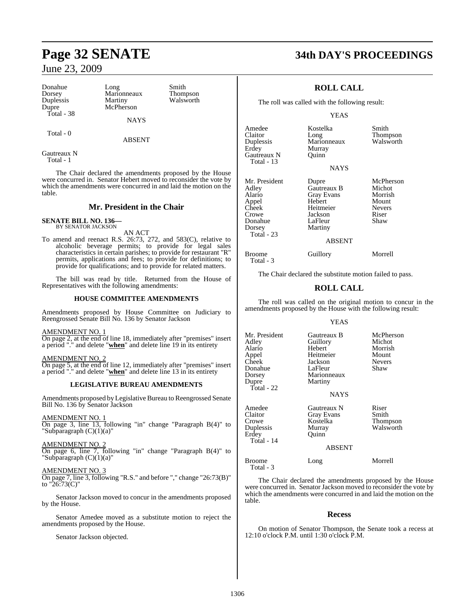Donahue Long Smith<br>Dorsey Marionneaux Thompson Duplessis<br>Dupre Total - 38

Marionneaux Thompson<br>
Martiny Walsworth McPherson

NAYS

Total - 0

ABSENT

Gautreaux N Total - 1

The Chair declared the amendments proposed by the House were concurred in. Senator Hebert moved to reconsider the vote by which the amendments were concurred in and laid the motion on the table.

## **Mr. President in the Chair**

#### **SENATE BILL NO. 136—** BY SENATOR JACKSON

AN ACT

To amend and reenact R.S. 26:73, 272, and 583(C), relative to alcoholic beverage permits; to provide for legal sales characteristics in certain parishes; to provide for restaurant "R" permits, applications and fees; to provide for definitions; to provide for qualifications; and to provide for related matters.

The bill was read by title. Returned from the House of Representatives with the following amendments:

#### **HOUSE COMMITTEE AMENDMENTS**

Amendments proposed by House Committee on Judiciary to Reengrossed Senate Bill No. 136 by Senator Jackson

#### AMENDMENT NO. 1

On page 2, at the end of line 18, immediately after "premises" insert a period "." and delete "**when**" and delete line 19 in its entirety

AMENDMENT NO. 2

On page 5, at the end of line 12, immediately after "premises" insert a period "." and delete "**when**" and delete line 13 in its entirety

#### **LEGISLATIVE BUREAU AMENDMENTS**

Amendments proposed by Legislative Bureau to Reengrossed Senate Bill No. 136 by Senator Jackson

AMENDMENT NO. 1

On page 3, line 13, following "in" change "Paragraph B(4)" to "Subparagraph  $(C)(1)(a)$ "

AMENDMENT NO. 2 On page 6, line 7, following "in" change "Paragraph B(4)" to "Subparagraph (C)(1)(a)"

#### AMENDMENT NO. 3

On page 7, line 3, following "R.S." and before "," change "26:73(B)" to  $"26:73(C)"$ 

Senator Jackson moved to concur in the amendments proposed by the House.

Senator Amedee moved as a substitute motion to reject the amendments proposed by the House.

Senator Jackson objected.

# **Page 32 SENATE 34th DAY'S PROCEEDINGS**

## **ROLL CALL**

The roll was called with the following result:

#### YEAS

**NAYS** 

Amedee Kostelka Smith Claitor Long Thompson Duplessis Marionneaux Walsworth Erdey Murray<br>Gautreaux N Ouinn Gautreaux N Total - 13

Mr. President Dupre McPherson<br>Adley Gautreaux B Michot Adley Gautreaux B Michot Alario Gray Evans Morrish Appel Hebert Mount<br>
Cheek Heitmeier Nevers Cheek Heitmeier Never<br>Crowe Jackson Riser Donahue<br>Dorsey Total - 23

Total - 3

Martiny

Jackson Riser<br>LaFleur Shaw

#### ABSENT

Broome Guillory Morrell

The Chair declared the substitute motion failed to pass.

## **ROLL CALL**

The roll was called on the original motion to concur in the amendments proposed by the House with the following result:

#### YEAS

| Mr. President<br>Adlev<br>Alario<br>Appel<br>Cheek<br>Donahue<br>Dorsey<br>Dupre<br>Total - 22 | Gautreaux B<br>Guillory<br>Hebert<br>Heitmeier<br>Jackson<br>LaFleur<br>Marionneaux<br>Martiny<br><b>NAYS</b> | McPherson<br>Michot<br>Morrish<br>Mount<br><b>Nevers</b><br>Shaw |
|------------------------------------------------------------------------------------------------|---------------------------------------------------------------------------------------------------------------|------------------------------------------------------------------|
| Amedee<br>Claitor<br>Crowe<br>Duplessis<br>Erdey<br>Total - 14                                 | Gautreaux N<br>Gray Evans<br>Kostelka<br>Murray<br>Ouinn<br><b>ABSENT</b>                                     | Riser<br>Smith<br>Thompson<br>Walsworth                          |
| <b>Broome</b><br>Total - 3                                                                     | Long                                                                                                          | Morrell                                                          |

The Chair declared the amendments proposed by the House were concurred in. Senator Jackson moved to reconsider the vote by which the amendments were concurred in and laid the motion on the table.

#### **Recess**

On motion of Senator Thompson, the Senate took a recess at 12:10 o'clock P.M. until 1:30 o'clock P.M.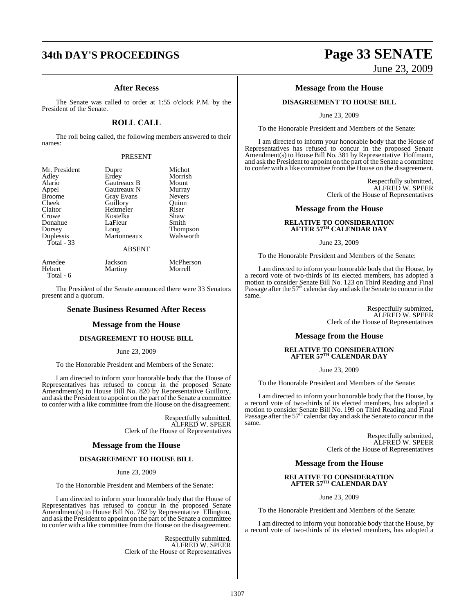#### **After Recess**

The Senate was called to order at 1:55 o'clock P.M. by the President of the Senate.

## **ROLL CALL**

The roll being called, the following members answered to their names:

#### PRESENT

| Mr. President | Dupre              | Michot          |
|---------------|--------------------|-----------------|
| Adley         | Erdey              | Morrish         |
| Alario        | <b>Gautreaux B</b> | Mount           |
| Appel         | Gautreaux N        | Murray          |
| <b>Broome</b> | <b>Gray Evans</b>  | <b>Nevers</b>   |
| Cheek         | Guillory           | Ouinn           |
| Claitor       | Heitmeier          | Riser           |
| Crowe         | Kostelka           | Shaw            |
| Donahue       | LaFleur            | Smith           |
| Dorsey        | Long               | <b>Thompson</b> |
| Duplessis     | Marionneaux        | Walsworth       |
| Total - 33    | <b>ABSENT</b>      |                 |

Amedee Jackson McPherson<br>Hebert Martiny Morrell Martiny Total - 6

The President of the Senate announced there were 33 Senators present and a quorum.

#### **Senate Business Resumed After Recess**

#### **Message from the House**

#### **DISAGREEMENT TO HOUSE BILL**

#### June 23, 2009

To the Honorable President and Members of the Senate:

I am directed to inform your honorable body that the House of Representatives has refused to concur in the proposed Senate Amendment(s) to House Bill No. 820 by Representative Guillory, and ask the President to appoint on the part of the Senate a committee to confer with a like committee from the House on the disagreement.

> Respectfully submitted, ALFRED W. SPEER Clerk of the House of Representatives

#### **Message from the House**

#### **DISAGREEMENT TO HOUSE BILL**

June 23, 2009

To the Honorable President and Members of the Senate:

I am directed to inform your honorable body that the House of Representatives has refused to concur in the proposed Senate Amendment(s) to House Bill No. 782 by Representative Ellington, and ask the President to appoint on the part of the Senate a committee to confer with a like committee from the House on the disagreement.

> Respectfully submitted, ALFRED W. SPEER Clerk of the House of Representatives

# **34th DAY'S PROCEEDINGS Page 33 SENATE** June 23, 2009

#### **Message from the House**

#### **DISAGREEMENT TO HOUSE BILL**

June 23, 2009

To the Honorable President and Members of the Senate:

I am directed to inform your honorable body that the House of Representatives has refused to concur in the proposed Senate Amendment(s) to House Bill No. 381 by Representative Hoffmann, and ask the President to appoint on the part of the Senate a committee to confer with a like committee from the House on the disagreement.

> Respectfully submitted, ALFRED W. SPEER Clerk of the House of Representatives

#### **Message from the House**

# **RELATIVE TO CONSIDERATION AFTER 57TH CALENDAR DAY**

June 23, 2009

To the Honorable President and Members of the Senate:

I am directed to inform your honorable body that the House, by a record vote of two-thirds of its elected members, has adopted a motion to consider Senate Bill No. 123 on Third Reading and Final<br>Passage after the 57<sup>th</sup> calendar day and ask the Senate to concur in the same.

> Respectfully submitted, ALFRED W. SPEER Clerk of the House of Representatives

#### **Message from the House**

#### **RELATIVE TO CONSIDERATION AFTER 57TH CALENDAR DAY**

June 23, 2009

To the Honorable President and Members of the Senate:

I am directed to inform your honorable body that the House, by a record vote of two-thirds of its elected members, has adopted a motion to consider Senate Bill No. 199 on Third Reading and Final<br>Passage after the 57<sup>th</sup> calendar day and ask the Senate to concur in the same.

> Respectfully submitted, ALFRED W. SPEER Clerk of the House of Representatives

#### **Message from the House**

# **RELATIVE TO CONSIDERATION AFTER 57TH CALENDAR DAY**

June 23, 2009

To the Honorable President and Members of the Senate:

I am directed to inform your honorable body that the House, by a record vote of two-thirds of its elected members, has adopted a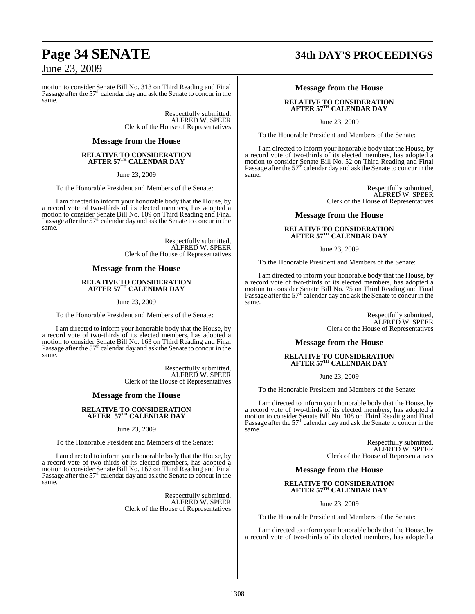motion to consider Senate Bill No. 313 on Third Reading and Final Passage after the 57<sup>th</sup> calendar day and ask the Senate to concur in the same.

> Respectfully submitted, ALFRED W. SPEER Clerk of the House of Representatives

#### **Message from the House**

#### **RELATIVE TO CONSIDERATION AFTER 57TH CALENDAR DAY**

June 23, 2009

To the Honorable President and Members of the Senate:

I am directed to inform your honorable body that the House, by a record vote of two-thirds of its elected members, has adopted a motion to consider Senate Bill No. 109 on Third Reading and Final Passage after the  $57<sup>th</sup>$  calendar day and ask the Senate to concur in the same.

> Respectfully submitted, ALFRED W. SPEER Clerk of the House of Representatives

#### **Message from the House**

# **RELATIVE TO CONSIDERATION AFTER 57TH CALENDAR DAY**

June 23, 2009

To the Honorable President and Members of the Senate:

I am directed to inform your honorable body that the House, by a record vote of two-thirds of its elected members, has adopted a motion to consider Senate Bill No. 163 on Third Reading and Final Passage after the 57<sup>th</sup> calendar day and ask the Senate to concur in the same.

> Respectfully submitted, ALFRED W. SPEER Clerk of the House of Representatives

#### **Message from the House**

# **RELATIVE TO CONSIDERATION AFTER 57TH CALENDAR DAY**

June 23, 2009

To the Honorable President and Members of the Senate:

I am directed to inform your honorable body that the House, by a record vote of two-thirds of its elected members, has adopted a motion to consider Senate Bill No. 167 on Third Reading and Final Passage after the 57<sup>th</sup> calendar day and ask the Senate to concur in the same.

> Respectfully submitted, ALFRED W. SPEER Clerk of the House of Representatives

# **Page 34 SENATE 34th DAY'S PROCEEDINGS**

#### **Message from the House**

#### **RELATIVE TO CONSIDERATION AFTER 57TH CALENDAR DAY**

June 23, 2009

To the Honorable President and Members of the Senate:

I am directed to inform your honorable body that the House, by a record vote of two-thirds of its elected members, has adopted a motion to consider Senate Bill No. 52 on Third Reading and Final Passage after the 57<sup>th</sup> calendar day and ask the Senate to concur in the same.

> Respectfully submitted, ALFRED W. SPEER Clerk of the House of Representatives

#### **Message from the House**

#### **RELATIVE TO CONSIDERATION AFTER 57TH CALENDAR DAY**

#### June 23, 2009

To the Honorable President and Members of the Senate:

I am directed to inform your honorable body that the House, by a record vote of two-thirds of its elected members, has adopted a motion to consider Senate Bill No. 75 on Third Reading and Final Passage after the 57<sup>th</sup> calendar day and ask the Senate to concur in the same.

> Respectfully submitted, ALFRED W. SPEER Clerk of the House of Representatives

#### **Message from the House**

# **RELATIVE TO CONSIDERATION AFTER 57TH CALENDAR DAY**

June 23, 2009

To the Honorable President and Members of the Senate:

I am directed to inform your honorable body that the House, by a record vote of two-thirds of its elected members, has adopted a motion to consider Senate Bill No. 108 on Third Reading and Final<br>Passage after the 57<sup>th</sup> calendar day and ask the Senate to concur in the same.

> Respectfully submitted, ALFRED W. SPEER Clerk of the House of Representatives

#### **Message from the House**

#### **RELATIVE TO CONSIDERATION AFTER 57TH CALENDAR DAY**

June 23, 2009

To the Honorable President and Members of the Senate:

I am directed to inform your honorable body that the House, by a record vote of two-thirds of its elected members, has adopted a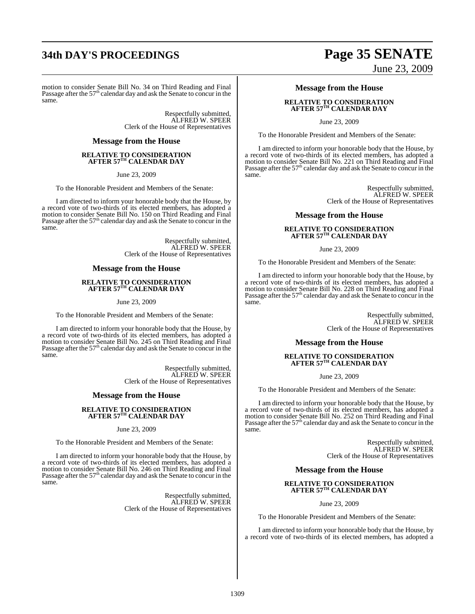# **34th DAY'S PROCEEDINGS Page 35 SENATE**

motion to consider Senate Bill No. 34 on Third Reading and Final<br>Passage after the 57<sup>th</sup> calendar day and ask the Senate to concur in the same.

> Respectfully submitted, ALFRED W. SPEER Clerk of the House of Representatives

#### **Message from the House**

#### **RELATIVE TO CONSIDERATION AFTER 57TH CALENDAR DAY**

June 23, 2009

To the Honorable President and Members of the Senate:

I am directed to inform your honorable body that the House, by a record vote of two-thirds of its elected members, has adopted a motion to consider Senate Bill No. 150 on Third Reading and Final Passage after the  $57<sup>th</sup>$  calendar day and ask the Senate to concur in the same.

> Respectfully submitted, ALFRED W. SPEER Clerk of the House of Representatives

#### **Message from the House**

# **RELATIVE TO CONSIDERATION AFTER 57TH CALENDAR DAY**

June 23, 2009

To the Honorable President and Members of the Senate:

I am directed to inform your honorable body that the House, by a record vote of two-thirds of its elected members, has adopted a motion to consider Senate Bill No. 245 on Third Reading and Final Passage after the 57<sup>th</sup> calendar day and ask the Senate to concur in the same.

> Respectfully submitted, ALFRED W. SPEER Clerk of the House of Representatives

#### **Message from the House**

# **RELATIVE TO CONSIDERATION AFTER 57TH CALENDAR DAY**

June 23, 2009

To the Honorable President and Members of the Senate:

I am directed to inform your honorable body that the House, by a record vote of two-thirds of its elected members, has adopted a motion to consider Senate Bill No. 246 on Third Reading and Final Passage after the 57<sup>th</sup> calendar day and ask the Senate to concur in the same.

> Respectfully submitted, ALFRED W. SPEER Clerk of the House of Representatives

# June 23, 2009

#### **Message from the House**

#### **RELATIVE TO CONSIDERATION AFTER 57TH CALENDAR DAY**

June 23, 2009

To the Honorable President and Members of the Senate:

I am directed to inform your honorable body that the House, by a record vote of two-thirds of its elected members, has adopted a motion to consider Senate Bill No. 221 on Third Reading and Final Passage after the 57<sup>th</sup> calendar day and ask the Senate to concur in the same.

> Respectfully submitted, ALFRED W. SPEER Clerk of the House of Representatives

#### **Message from the House**

#### **RELATIVE TO CONSIDERATION AFTER 57TH CALENDAR DAY**

#### June 23, 2009

To the Honorable President and Members of the Senate:

I am directed to inform your honorable body that the House, by a record vote of two-thirds of its elected members, has adopted a motion to consider Senate Bill No. 228 on Third Reading and Final Passage after the 57<sup>th</sup> calendar day and ask the Senate to concur in the same.

> Respectfully submitted, ALFRED W. SPEER Clerk of the House of Representatives

#### **Message from the House**

# **RELATIVE TO CONSIDERATION AFTER 57TH CALENDAR DAY**

June 23, 2009

To the Honorable President and Members of the Senate:

I am directed to inform your honorable body that the House, by a record vote of two-thirds of its elected members, has adopted a motion to consider Senate Bill No. 252 on Third Reading and Final<br>Passage after the 57<sup>th</sup> calendar day and ask the Senate to concur in the same.

> Respectfully submitted, ALFRED W. SPEER Clerk of the House of Representatives

#### **Message from the House**

#### **RELATIVE TO CONSIDERATION AFTER 57TH CALENDAR DAY**

June 23, 2009

To the Honorable President and Members of the Senate:

I am directed to inform your honorable body that the House, by a record vote of two-thirds of its elected members, has adopted a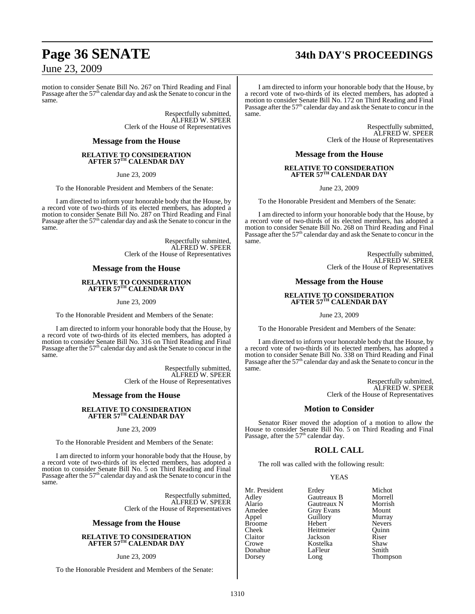# **Page 36 SENATE 34th DAY'S PROCEEDINGS**

June 23, 2009

motion to consider Senate Bill No. 267 on Third Reading and Final Passage after the 57<sup>th</sup> calendar day and ask the Senate to concur in the same.

> Respectfully submitted, ALFRED W. SPEER Clerk of the House of Representatives

#### **Message from the House**

#### **RELATIVE TO CONSIDERATION AFTER 57TH CALENDAR DAY**

June 23, 2009

To the Honorable President and Members of the Senate:

I am directed to inform your honorable body that the House, by a record vote of two-thirds of its elected members, has adopted a motion to consider Senate Bill No. 287 on Third Reading and Final Passage after the  $57<sup>th</sup>$  calendar day and ask the Senate to concur in the same.

> Respectfully submitted, ALFRED W. SPEER Clerk of the House of Representatives

#### **Message from the House**

# **RELATIVE TO CONSIDERATION AFTER 57TH CALENDAR DAY**

June 23, 2009

To the Honorable President and Members of the Senate:

I am directed to inform your honorable body that the House, by a record vote of two-thirds of its elected members, has adopted a motion to consider Senate Bill No. 316 on Third Reading and Final Passage after the 57<sup>th</sup> calendar day and ask the Senate to concur in the same.

> Respectfully submitted, ALFRED W. SPEER Clerk of the House of Representatives

#### **Message from the House**

# **RELATIVE TO CONSIDERATION AFTER 57TH CALENDAR DAY**

#### June 23, 2009

To the Honorable President and Members of the Senate:

I am directed to inform your honorable body that the House, by a record vote of two-thirds of its elected members, has adopted a motion to consider Senate Bill No. 5 on Third Reading and Final Passage after the  $57<sup>th</sup>$  calendar day and ask the Senate to concur in the same.

> Respectfully submitted, ALFRED W. SPEER Clerk of the House of Representatives

#### **Message from the House**

#### **RELATIVE TO CONSIDERATION AFTER 57TH CALENDAR DAY**

#### June 23, 2009

To the Honorable President and Members of the Senate:

I am directed to inform your honorable body that the House, by a record vote of two-thirds of its elected members, has adopted a motion to consider Senate Bill No. 172 on Third Reading and Final Passage after the 57<sup>th</sup> calendar day and ask the Senate to concur in the same.

> Respectfully submitted, ALFRED W. SPEER Clerk of the House of Representatives

**Message from the House**

# **RELATIVE TO CONSIDERATION AFTER 57TH CALENDAR DAY**

June 23, 2009

To the Honorable President and Members of the Senate:

I am directed to inform your honorable body that the House, by a record vote of two-thirds of its elected members, has adopted a motion to consider Senate Bill No. 268 on Third Reading and Final Passage after the  $57<sup>th</sup>$  calendar day and ask the Senate to concur in the same.

> Respectfully submitted, ALFRED W. SPEER Clerk of the House of Representatives

#### **Message from the House**

# **RELATIVE TO CONSIDERATION AFTER 57TH CALENDAR DAY**

June 23, 2009

To the Honorable President and Members of the Senate:

I am directed to inform your honorable body that the House, by a record vote of two-thirds of its elected members, has adopted a motion to consider Senate Bill No. 338 on Third Reading and Final Passage after the 57<sup>th</sup> calendar day and ask the Senate to concur in the same.

> Respectfully submitted, ALFRED W. SPEER Clerk of the House of Representatives

#### **Motion to Consider**

Senator Riser moved the adoption of a motion to allow the House to consider Senate Bill No. 5 on Third Reading and Final Passage, after the 57<sup>th</sup> calendar day.

#### **ROLL CALL**

The roll was called with the following result:

#### YEAS

| Mr. President | Erdey             | Michot        |
|---------------|-------------------|---------------|
| Adley         | Gautreaux B       | Morrell       |
| Alario        | Gautreaux N       | Morrish       |
| Amedee        | <b>Gray Evans</b> | Mount         |
| Appel         | Guillory          | Murray        |
| <b>Broome</b> | Hebert            | <b>Nevers</b> |
| Cheek         | Heitmeier         | Ouinn         |
| Claitor       | Jackson           | Riser         |
| Crowe         | Kostelka          | Shaw          |
| Donahue       | LaFleur           | Smith         |
| Dorsey        | Long              | Thompson      |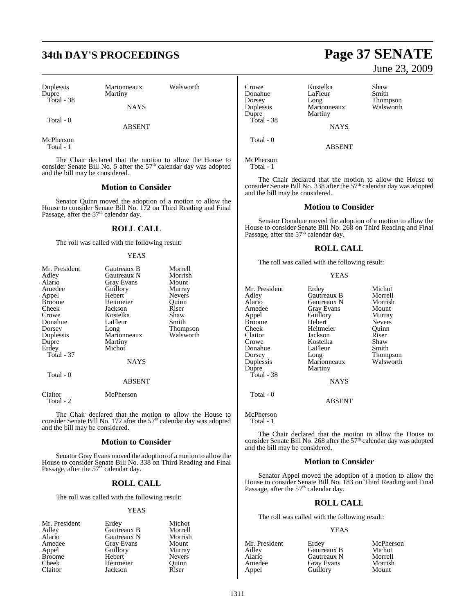Duplessis Marionneaux Walsworth Dupre Martiny Total - 38

NAYS

Total - 0

ABSENT

McPherson Total - 1

The Chair declared that the motion to allow the House to consider Senate Bill No. 5 after the  $57<sup>th</sup>$  calendar day was adopted and the bill may be considered.

### **Motion to Consider**

Senator Quinn moved the adoption of a motion to allow the House to consider Senate Bill No. 172 on Third Reading and Final Passage, after the  $57<sup>th</sup>$  calendar day.

### **ROLL CALL**

The roll was called with the following result:

### YEAS

| Mr. President | Gautreaux B   | Morrell         |
|---------------|---------------|-----------------|
| Adley         | Gautreaux N   | Morrish         |
| Alario        | Gray Evans    | Mount           |
| Amedee        | Guillory      | Murray          |
| Appel         | Hebert        | Nevers          |
| <b>Broome</b> | Heitmeier     | Ouinn           |
| Cheek         | Jackson       | Riser           |
| Crowe         | Kostelka      | Shaw            |
| Donahue       | LaFleur       | Smith           |
| Dorsey        | Long          | <b>Thompson</b> |
| Duplessis     | Marionneaux   | Walsworth       |
| Dupre         | Martiny       |                 |
| Erdey         | Michot        |                 |
| Total - 37    |               |                 |
|               | <b>NAYS</b>   |                 |
| Total - 0     |               |                 |
|               | <b>ABSENT</b> |                 |
| Claitor       | McPherson     |                 |

Total - 2

The Chair declared that the motion to allow the House to consider Senate Bill No. 172 after the 57<sup>th</sup> calendar day was adopted and the bill may be considered.

### **Motion to Consider**

Senator Gray Evans moved the adoption of a motion to allowthe House to consider Senate Bill No. 338 on Third Reading and Final<br>Passage, after the 57<sup>th</sup> calendar day.

### **ROLL CALL**

The roll was called with the following result:

### YEAS

| Mr. President | Erdey       | Michot        |
|---------------|-------------|---------------|
| Adley         | Gautreaux B | Morrell       |
| Alario        | Gautreaux N | Morrish       |
| Amedee        | Gray Evans  | Mount         |
| Appel         | Guillory    | Murray        |
| <b>Broome</b> | Hebert      | <b>Nevers</b> |
| Cheek         | Heitmeier   | Quinn         |
| Claitor       | Jackson     | Riser         |

# Crowe Kostelka Shaw **Duplessis** Marionn<br>
Dupre Martiny Total - 38

Donahue LaFleur Smith<br>Dorsey Long Dorsey Long Dorsey Long Thompson Duplessis Marionneaux Walsworth

**NAYS** ABSENT

McPherson Total - 1

Total - 0

The Chair declared that the motion to allow the House to consider Senate Bill No. 338 after the 57<sup>th</sup> calendar day was adopted and the bill may be considered.

### **Motion to Consider**

Senator Donahue moved the adoption of a motion to allow the House to consider Senate Bill No. 268 on Third Reading and Final<br>Passage, after the 57<sup>th</sup> calendar day.

### **ROLL CALL**

The roll was called with the following result:

| Mr. President | Erdey             | Michot        |
|---------------|-------------------|---------------|
| Adlev         | Gautreaux B       | Morrell       |
| Alario        | Gautreaux N       | Morrish       |
| Amedee        | <b>Gray Evans</b> | Mount         |
| Appel         | Guillory          | Murray        |
| Broome        | Hebert            | <b>Nevers</b> |
| Cheek         | Heitmeier         | Ouinn         |
| Claitor       | Jackson           | Riser         |
| Crowe         | Kostelka          | Shaw          |
| Donahue       | LaFleur           | Smith         |
| Dorsey        | Long              | Thompson      |
| Duplessis     | Marionneaux       | Walsworth     |
| Dupre         | Martiny           |               |
| Total - 38    |                   |               |
|               | <b>NAYS</b>       |               |
| Total - 0     |                   |               |
|               | ABSENT            |               |

McPherson Total - 1

The Chair declared that the motion to allow the House to consider Senate Bill No. 268 after the  $57<sup>th</sup>$  calendar day was adopted and the bill may be considered.

### **Motion to Consider**

Senator Appel moved the adoption of a motion to allow the House to consider Senate Bill No. 183 on Third Reading and Final<br>Passage, after the 57<sup>th</sup> calendar day.

### **ROLL CALL**

The roll was called with the following result:

### YEAS

| Mr. President | Erdey             | McPherson |
|---------------|-------------------|-----------|
| Adlev         | Gautreaux B       | Michot    |
| Alario        | Gautreaux N       | Morrell   |
| Amedee        | <b>Gray Evans</b> | Morrish   |
| Appel         | Guillory          | Mount     |

# **34th DAY'S PROCEEDINGS Page 37 SENATE** June 23, 2009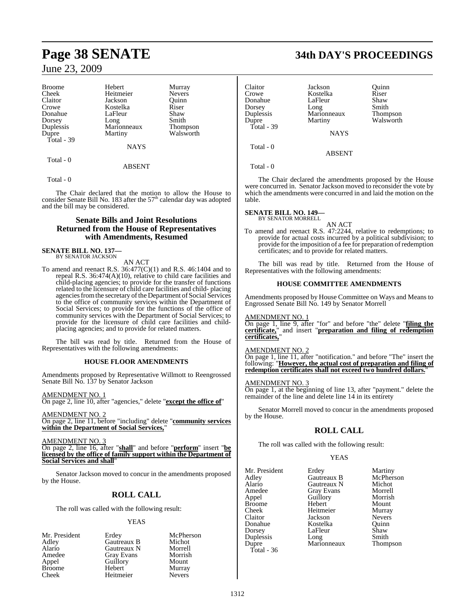| <b>Broome</b> | Hebert      | Murray          |
|---------------|-------------|-----------------|
| Cheek         | Heitmeier   | <b>Nevers</b>   |
| Claitor       | Jackson     | Ouinn           |
| Crowe         | Kostelka    | Riser           |
| Donahue       | LaFleur     | Shaw            |
| Dorsey        | Long        | Smith           |
| Duplessis     | Marionneaux | <b>Thompson</b> |
| Dupre         | Martiny     | Walsworth       |
| Total - 39    |             |                 |
|               | <b>NAYS</b> |                 |
| Total - 0     |             |                 |

### ABSENT

Total - 0

The Chair declared that the motion to allow the House to consider Senate Bill No. 183 after the  $57<sup>th</sup>$  calendar day was adopted and the bill may be considered.

### **Senate Bills and Joint Resolutions Returned from the House of Representatives with Amendments, Resumed**

# **SENATE BILL NO. 137—** BY SENATOR JACKSON

AN ACT

To amend and reenact R.S. 36:477(C)(1) and R.S. 46:1404 and to repeal R.S. 36:474(A)(10), relative to child care facilities and child-placing agencies; to provide for the transfer of functions related to the licensure of child care facilities and child- placing agencies from the secretary of the Department of Social Services to the office of community services within the Department of Social Services; to provide for the functions of the office of community services with the Department of Social Services; to provide for the licensure of child care facilities and childplacing agencies; and to provide for related matters.

The bill was read by title. Returned from the House of Representatives with the following amendments:

### **HOUSE FLOOR AMENDMENTS**

Amendments proposed by Representative Willmott to Reengrossed Senate Bill No. 137 by Senator Jackson

AMENDMENT NO. 1

On page 2, line 10, after "agencies," delete "**except the office of**"

AMENDMENT NO. 2 On page 2, line 11, before "including" delete "**community services within the Department of Social Services,**"

AMENDMENT NO. 3

On page 2, line 16, after "**shall**" and before "**perform**" insert "**be licensed by the office of family support within the Department of Social Services and shall**"

Senator Jackson moved to concur in the amendments proposed by the House.

## **ROLL CALL**

The roll was called with the following result:

### YEAS

McPherson Michot Morrell Morrish<br>Mount

Murray Nevers<sup>1</sup>

| Mr. President | Erdey             | McPhe  |
|---------------|-------------------|--------|
| Adley         | Gautreaux B       | Micho  |
| Alario        | Gautreaux N       | Morrel |
| Amedee        | <b>Gray Evans</b> | Morris |
| Appel         | Guillory          | Mount  |
| <b>Broome</b> | Hebert            | Murra  |
| Cheek         | Heitmeier         | Nevers |
|               |                   |        |

**Page 38 SENATE 34th DAY'S PROCEEDINGS**

| Claitor    | Jackson     | Ouinn           |
|------------|-------------|-----------------|
| Crowe      | Kostelka    | Riser           |
| Donahue    | LaFleur     | Shaw            |
| Dorsey     | Long        | Smith           |
| Duplessis  | Marionneaux | <b>Thompson</b> |
| Dupre      | Martiny     | Walsworth       |
| Total - 39 |             |                 |
|            | <b>NAYS</b> |                 |
| Total - 0  |             |                 |
|            | ABSENT      |                 |

Total - 0

The Chair declared the amendments proposed by the House were concurred in. Senator Jackson moved to reconsider the vote by which the amendments were concurred in and laid the motion on the table.

### **SENATE BILL NO. 149—**

BY SENATOR MORRELL

AN ACT To amend and reenact R.S. 47:2244, relative to redemptions; to provide for actual costs incurred by a political subdivision; to provide for the imposition of a fee for preparation of redemption certificates; and to provide for related matters.

The bill was read by title. Returned from the House of Representatives with the following amendments:

### **HOUSE COMMITTEE AMENDMENTS**

Amendments proposed by House Committee on Ways and Means to Engrossed Senate Bill No. 149 by Senator Morrell

### AMENDMENT NO. 1

On page 1, line 9, after "for" and before "the" delete "**filing the certificate,**" and insert "**preparation and filing of redemption certificates,**"

### AMENDMENT NO. 2

On page 1, line 11, after "notification." and before "The" insert the following: "**However, the actual cost of preparation and filing of redemption certificates shall not exceed two hundred dollars.**"

### AMENDMENT NO. 3

On page 1, at the beginning of line 13, after "payment." delete the remainder of the line and delete line 14 in its entirety

Senator Morrell moved to concur in the amendments proposed by the House.

## **ROLL CALL**

The roll was called with the following result:

### **YEAS**

Mr. President Erdey Martiny<br>Adlev Gautreaux B McPherson Alario Gautreaux N Michot Amedee Gray Evans Morrell<br>
Appel Guillory Morrish Broome Hebert Mount Cheek Heitmeier Murray Claitor Jackson Nevers Donahue Kostelka Quinn Duplessis Long Smith<br>Dupre Marionneaux Thompson Total - 36

Gautreaux B<br>
Gautreaux N<br>
Michot Application Guillory<br>
Hebert Mount LaFleur Marionneaux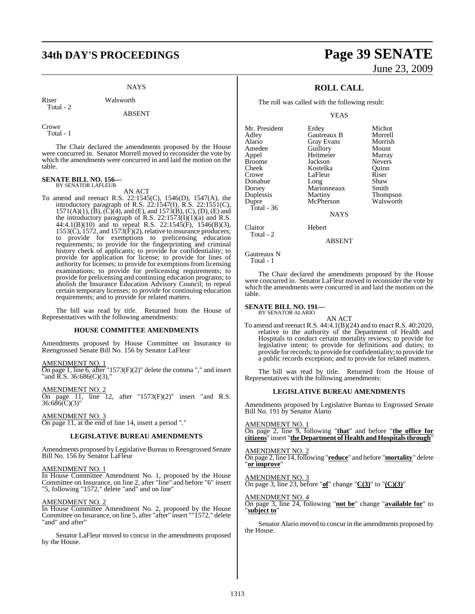# **34th DAY'S PROCEEDINGS Page 39 SENATE**

### **NAYS**

Riser Walsworth Total - 2

### ABSENT

Crowe Total - 1

The Chair declared the amendments proposed by the House were concurred in. Senator Morrell moved to reconsider the vote by which the amendments were concurred in and laid the motion on the table.

### **SENATE BILL NO. 156—** BY SENATOR LAFLEUR

AN ACT

To amend and reenact R.S. 22:1545(C), 1546(D), 1547(A), the introductory paragraph of R.S. 22:1547(I), R.S. 22:1551(C),  $1571(A)(1)$ ,  $(B)$ ,  $(C)(4)$ , and  $(E)$ , and  $1573(B)$ ,  $(C)$ ,  $(D)$ ,  $(E)$  and the introductory paragraph of R.S.  $22:1573(I)(1)(a)$  and R.S. 44:4.1(B)(10) and to repeal R.S. 22:1545(F), 1546(B)(3), 1553(C), 1572, and 1573( $\hat{F}$ )(2), relative to insurance producers; to provide for exemptions to prelicensing education requirements; to provide for the fingerprinting and criminal history check of applicants; to provide for confidentiality; to provide for application for license; to provide for lines of authority for licenses; to provide for exemptions from licensing examinations; to provide for prelicensing requirements; to provide for prelicensing and continuing education programs; to abolish the Insurance Education Advisory Council; to repeal certain temporary licenses; to provide for continuing education requirements; and to provide for related matters.

The bill was read by title. Returned from the House of Representatives with the following amendments:

### **HOUSE COMMITTEE AMENDMENTS**

Amendments proposed by House Committee on Insurance to Reengrossed Senate Bill No. 156 by Senator LaFleur

### AMENDMENT NO. 1

On page 1, line 6, after "1573(F)(2)" delete the comma "," and insert and  $\overline{R}$ .S. 36:686(C)(3),"

AMENDMENT NO. 2

On page 11, line 12, after " $1573(F)(2)$ " insert "and R.S. 36:686(C)(3)"

AMENDMENT NO. 3

On page 11, at the end of line 14, insert a period "."

### **LEGISLATIVE BUREAU AMENDMENTS**

Amendments proposed by Legislative Bureau to Reengrossed Senate Bill No. 156 by Senator LaFleur

### AMENDMENT NO. 1

In House Committee Amendment No. 1, proposed by the House Committee on Insurance, on line 2, after "line" and before "6" insert "5, following "1572," delete "and" and on line"

### AMENDMENT NO. 2

In House Committee Amendment No. 2, proposed by the House Committee on Insurance, on line 5, after "after" insert ""1572," delete 'and" and after"

Senator LaFleur moved to concur in the amendments proposed by the House.

# June 23, 2009

## **ROLL CALL**

The roll was called with the following result:

YEAS

| Mr. President | Erdey             |
|---------------|-------------------|
| Adley         | Gautreaux B       |
| Alario        | <b>Gray Evans</b> |
| Amedee        | Guillory          |
| Appel         | Heitmeier         |
| <b>Broome</b> | Jackson           |
| Cheek         | Kostelka          |
| Crowe         | LaFleur           |
| Donahue       | Long              |
| Dorsey        | Marionneaux       |
| Duplessis     | Martiny           |
| Dupre         | McPherson         |
| Total - 36    |                   |
|               | NAY.              |
|               |                   |

Erdey Michot<br>Gautreaux B Morrell Gautreaux B Morrell<br>Grav Evans Morrish Gray Evans Morris<br>Guillory Mount Amedee Guillory Mount Heitmeier Murray<br>Tackson Nevers Fackson Nevers<br>Kostelka Ouinn Xostelka Quinn<br>CaFleur Riser Long Shaw<br>Marionneaux Smith Martiny Thompson<br>McPherson Walsworth Walsworth

Claitor Hebert

### ABSENT

NAYS

Gautreaux N Total - 1

Total - 2

The Chair declared the amendments proposed by the House were concurred in. Senator LaFleur moved to reconsider the vote by which the amendments were concurred in and laid the motion on the table.

**SENATE BILL NO. 191—** BY SENATOR ALARIO

AN ACT

To amend and reenact R.S. 44:4.1(B)(24) and to enact R.S. 40:2020, relative to the authority of the Department of Health and Hospitals to conduct certain mortality reviews; to provide for legislative intent; to provide for definitions and duties; to provide for records; to provide for confidentiality; to provide for a public records exception; and to provide for related matters.

The bill was read by title. Returned from the House of Representatives with the following amendments:

### **LEGISLATIVE BUREAU AMENDMENTS**

Amendments proposed by Legislative Bureau to Engrossed Senate Bill No. 191 by Senator Alario

AMENDMENT NO. 1

On page 2, line 9, following "**that**" and before "**the office for citizens**" insert "**the Department of Health and Hospitalsthrough**"

### <u>AMENDMENT NO. 2</u>

On page 2, line 14,following "**reduce**" and before "**mortality**" delete "**or improve**"

### AMENDMENT NO. 3

On page 3, line 23, before "**of**" change "**C(3)**" to "**(C)(3)**"

### AMENDMENT NO. 4

On page 3, line 24, following "**not be**" change "**available for**" to "**subject to**"

Senator Alario moved to concur in the amendments proposed by the House.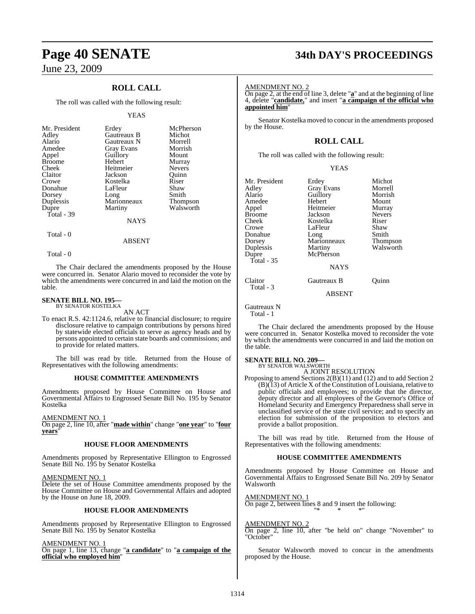## **ROLL CALL**

The roll was called with the following result:

### YEAS

| Mr. President<br>Adley<br>Alario<br>Amedee<br>Appel<br><b>Broome</b><br>Cheek<br>Claitor<br>Crowe<br>Donahue<br>Dorsey | Erdey<br>Gautreaux B<br>Gautreaux N<br>Gray Evans<br>Guillory<br>Hebert<br>Heitmeier<br>Jackson<br>Kostelka<br>LaFleur<br>Long | McPherson<br>Michot<br>Morrell<br>Morrish<br>Mount<br>Murray<br><b>Nevers</b><br>Ouinn<br>Riser<br>Shaw<br>Smith |
|------------------------------------------------------------------------------------------------------------------------|--------------------------------------------------------------------------------------------------------------------------------|------------------------------------------------------------------------------------------------------------------|
| Duplessis<br>Dupre<br>Total - 39                                                                                       | Marionneaux<br>Martiny<br>NAYS                                                                                                 | <b>Thompson</b><br>Walsworth                                                                                     |
| Total - 0                                                                                                              |                                                                                                                                |                                                                                                                  |

Total - 0

The Chair declared the amendments proposed by the House were concurred in. Senator Alario moved to reconsider the vote by which the amendments were concurred in and laid the motion on the table.

ABSENT

### **SENATE BILL NO. 195—** BY SENATOR KOSTELKA

AN ACT

To enact R.S. 42:1124.6, relative to financial disclosure; to require disclosure relative to campaign contributions by persons hired by statewide elected officials to serve as agency heads and by persons appointed to certain state boards and commissions; and to provide for related matters.

The bill was read by title. Returned from the House of Representatives with the following amendments:

### **HOUSE COMMITTEE AMENDMENTS**

Amendments proposed by House Committee on House and Governmental Affairs to Engrossed Senate Bill No. 195 by Senator Kostelka

AMENDMENT NO. 1

On page 2, line 10, after "**made within**" change "**one year**" to "**four years**"

### **HOUSE FLOOR AMENDMENTS**

Amendments proposed by Representative Ellington to Engrossed Senate Bill No. 195 by Senator Kostelka

### AMENDMENT NO. 1

Delete the set of House Committee amendments proposed by the House Committee on House and Governmental Affairs and adopted by the House on June 18, 2009.

### **HOUSE FLOOR AMENDMENTS**

Amendments proposed by Representative Ellington to Engrossed Senate Bill No. 195 by Senator Kostelka

AMENDMENT NO. 1

On page 1, line 13, change "**a candidate**" to "**a campaign of the official who employed him**"

# **Page 40 SENATE 34th DAY'S PROCEEDINGS**

### AMENDMENT NO. 2

On page 2, at the end of line 3, delete "**a**" and at the beginning of line 4, delete "**candidate,**" and insert "**a campaign of the official who appointed him**"

Senator Kostelka moved to concur in the amendments proposed by the House.

### **ROLL CALL**

The roll was called with the following result:

| v |
|---|
|---|

| Mr. President<br>Adley<br>Alario<br>Amedee<br>Appel<br><b>Broome</b><br>Cheek<br>Crowe<br>Donahue<br>Dorsey | Erdey<br><b>Gray Evans</b><br>Guillory<br>Hebert<br>Heitmeier<br>Jackson<br>Kostelka<br>LaFleur<br>Long<br>Marionneaux | Michot<br>Morrell<br>Morrish<br>Mount<br>Murray<br><b>Nevers</b><br>Riser<br>Shaw<br>Smith<br><b>Thompson</b> |
|-------------------------------------------------------------------------------------------------------------|------------------------------------------------------------------------------------------------------------------------|---------------------------------------------------------------------------------------------------------------|
| Duplessis<br>Dupre<br>Total $-35$                                                                           | Martiny<br>McPherson<br><b>NAYS</b>                                                                                    | Walsworth                                                                                                     |
| Claitor<br>Total - 3                                                                                        | Gautreaux B<br>$1.72.0223$ $7.72$                                                                                      | Ouinn                                                                                                         |

ABSENT

Gautreaux N Total - 1

The Chair declared the amendments proposed by the House were concurred in. Senator Kostelka moved to reconsider the vote by which the amendments were concurred in and laid the motion on the table.

### **SENATE BILL NO. 209—**

BY SENATOR WALSWORTH A JOINT RESOLUTION

Proposing to amend Sections 2(B)(11) and (12) and to add Section 2  $(B)(13)$  of Article X of the Constitution of Louisiana, relative to public officials and employees; to provide that the director, deputy director and all employees of the Governor's Office of Homeland Security and Emergency Preparedness shall serve in unclassified service of the state civil service; and to specify an election for submission of the proposition to electors and provide a ballot proposition.

The bill was read by title. Returned from the House of Representatives with the following amendments:

### **HOUSE COMMITTEE AMENDMENTS**

Amendments proposed by House Committee on House and Governmental Affairs to Engrossed Senate Bill No. 209 by Senator Walsworth

AMENDMENT NO. 1 On page 2, between lines 8 and 9 insert the following:

AMENDMENT NO. 2

On page 2, line 10, after "be held on" change "November" to "October"

"\* \* \*"

Senator Walsworth moved to concur in the amendments proposed by the House.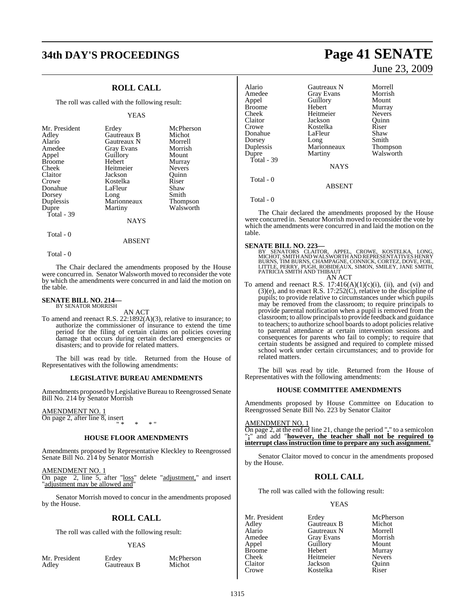# **34th DAY'S PROCEEDINGS Page 41 SENATE**

## **ROLL CALL**

The roll was called with the following result:

### YEAS

| Mr. President                    | Erdey                          | McPherson                    |
|----------------------------------|--------------------------------|------------------------------|
| Adley                            | Gautreaux B                    | Michot                       |
| Alario                           | Gautreaux N                    | Morrell                      |
| Amedee                           | <b>Gray Evans</b>              | Morrish                      |
| Appel                            | Guillory                       | Mount                        |
| <b>Broome</b>                    | Hebert                         | Murray                       |
| Cheek                            | Heitmeier                      | <b>Nevers</b>                |
| Claitor                          | Jackson                        | Ouinn                        |
| Crowe                            | Kostelka                       | Riser                        |
| Donahue                          | LaFleur                        | Shaw                         |
| Dorsey                           | Long                           | Smith                        |
| Duplessis<br>Dupre<br>Total - 39 | Marionneaux<br>Martiny<br>NAYS | <b>Thompson</b><br>Walsworth |
|                                  |                                |                              |

Total - 0

Total - 0

The Chair declared the amendments proposed by the House were concurred in. Senator Walsworth moved to reconsider the vote by which the amendments were concurred in and laid the motion on the table.

ABSENT

### **SENATE BILL NO. 214—** BY SENATOR MORRISH

AN ACT

To amend and reenact R.S. 22:1892(A)(3), relative to insurance; to authorize the commissioner of insurance to extend the time period for the filing of certain claims on policies covering damage that occurs during certain declared emergencies or disasters; and to provide for related matters.

The bill was read by title. Returned from the House of Representatives with the following amendments:

### **LEGISLATIVE BUREAU AMENDMENTS**

Amendments proposed by Legislative Bureau to Reengrossed Senate Bill No. 214 by Senator Morrish

### AMENDMENT NO. 1

On page 2, after line 8, insert " \* \* \* "

### **HOUSE FLOOR AMENDMENTS**

Amendments proposed by Representative Kleckley to Reengrossed Senate Bill No. 214 by Senator Morrish

AMENDMENT NO. 1 On page 2, line 5, after "loss" delete "adjustment," and insert "adjustment may be allowed and"

Senator Morrish moved to concur in the amendments proposed by the House.

### **ROLL CALL**

The roll was called with the following result:

### YEAS

| Mr. President | Erdey       | McPherson<br>Michot |
|---------------|-------------|---------------------|
| Adley         | Gautreaux B |                     |

June 23, 2009

| Alario        | <b>Gautreaux N</b> | Morrell         |
|---------------|--------------------|-----------------|
| Amedee        | Gray Evans         | Morrish         |
| Appel         | Guillory           | Mount           |
| <b>Broome</b> | Hebert             | Murray          |
| Cheek         | Heitmeier          | <b>Nevers</b>   |
| Claitor       | Jackson            | Ouinn           |
| Crowe         | Kostelka           | Riser           |
| Donahue       | LaFleur            | Shaw            |
| Dorsey        | Long               | Smith           |
| Duplessis     | Marionneaux        | <b>Thompson</b> |
| Dupre         | Martiny            | Walsworth       |
| Total - 39    |                    |                 |
|               | <b>NAYS</b>        |                 |
| Total - 0     | <b>ABSENT</b>      |                 |
|               |                    |                 |

Total - 0

The Chair declared the amendments proposed by the House were concurred in. Senator Morrish moved to reconsider the vote by which the amendments were concurred in and laid the motion on the table.

### **SENATE BILL NO. 223—**

BY SENATORS CLAITOR, APPEL, CROWE, KOSTELKA, LONG,<br>MICHOT,SMITHANDWALSWORTHANDREPRESENTATIVESHENRY<br>BURNS,TIMBURNS,CHAMPAGNE,CONNICK,CORTEZ,DOVE,FOIL,<br>LITTLE,PERRY,PUGH,ROBIDEAUX,SIMON,SMILEY,JANE SMITH,<br>PATRICIASMITHANDTHI AN ACT

To amend and reenact R.S.  $17:416(A)(1)(c)(i)$ , (ii), and (vi) and (3)(e), and to enact R.S.  $17:252(C)$ , relative to the discipline of pupils; to provide relative to circumstances under which pupils may be removed from the classroom; to require principals to provide parental notification when a pupil is removed from the classroom; to allow principalsto provide feedback and guidance to teachers; to authorize school boards to adopt policies relative to parental attendance at certain intervention sessions and consequences for parents who fail to comply; to require that certain students be assigned and required to complete missed school work under certain circumstances; and to provide for related matters.

The bill was read by title. Returned from the House of Representatives with the following amendments:

### **HOUSE COMMITTEE AMENDMENTS**

Amendments proposed by House Committee on Education to Reengrossed Senate Bill No. 223 by Senator Claitor

### AMENDMENT NO. 1

On page 2, at the end of line 21, change the period "**.**" to a semicolon "**;**" and add "**however, the teacher shall not be required to interrupt class instruction time to prepare any such assignment.**"

Senator Claitor moved to concur in the amendments proposed by the House.

### **ROLL CALL**

The roll was called with the following result:

### **YEAS**

Mr. President Erdey McPherson<br>Adley Gautreaux B Michot Alario Gautreaux N Morrell Amedee Gray Evans Morrisl<br>
Appel Guillory Mount Broome Hebert Murray<br>Cheek Heitmeier Nevers Claitor Jackson Quinn<br>Crowe Kostelka Riser

Gautreaux B Application Guillory<br>
Hebert Murray Heitmeier Kostelka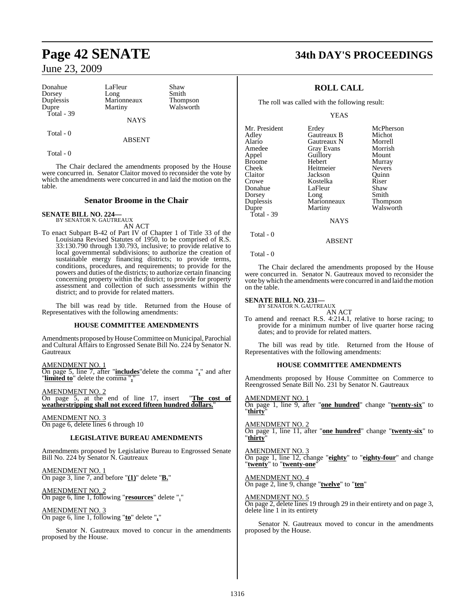Donahue LaFleur Shaw<br>Dorsey Long Smith Dorsey Long Smith<br>
Duplessis Marionneaux Thompson Duplessis Marionneaux<br>
Dupre Martiny Total - 39

NAYS

ABSENT

Walsworth

Total - 0

Total - 0

The Chair declared the amendments proposed by the House were concurred in. Senator Claitor moved to reconsider the vote by which the amendments were concurred in and laid the motion on the table.

### **Senator Broome in the Chair**

## **SENATE BILL NO. 224—**

BY SENATOR N. GAUTREAUX AN ACT

To enact Subpart B-42 of Part IV of Chapter 1 of Title 33 of the Louisiana Revised Statutes of 1950, to be comprised of R.S. 33:130.790 through 130.793, inclusive; to provide relative to local governmental subdivisions; to authorize the creation of sustainable energy financing districts; to provide terms, conditions, procedures, and requirements; to provide for the powers and duties of the districts; to authorize certain financing concerning property within the district; to provide for property assessment and collection of such assessments within the district; and to provide for related matters.

The bill was read by title. Returned from the House of Representatives with the following amendments:

### **HOUSE COMMITTEE AMENDMENTS**

Amendments proposed by House Committee on Municipal, Parochial and Cultural Affairs to Engrossed Senate Bill No. 224 by Senator N. Gautreaux

AMENDMENT NO. 1 On page 5, line 7, after "**includes**"delete the comma "**,**" and after "**limited to**" delete the comma "**,**"

AMENDMENT NO. 2 On page 5, at the end of line 17, insert "**The cost of weatherstripping shall not exceed fifteen hundred dollars.**"

AMENDMENT NO. 3 On page 6, delete lines 6 through 10

### **LEGISLATIVE BUREAU AMENDMENTS**

Amendments proposed by Legislative Bureau to Engrossed Senate Bill No. 224 by Senator N. Gautreaux

AMENDMENT NO. 1 On page 3, line 7, and before "**(1)**" delete "**B.**"

AMENDMENT NO. 2 On page 6, line 1, following "**resources**" delete ","

AMENDMENT NO. 3 On page 6, line 1, following "**to**" delete "**,**"

Senator N. Gautreaux moved to concur in the amendments proposed by the House.

# **Page 42 SENATE 34th DAY'S PROCEEDINGS**

## **ROLL CALL**

The roll was called with the following result:

YEAS

| Mr. President<br>Adley<br>Alario<br>Amedee<br>Appel<br><b>Broome</b><br>Cheek<br>Claitor<br>Crowe<br>Donahue | Erdey<br>Gautreaux B<br>Gautreaux N<br><b>Gray Evans</b><br>Guillory<br>Hebert<br>Heitmeier<br>Jackson<br>Kostelka<br>LaFleur | McPherson<br>Michot<br>Morrell<br>Morrish<br>Mount<br>Murray<br><b>Nevers</b><br>Ouinn<br>Riser<br>Shaw |
|--------------------------------------------------------------------------------------------------------------|-------------------------------------------------------------------------------------------------------------------------------|---------------------------------------------------------------------------------------------------------|
|                                                                                                              |                                                                                                                               |                                                                                                         |
| Dorsey<br>Duplessis                                                                                          | Long<br>Marionneaux                                                                                                           | Smith<br>Thompson                                                                                       |
| Dupre<br>Total - 39                                                                                          | Martiny                                                                                                                       | Walsworth                                                                                               |
|                                                                                                              | <b>NAYS</b>                                                                                                                   |                                                                                                         |
|                                                                                                              |                                                                                                                               |                                                                                                         |

Total - 0

Total - 0

The Chair declared the amendments proposed by the House were concurred in. Senator N. Gautreaux moved to reconsider the vote by which the amendments were concurred in and laid the motion on the table.

ABSENT

# **SENATE BILL NO. 231—** BY SENATOR N. GAUTREAUX

AN ACT To amend and reenact R.S. 4:214.1, relative to horse racing; to provide for a minimum number of live quarter horse racing dates; and to provide for related matters.

The bill was read by title. Returned from the House of Representatives with the following amendments:

### **HOUSE COMMITTEE AMENDMENTS**

Amendments proposed by House Committee on Commerce to Reengrossed Senate Bill No. 231 by Senator N. Gautreaux

AMENDMENT NO. 1 On page 1, line 9, after "**one hundred**" change "**twenty-six**" to "**thirty**"

AMENDMENT NO. 2 On page 1, line 11, after "**one hundred**" change "**twenty-six**" to "**thirty**"

AMENDMENT NO. 3 On page 1, line 12, change "**eighty**" to "**eighty-four**" and change "**twenty**" to "**twenty-one**"

AMENDMENT NO. 4 On page 2, line 9, change "**twelve**" to "**ten**"

AMENDMENT NO. 5

On page 2, delete lines 19 through 29 in their entirety and on page 3, delete line 1 in its entirety

Senator N. Gautreaux moved to concur in the amendments proposed by the House.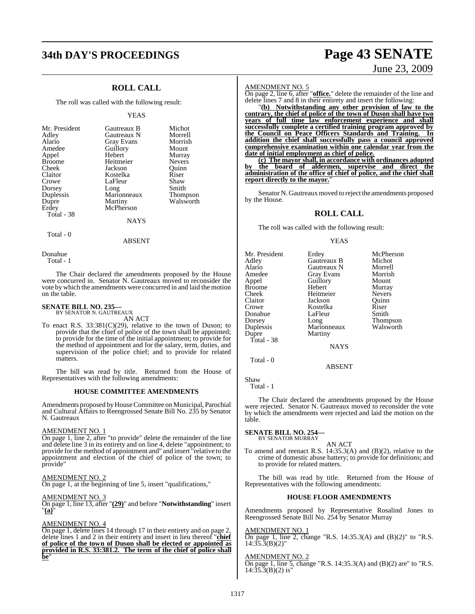# **34th DAY'S PROCEEDINGS Page 43 SENATE**

## **ROLL CALL**

The roll was called with the following result:

### YEAS

| Gautreaux B | Michot                        |
|-------------|-------------------------------|
| Gautreaux N | Morrell                       |
|             | Morrish                       |
| Guillory    | Mount                         |
| Hebert      | Murray                        |
| Heitmeier   | <b>Nevers</b>                 |
| Jackson     | Ouinn                         |
| Kostelka    | Riser                         |
| LaFleur     | Shaw                          |
|             | Smith                         |
| Marionneaux | Thompson                      |
|             | Walsworth                     |
| McPherson   |                               |
|             |                               |
| NAYS        |                               |
|             | Gray Evans<br>Long<br>Martiny |

### ABSENT

Donahue Total - 1

Total - 0

The Chair declared the amendments proposed by the House were concurred in. Senator N. Gautreaux moved to reconsider the vote by which the amendments were concurred in and laid the motion on the table.

# **SENATE BILL NO. 235—** BY SENATOR N. GAUTREAUX

AN ACT

To enact R.S. 33:381(C)(29), relative to the town of Duson; to provide that the chief of police of the town shall be appointed; to provide for the time of the initial appointment; to provide for the method of appointment and for the salary, term, duties, and supervision of the police chief; and to provide for related matters.

The bill was read by title. Returned from the House of Representatives with the following amendments:

### **HOUSE COMMITTEE AMENDMENTS**

Amendments proposed by House Committee on Municipal, Parochial and Cultural Affairs to Reengrossed Senate Bill No. 235 by Senator N. Gautreaux

### AMENDMENT NO. 1

On page 1, line 2, after "to provide" delete the remainder of the line and delete line 3 in its entirety and on line 4, delete "appointment; to provide for the method of appointment and" and insert "relative to the appointment and election of the chief of police of the town; to provide"

### AMENDMENT NO. 2

On page 1, at the beginning of line 5, insert "qualifications,"

### AMENDMENT NO. 3

On page 1, line 13, after "**(29)**" and before "**Notwithstanding**" insert "**(a)**"

### AMENDMENT NO. 4

On page 1, delete lines 14 through 17 in their entirety and on page 2, delete lines 1 and 2 in their entirety and insert in lieu thereof "**chief of police of the town of Duson shall be elected or appointed as provided in R.S. 33:381.2. The term of the chief of police shall be**"

# June 23, 2009

### AMENDMENT NO. 5

On page 2, line 6, after "**office.**" delete the remainder of the line and delete lines 7 and 8 in their entirety and insert the following:

"**(b) Notwithstanding any other provision of law to the contrary, the chief of police of the town of Duson shall have two years of full time law enforcement experience and shall successfully complete a certified training program approved by the Council on Peace Officers Standards and Training. In addition the chief shall successfully pass a council approved comprehensive examination within one calendar year from the date of initial employment as chief of police.**

**(c) The mayor shall, in accordance with ordinances adopted by the board of aldermen, supervise and direct the administration of the office of chief of police, and the chief shall report directly to the mayor.**"

Senator N. Gautreaux moved to reject the amendments proposed by the House.

### **ROLL CALL**

The roll was called with the following result:

### YEAS

| Mr. President | Erdey             | McPherson     |
|---------------|-------------------|---------------|
| Adley         | Gautreaux B       | Michot        |
| Alario        | Gautreaux N       | Morrell       |
| Amedee        | <b>Gray Evans</b> | Morrish       |
| Appel         | Guillory          | Mount         |
| <b>Broome</b> | Hebert            | Murray        |
| Cheek         | Heitmeier         | <b>Nevers</b> |
| Claitor       | Jackson           | Ouinn         |
| Crowe         | Kostelka          | Riser         |
| Donahue       | LaFleur           | Smith         |
| Dorsey        | Long              | Thompson      |
| Duplessis     | Marionneaux       | Walsworth     |
| Dupre         | Martiny           |               |
| Total - 38    |                   |               |
|               | <b>NAYS</b>       |               |
|               |                   |               |

### ABSENT

Shaw Total - 1

Total - 0

The Chair declared the amendments proposed by the House were rejected. Senator N. Gautreaux moved to reconsider the vote by which the amendments were rejected and laid the motion on the table.

# **SENATE BILL NO. 254—** BY SENATOR MURRAY

AN ACT

To amend and reenact R.S. 14:35.3(A) and (B)(2), relative to the crime of domestic abuse battery; to provide for definitions; and to provide for related matters.

The bill was read by title. Returned from the House of Representatives with the following amendments:

### **HOUSE FLOOR AMENDMENTS**

Amendments proposed by Representative Rosalind Jones to Reengrossed Senate Bill No. 254 by Senator Murray

### AMENDMENT NO. 1

On page 1, line 2, change "R.S. 14:35.3(A) and (B)(2)" to "R.S.  $14:35.\overline{3}(B)(2)$ "

### AMENDMENT NO. 2

On page 1, line 5, change "R.S. 14:35.3(A) and (B)(2) are" to "R.S.  $14:35.3(B)(2)$  is"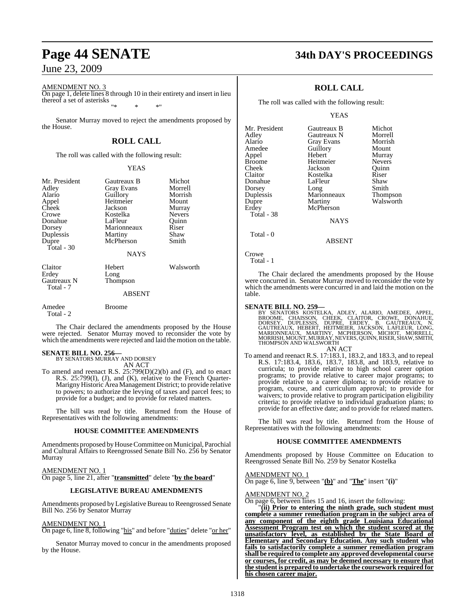### AMENDMENT NO. 3

On page 1, delete lines 8 through 10 in their entirety and insert in lieu thereof a set of asterisks "\* \* \*"

Senator Murray moved to reject the amendments proposed by the House.

### **ROLL CALL**

The roll was called with the following result:

### YEAS

| Mr. President<br>Adley<br>Alario<br>Appel<br>Cheek<br>Crowe<br>Donahue<br>Dorsey<br>Duplessis<br>Dupre<br>Total $-30$ | Gautreaux B<br>Gray Evans<br>Guillory<br>Heitmeier<br>Jackson<br>Kostelka<br>LaFleur<br>Marionneaux<br>Martiny<br>McPherson<br><b>NAYS</b> | Michot<br>Morrell<br>Morrish<br>Mount<br>Murray<br><b>Nevers</b><br>Quinn<br>Riser<br>Shaw<br>Smith |
|-----------------------------------------------------------------------------------------------------------------------|--------------------------------------------------------------------------------------------------------------------------------------------|-----------------------------------------------------------------------------------------------------|
| Claitor<br>Erdey<br>Gautreaux N<br>Total - 7                                                                          | Hebert<br>Long<br>Thompson<br><b>ABSENT</b>                                                                                                | Walsworth                                                                                           |
| Amedee<br>Total - 2                                                                                                   | Broome                                                                                                                                     |                                                                                                     |

The Chair declared the amendments proposed by the House were rejected. Senator Murray moved to reconsider the vote by which the amendments were rejected and laid the motion on the table.

# **SENATE BILL NO. 256—** BY SENATORS MURRAY AND DORSEY

AN ACT

To amend and reenact R.S. 25:799(D)(2)(b) and (F), and to enact R.S. 25:799(I), (J), and (K), relative to the French Quarter-Marigny Historic Area Management District; to provide relative to powers; to authorize the levying of taxes and parcel fees; to provide for a budget; and to provide for related matters.

The bill was read by title. Returned from the House of Representatives with the following amendments:

### **HOUSE COMMITTEE AMENDMENTS**

Amendments proposed byHouseCommittee on Municipal, Parochial and Cultural Affairs to Reengrossed Senate Bill No. 256 by Senator Murray

AMENDMENT NO. 1 On page 5, line 21, after "**transmitted**" delete "**by the board**"

### **LEGISLATIVE BUREAU AMENDMENTS**

Amendments proposed by Legislative Bureau to Reengrossed Senate Bill No. 256 by Senator Murray

### AMENDMENT NO. 1

On page 6, line 8, following "his" and before "duties" delete "or her"

Senator Murray moved to concur in the amendments proposed by the House.

# **Page 44 SENATE 34th DAY'S PROCEEDINGS**

### **ROLL CALL**

The roll was called with the following result:

### YEAS

| Mr. President | Gautreaux B | Michot          |
|---------------|-------------|-----------------|
| Adley         | Gautreaux N | Morrell         |
| Alario        | Gray Evans  | Morrish         |
| Amedee        | Guillory    | Mount           |
| Appel         | Hebert      | Murray          |
| <b>Broome</b> | Heitmeier   | <b>Nevers</b>   |
| Cheek         | Jackson     | Ouinn           |
| Claitor       | Kostelka    | Riser           |
| Donahue       | LaFleur     | Shaw            |
| Dorsey        | Long        | Smith           |
| Duplessis     | Marionneaux | <b>Thompson</b> |
| Dupre         | Martiny     | Walsworth       |
| Erdey         | McPherson   |                 |
| Total - 38    |             |                 |
|               | <b>NAYS</b> |                 |
| Total - 0     |             |                 |

Crowe Total - 1

The Chair declared the amendments proposed by the House were concurred in. Senator Murray moved to reconsider the vote by which the amendments were concurred in and laid the motion on the table.

ABSENT

### **SENATE BILL NO. 259—**

BY SENATORS KOSTELKA, ADLEY, ALARIO, AMEDEE, APPEL,<br>BROOME, CHAISSON, CHEEK, CLAITOR, CROWE, DONAHUE,<br>DORSEY, DUPLESSIS, DUPRE, ERDEY, B. GAUTREAUX, N.<br>GAUTREAUX, HEBERT, HEITMEIER, JACKSON, LAFLEUR, LONG,<br>MARIONNEAUX, MAR AN ACT

To amend and reenact R.S. 17:183.1, 183.2, and 183.3, and to repeal R.S. 17:183.4, 183.6, 183.7, 183.8, and 183.9, relative to curricula; to provide relative to high school career option programs; to provide relative to career major programs; to provide relative to a career diploma; to provide relative to program, course, and curriculum approval; to provide for waivers; to provide relative to program participation eligibility criteria; to provide relative to individual graduation plans; to provide for an effective date; and to provide for related matters.

The bill was read by title. Returned from the House of Representatives with the following amendments:

### **HOUSE COMMITTEE AMENDMENTS**

Amendments proposed by House Committee on Education to Reengrossed Senate Bill No. 259 by Senator Kostelka

AMENDMENT NO. 1

On page 6, line 9, between "**(b)**" and "**The**" insert "**(i)**"

### AMENDMENT NO. 2

On page 6, between lines 15 and 16, insert the following:

"**(ii) Prior to entering the ninth grade, such student must complete a summer remediation program in the subject area of any component of the eighth grade Louisiana Educational Assessment Program test on which the student scored at the unsatisfactory level, as established by the State Board of Elementary and Secondary Education. Any such student who fails to satisfactorily complete a summer remediation program shall be required to complete any approved developmental course or courses, for credit, as may be deemed necessary to ensure that the student is prepared to undertake the coursework required for his chosen career major.**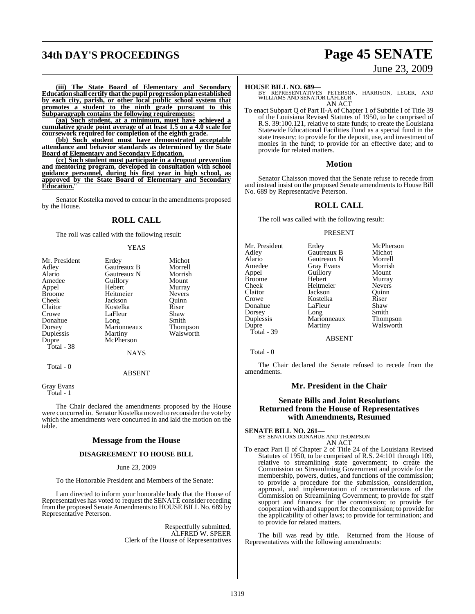# **34th DAY'S PROCEEDINGS Page 45 SENATE**

# June 23, 2009

**(iii) The State Board of Elementary and Secondary Educationshall certify thatthe pupil progressionplanestablished by each city, parish, or other local public school system that promotes a student to the ninth grade pursuant to this Subparagraph contains the following requirements:**

**(aa) Such student, at a minimum, must have achieved a cumulative grade point average of at least 1.5 on a 4.0 scale for coursework required for completion of the eighth grade.**

**(bb) Such student must have demonstrated acceptable attendance and behavior standards as determined by the State Board of Elementary and Secondary Education.**

**(cc) Such student must participate in a dropout prevention and mentoring program, developed in consultation with school guidance personnel, during his first year in high school, as approved by the State Board of Elementary and Secondary Education.**"

Senator Kostelka moved to concur in the amendments proposed by the House.

### **ROLL CALL**

The roll was called with the following result:

### YEAS

| Mr. President | Erdey         | Michot        |
|---------------|---------------|---------------|
| Adley         | Gautreaux B   | Morrell       |
| Alario        | Gautreaux N   | Morrish       |
| Amedee        | Guillory      | Mount         |
| Appel         | Hebert        | Murray        |
| <b>Broome</b> | Heitmeier     | <b>Nevers</b> |
| Cheek         | Jackson       | Ouinn         |
| Claitor       | Kostelka      | Riser         |
| Crowe         | LaFleur       | Shaw          |
| Donahue       | Long          | Smith         |
| Dorsey        | Marionneaux   | Thompson      |
| Duplessis     | Martiny       | Walsworth     |
| Dupre         | McPherson     |               |
| Total - 38    |               |               |
|               | <b>NAYS</b>   |               |
| Total - 0     |               |               |
|               | <b>ABSENT</b> |               |

Gray Evans Total - 1

The Chair declared the amendments proposed by the House were concurred in. Senator Kostelka moved to reconsider the vote by which the amendments were concurred in and laid the motion on the table.

### **Message from the House**

### **DISAGREEMENT TO HOUSE BILL**

June 23, 2009

To the Honorable President and Members of the Senate:

I am directed to inform your honorable body that the House of Representatives has voted to request the SENATE consider receding from the proposed Senate Amendments to HOUSE BILL No. 689 by Representative Peterson.

> Respectfully submitted, ALFRED W. SPEER Clerk of the House of Representatives

### **HOUSE BILL NO. 689—**

BY REPRESENTATIVES PETERSON, HARRISON, LEGER, AND WILLIAMS AND SENATOR LAFLEUR AN ACT

To enact Subpart Q of Part II-A of Chapter 1 of Subtitle I of Title 39 of the Louisiana Revised Statutes of 1950, to be comprised of R.S. 39:100.121, relative to state funds; to create the Louisiana Statewide Educational Facilities Fund as a special fund in the state treasury; to provide for the deposit, use, and investment of monies in the fund; to provide for an effective date; and to provide for related matters.

### **Motion**

Senator Chaisson moved that the Senate refuse to recede from and instead insist on the proposed Senate amendments to House Bill No. 689 by Representative Peterson.

### **ROLL CALL**

The roll was called with the following result:

### PRESENT

| Mr. President | Erdey       | McPherson       |
|---------------|-------------|-----------------|
| Adley         | Gautreaux B | Michot          |
| Alario        | Gautreaux N | Morrell         |
| Amedee        | Gray Evans  | Morrish         |
| Appel         | Guillory    | Mount           |
| Broome        | Hebert      | Murray          |
| Cheek         | Heitmeier   | <b>Nevers</b>   |
| Claitor       | Jackson     | Quinn           |
| Crowe         | Kostelka    | Riser           |
| Donahue       | LaFleur     | Shaw            |
| Dorsey        | Long        | Smith           |
| Duplessis     | Marionneaux | <b>Thompson</b> |
| Dupre         | Martiny     | Walsworth       |
| Total - 39    |             |                 |

ABSENT

Total - 0

The Chair declared the Senate refused to recede from the amendments.

### **Mr. President in the Chair**

### **Senate Bills and Joint Resolutions Returned from the House of Representatives with Amendments, Resumed**

**SENATE BILL NO. 261—** BY SENATORS DONAHUE AND THOMPSON AN ACT

To enact Part II of Chapter 2 of Title 24 of the Louisiana Revised Statutes of 1950, to be comprised of R.S. 24:101 through 109, relative to streamlining state government; to create the Commission on Streamlining Government and provide for the membership, powers, duties, and functions of the commission; to provide a procedure for the submission, consideration, approval, and implementation of recommendations of the Commission on Streamlining Government; to provide for staff support and finances for the commission; to provide for cooperation with and support for the commission; to provide for the applicability of other laws; to provide for termination; and to provide for related matters.

The bill was read by title. Returned from the House of Representatives with the following amendments: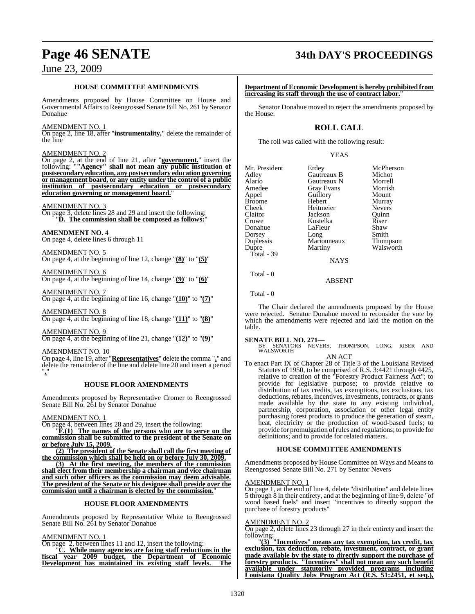## **HOUSE COMMITTEE AMENDMENTS**

Amendments proposed by House Committee on House and Governmental Affairs to Reengrossed Senate Bill No. 261 by Senator Donahue

### AMENDMENT NO. 1

On page 2, line 18, after "**instrumentality,**" delete the remainder of the line

### AMENDMENT NO. 2

On page 2, at the end of line 21, after "**government.**" insert the following: "**"Agency" shall not mean any public institution of postsecondary education, any postsecondary education governing or management board, or any entity under the control of a public institution of postsecondary education or postsecondary education governing or management board.**"

### AMENDMENT NO. 3

On page 3, delete lines 28 and 29 and insert the following: "**D. The commission shall be composed as follows:**"

### **AMENDMENT NO.** 4

On page 4, delete lines 6 through 11

AMENDMENT NO. 5 On page 4, at the beginning of line 12, change "**(8)**" to "**(5)**"

AMENDMENT NO. 6 On page 4, at the beginning of line 14, change "**(9)**" to "**(6)**"

AMENDMENT NO. 7 On page 4, at the beginning of line 16, change "**(10)**" to "**(7)**"

AMENDMENT NO. 8 On page 4, at the beginning of line 18, change "**(11)**" to "**(8)**"

### AMENDMENT NO. 9

On page 4, at the beginning of line 21, change "**(12)**" to "**(9)**"

# AMENDMENT NO. 10

On page 4, line 19, after "**Representatives**" delete the comma "**,**" and delete the remainder of the line and delete line 20 and insert a period "**.**"

### **HOUSE FLOOR AMENDMENTS**

Amendments proposed by Representative Cromer to Reengrossed Senate Bill No. 261 by Senator Donahue

### AMENDMENT NO. 1

On page 4, between lines 28 and 29, insert the following:

"**F.(1) The names of the persons who are to serve on the commission shall be submitted to the president of the Senate on or before July 15, 2009.**

**(2) The president of the Senate shall call the first meeting of the commission which shall be held on or before July 30, 2009.**

**(3) At the first meeting, the members of the commission shall elect from their membership a chairman and vice chairman and such other officers as the commission may deem advisable. The president of the Senate or his designee shall preside over the commission until a chairman is elected by the commission.**"

### **HOUSE FLOOR AMENDMENTS**

Amendments proposed by Representative White to Reengrossed Senate Bill No. 261 by Senator Donahue

### AMENDMENT NO. 1

On page 2, between lines 11 and 12, insert the following:

"**C. While many agencies are facing staff reductions in the fiscal year 2009 budget, the Department of Economic Development has maintained its existing staff levels. The**

# **Page 46 SENATE 34th DAY'S PROCEEDINGS**

**Department of Economic Development is hereby prohibited from increasing its staff through the use of contract labor.**"

Senator Donahue moved to reject the amendments proposed by the House.

## **ROLL CALL**

The roll was called with the following result:

YEAS

| Mr. President<br>Adley<br>Alario | Erdey<br>Gautreaux B<br>Gautreaux N | McPherson<br>Michot<br>Morrell |
|----------------------------------|-------------------------------------|--------------------------------|
| Amedee                           | <b>Gray Evans</b>                   | Morrish                        |
| Appel                            | Guillory                            | Mount                          |
| <b>Broome</b>                    | Hebert                              | Murray                         |
| Cheek                            | Heitmeier                           | <b>Nevers</b>                  |
| Claitor                          | Jackson                             | Ouinn                          |
| Crowe                            | Kostelka                            | Riser                          |
| Donahue                          | LaFleur                             | Shaw                           |
| Dorsey                           | Long                                | Smith                          |
| Duplessis                        | Marionneaux                         | Thompson                       |
| Dupre                            | Martiny                             | Walsworth                      |
| Total - 39                       |                                     |                                |
|                                  | <b>NAYS</b>                         |                                |

Total - 0

Total - 0

The Chair declared the amendments proposed by the House were rejected. Senator Donahue moved to reconsider the vote by which the amendments were rejected and laid the motion on the table.

ABSENT

### **SENATE BILL NO. 271—**

BY SENATORS NEVERS, THOMPSON, LONG, RISER AND WALSWORTH AN ACT

To enact Part IX of Chapter 28 of Title 3 of the Louisiana Revised Statutes of 1950, to be comprised of R.S. 3:4421 through 4425, relative to creation of the "Forestry Product Fairness Act"; to provide for legislative purpose; to provide relative to distribution of tax credits, tax exemptions, tax exclusions, tax deductions, rebates, incentives, investments, contracts, or grants made available by the state to any existing individual, partnership, corporation, association or other legal entity purchasing forest products to produce the generation of steam, heat, electricity or the production of wood-based fuels; to provide for promulgation ofrules and regulations; to provide for definitions; and to provide for related matters.

### **HOUSE COMMITTEE AMENDMENTS**

Amendments proposed by House Committee on Ways and Means to Reengrossed Senate Bill No. 271 by Senator Nevers

### AMENDMENT NO. 1

On page 1, at the end of line 4, delete "distribution" and delete lines 5 through 8 in their entirety, and at the beginning of line 9, delete "of wood based fuels" and insert "incentives to directly support the purchase of forestry products"

### AMENDMENT NO. 2

On page 2, delete lines 23 through 27 in their entirety and insert the following:

"**(3) "Incentives" means any tax exemption, tax credit, tax exclusion, tax deduction, rebate, investment, contract, or grant made available by the state to directly support the purchase of forestry products. "Incentives" shall not mean any such benefit available under statutorily provided programs including Louisiana Quality Jobs Program Act (R.S. 51:2451, et seq.),**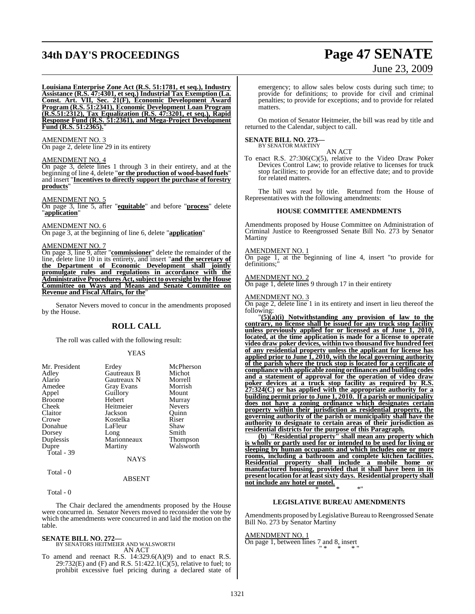# **34th DAY'S PROCEEDINGS Page 47 SENATE**

# June 23, 2009

**Louisiana Enterprise Zone Act (R.S. 51:1781, et seq.), Industry Assistance (R.S. 47:4301, et seq.) Industrial Tax Exemption (La. Const. Art. VII, Sec. 21(F), Economic Development Award Program (R.S. 51:2341), Economic Development Loan Program (R.S.51:2312), Tax Equalization (R.S. 47:3201, et seq.), Rapid Response Fund (R.S. 51:2361), and Mega-Project Development Fund (R.S. 51:2365).**"

### AMENDMENT NO. 3

On page 2, delete line 29 in its entirety

### AMENDMENT NO. 4

On page 3, delete lines 1 through 3 in their entirety, and at the beginning of line 4, delete "**or the production of wood-based fuels**" and insert "**Incentives to directly support the purchase of forestry products**"

### AMENDMENT NO. 5

On page 3, line 5, after "**equitable**" and before "**process**" delete "**application**"

### AMENDMENT NO. 6

On page 3, at the beginning of line 6, delete "**application**"

### AMENDMENT NO. 7

On page 3, line 9, after "**commissioner**" delete the remainder of the line, delete line 10 in its entirety, and insert "**and the secretary of the Department of Economic Development shall jointly promulgate rules and regulations in accordance with the Administrative Procedures Act,subject to oversight by the House Committee on Ways and Means and Senate Committee on Revenue and Fiscal Affairs, for the**"

Senator Nevers moved to concur in the amendments proposed by the House.

### **ROLL CALL**

The roll was called with the following result:

### YEAS

| Mr. President | Erdey             | McPherson     |
|---------------|-------------------|---------------|
| Adley         | Gautreaux B       | Michot        |
| Alario        | Gautreaux N       | Morrell       |
| Amedee        | <b>Gray Evans</b> | Morrish       |
| Appel         | Guillory          | Mount         |
| <b>Broome</b> | Hebert            | Murray        |
| Cheek         | Heitmeier         | <b>Nevers</b> |
| Claitor       | Jackson           | Quinn         |
| Crowe         | Kostelka          | Riser         |
| Donahue       | LaFleur           | Shaw          |
| Dorsey        | Long              | Smith         |
| Duplessis     | Marionneaux       | Thompson      |
| Dupre         | Martiny           | Walsworth     |
| Total - 39    |                   |               |
|               | NAYS              |               |

## Total - 0

Total - 0

The Chair declared the amendments proposed by the House were concurred in. Senator Nevers moved to reconsider the vote by which the amendments were concurred in and laid the motion on the table.

ABSENT

### **SENATE BILL NO. 272—** BY SENATORS HEITMEIER AND WALSWORTH AN ACT

To amend and reenact R.S. 14:329.6(A)(9) and to enact R.S. 29:732(E) and (F) and R.S. 51:422.1(C)(5), relative to fuel; to prohibit excessive fuel pricing during a declared state of

emergency; to allow sales below costs during such time; to provide for definitions; to provide for civil and criminal penalties; to provide for exceptions; and to provide for related matters.

On motion of Senator Heitmeier, the bill was read by title and returned to the Calendar, subject to call.

# **SENATE BILL NO. 273—** BY SENATOR MARTINY

AN ACT To enact R.S. 27:306(C)(5), relative to the Video Draw Poker Devices Control Law; to provide relative to licenses for truck stop facilities; to provide for an effective date; and to provide for related matters.

The bill was read by title. Returned from the House of Representatives with the following amendments:

### **HOUSE COMMITTEE AMENDMENTS**

Amendments proposed by House Committee on Administration of Criminal Justice to Reengrossed Senate Bill No. 273 by Senator Martiny

### AMENDMENT NO. 1

On page 1, at the beginning of line 4, insert "to provide for definitions;"

### AMENDMENT NO. 2

On page 1, delete lines 9 through 17 in their entirety

### AMENDMENT NO. 3

On page 2, delete line 1 in its entirety and insert in lieu thereof the following:

"**(5)(a)(i) Notwithstanding any provision of law to the contrary, no license shall be issued for any truck stop facility unless previously applied for or licensed as of June 1, 2010, located, at the time application is made for a license to operate video draw poker devices, within two thousand five hundred feet of any residential property unless the applicant for license has applied prior to June 1, 2010, with the local governing authority of the parish where the truck stop is located for a certificate of compliance with applicable zoning ordinances and building codes and a statement of approval for the operation of video draw poker devices at a truck stop facility as required by R.S. 27:324(C) or has applied with the appropriate authority for a building permit prior to June 1, 2010. If a parish or municipality does not have a zoning ordinance which designates certain property within their jurisdiction as residential property, the governing authority of the parish or municipality shall have the authority to designate to certain areas of their jurisdiction as residential districts for the purpose of this Paragraph.**

**(b) "Residential property" shall mean any property which is wholly or partly used for or intended to be used for living or sleeping by human occupants and which includes one or more rooms, including a bathroom and complete kitchen facilities. Residential property shall include a mobile home or manufactured housing, provided that it shall have been in its present location for at leastsixty days. Residential property shall not include any hotel or motel.** \* \* \*"

### **LEGISLATIVE BUREAU AMENDMENTS**

Amendments proposed by Legislative Bureau to Reengrossed Senate Bill No. 273 by Senator Martiny

AMENDMENT NO. 1 On page 1, between lines 7 and 8, insert " \* \* \* "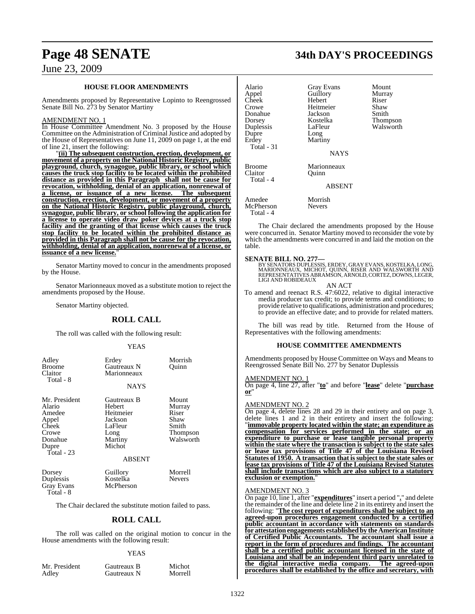### **HOUSE FLOOR AMENDMENTS**

Amendments proposed by Representative Lopinto to Reengrossed Senate Bill No. 273 by Senator Martiny

### AMENDMENT NO. 1

In House Committee Amendment No. 3 proposed by the House Committee on the Administration of Criminal Justice and adopted by the House of Representatives on June 11, 2009 on page 1, at the end of line 21, insert the following:

"**(ii) The subsequent construction, erection, development, or movement of a property on the National Historic Registry, public playground, church, synagogue, public library, or school which causes the truck stop facility to be located within the prohibited distance as provided in this Paragraph shall not be cause for revocation, withholding, denial of an application, nonrenewal of a license, or issuance of a new license. The subsequent construction, erection, development, or movement of a property on the National Historic Registry, public playground, church, synagogue, public library, or school following the application for a license to operate video draw poker devices at a truck stop facility and the granting of that license which causes the truck stop facility to be located within the prohibited distance as provided in this Paragraph shall not be cause for the revocation, withholding, denial of an application, nonrenewal of a license, or** issuance of a new license.

Senator Martiny moved to concur in the amendments proposed by the House.

Senator Marionneaux moved as a substitute motion to reject the amendments proposed by the House.

Senator Martiny objected.

### **ROLL CALL**

The roll was called with the following result:

### YEAS

| Adley<br><b>Broome</b><br>Claitor<br>Total - 8                                                   | Erdey<br>Gautreaux N<br>Marionneaux<br><b>NAYS</b>                                    | Morrish<br>Quinn                                                   |
|--------------------------------------------------------------------------------------------------|---------------------------------------------------------------------------------------|--------------------------------------------------------------------|
| Mr. President<br>Alario<br>Amedee<br>Appel<br>Cheek<br>Crowe<br>Donahue<br>Dupre<br>$Total - 23$ | Gautreaux B<br>Hebert<br>Heitmeier<br>Jackson<br>LaFleur<br>Long<br>Martiny<br>Michot | Mount<br>Murray<br>Riser<br>Shaw<br>Smith<br>Thompson<br>Walsworth |
|                                                                                                  | <b>ABSENT</b>                                                                         |                                                                    |
| Dorsey<br>Duplessis<br><b>Gray Evans</b><br>Total - 8                                            | Guillory<br>Kostelka<br>McPherson                                                     | Morrell<br><b>Nevers</b>                                           |

The Chair declared the substitute motion failed to pass.

### **ROLL CALL**

The roll was called on the original motion to concur in the House amendments with the following result:

### YEAS

Mr. President Gautreaux B Michot<br>Adley Gautreaux N Morrell

Gautreaux N

Alario Gray Evans Mount Appel Guillory Murray Cheek Hebert Riser<br>Crowe Heitmeier Shaw Heitmeier Shaw<br>Jackson Smith Donahue Jackson<br>Dorsey Kostelka Dorsey Kostelka Thompson LaFleur Walsworth Dupre Erdey Martiny Total - 31 NAYS Broome Marionneaux<br>Claitor Ouinn Claitor Total - 4 ABSENT Amedee Morrish<br>
McPherson Nevers McPherson

Total - 4

The Chair declared the amendments proposed by the House were concurred in. Senator Martiny moved to reconsider the vote by which the amendments were concurred in and laid the motion on the table.

**SENATE BILL NO. 277—**<br>BY SENATORS DUPLESSIS, ERDEY, GRAY EVANS, KOSTELKA, LONG, MARIONNEAUX, MICHOT, QUINN, RISER AND WALSWORTH AND<br>REPRESENTATIVES ABRAMSON, ARNOLD, CORTEZ, DOWNS, LEGER,<br>LIGI AND ROBIDEAUX

AN ACT

To amend and reenact R.S. 47:6022, relative to digital interactive media producer tax credit; to provide terms and conditions; to provide relative to qualifications, administration and procedures; to provide an effective date; and to provide for related matters.

The bill was read by title. Returned from the House of Representatives with the following amendments:

### **HOUSE COMMITTEE AMENDMENTS**

Amendments proposed by House Committee on Ways and Means to Reengrossed Senate Bill No. 277 by Senator Duplessis

### AMENDMENT NO. 1

On page 4, line 27, after "**to**" and before "**lease**" delete "**purchase or**"

### AMENDMENT NO. 2

On page 4, delete lines 28 and 29 in their entirety and on page 3, delete lines 1 and 2 in their entirety and insert the following: "**immovable property located within the state; an expenditure as compensation for services performed in the state; or an expenditure to purchase or lease tangible personal property within the state where the transaction is subject to the state sales or lease tax provisions of Title 47 of the Louisiana Revised Statutes of 1950. A transaction that is subject to the state sales or lease tax provisions of Title 47 of the Louisiana Revised Statutes shall include transactions which are also subject to a statutory exclusion or exemption.** 

### AMENDMENT NO. 3

On page 10, line 1, after "**expenditures**" insert a period "**.**" and delete the remainder of the line and delete line 2 in its entirety and insert the following: "**The cost report of expenditures shall be subject to an agreed-upon procedures engagement conducted by a certified public accountant in accordance with statements on standards for attestationengagements establishedby theAmericanInstitute of Certified Public Accountants. The accountant shall issue a report in the form of procedures and findings. The accountant shall be a certified public accountant licensed in the state of Louisiana and shall be an independent third party unrelated to the digital interactive media company. The agreed-upon procedures shall be established by the office and secretary, with**

# **Page 48 SENATE 34th DAY'S PROCEEDINGS**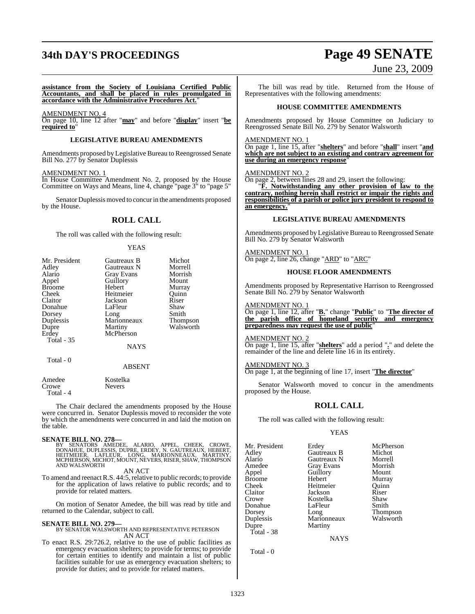# **34th DAY'S PROCEEDINGS Page 49 SENATE** June 23, 2009

**assistance from the Society of Louisiana Certified Public Accountants, and shall be placed in rules promulgated in accordance with the Administrative Procedures Act.**"

AMENDMENT NO. 4

On page 10, line 12 after "**may**" and before "**display**" insert "**be required to**"

### **LEGISLATIVE BUREAU AMENDMENTS**

Amendments proposed by Legislative Bureau to Reengrossed Senate Bill No. 277 by Senator Duplessis

### AMENDMENT NO. 1

In House Committee Amendment No. 2, proposed by the House Committee on Ways and Means, line 4, change "page 3" to "page 5"

Senator Duplessis moved to concur in the amendments proposed by the House.

### **ROLL CALL**

The roll was called with the following result:

### YEAS

| Mr. President     | Gautreaux B    | Michot    |
|-------------------|----------------|-----------|
| Adley             | Gautreaux N    | Morrell   |
| Alario            | Gray Evans     | Morrish   |
| Appel             | Guillory       | Mount     |
| <b>Broome</b>     | Hebert         | Murray    |
| Cheek             | Heitmeier      | Ouinn     |
| Claitor           | Jackson        | Riser     |
| Donahue           | LaFleur        | Shaw      |
| Dorsey            | Long           | Smith     |
| Duplessis         | Marionneaux    | Thompson  |
| Dupre             | <b>Martiny</b> | Walsworth |
| Erdey             | McPherson      |           |
| <b>Total - 35</b> |                |           |
|                   | <b>NAYS</b>    |           |
| Total - 0         |                |           |
|                   | ABSENT         |           |
| Amedee            | Kostelka       |           |

| Amedee    | Kostelka      |
|-----------|---------------|
| Crowe     | <b>Nevers</b> |
| Total - 4 |               |

The Chair declared the amendments proposed by the House were concurred in. Senator Duplessis moved to reconsider the vote by which the amendments were concurred in and laid the motion on the table.

### **SENATE BILL NO. 278—**

BY SENATORS AMEDEE, ALARIO, APPEL, CHEEK, CROWE,<br>DONAHUE, DUPLESSIS, DUPRE, ERDEY, N. GAUTREAUX, HEBERT,<br>HEITMEIER, LAFLEUR, LONG, MARIONNEAUX, MARTINY,<br>MCPHERSON,MICHOT,MOUNT,NEVERS,RISER,SHAW,THOMPSON AND WALSWORTH

### AN ACT

To amend and reenact R.S. 44:5, relative to public records; to provide for the application of laws relative to public records; and to provide for related matters.

On motion of Senator Amedee, the bill was read by title and returned to the Calendar, subject to call.

### **SENATE BILL NO. 279—**

BY SENATOR WALSWORTH AND REPRESENTATIVE PETERSON AN ACT

To enact R.S. 29:726.2, relative to the use of public facilities as emergency evacuation shelters; to provide for terms; to provide for certain entities to identify and maintain a list of public facilities suitable for use as emergency evacuation shelters; to provide for duties; and to provide for related matters.

The bill was read by title. Returned from the House of Representatives with the following amendments:

### **HOUSE COMMITTEE AMENDMENTS**

Amendments proposed by House Committee on Judiciary to Reengrossed Senate Bill No. 279 by Senator Walsworth

### AMENDMENT NO. 1

On page 1, line 15, after "**shelters**" and before "**shall**" insert "**and which are not subject to an existing and contrary agreement for use during an emergency response**"

### AMENDMENT NO. 2

On page 2, between lines 28 and 29, insert the following:

"**F. Notwithstanding any other provision of law to the contrary, nothing herein shall restrict or impair the rights and responsibilities of a parish or police jury president to respond to an emergency.**"

### **LEGISLATIVE BUREAU AMENDMENTS**

Amendments proposed byLegislative Bureau to Reengrossed Senate Bill No. 279 by Senator Walsworth

AMENDMENT NO. 1 On page 2, line 26, change "ARD" to "ARC"

### **HOUSE FLOOR AMENDMENTS**

Amendments proposed by Representative Harrison to Reengrossed Senate Bill No. 279 by Senator Walsworth

### AMENDMENT NO. 1

On page 1, line 12, after "**B.**" change "**Public**" to "**The director of the parish office of homeland security and emergency preparedness may request the use of public**"

### AMENDMENT NO. 2

On page 1, line 15, after "**shelters**" add a period "**.**" and delete the remainder of the line and delete line 16 in its entirety.

### AMENDMENT NO. 3

On page 1, at the beginning of line 17, insert "**The director**"

Senator Walsworth moved to concur in the amendments proposed by the House.

### **ROLL CALL**

The roll was called with the following result:

Heitmeier

Martiny

### YEAS

Mr. President Erdey McPherson<br>Adley Gautreaux B Michot Adley Gautreaux B Michot Alario Gautreaux N Morrell Amedee Gray Evans Morrisl<br>
Appel Guillory Mount Broome Hebert Murray<br>Cheek Heitmeier Ouinn Claitor Jackson Riser Donahue<br>Dorsey Dorsey Long Thompson<br>
Duplessis Marionneaux Walsworth Duplessis Marionneaux<br>
Dupre Martiny Total - 38

Guillory Mount<br>
Hebert Murray Kostelka Shaw<br>LaFleur Smith

**NAYS** 

Total - 0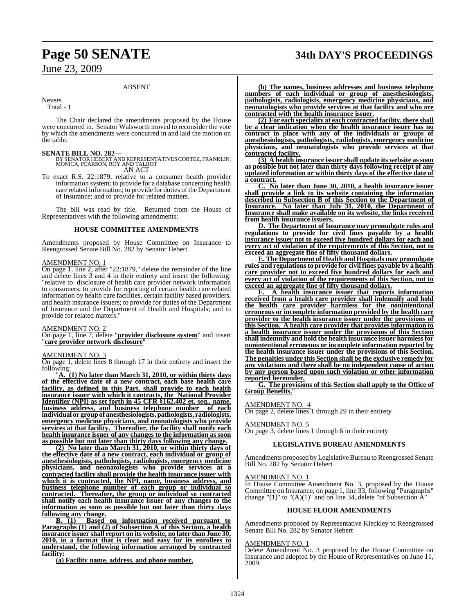# **Page 50 SENATE 34th DAY'S PROCEEDINGS**

June 23, 2009

### ABSENT

Nevers

Total - 1

The Chair declared the amendments proposed by the House were concurred in. Senator Walsworth moved to reconsider the vote by which the amendments were concurred in and laid the motion on the table.

### **SENATE BILL NO. 282—**

BY SENATOR HEBERT AND REPRESENTATIVESCORTEZ, FRANKLIN, MONICA, PEARSON, ROY AND TALBOT AN ACT

To enact R.S. 22:1879, relative to a consumer health provider information system; to provide for a database concerning health care related information; to provide for duties of the Department of Insurance; and to provide for related matters.

The bill was read by title. Returned from the House of Representatives with the following amendments:

### **HOUSE COMMITTEE AMENDMENTS**

Amendments proposed by House Committee on Insurance to Reengrossed Senate Bill No. 282 by Senator Hebert

### AMENDMENT NO. 1

On page 1, line 2, after "22:1879," delete the remainder of the line and delete lines 3 and 4 in their entirety and insert the following: "relative to disclosure of health care provider network information to consumers; to provide for reporting of certain health care related information by health care facilities, certain facility based providers, and health insurance issuers; to provide for duties of the Department of Insurance and the Department of Health and Hospitals; and to provide for related matters."

### AMENDMENT NO. 2

On page 1, line 7, delete "**provider disclosure system**" and insert "**care provider network disclosure**"

### AMENDMENT NO. 3

On page 1, delete lines 8 through 17 in their entirety and insert the following:

"**A. (1) No later than March 31, 2010, or within thirty days of the effective date of a new contract, each base health care facility, as defined in this Part, shall provide to each health insurance issuer with which it contracts, the National Provider Identifier (NPI) as set forth in 45 CFR §162.402 et. seq., name, business address, and business telephone number of each individual or groupof anesthesiologists, pathologists, radiologists, emergency medicine physicians, and neonatologists who provide services at that facility. Thereafter, the facility shall notify each health insurance issuer of any changes to the information as soon as possible but not later than thirty days following any change.**

**(2) No later than March 31, 2010, or within thirty days of the effective date of a new contract, each individual or group of anesthesiologists, pathologists, radiologists, emergency medicine physicians, and neonatologists who provide services at a contracted facility shall provide the health insurance issuer with which it is contracted, the NPI, name, business address, and business telephone number of each group or individual so contracted. Thereafter, the group or individual so contracted shall notify each health insurance issuer of any changes to the information as soon as possible but not later than thirty days following any change.**

**B. (1) Based on information received pursuant to Paragraphs (1) and (2) of Subsection A of this Section, a health insurance issuer shall report on its website, no later than June 30, 2010, in a format that is clear and easy for its enrollees to understand, the following information arranged by contracted facility:**

**(a) Facility name, address, and phone number.**

**(b) The names, business addresses and business telephone numbers of each individual or group of anesthesiologists, pathologists, radiologists, emergency medicine physicians, and neonatologists who provide services at that facility and who are contracted with the health insurance issuer.**

**(2) For each speciality at each contracted facility, there shall be a clear indication when the health insurance issuer has no contract in place with any of the individuals or groups of anesthesiologists, pathologists, radiologists, emergency medicine physicians, and neonatologists who provide services at that contracted facility.**

**(3) A health insurance issuer shall update its website as soon as possible but not later than thirty days following receipt of any updated information or within thirty days of the effective date of a contract.**

**C. No later than June 30, 2010, a health insurance issuer shall provide a link to its website containing the information described in Subsection B of this Section to the Department of Insurance. No later than July 31, 2010, the Department of Insurance shall make available on its website, the links received from health insurance issuers.**

**D. The Department of Insurance may promulgate rules and regulations to provide for civil fines payable by a health insurance issuer not to exceed five hundred dollars for each and every act of violation of the requirements of this Section, not to exceed an aggregate fine of fifty thousand dollars.**

**E. The Department of Health and Hospitals may promulgate rules and regulationsto provide for civil fines payable by a health care provider not to exceed five hundred dollars for each and every act of violation of the requirements of this Section, not to exceed an aggregate fine of fifty thousand dollars.**

**F. A health insurance issuer that reports information received from a health care provider shall indemnify and hold the health care provider harmless for the nonintentional erroneous or incomplete information provided by the health care provider to the health insurance issuer under the provisions of this Section. A health care provider that provides information to a health insurance issuer under the provisions of this Section shall indemnify and hold the health insurance issuer harmlessfor nonintentional erroneous or incomplete information reported by the health insurance issuer under the provisions of this Section. The penalties under this Section shall be the exclusive remedy for any violations and there shall be no independent cause of action by any person based upon such violation or other information reported hereunder.**

**G. The provisions of this Section shall apply to the Office of Group Benefits.**"

### AMENDMENT NO. 4

On page 2, delete lines 1 through 29 in their entirety

### AMENDMENT NO. 5

On page 3, delete lines 1 through 6 in their entirety

### **LEGISLATIVE BUREAU AMENDMENTS**

Amendments proposed by Legislative Bureau to Reengrossed Senate Bill No. 282 by Senator Hebert

### AMENDMENT NO. 1

In House Committee Amendment No. 3, proposed by the House Committee on Insurance, on page 1, line 33, following "Paragraphs" change " $(1)$ " to " $(A)(1)$ " and on line 34, delete "of Subsection  $\overline{A}$ "

### **HOUSE FLOOR AMENDMENTS**

Amendments proposed by Representative Kleckley to Reengrossed Senate Bill No. 282 by Senator Hebert

### AMENDMENT NO. 1

Delete Amendment No. 3 proposed by the House Committee on Insurance and adopted by the House of Representatives on June 11, 2009.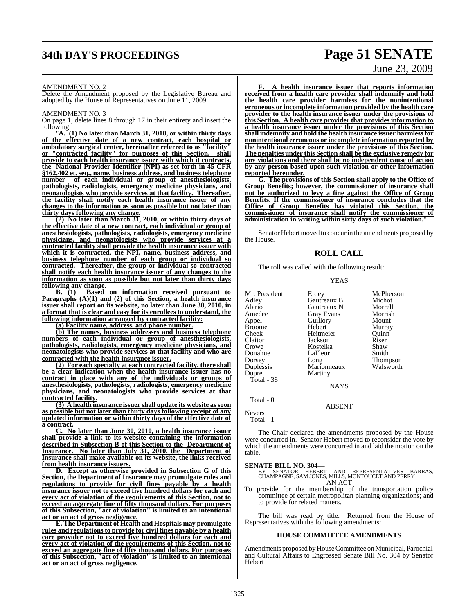# **34th DAY'S PROCEEDINGS Page 51 SENATE**

### AMENDMENT NO. 2

Delete the Amendment proposed by the Legislative Bureau and adopted by the House of Representatives on June 11, 2009.

### AMENDMENT NO. 3

On page 1, delete lines 8 through 17 in their entirety and insert the following:

"**A. (1) No later than March 31, 2010, or within thirty days of the effective date of a new contract, each hospital or ambulatory surgical center, hereinafter referred to as "facility" or "contracted facility" for purposes of this Section, shall provide to each health insurance issuer with which it contracts, the National Provider Identifier (NPI) as set forth in 45 CFR §162.402 et. seq., name, business address, and business telephone number of each individual or group of anesthesiologists, pathologists, radiologists, emergency medicine physicians, and neonatologists who provide services at that facility. Thereafter, the facility shall notify each health insurance issuer of any changes to the information as soon as possible but not later than thirty days following any change.**

**(2) No later than March 31, 2010, or within thirty days of the effective date of a new contract, each individual or group of anesthesiologists, pathologists, radiologists, emergency medicine physicians, and neonatologists who provide services at a contracted facility shall provide the health insurance issuer with which it is contracted, the NPI, name, business address, and business telephone number of each group or individual so contracted. Thereafter, the group or individual so contracted shall notify each health insurance issuer of any changes to the information as soon as possible but not later than thirty days following any change.**

**B. (1) Based on information received pursuant to Paragraphs (A)(1) and (2) of this Section, a health insurance issuer shall report on its website, no later than June 30, 2010, in a format that is clear and easy for its enrollees to understand, the following information arranged by contracted facility:**

**(a) Facility name, address, and phone number.**

**(b) The names, business addresses and business telephone numbers of each individual or group of anesthesiologists, pathologists, radiologists, emergency medicine physicians, and neonatologists who provide services at that facility and who are contracted with the health insurance issuer.**

**(2) For each specialty at each contracted facility, there shall be a clear indication when the health insurance issuer has no contract in place with any of the individuals or groups of anesthesiologists, pathologists, radiologists, emergency medicine physicians, and neonatologists who provide services at that contracted facility.**

**(3) A health insurance issuer shall update its website as soon as possible but not later than thirty days following receipt of any updated information or within thirty days of the effective date of a contract.**

**C. No later than June 30, 2010, a health insurance issuer shall provide a link to its website containing the information described in Subsection B of this Section to the Department of Insurance. No later than July 31, 2010, the Department of Insurance shall make available on its website, the links received from health insurance issuers.**

**D. Except as otherwise provided in Subsection G of this Section, the Department of Insurance may promulgate rules and regulations to provide for civil fines payable by a health insurance issuer not to exceed five hundred dollars for each and every act of violation of the requirements of this Section, not to exceed an aggregate fine of fifty thousand dollars. For purposes of this Subsection, "act of violation" is limited to an intentional act or an act of gross negligence.**

**E. The Department of Health and Hospitals may promulgate rules and regulationsto provide for civil fines payable by a health care provider not to exceed five hundred dollars for each and every act of violation of the requirements of this Section, not to exceed an aggregate fine of fifty thousand dollars. For purposes of this Subsection, "act of violation" is limited to an intentional act or an act of gross negligence.**

**F. A health insurance issuer that reports information received from a health care provider shall indemnify and hold the health care provider harmless for the nonintentional erroneous or incomplete information provided by the health care provider to the health insurance issuer under the provisions of this Section. A health care provider that provides information to a health insurance issuer under the provisions of this Section shall indemnify and hold the health insurance issuer harmlessfor nonintentional erroneous or incomplete information reported by the health insurance issuer under the provisions of this Section. The penalties under this Section shall be the exclusive remedy for any violations and there shall be no independent cause of action by any person based upon such violation or other information reported hereunder.**

**G. The provisions of this Section shall apply to the Office of Group Benefits; however, the commissioner of insurance shall not be authorized to levy a fine against the Office of Group Benefits. If the commissioner of insurance concludes that the Office of Group Benefits has violated this Section, the commissioner of insurance shall notify the commissioner of administration in writing within sixty days of such violation.**"

Senator Hebert moved to concur in the amendments proposed by the House.

### **ROLL CALL**

The roll was called with the following result:

### YEAS

| Mr. President | Erdey       | McPherson       |
|---------------|-------------|-----------------|
| Adley         | Gautreaux B | Michot          |
| Alario        | Gautreaux N | Morrell         |
| Amedee        | Gray Evans  | Morrish         |
| Appel         | Guillory    | Mount           |
| <b>Broome</b> | Hebert      | Murray          |
| Cheek         | Heitmeier   | Ouinn           |
| Claitor       | Jackson     | Riser           |
| Crowe         | Kostelka    | Shaw            |
| Donahue       | LaFleur     | Smith           |
| Dorsey        | Long        | <b>Thompson</b> |
| Duplessis     | Marionneaux | Walsworth       |
| Dupre         | Martiny     |                 |
| Total - 38    |             |                 |
|               | <b>NAYS</b> |                 |
| Total - 0     |             |                 |
|               | ABSENT      |                 |

Nevers Total - 1

The Chair declared the amendments proposed by the House were concurred in. Senator Hebert moved to reconsider the vote by which the amendments were concurred in and laid the motion on the table.

- **SENATE BILL NO. 304—** BY SENATOR HEBERT AND REPRESENTATIVES BARRAS, CHAMPAGNE, SAM JONES, MILLS, MONTOUCET AND PERRY AN ACT
- To provide for the membership of the transportation policy committee of certain metropolitan planning organizations; and to provide for related matters.

The bill was read by title. Returned from the House of Representatives with the following amendments:

### **HOUSE COMMITTEE AMENDMENTS**

Amendments proposed by House Committee on Municipal, Parochial and Cultural Affairs to Engrossed Senate Bill No. 304 by Senator Hebert

June 23, 2009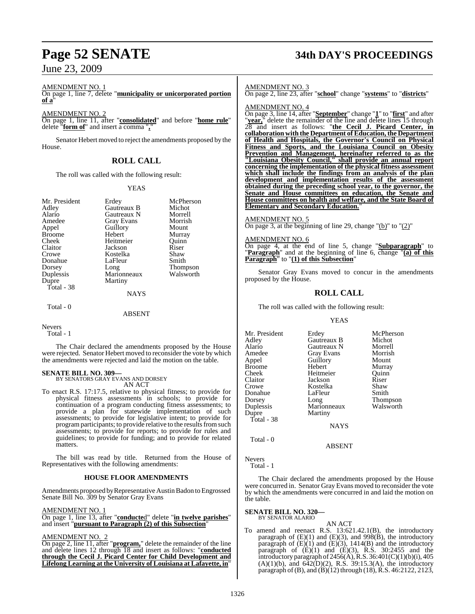### AMENDMENT NO. 1

On page 1, line 7, delete "**municipality or unicorporated portion of a**"

### AMENDMENT NO. 2

On page 1, line 11, after "**consolidated**" and before "**home rule**" delete "**form of**" and insert a comma "**,**"

Senator Hebert moved to reject the amendments proposed by the House.

## **ROLL CALL**

The roll was called with the following result:

### YEAS

| Mr. President | Erdey             | McPherson       |
|---------------|-------------------|-----------------|
| Adley         | Gautreaux B       | Michot          |
| Alario        | Gautreaux N       | Morrell         |
| Amedee        | <b>Gray Evans</b> | Morrish         |
| Appel         | Guillory          | Mount           |
| <b>Broome</b> | Hebert            | Murray          |
| Cheek         | Heitmeier         | Ouinn           |
| Claitor       | Jackson           | Riser           |
| Crowe         | Kostelka          | Shaw            |
| Donahue       | LaFleur           | Smith           |
| Dorsey        | Long              | <b>Thompson</b> |
| Duplessis     | Marionneaux       | Walsworth       |
| Dupre         | Martiny           |                 |
| Total - 38    |                   |                 |
|               | <b>NAYS</b>       |                 |
| Total - 0     |                   |                 |
|               | ABSENT            |                 |

### NAYS

Nevers Total - 1

The Chair declared the amendments proposed by the House were rejected. Senator Hebert moved to reconsider the vote by which the amendments were rejected and laid the motion on the table.

**SENATE BILL NO. 309—** BY SENATORS GRAY EVANS AND DORSEY AN ACT

To enact R.S. 17:17.5, relative to physical fitness; to provide for physical fitness assessments in schools; to provide for continuation of a program conducting fitness assessments; to provide a plan for statewide implementation of such assessments; to provide for legislative intent; to provide for program participants; to provide relative to the results from such assessments; to provide for reports; to provide for rules and guidelines; to provide for funding; and to provide for related matters.

The bill was read by title. Returned from the House of Representatives with the following amendments:

### **HOUSE FLOOR AMENDMENTS**

Amendments proposed by Representative Austin Badon to Engrossed Senate Bill No. 309 by Senator Gray Evans

### AMENDMENT NO. 1

On page 1, line 13, after "**conducte**d" delete "**in twelve parishes**" and insert "**pursuant to Paragraph (2) of this Subsection**"

### AMENDMENT NO. 2

On page 2, line 11, after "**program,**" delete the remainder of the line and delete lines 12 through 18 and insert as follows: "**conducted through the Cecil J. Picard Center for Child Development and Lifelong Learning at the University of Louisiana at Lafayette, in**"

# **Page 52 SENATE 34th DAY'S PROCEEDINGS**

### AMENDMENT NO. 3

On page 2, line 23, after "**school**" change "**systems**" to "**districts**"

### AMENDMENT NO. 4

On page 3, line 14, after "**September**" change "**1**" to "**first**" and after "**year,**" delete the remainder of the line and delete lines 15 through 28 and insert as follows: "**the Cecil J. Picard Center, in collaboration with the Department of Education, the Department of Health and Hospitals, the Governor's Council on Physical Fitness and Sports, and the Louisiana Council on Obesity Prevention and Management, hereinafter referred to as the "Louisiana Obesity Council," shall provide an annual report concerning the implementation of the physical fitness assessment which shall include the findings from an analysis of the plan development and implementation results of the assessment obtained during the preceding school year, to the governor, the Senate and House committees on education, the Senate and House committees on health and welfare, and the State Board of Elementary and Secondary Education.**"

### AMENDMENT NO. 5

On page 3, at the beginning of line 29, change  $"$ (b)" to  $"$ (2)"

### AMENDMENT NO. 6

On page 4, at the end of line 5, change "**Subparagraph**" to "**Paragraph**" and at the beginning of line 6, change "**(a) of this Paragraph**" to "**(1) of this Subsection**"

Senator Gray Evans moved to concur in the amendments proposed by the House.

## **ROLL CALL**

The roll was called with the following result:

### **YEAS**

| Mr. President | Erdey             | McPherson       |
|---------------|-------------------|-----------------|
| Adley         | Gautreaux B       | Michot          |
| Alario        | Gautreaux N       | Morrell         |
| Amedee        | <b>Gray Evans</b> | Morrish         |
| Appel         | Guillory          | Mount           |
| Broome        | Hebert            | Murray          |
| Cheek         | Heitmeier         | Ouinn           |
| Claitor       | Jackson           | Riser           |
| Crowe         | Kostelka          | Shaw            |
| Donahue       | LaFleur           | Smith           |
| Dorsey        | Long              | <b>Thompson</b> |
| Duplessis     | Marionneaux       | Walsworth       |
| Dupre         | Martiny           |                 |
| Total - 38    |                   |                 |
|               | <b>NAYS</b>       |                 |
|               |                   |                 |

Total - 0

Nevers

Total - 1

The Chair declared the amendments proposed by the House were concurred in. Senator Gray Evans moved to reconsider the vote by which the amendments were concurred in and laid the motion on the table.

ABSENT

# **SENATE BILL NO. 320—** BY SENATOR ALARIO

AN ACT

To amend and reenact R.S. 13:621.42.1(B), the introductory paragraph of  $(E)(1)$  and  $(E)(3)$ , and  $998(E)$ , the introductory paragraph of  $(E)(1)$  and  $(E)(3)$ , 1414 $(B)$  and the introductory paragraph of  $(E)(1)$  and  $(E)(3)$ , R.S. 30:2455 and the introductory paragraph of 2456(A), R.S. 36:401(C)(1)(b)(i), 405  $(A)(1)(b)$ , and  $642(D)(2)$ , R.S. 39:15.3(A), the introductory paragraph of (B), and  $(B)(12)$  through (18), R.S. 46:2122, 2123,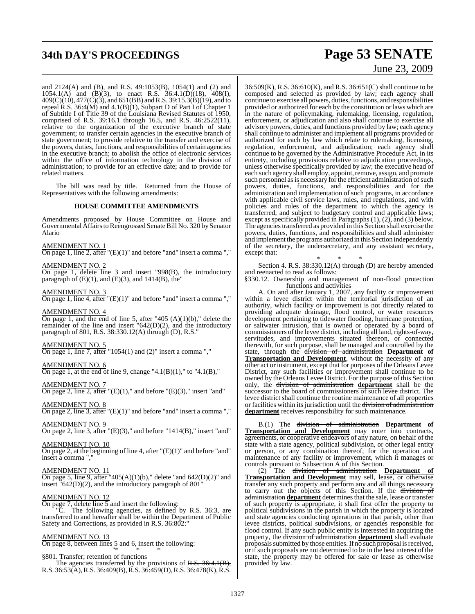# **34th DAY'S PROCEEDINGS Page 53 SENATE**

and 2124(A) and (B), and R.S. 49:1053(B), 1054(1) and (2) and 1054.1(A) and (B)(3), to enact R.S. 36:4.1(D)(18), 408(I), 409(C)(10), 477(C)(3), and 651(BB) andR.S. 39:15.3(B)(19), and to repeal R.S. 36:4(M) and 4.1(B)(1), Subpart D of Part I of Chapter 1 of Subtitle I of Title 39 of the Louisiana Revised Statutes of 1950, comprised of R.S. 39:16.1 through 16.5, and R.S. 46:2522(11), relative to the organization of the executive branch of state government; to transfer certain agencies in the executive branch of state government; to provide relative to the transfer and exercise of the powers, duties, functions, and responsibilities of certain agencies in the executive branch; to abolish the office of electronic services within the office of information technology in the division of administration; to provide for an effective date; and to provide for related matters.

The bill was read by title. Returned from the House of Representatives with the following amendments:

### **HOUSE COMMITTEE AMENDMENTS**

Amendments proposed by House Committee on House and Governmental Affairs to Reengrossed Senate Bill No. 320 by Senator Alario

### AMENDMENT NO. 1

On page 1, line 2, after  $"({\rm E})(1)"$  and before "and" insert a comma ","

### AMENDMENT NO. 2

On page 1, delete line 3 and insert "998(B), the introductory paragraph of  $(E)(1)$ , and  $(E)(3)$ , and  $1414(B)$ , the

### AMENDMENT NO. 3

On page 1, line 4, after "(E)(1)" and before "and" insert a comma ","

### AMENDMENT NO. 4

On page 1, and the end of line 5, after "405  $(A)(1)(b)$ ," delete the remainder of the line and insert "642(D)(2), and the introductory paragraph of 801, R.S. 38:330.12(A) through (D), R.S."

### AMENDMENT NO. 5

On page 1, line 7, after "1054(1) and (2)" insert a comma ","

### AMENDMENT NO. 6

On page 1, at the end of line 9, change " $4.1(B)(1)$ ," to " $4.1(B)$ ,"

AMENDMENT NO. 7

On page 2, line 2, after " $(E)(1)$ ," and before " $(E)(3)$ ," insert "and"

## AMENDMENT NO. 8

On page 2, line 3, after "(E)(1)" and before "and" insert a comma ","

### AMENDMENT NO. 9

On page 2, line 3, after "(E)(3)," and before "1414(B)," insert "and"

### AMENDMENT NO. 10

On page 2, at the beginning of line 4, after "(E)(1)" and before "and" insert a comma "

### AMENDMENT NO. 11

On page 5, line 9, after "405(A)(1)(b)," delete "and  $642(D)(2)$ " and insert "642(D)(2), and the introductory paragraph of 801"

### AMENDMENT NO. 12

On page 7, delete line  $\overline{5}$  and insert the following:

"C. The following agencies, as defined by R.S. 36:3, are transferred to and hereafter shall be within the Department of Public Safety and Corrections, as provided in R.S. 36:802:"

### AMENDMENT NO. 13

On page 8, between lines 5 and 6, insert the following: "\* \* \*

§801. Transfer; retention of functions The agencies transferred by the provisions of R.S. 36:4.1(B), R.S. 36:53(A),R.S. 36:409(B),R.S. 36:459(D),R.S. 36:478(K),R.S.

# June 23, 2009

36:509(K), R.S. 36:610(K), and R.S. 36:651(C) shall continue to be composed and selected as provided by law; each agency shall continue to exercise all powers, duties, functions, and responsibilities provided or authorized for each by the constitution or laws which are in the nature of policymaking, rulemaking, licensing, regulation, enforcement, or adjudication and also shall continue to exercise all advisory powers, duties, and functions provided by law; each agency shall continue to administer and implement all programs provided or authorized for each by law which relate to rulemaking, licensing, regulation, enforcement, and adjudication; each agency shall continue to be governed by the Administrative Procedure Act, in its entirety, including provisions relative to adjudication proceedings, unless otherwise specifically provided by law; the executive head of each such agency shall employ, appoint, remove, assign, and promote such personnel as is necessary for the efficient administration of such powers, duties, functions, and responsibilities and for the administration and implementation of such programs, in accordance with applicable civil service laws, rules, and regulations, and with policies and rules of the department to which the agency is transferred, and subject to budgetary control and applicable laws; except as specifically provided in Paragraphs  $(1)$ ,  $(2)$ , and  $(3)$  below. The agencies transferred as provided in this Section shall exercise the powers, duties, functions, and responsibilities and shall administer and implement the programs authorized in this Section independently of the secretary, the undersecretary, and any assistant secretary, except that: \* \* \*

Section 4. R.S. 38:330.12(A) through (D) are hereby amended and reenacted to read as follows:

§330.12. Ownership and management of non-flood protection functions and activities

A. On and after January 1, 2007, any facility or improvement within a levee district within the territorial jurisdiction of an authority, which facility or improvement is not directly related to providing adequate drainage, flood control, or water resources development pertaining to tidewater flooding, hurricane protection, or saltwater intrusion, that is owned or operated by a board of commissioners of the levee district, including all land, rights-of-way, servitudes, and improvements situated thereon, or connected therewith, for such purpose, shall be managed and controlled by the state, through the division of administration **Department of Transportation and Development**, without the necessity of any other act or instrument, except that for purposes of the Orleans Levee District, any such facilities or improvement shall continue to be owned by the Orleans Levee District. For the purpose of this Section only, the division of administration **department** shall be the successor to the board of commissioners of such levee district. The levee district shall continue the routine maintenance of all properties or facilities within its jurisdiction until the <del>division of administration</del> **department** receives responsibility for such maintenance.

B.(1) The division of administration **Department of Transportation and Development** may enter into contracts, agreements, or cooperative endeavors of any nature, on behalf of the state with a state agency, political subdivision, or other legal entity or person, or any combination thereof, for the operation and maintenance of any facility or improvement, which it manages or controls pursuant to Subsection A of this Section.

(2) The division of administration **Department of Transportation and Development** may sell, lease, or otherwise transfer any such property and perform any and all things necessary to carry out the objects of this Section. If the division of administration department determines that the sale, lease or transfer of such property is appropriate, it shall first offer the property to political subdivisions in the parish in which the property is located and state agencies conducting operations in that parish, other than levee districts, political subdivisions, or agencies responsible for flood control. If any such public entity is interested in acquiring the property, the division of administration **department** shall evaluate proposals submitted by those entities. If no such proposal is received, or if such proposals are not determined to be in the best interest of the state, the property may be offered for sale or lease as otherwise provided by law.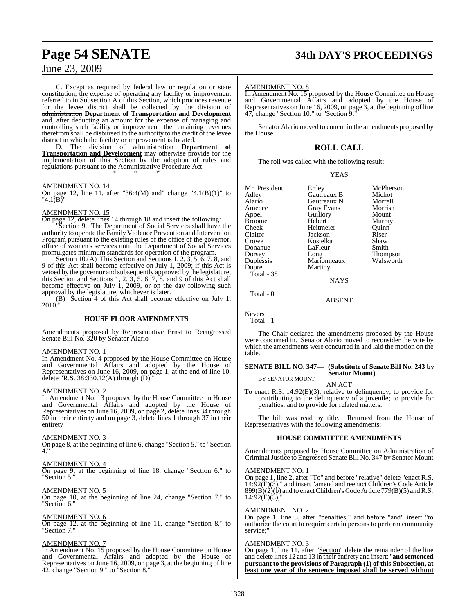C. Except as required by federal law or regulation or state constitution, the expense of operating any facility or improvement referred to in Subsection A of this Section, which produces revenue for the levee district shall be collected by the division of administration **Department of Transportation and Development** and, after deducting an amount for the expense of managing and controlling such facility or improvement, the remaining revenues therefrom shall be disbursed to the authority to the credit of the levee

district in which the facility or improvement is located.<br>D. The <del>division of administration</del> Depa  $\alpha$ dministration **Department Transportation and Development** may otherwise provide for the implementation of this Section by the adoption of rules and regulations pursuant to the Administrative Procedure Act. \* \* \*"

### AMENDMENT NO. 14

On page 12, line 11, after "36:4(M) and" change "4.1(B)(1)" to  $"4.1$  $(B)$ 

### AMENDMENT NO. 15

On page 12, delete lines 14 through 18 and insert the following:

"Section 9. The Department of Social Services shall have the authority to operate the Family Violence Prevention and Intervention Program pursuant to the existing rules of the office of the governor, office of women's services until the Department of Social Services promulgates minimum standards for operation of the program.

Section 10.(A) This Section and Sections 1, 2, 3, 5, 6, 7, 8, and 9 of this Act shall become effective on July 1, 2009; if this Act is vetoed by the governor and subsequently approved by the legislature, this Section and Sections 1, 2, 3, 5, 6, 7, 8, and 9 of this Act shall become effective on July 1, 2009, or on the day following such approval by the legislature, whichever is later.

(B) Section 4 of this Act shall become effective on July 1, 2010."

### **HOUSE FLOOR AMENDMENTS**

Amendments proposed by Representative Ernst to Reengrossed Senate Bill No. 320 by Senator Alario

### AMENDMENT NO. 1

In Amendment No. 4 proposed by the House Committee on House and Governmental Affairs and adopted by the House of Representatives on June 16, 2009, on page 1, at the end of line 10, delete "R.S. 38:330.12(A) through  $(D)$ ,

### AMENDMENT NO. 2

In Amendment No. 13 proposed by the House Committee on House and Governmental Affairs and adopted by the House of Representatives on June 16, 2009, on page 2, delete lines 34 through 50 in their entirety and on page 3, delete lines 1 through 37 in their entirety

### AMENDMENT NO. 3

On page 8, at the beginning of line 6, change "Section 5." to "Section 4."

### AMENDMENT NO. 4

On page 9, at the beginning of line 18, change "Section 6." to "Section 5."

### AMENDMENT NO. 5

On page 10, at the beginning of line 24, change "Section 7." to "Section 6."

### AMENDMENT NO. 6

On page 12, at the beginning of line 11, change "Section 8." to "Section 7."

### AMENDMENT NO. 7

In Amendment No. 15 proposed by the House Committee on House and Governmental Affairs and adopted by the House of Representatives on June 16, 2009, on page 3, at the beginning of line 42, change "Section 9." to "Section 8."

# **Page 54 SENATE 34th DAY'S PROCEEDINGS**

### AMENDMENT NO. 8

In Amendment No. 15 proposed by the House Committee on House and Governmental Affairs and adopted by the House of Representatives on June 16, 2009, on page 3, at the beginning of line 47, change "Section 10." to "Section 9."

Senator Alario moved to concur in the amendments proposed by the House.

### **ROLL CALL**

The roll was called with the following result:

|  | ۰.<br>I |
|--|---------|
|  |         |

| Mr. President | Erdey             | McPherson |
|---------------|-------------------|-----------|
| Adley         | Gautreaux B       | Michot    |
| Alario        | Gautreaux N       | Morrell   |
| Amedee        | <b>Gray Evans</b> | Morrish   |
| Appel         | Guillory          | Mount     |
| <b>Broome</b> | Hebert            | Murray    |
| Cheek         | Heitmeier         | Ouinn     |
| Claitor       | Jackson           | Riser     |
| Crowe         | Kostelka          | Shaw      |
| Donahue       | LaFleur           | Smith     |
| Dorsey        | Long              | Thompson  |
| Duplessis     | Marionneaux       | Walsworth |
| Dupre         | Martiny           |           |
| Total - 38    |                   |           |
|               | NAYS              |           |

Total - 0

ABSENT

Nevers Total - 1

The Chair declared the amendments proposed by the House were concurred in. Senator Alario moved to reconsider the vote by which the amendments were concurred in and laid the motion on the table.

### **SENATE BILL NO. 347— (Substitute of Senate Bill No. 243 by Senator Mount)** BY SENATOR MOUNT

AN ACT

To enact R.S. 14:92(E)(3), relative to delinquency; to provide for contributing to the delinquency of a juvenile; to provide for penalties; and to provide for related matters.

The bill was read by title. Returned from the House of Representatives with the following amendments:

### **HOUSE COMMITTEE AMENDMENTS**

Amendments proposed by House Committee on Administration of Criminal Justice to Engrossed Senate Bill No. 347 by Senator Mount

### AMENDMENT NO. 1

On page 1, line 2, after "To" and before "relative" delete "enact R.S. 14:92(E)(3)," and insert "amend and reenact Children's Code Article  $899(B)(2)(b)$  and to enact Children's Code Article 779(B)(5) and R.S.  $14:92(E)(3)$ ,

### AMENDMENT NO. 2

On page 1, line 3, after "penalties;" and before "and" insert "to authorize the court to require certain persons to perform community service:'

### AMENDMENT NO. 3

On page 1, line 11, after "Section" delete the remainder of the line and delete lines 12 and 13 in their entirety and insert: "**and sentenced pursuant to the provisions of Paragraph (1) of this Subsection, at least one year of the sentence imposed shall be served without**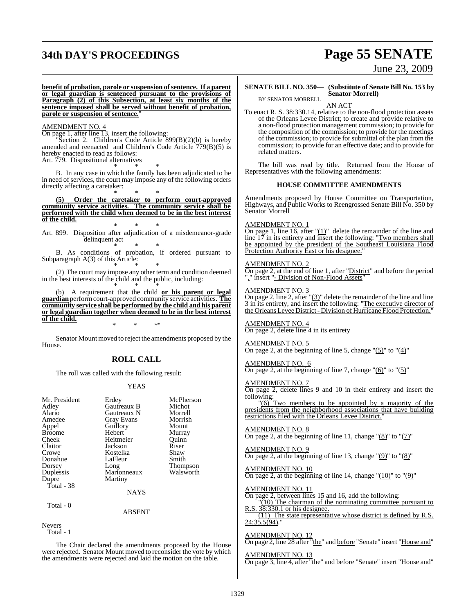# **34th DAY'S PROCEEDINGS Page 55 SENATE**

# June 23, 2009

**benefit of probation, parole or suspension ofsentence. If a parent or legal guardian is sentenced pursuant to the provisions of Paragraph (2) of this Subsection, at least six months of the sentence imposed shall be served without benefit of probation, parole or suspension of sentence.**"

### AMENDMENT NO. 4

On page 1, after line 13, insert the following:

'Section 2. Children's Code Article 899(B)(2)(b) is hereby amended and reenacted and Children's Code Article 779(B)(5) is hereby enacted to read as follows:

Art. 779. Dispositional alternatives \* \* \*

B. In any case in which the family has been adjudicated to be in need of services, the court may impose any of the following orders directly affecting a caretaker:

\* \* \* **(5) Order the caretaker to perform court-approved community service activities. The community service shall be performed with the child when deemed to be in the best interest of the child.** \* \* \*

Art. 899. Disposition after adjudication of a misdemeanor-grade delinquent act \* \* \*

B. As conditions of probation, if ordered pursuant to Subparagraph A(3) of this Article: \* \* \*

(2) The court may impose any other term and condition deemed in the best interests of the child and the public, including: \* \* \*

(b) A requirement that the child **or his parent or legal guardian**performcourt-approved community service activities. **The community service shall be performed by the child and his parent or legal guardian together when deemed to be in the best interest of the child.**

\* \* \*"

Senator Mount moved to reject the amendments proposed by the House.

### **ROLL CALL**

The roll was called with the following result:

### YEAS

| Mr. President<br>Adley<br>Alario<br>Amedee<br>Appel<br><b>Broome</b><br>Cheek<br>Claitor<br>Crowe | Erdey<br>Gautreaux B<br>Gautreaux N<br>Gray Evans<br>Guillory<br>Hebert<br>Heitmeier<br>Jackson<br>Kostelka | McPherson<br>Michot<br>Morrell<br>Morrish<br>Mount<br>Murray<br>Ouinn<br>Riser<br>Shaw |
|---------------------------------------------------------------------------------------------------|-------------------------------------------------------------------------------------------------------------|----------------------------------------------------------------------------------------|
| Donahue                                                                                           | LaFleur                                                                                                     | Smith                                                                                  |
| Dorsey                                                                                            | Long                                                                                                        | Thompson                                                                               |
| Duplessis                                                                                         | Marionneaux                                                                                                 | Walsworth                                                                              |
| Dupre                                                                                             | Martiny                                                                                                     |                                                                                        |
| Total - 38                                                                                        |                                                                                                             |                                                                                        |
|                                                                                                   | NAYS                                                                                                        |                                                                                        |
| Total - 0                                                                                         |                                                                                                             |                                                                                        |
|                                                                                                   | <b>ABSENT</b>                                                                                               |                                                                                        |
| <b>Nevers</b>                                                                                     |                                                                                                             |                                                                                        |
| Total - 1                                                                                         |                                                                                                             |                                                                                        |

The Chair declared the amendments proposed by the House were rejected. Senator Mount moved to reconsider the vote by which the amendments were rejected and laid the motion on the table.

### **SENATE BILL NO. 350— (Substitute of Senate Bill No. 153 by Senator Morrell)** BY SENATOR MORRELL

AN ACT

To enact R. S. 38:330.14, relative to the non-flood protection assets of the Orleans Levee District; to create and provide relative to a non-flood protection management commission; to provide for the composition of the commission; to provide for the meetings of the commission; to provide for submittal of the plan from the commission; to provide for an effective date; and to provide for related matters.

The bill was read by title. Returned from the House of Representatives with the following amendments:

### **HOUSE COMMITTEE AMENDMENTS**

Amendments proposed by House Committee on Transportation, Highways, and Public Works to Reengrossed Senate Bill No. 350 by Senator Morrell

### AMENDMENT NO. 1

On page 1, line 16, after "(1)" delete the remainder of the line and line 17 in its entirety and insert the following: "Two members shall be appointed by the president of the Southeast Louisiana Flood Protection Authority East or his designee."

### AMENDMENT NO. 2

On page 2, at the end of line 1, after "District" and before the period "." insert "- Division of Non-Flood Assets"

### AMENDMENT NO. 3

On page 2, line 2, after  $\frac{1}{2}$  delete the remainder of the line and line 3 in its entirety, and insert the following: "The executive director of the Orleans Levee District- Division of Hurricane Flood Protection."

### AMENDMENT NO. 4 On page 2, delete line 4 in its entirety

AMENDMENT NO. 5 On page 2, at the beginning of line 5, change " $(5)$ " to " $(4)$ "

### AMENDMENT NO. 6 On page 2, at the beginning of line 7, change  $"(6)"$  to  $"(5)"$

### AMENDMENT NO. 7

On page 2, delete lines 9 and 10 in their entirety and insert the following:

 $\sqrt{(6)}$  Two members to be appointed by a majority of the presidents from the neighborhood associations that have building restrictions filed with the Orleans Levee District."

### AMENDMENT NO. 8

On page 2, at the beginning of line 11, change " $(8)$ " to " $(7)$ "

AMENDMENT NO. 9 On page 2, at the beginning of line 13, change "(9)" to "(8)"

### AMENDMENT NO. 10 On page 2, at the beginning of line 14, change  $"(10)"$  to  $"(9)"$

AMENDMENT NO. 11

On page 2, between lines 15 and 16, add the following:

"(10) The chairman of the nominating committee pursuant to  $38:330.1$  or his designee.

(11) The state representative whose district is defined by R.S. 24:35.5(94)."

### AMENDMENT NO. 12

On page 2, line 28 after "the" and before "Senate" insert "House and"

AMENDMENT NO. 13 On page 3, line 4, after "the" and before "Senate" insert "House and"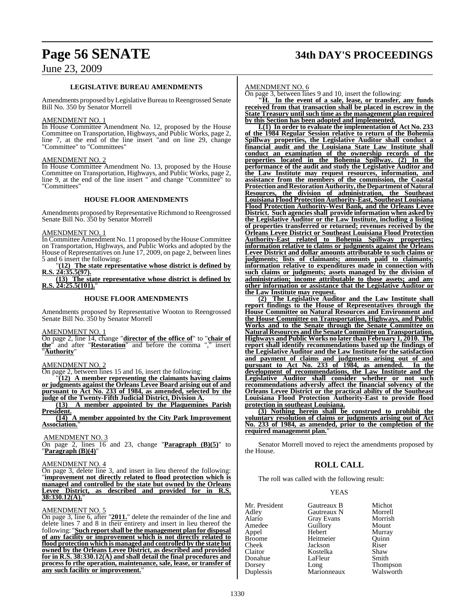# **Page 56 SENATE 34th DAY'S PROCEEDINGS**

## June 23, 2009

### **LEGISLATIVE BUREAU AMENDMENTS**

Amendments proposed by Legislative Bureau to Reengrossed Senate Bill No. 350 by Senator Morrell

### AMENDMENT NO. 1

In House Committee Amendment No. 12, proposed by the House Committee on Transportation, Highways, and Public Works, page 2, line 7, at the end of the line insert "and on line 29, change "Committee" to "Committees"

### AMENDMENT NO. 2

In House Committee Amendment No. 13, proposed by the House Committee on Transportation, Highways, and Public Works, page 2, line 9, at the end of the line insert " and change "Committee" to "Committees"

### **HOUSE FLOOR AMENDMENTS**

Amendments proposed by Representative Richmond to Reengrossed Senate Bill No. 350 by Senator Morrell

### AMENDMENT NO. 1

In Committee Amendment No. 11 proposed by the House Committee on Transportation, Highways, and Public Works and adopted by the House of Representatives on June 17, 2009, on page 2, between lines 5 and 6 insert the following:

"**(12) The state representative whose district is defined by R.S. 24:35.5(97). (13) The state representative whose district is defined by**

**R.S. 24:25.5(101).**"

### **HOUSE FLOOR AMENDMENTS**

Amendments proposed by Representative Wooton to Reengrossed Senate Bill No. 350 by Senator Morrell

AMENDMENT NO. 1

On page 2, line 14, change "**director of the office of**" to "**chair of the**" and after "**Restoration**" and before the comma "," insert "**Authority**"

### AMENDMENT NO. 2

On page 2, between lines 15 and 16, insert the following:

"**(12) A member representing the claimants having claims or judgments against the Orleans Levee Board arising out of and pursuant to Act No. 233 of 1984, as amended, selected by the judge of the Twenty-Fifth Judicial District, Division A.**

**(13) A member appointed by the Plaquemines Parish President.**

**(14) A member appointed by the City Park Improvement Association.**"

AMENDMENT NO. 3

On page 2, lines 16 and 23, change "**Paragraph (B)(5)**" to "**Paragraph (B)(4)**"

### AMENDMENT NO. 4

On page 3, delete line 3, and insert in lieu thereof the following: "**improvement not directly related to flood protection which is managed and controlled by the state but owned by the Orleans Levee District, as described and provided for in R.S. 38:330.12(A).**"

### AMENDMENT NO. 5

On page 3, line 6, after "**2011.**" delete the remainder of the line and delete lines 7 and 8 in their entirety and insert in lieu thereof the following: "**Such reportshall be the management plan for disposal of any facility or improvement which is not directly related to flood protection which is managed and controlled by the state but owned by the Orleans Levee District, as described and provided for in R.S. 38:330.12(A) and shall detail the final procedures and process fo rthe operation, maintenance, sale, lease, or transfer of any such facility or improvement.**"

### AMENDMENT NO. 6

On page 3, between lines 9 and 10, insert the following:

**"H. In the event of a sale, lease, or transfer, any funds received from that transaction shall be placed in escrow in the State Treasury until such time as the management plan required by this Section has been adopted and implemented.**

**I.(1) In order to evaluate the implementation of Act No. 233 of the 1984 Regular Session relative to return of the Bohemia Spillway properties, the Legislative Auditor shall conduct a financial audit and the Louisiana State Law Institute shall conduct an examination of the ownership records of the properties located in the Bohemia Spillway. (2) In the performance of the audit and study the Legislative Auditor and the Law Institute may request resources, information, and assistance from the members of the commission, the Coastal ProtectionandRestorationAuthority,theDepartment of Natural Resources, the division of administration, the Southeast Louisiana Flood Protection Authority-East, Southeast Louisiana Flood Protection Authority-West Bank, and the Orleans Levee District. Such agencies shall provide information when asked by the Legislative Auditor or the Law Institute, including a listing of properties transferred or returned; revenues received by the Orleans Levee District or Southeast Louisiana Flood Protection Authority-East related to Bohemia Spillway properties; information relative to claims or judgments against the Orleans Levee District and dollar amounts attributable to such claims or judgments; lists of claimants; amounts paid to claimants; information relative to expenditures made in connection with such claims or judgments; assets managed by the division of administration; income attributable to those assets; and any other information or assistance that the Legislative Auditor or the Law Institute may request.**

**(2) The Legislative Auditor and the Law Institute shall report findings to the House of Representatives through the House Committee on Natural Resources and Environment and the House Committee on Transportation, Highways, and Public Works and to the Senate through the Senate Committee on Natural Resources and the Senate Committee on Transportation, Highways and Public Works no later than February 1, 2010. The report shall identify recommendations based up the findings of the Legislative Auditor and the Law Institute for the satisfaction and payment of claims and judgments arising out of and pursuant to Act No. 233 of 1984, as amended. In the development of recommendations, the Law Institute and the Legislative Auditor shall consider whether or not such recommendations adversly affect the financial solvency of the Orleans Levee District or the practical ability of the Southeast Louisiana Flood Protection Authority-East to provide flood protection in southeast Louisiana.**

**(3) Nothing herein shall be construed to prohibit the voluntary resolution of claims or judgments arising out of Act No. 233 of 1984, as amended, prior to the completion of the required management plan.**"

Senator Morrell moved to reject the amendments proposed by the House.

### **ROLL CALL**

The roll was called with the following result:

### YEAS

| Gautreaux B       | Michot              |
|-------------------|---------------------|
| Gautreaux N       | Morrell             |
| <b>Gray Evans</b> | Morrish             |
| Guillory          | Mount               |
| Hebert            | Murray              |
| Heitmeier         | Ouinn               |
| Jackson           | Riser               |
| Kostelka          | Shaw                |
| LaFleur           | Smith               |
|                   | Thompson            |
|                   | Walsworth           |
|                   | Long<br>Marionneaux |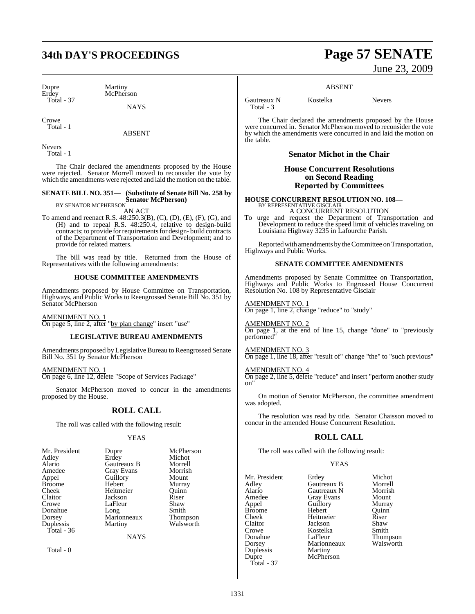# **34th DAY'S PROCEEDINGS Page 57 SENATE**

Dupre Martiny<br>Erdey McPhers Total - 37

McPherson

**NAYS** 

Crowe Total - 1

ABSENT

Nevers Total - 1

The Chair declared the amendments proposed by the House were rejected. Senator Morrell moved to reconsider the vote by which the amendments were rejected and laid the motion on the table.

## **SENATE BILL NO. 351— (Substitute of Senate Bill No. 258 by Senator McPherson)** BY SENATOR MCPHERSON

AN ACT

To amend and reenact R.S. 48:250.3(B), (C), (D), (E), (F), (G), and (H) and to repeal R.S. 48:250.4, relative to design-build contracts; to provide for requirements for design- build contracts of the Department of Transportation and Development; and to provide for related matters.

The bill was read by title. Returned from the House of Representatives with the following amendments:

### **HOUSE COMMITTEE AMENDMENTS**

Amendments proposed by House Committee on Transportation, Highways, and Public Works to Reengrossed Senate Bill No. 351 by Senator McPherson

AMENDMENT NO. 1 On page 5, line 2, after "by plan change" insert "use"

### **LEGISLATIVE BUREAU AMENDMENTS**

Amendments proposed by Legislative Bureau to Reengrossed Senate Bill No. 351 by Senator McPherson

AMENDMENT NO. 1 On page 6, line 12, delete "Scope of Services Package"

Senator McPherson moved to concur in the amendments proposed by the House.

### **ROLL CALL**

The roll was called with the following result:

### YEAS

| Mr. President | Dupre             | McPherson       |
|---------------|-------------------|-----------------|
| Adley         | Erdey             | Michot          |
| Alario        | Gautreaux B       | Morrell         |
| Amedee        | <b>Gray Evans</b> | Morrish         |
| Appel         | Guillory          | Mount           |
| <b>Broome</b> | Hebert            | Murray          |
| Cheek         | Heitmeier         | Quinn           |
| Claitor       | Jackson           | Riser           |
| Crowe         | LaFleur           | Shaw            |
| Donahue       | Long              | Smith           |
| Dorsey        | Marionneaux       | <b>Thompson</b> |
| Duplessis     | Martiny           | Walsworth       |
| Total - 36    |                   |                 |
|               | NAYS              |                 |
|               |                   |                 |

Total - 0

June 23, 2009

### ABSENT

Gautreaux N Kostelka Nevers Total - 3

The Chair declared the amendments proposed by the House were concurred in. Senator McPherson moved to reconsider the vote by which the amendments were concurred in and laid the motion on the table.

### **Senator Michot in the Chair**

**House Concurrent Resolutions on Second Reading Reported by Committees**

**HOUSE CONCURRENT RESOLUTION NO. 108—** BY REPRESENTATIVE GISCLAIR

A CONCURRENT RESOLUTION To urge and request the Department of Transportation and Development to reduce the speed limit of vehicles traveling on Louisiana Highway 3235 in Lafourche Parish.

Reported with amendments by the Committee on Transportation, Highways and Public Works.

### **SENATE COMMITTEE AMENDMENTS**

Amendments proposed by Senate Committee on Transportation, Highways and Public Works to Engrossed House Concurrent Resolution No. 108 by Representative Gisclair

AMENDMENT NO. 1 On page 1, line 2, change "reduce" to "study"

AMENDMENT NO. 2  $\overline{On}$  page 1, at the end of line 15, change "done" to "previously performed"

AMENDMENT NO. 3 On page 1, line 18, after "result of" change "the" to "such previous"

AMENDMENT NO. 4 On page 2, line 5, delete "reduce" and insert "perform another study on"

On motion of Senator McPherson, the committee amendment was adopted.

The resolution was read by title. Senator Chaisson moved to concur in the amended House Concurrent Resolution.

### **ROLL CALL**

The roll was called with the following result:

### YEAS

Mr. President Erdey Michot Adley Gautreaux B Morrell Alario Gautreaux N Morrish Amedee Gray Evans Mount<br>
Appel Guillory Murray Appel Guillory Murray<br>Broome Hebert Ouinn Broome Hebert Quinr<br>
Cheek Heitmeier Riser Cheek Heitmeier Riser Claitor **Jackson** Shaw<br>Crowe **Shaw**<br>Crowe **Shaw** Crowe Kostelka<br>
Donahue LaFleur Donahue LaFleur Thompson<br>Dorsey Marionneaux Walsworth Duplessis<br>Dupre Total - 37

Marionneaux<br>Martiny McPherson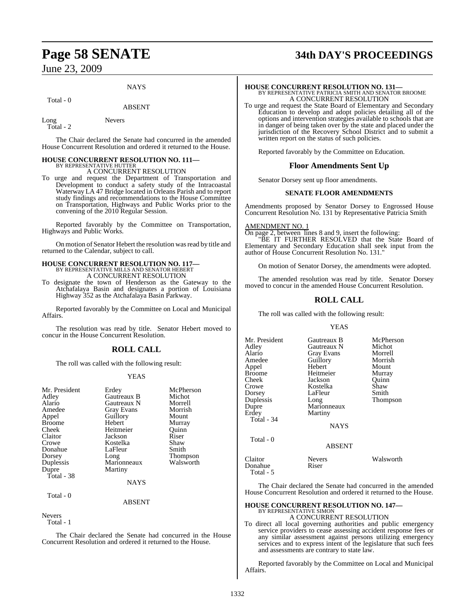### **NAYS**

### Total - 0

## ABSENT

Long Nevers Total - 2

The Chair declared the Senate had concurred in the amended House Concurrent Resolution and ordered it returned to the House.

### **HOUSE CONCURRENT RESOLUTION NO. 111—** BY REPRESENTATIVE HUTTER

A CONCURRENT RESOLUTION

To urge and request the Department of Transportation and Development to conduct a safety study of the Intracoastal Waterway LA 47 Bridge located in Orleans Parish and to report study findings and recommendations to the House Committee on Transportation, Highways and Public Works prior to the convening of the 2010 Regular Session.

Reported favorably by the Committee on Transportation, Highways and Public Works.

On motion of Senator Hebert the resolution was read by title and returned to the Calendar, subject to call.

## **HOUSE CONCURRENT RESOLUTION NO. 117—** BY REPRESENTATIVE MILLS AND SENATOR HEBERT A CONCURRENT RESOLUTION

To designate the town of Henderson as the Gateway to the Atchafalaya Basin and designates a portion of Louisiana Highway 352 as the Atchafalaya Basin Parkway.

Reported favorably by the Committee on Local and Municipal Affairs.

The resolution was read by title. Senator Hebert moved to concur in the House Concurrent Resolution.

### **ROLL CALL**

The roll was called with the following result:

### YEAS

| Mr. President<br>Adley<br>Alario<br>Amedee<br>Appel<br><b>Broome</b><br>Cheek<br>Claitor<br>Crowe | Erdey<br>Gautreaux B<br>Gautreaux N<br><b>Gray Evans</b><br>Guillory<br>Hebert<br>Heitmeier<br>Jackson<br>Kostelka | McPherson<br>Michot<br>Morrell<br>Morrish<br>Mount<br>Murray<br>Ouinn<br>Riser<br>Shaw |
|---------------------------------------------------------------------------------------------------|--------------------------------------------------------------------------------------------------------------------|----------------------------------------------------------------------------------------|
| Donahue                                                                                           | LaFleur                                                                                                            | Smith                                                                                  |
| Dorsey                                                                                            | Long                                                                                                               | <b>Thompson</b>                                                                        |
| Duplessis                                                                                         | Marionneaux                                                                                                        | Walsworth                                                                              |
| Dupre<br>Total - 38                                                                               | Martiny                                                                                                            |                                                                                        |
|                                                                                                   | <b>NAYS</b>                                                                                                        |                                                                                        |

Total - 0

**ABSENT** 

### Nevers

Total - 1

The Chair declared the Senate had concurred in the House Concurrent Resolution and ordered it returned to the House.

# **Page 58 SENATE 34th DAY'S PROCEEDINGS**

**HOUSE CONCURRENT RESOLUTION NO. 131—** BY REPRESENTATIVE PATRICIA SMITH AND SENATOR BROOME A CONCURRENT RESOLUTION

To urge and request the State Board of Elementary and Secondary Education to develop and adopt policies detailing all of the options and intervention strategies available to schools that are in danger of being taken over by the state and placed under the jurisdiction of the Recovery School District and to submit a written report on the status of such policies.

Reported favorably by the Committee on Education.

### **Floor Amendments Sent Up**

Senator Dorsey sent up floor amendments.

### **SENATE FLOOR AMENDMENTS**

Amendments proposed by Senator Dorsey to Engrossed House Concurrent Resolution No. 131 by Representative Patricia Smith

AMENDMENT NO. 1 On page 2, between lines 8 and 9, insert the following: "BE IT FURTHER RESOLVED that the State Board of Elementary and Secondary Education shall seek input from the author of House Concurrent Resolution No. 131."

On motion of Senator Dorsey, the amendments were adopted.

The amended resolution was read by title. Senator Dorsey moved to concur in the amended House Concurrent Resolution.

## **ROLL CALL**

The roll was called with the following result:

### YEAS

| Mr. President<br>Adley<br>Alario<br>Amedee<br>Appel<br>Broome<br>Cheek<br>Crowe<br>Dorsey<br>Duplessis<br>Dupre<br>Erdey<br>Total - 34 | Gautreaux B<br>Gautreaux N<br><b>Gray Evans</b><br>Guillory<br>Hebert<br>Heitmeier<br>Jackson<br>Kostelka<br>LaFleur<br>Long<br>Marionneaux<br>Martiny<br><b>NAYS</b> | McPherson<br>Michot<br>Morrell<br>Morrish<br>Mount<br>Murray<br>Ouinn<br>Shaw<br>Smith<br>Thompson |
|----------------------------------------------------------------------------------------------------------------------------------------|-----------------------------------------------------------------------------------------------------------------------------------------------------------------------|----------------------------------------------------------------------------------------------------|
| Total - 0                                                                                                                              | <b>ABSENT</b>                                                                                                                                                         |                                                                                                    |
| Claitor                                                                                                                                | <b>Nevers</b>                                                                                                                                                         | Walsworth                                                                                          |

Donahue Riser Total - 5

The Chair declared the Senate had concurred in the amended House Concurrent Resolution and ordered it returned to the House.

## **HOUSE CONCURRENT RESOLUTION NO. 147—** BY REPRESENTATIVE SIMON A CONCURRENT RESOLUTION

and assessments are contrary to state law.

To direct all local governing authorities and public emergency service providers to cease assessing accident response fees or any similar assessment against persons utilizing emergency services and to express intent of the legislature that such fees

Reported favorably by the Committee on Local and Municipal Affairs.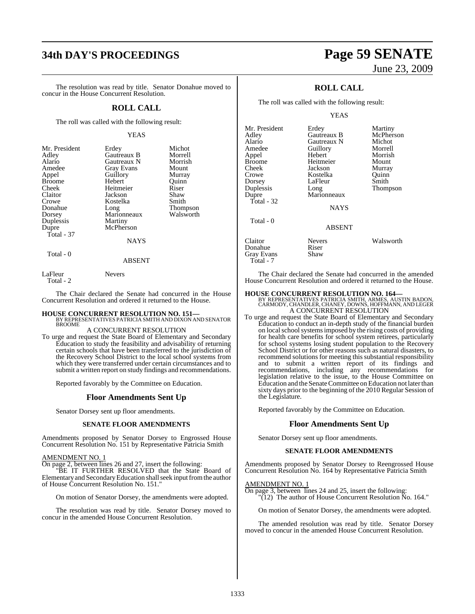# **34th DAY'S PROCEEDINGS Page 59 SENATE**

The resolution was read by title. Senator Donahue moved to concur in the House Concurrent Resolution.

### **ROLL CALL**

The roll was called with the following result:

### YEAS

| Mr. President | Erdey             | Michot    |
|---------------|-------------------|-----------|
| Adley         | Gautreaux B       | Morrell   |
| Alario        | Gautreaux N       | Morrish   |
| Amedee        | <b>Gray Evans</b> | Mount     |
| Appel         | Guillory          | Murray    |
| <b>Broome</b> | Hebert            | Ouinn     |
| Cheek         | Heitmeier         | Riser     |
| Claitor       | Jackson           | Shaw      |
| Crowe         | Kostelka          | Smith     |
| Donahue       | Long              | Thompson  |
| Dorsey        | Marionneaux       | Walsworth |
| Duplessis     | Martiny           |           |
| Dupre         | McPherson         |           |
| Total - 37    |                   |           |
|               | <b>NAYS</b>       |           |
| Total - 0     |                   |           |

### ABSENT

LaFleur Nevers

Total - 2

The Chair declared the Senate had concurred in the House Concurrent Resolution and ordered it returned to the House.

# **HOUSE CONCURRENT RESOLUTION NO. 151—** BY REPRESENTATIVES PATRICIA SMITH AND DIXON AND SENATOR

### **BROOME** A CONCURRENT RESOLUTION

To urge and request the State Board of Elementary and Secondary Education to study the feasibility and advisability of returning certain schools that have been transferred to the jurisdiction of the Recovery School District to the local school systems from which they were transferred under certain circumstances and to submit a written report on study findings and recommendations.

Reported favorably by the Committee on Education.

### **Floor Amendments Sent Up**

Senator Dorsey sent up floor amendments.

### **SENATE FLOOR AMENDMENTS**

Amendments proposed by Senator Dorsey to Engrossed House Concurrent Resolution No. 151 by Representative Patricia Smith

### AMENDMENT NO. 1

On page 2, between lines 26 and 27, insert the following:

"BE IT FURTHER RESOLVED that the State Board of Elementary and Secondary Education shall seek input from the author of House Concurrent Resolution No. 151."

On motion of Senator Dorsey, the amendments were adopted.

The resolution was read by title. Senator Dorsey moved to concur in the amended House Concurrent Resolution.

# June 23, 2009

## **ROLL CALL**

The roll was called with the following result:

YEAS

| Mr. President<br>Adley<br>Alario<br>Amedee    | Erdey<br>Gautreaux B<br>Gautreaux N<br>Guillory | Martiny<br>McPherson<br>Michot<br>Morrell |
|-----------------------------------------------|-------------------------------------------------|-------------------------------------------|
| Appel                                         | Hebert                                          | Morrish                                   |
| Broome                                        | Heitmeier                                       | Mount                                     |
| Cheek                                         | Jackson                                         | Murray                                    |
| Crowe                                         | Kostelka                                        | Quinn                                     |
| Dorsey                                        | LaFleur                                         | Smith                                     |
| Duplessis                                     | Long                                            | Thompson                                  |
| Dupre<br>Total - 32                           | Marionneaux<br><b>NAYS</b>                      |                                           |
| Total - 0                                     | <b>ABSENT</b>                                   |                                           |
| Claitor<br>Donahue<br>Gray Evans<br>Total - 7 | <b>Nevers</b><br>Riser<br>Shaw                  | Walsworth                                 |

The Chair declared the Senate had concurred in the amended House Concurrent Resolution and ordered it returned to the House.

**HOUSE CONCURRENT RESOLUTION NO. 164—** BY REPRESENTATIVES PATRICIA SMITH, ARMES, AUSTIN BADON, CARMODY, CHANDLER, CHANEY, DOWNS, HOFFMANN, AND LEGER A CONCURRENT RESOLUTION

To urge and request the State Board of Elementary and Secondary Education to conduct an in-depth study of the financial burden on local school systems imposed by the rising costs of providing for health care benefits for school system retirees, particularly for school systems losing student population to the Recovery School District or for other reasons such as natural disasters, to recommend solutions for meeting this substantial responsibility and to submit a written report of its findings and recommendations, including any recommendations for legislation relative to the issue, to the House Committee on Education and the SenateCommittee on Education not laterthan sixty days prior to the beginning of the 2010 Regular Session of the Legislature.

Reported favorably by the Committee on Education.

### **Floor Amendments Sent Up**

Senator Dorsey sent up floor amendments.

### **SENATE FLOOR AMENDMENTS**

Amendments proposed by Senator Dorsey to Reengrossed House Concurrent Resolution No. 164 by Representative Patricia Smith

### AMENDMENT NO. 1

On page 3, between lines 24 and 25, insert the following:  $\overline{P(12)}$  The author of House Concurrent Resolution No. 164."

On motion of Senator Dorsey, the amendments were adopted.

The amended resolution was read by title. Senator Dorsey moved to concur in the amended House Concurrent Resolution.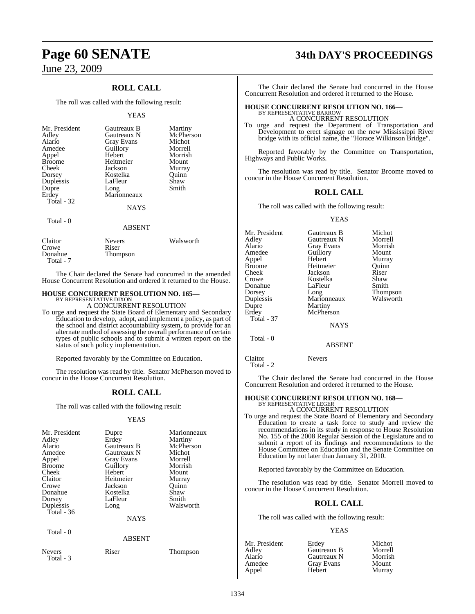## **ROLL CALL**

The roll was called with the following result:

### YEAS

| Mr. President<br>Adley<br>Alario<br>Amedee<br>Appel<br><b>Broome</b><br>Cheek<br>Dorsey<br>Duplessis<br>Dupre<br>Erdey<br>Total - 32 | Gautreaux B<br>Gautreaux N<br>Gray Evans<br>Guillory<br>Hebert<br>Heitmeier<br>Jackson<br>Kostelka<br>LaFleur<br>Long<br>Marionneaux | Martiny<br>McPherson<br>Michot<br>Morrell<br>Morrish<br>Mount<br>Murray<br>Ouinn<br>Shaw<br>Smith |
|--------------------------------------------------------------------------------------------------------------------------------------|--------------------------------------------------------------------------------------------------------------------------------------|---------------------------------------------------------------------------------------------------|
|                                                                                                                                      | <b>NAYS</b>                                                                                                                          |                                                                                                   |
| Total - 0                                                                                                                            | <b>ABSENT</b>                                                                                                                        |                                                                                                   |
| Claitor<br>Crowe<br>Donahue                                                                                                          | <b>Nevers</b><br>Riser<br>Thompson                                                                                                   | Walsworth                                                                                         |

Thompson Total - 7 The Chair declared the Senate had concurred in the amended

House Concurrent Resolution and ordered it returned to the House.

### **HOUSE CONCURRENT RESOLUTION NO. 165—**

BY REPRESENTATIVE DIXON A CONCURRENT RESOLUTION

To urge and request the State Board of Elementary and Secondary Education to develop, adopt, and implement a policy, as part of the school and district accountability system, to provide for an alternate method of assessing the overall performance of certain types of public schools and to submit a written report on the status of such policy implementation.

Reported favorably by the Committee on Education.

The resolution was read by title. Senator McPherson moved to concur in the House Concurrent Resolution.

### **ROLL CALL**

The roll was called with the following result:

### YEAS

| Mr. President | Dupre             | Marionneaux |
|---------------|-------------------|-------------|
| Adley         | Erdey             | Martiny     |
| Alario        | Gautreaux B       | McPherson   |
| Amedee        | Gautreaux N       | Michot      |
| Appel         | <b>Gray Evans</b> | Morrell     |
| <b>Broome</b> | Guillory          | Morrish     |
| Cheek         | Hebert            | Mount       |
| Claitor       | Heitmeier         | Murray      |
| Crowe         | Jackson           | Ouinn       |
| Donahue       | Kostelka          | Shaw        |
| Dorsey        | LaFleur           | Smith       |
| Duplessis     | Long              | Walsworth   |
| Total - 36    |                   |             |
|               | <b>NAYS</b>       |             |
| Total - 0     |                   |             |
|               | <b>ABSENT</b>     |             |

Nevers Riser Thompson Total - 3

# **Page 60 SENATE 34th DAY'S PROCEEDINGS**

The Chair declared the Senate had concurred in the House Concurrent Resolution and ordered it returned to the House.

# **HOUSE CONCURRENT RESOLUTION NO. 166—** BY REPRESENTATIVE BARROW

A CONCURRENT RESOLUTION

To urge and request the Department of Transportation and Development to erect signage on the new Mississippi River bridge with its official name, the "Horace Wilkinson Bridge".

Reported favorably by the Committee on Transportation, Highways and Public Works.

The resolution was read by title. Senator Broome moved to concur in the House Concurrent Resolution.

### **ROLL CALL**

The roll was called with the following result:

### YEAS

| Mr. President | Gautreaux B       | Michot    |
|---------------|-------------------|-----------|
| Adley         | Gautreaux N       | Morrell   |
| Alario        | <b>Gray Evans</b> | Morrish   |
| Amedee        | Guillory          | Mount     |
| Appel         | Hebert            | Murray    |
| Broome        | Heitmeier         | Ouinn     |
| Cheek         | Jackson           | Riser     |
| Crowe         | Kostelka          | Shaw      |
| Donahue       | LaFleur           | Smith     |
| Dorsey        | Long              | Thompson  |
| Duplessis     | Marionneaux       | Walsworth |
| Dupre         | Martiny           |           |
| Erdey         | McPherson         |           |
| Total - 37    |                   |           |
|               | <b>NAYS</b>       |           |
| Total - 0     |                   |           |
|               | <b>ABSENT</b>     |           |
|               |                   |           |

Claitor Nevers Total - 2

The Chair declared the Senate had concurred in the House Concurrent Resolution and ordered it returned to the House.

# **HOUSE CONCURRENT RESOLUTION NO. 168—** BY REPRESENTATIVE LEGER

A CONCURRENT RESOLUTION

To urge and request the State Board of Elementary and Secondary Education to create a task force to study and review the recommendations in its study in response to House Resolution No. 155 of the 2008 Regular Session of the Legislature and to submit a report of its findings and recommendations to the House Committee on Education and the Senate Committee on Education by not later than January 31, 2010.

Reported favorably by the Committee on Education.

The resolution was read by title. Senator Morrell moved to concur in the House Concurrent Resolution.

### **ROLL CALL**

The roll was called with the following result:

### YEAS

| Mr. President | Erdey       | Michot  |
|---------------|-------------|---------|
| Adlev         | Gautreaux B | Morrell |
| Alario        | Gautreaux N | Morrish |
| Amedee        | Gray Evans  | Mount   |
| Appel         | Hebert      | Murray  |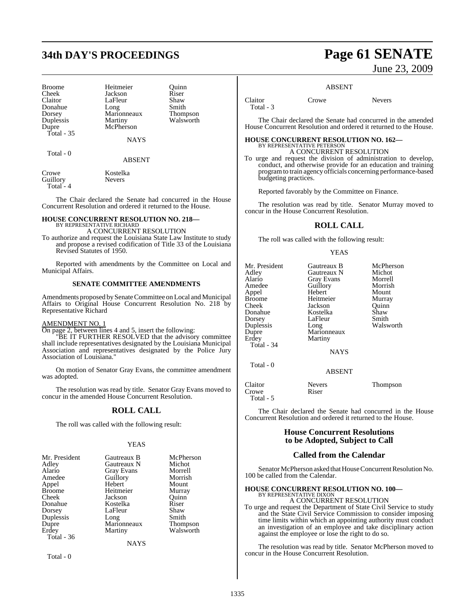# **34th DAY'S PROCEEDINGS Page 61 SENATE**

Dorsey Marionneaux<br>
Duplessis Martiny Total - 35

Broome Heitmeier Quinn<br>
Cheek Jackson Riser Cheek Jackson Riser<br>Claitor LaFleur Shaw LaFleur Shaw<br>Long Smith Donahue Long Smith<br>Dorsey Marionneaux Thompson Duplessis Martiny Walsworth<br>
Dupre McPherson McPherson

**NAYS** 

Total - 0

### ABSENT

Crowe Kostelka<br>
Guillory Nevers Guillory Total - 4

### The Chair declared the Senate had concurred in the House Concurrent Resolution and ordered it returned to the House.

# **HOUSE CONCURRENT RESOLUTION NO. 218—** BY REPRESENTATIVE RICHARD

A CONCURRENT RESOLUTION

To authorize and request the Louisiana State Law Institute to study and propose a revised codification of Title 33 of the Louisiana Revised Statutes of 1950.

Reported with amendments by the Committee on Local and Municipal Affairs.

### **SENATE COMMITTEE AMENDMENTS**

Amendments proposed by Senate Committee on Local and Municipal Affairs to Original House Concurrent Resolution No. 218 by Representative Richard

### AMENDMENT NO. 1

On page 2, between lines 4 and 5, insert the following:

"BE IT FURTHER RESOLVED that the advisory committee shall include representatives designated by the Louisiana Municipal Association and representatives designated by the Police Jury Association of Louisiana."

On motion of Senator Gray Evans, the committee amendment was adopted.

The resolution was read by title. Senator Gray Evans moved to concur in the amended House Concurrent Resolution.

### **ROLL CALL**

The roll was called with the following result:

### YEAS

| Mr. President | Gautreaux B       | McPherson       |
|---------------|-------------------|-----------------|
| Adley         | Gautreaux N       | Michot          |
| Alario        | <b>Gray Evans</b> | Morrell         |
| Amedee        | Guillory          | Morrish         |
|               | Hebert            | Mount           |
| Appel         |                   |                 |
| <b>Broome</b> | Heitmeier         | Murray          |
| Cheek         | Jackson           | Ouinn           |
| Donahue       | Kostelka          | Riser           |
| Dorsey        | LaFleur           | Shaw            |
| Duplessis     | Long              | Smith           |
| Dupre         | Marionneaux       | <b>Thompson</b> |
| Erdey         | Martiny           | Walsworth       |
| Total $-36$   |                   |                 |
|               | NAYS              |                 |

Total - 0

June 23, 2009

### ABSENT

Total - 3

Claitor Crowe Nevers

The Chair declared the Senate had concurred in the amended House Concurrent Resolution and ordered it returned to the House.

## **HOUSE CONCURRENT RESOLUTION NO. 162—** BY REPRESENTATIVE PETERSON A CONCURRENT RESOLUTION

To urge and request the division of administration to develop, conduct, and otherwise provide for an education and training programto train agency officials concerning performance-based budgeting practices.

Reported favorably by the Committee on Finance.

The resolution was read by title. Senator Murray moved to concur in the House Concurrent Resolution.

### **ROLL CALL**

The roll was called with the following result:

### YEAS

| Mr. President | Gautreaux B       | McPherson |
|---------------|-------------------|-----------|
|               |                   |           |
| Adlev         | Gautreaux N       | Michot    |
| Alario        | <b>Gray Evans</b> | Morrell   |
| Amedee        | Guillory          | Morrish   |
| Appel         | Hebert            | Mount     |
| Broome        | Heitmeier         | Murray    |
| Cheek         | Jackson           | Ouinn     |
| Donahue       | Kostelka          | Shaw      |
| Dorsey        | LaFleur           | Smith     |
| Duplessis     | Long              | Walsworth |
| Dupre         | Marionneaux       |           |
| Erdey         | Martiny           |           |
| Total - 34    |                   |           |
|               | <b>NAYS</b>       |           |
| Total - 0     |                   |           |
|               | <b>ABSENT</b>     |           |
|               |                   |           |

| Claitor   | <b>Nevers</b> | Thompson |
|-----------|---------------|----------|
| Crowe     | Riser         |          |
| Total - 5 |               |          |

The Chair declared the Senate had concurred in the House Concurrent Resolution and ordered it returned to the House.

### **House Concurrent Resolutions to be Adopted, Subject to Call**

### **Called from the Calendar**

Senator McPherson asked that House Concurrent Resolution No. 100 be called from the Calendar.

### **HOUSE CONCURRENT RESOLUTION NO. 100—**

BY REPRESENTATIVE DIXON A CONCURRENT RESOLUTION

To urge and request the Department of State Civil Service to study and the State Civil Service Commission to consider imposing time limits within which an appointing authority must conduct an investigation of an employee and take disciplinary action against the employee or lose the right to do so.

The resolution was read by title. Senator McPherson moved to concur in the House Concurrent Resolution.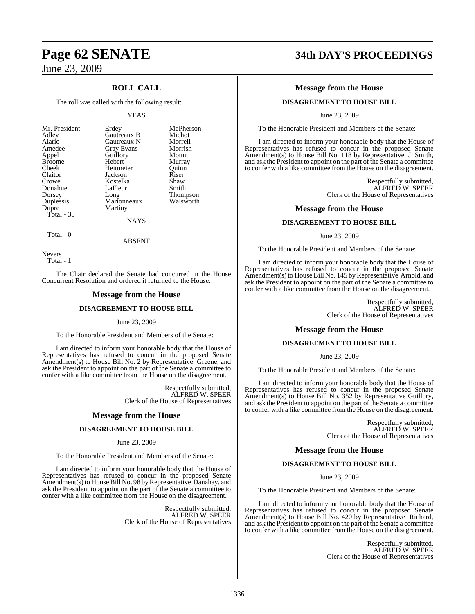## **ROLL CALL**

The roll was called with the following result:

### YEAS

| Mr. President<br>Adley<br>Alario<br>Amedee<br>Appel<br><b>Broome</b><br>Cheek<br>Claitor<br>Crowe<br>Donahue<br>Dorsey<br>Duplessis<br>Dupre | Erdey<br>Gautreaux B<br>Gautreaux N<br><b>Gray Evans</b><br>Guillory<br>Hebert<br>Heitmeier<br>Jackson<br>Kostelka<br>LaFleur<br>Long<br>Marionneaux<br>Martiny | McPherson<br>Michot<br>Morrell<br>Morrish<br>Mount<br>Murray<br>Ouinn<br>Riser<br>Shaw<br>Smith<br><b>Thompson</b><br>Walsworth |
|----------------------------------------------------------------------------------------------------------------------------------------------|-----------------------------------------------------------------------------------------------------------------------------------------------------------------|---------------------------------------------------------------------------------------------------------------------------------|
|                                                                                                                                              |                                                                                                                                                                 |                                                                                                                                 |
| Total - 38                                                                                                                                   | NAYS                                                                                                                                                            |                                                                                                                                 |
|                                                                                                                                              |                                                                                                                                                                 |                                                                                                                                 |

Total - 0

Nevers Total - 1

The Chair declared the Senate had concurred in the House Concurrent Resolution and ordered it returned to the House.

ABSENT

### **Message from the House**

### **DISAGREEMENT TO HOUSE BILL**

### June 23, 2009

To the Honorable President and Members of the Senate:

I am directed to inform your honorable body that the House of Representatives has refused to concur in the proposed Senate Amendment(s) to House Bill No. 2 by Representative Greene, and ask the President to appoint on the part of the Senate a committee to confer with a like committee from the House on the disagreement.

> Respectfully submitted, ALFRED W. SPEER Clerk of the House of Representatives

### **Message from the House**

### **DISAGREEMENT TO HOUSE BILL**

### June 23, 2009

To the Honorable President and Members of the Senate:

I am directed to inform your honorable body that the House of Representatives has refused to concur in the proposed Senate Amendment(s) to House Bill No. 98 by Representative Danahay, and ask the President to appoint on the part of the Senate a committee to confer with a like committee from the House on the disagreement.

> Respectfully submitted, ALFRED W. SPEER Clerk of the House of Representatives

# **Page 62 SENATE 34th DAY'S PROCEEDINGS**

### **Message from the House**

### **DISAGREEMENT TO HOUSE BILL**

June 23, 2009

To the Honorable President and Members of the Senate:

I am directed to inform your honorable body that the House of Representatives has refused to concur in the proposed Senate Amendment(s) to House Bill No. 118 by Representative J. Smith, and ask the President to appoint on the part of the Senate a committee to confer with a like committee from the House on the disagreement.

> Respectfully submitted, ALFRED W. SPEER Clerk of the House of Representatives

### **Message from the House**

### **DISAGREEMENT TO HOUSE BILL**

June 23, 2009

To the Honorable President and Members of the Senate:

I am directed to inform your honorable body that the House of Representatives has refused to concur in the proposed Senate Amendment(s) to House Bill No. 145 by Representative Arnold, and ask the President to appoint on the part of the Senate a committee to confer with a like committee from the House on the disagreement.

> Respectfully submitted, ALFRED W. SPEER Clerk of the House of Representatives

### **Message from the House**

### **DISAGREEMENT TO HOUSE BILL**

### June 23, 2009

To the Honorable President and Members of the Senate:

I am directed to inform your honorable body that the House of Representatives has refused to concur in the proposed Senate Amendment(s) to House Bill No. 352 by Representative Guillory, and ask the President to appoint on the part of the Senate a committee to confer with a like committee from the House on the disagreement.

> Respectfully submitted, ALFRED W. SPEER Clerk of the House of Representatives

### **Message from the House**

### **DISAGREEMENT TO HOUSE BILL**

June 23, 2009

To the Honorable President and Members of the Senate:

I am directed to inform your honorable body that the House of Representatives has refused to concur in the proposed Senate Amendment(s) to House Bill No. 420 by Representative Richard, and ask the President to appoint on the part of the Senate a committee to confer with a like committee from the House on the disagreement.

> Respectfully submitted, ALFRED W. SPEER Clerk of the House of Representatives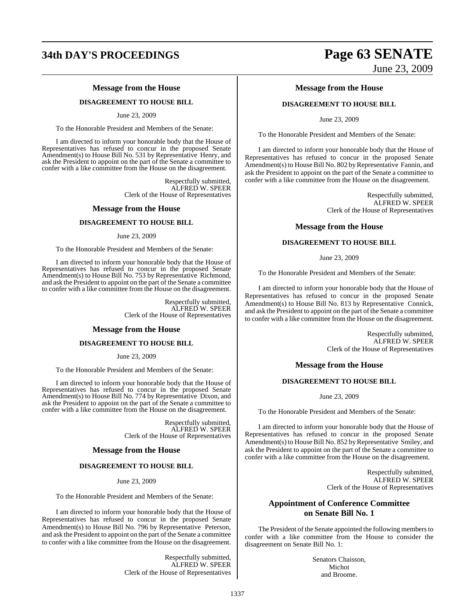# **34th DAY'S PROCEEDINGS Page 63 SENATE**

### **Message from the House**

### **DISAGREEMENT TO HOUSE BILL**

June 23, 2009

To the Honorable President and Members of the Senate:

I am directed to inform your honorable body that the House of Representatives has refused to concur in the proposed Senate Amendment(s) to House Bill No. 531 by Representative Henry, and ask the President to appoint on the part of the Senate a committee to confer with a like committee from the House on the disagreement.

> Respectfully submitted, ALFRED W. SPEER Clerk of the House of Representatives

### **Message from the House**

### **DISAGREEMENT TO HOUSE BILL**

June 23, 2009

To the Honorable President and Members of the Senate:

I am directed to inform your honorable body that the House of Representatives has refused to concur in the proposed Senate Amendment(s) to House Bill No. 753 by Representative Richmond, and ask the President to appoint on the part of the Senate a committee to confer with a like committee from the House on the disagreement.

> Respectfully submitted, ALFRED W. SPEER Clerk of the House of Representatives

### **Message from the House**

### **DISAGREEMENT TO HOUSE BILL**

June 23, 2009

To the Honorable President and Members of the Senate:

I am directed to inform your honorable body that the House of Representatives has refused to concur in the proposed Senate Amendment(s) to House Bill No. 774 by Representative Dixon, and ask the President to appoint on the part of the Senate a committee to confer with a like committee from the House on the disagreement.

> Respectfully submitted, ALFRED W. SPEER Clerk of the House of Representatives

### **Message from the House**

### **DISAGREEMENT TO HOUSE BILL**

June 23, 2009

To the Honorable President and Members of the Senate:

I am directed to inform your honorable body that the House of Representatives has refused to concur in the proposed Senate Amendment(s) to House Bill No. 796 by Representative Peterson, and ask the President to appoint on the part of the Senate a committee to confer with a like committee from the House on the disagreement.

> Respectfully submitted, ALFRED W. SPEER Clerk of the House of Representatives

# June 23, 2009

### **Message from the House**

### **DISAGREEMENT TO HOUSE BILL**

June 23, 2009

To the Honorable President and Members of the Senate:

I am directed to inform your honorable body that the House of Representatives has refused to concur in the proposed Senate Amendment(s) to House Bill No. 802 by Representative Fannin, and ask the President to appoint on the part of the Senate a committee to confer with a like committee from the House on the disagreement.

> Respectfully submitted, ALFRED W. SPEER Clerk of the House of Representatives

### **Message from the House**

### **DISAGREEMENT TO HOUSE BILL**

June 23, 2009

To the Honorable President and Members of the Senate:

I am directed to inform your honorable body that the House of Representatives has refused to concur in the proposed Senate Amendment(s) to House Bill No. 813 by Representative Connick, and ask the President to appoint on the part of the Senate a committee to confer with a like committee from the House on the disagreement.

> Respectfully submitted, ALFRED W. SPEER Clerk of the House of Representatives

### **Message from the House**

### **DISAGREEMENT TO HOUSE BILL**

June 23, 2009

To the Honorable President and Members of the Senate:

I am directed to inform your honorable body that the House of Representatives has refused to concur in the proposed Senate Amendment(s) to House Bill No. 852 by Representative Smiley, and ask the President to appoint on the part of the Senate a committee to confer with a like committee from the House on the disagreement.

> Respectfully submitted, ALFRED W. SPEER Clerk of the House of Representatives

## **Appointment of Conference Committee on Senate Bill No. 1**

The President of the Senate appointed the following members to confer with a like committee from the House to consider the disagreement on Senate Bill No. 1:

> Senators Chaisson, Michot and Broome.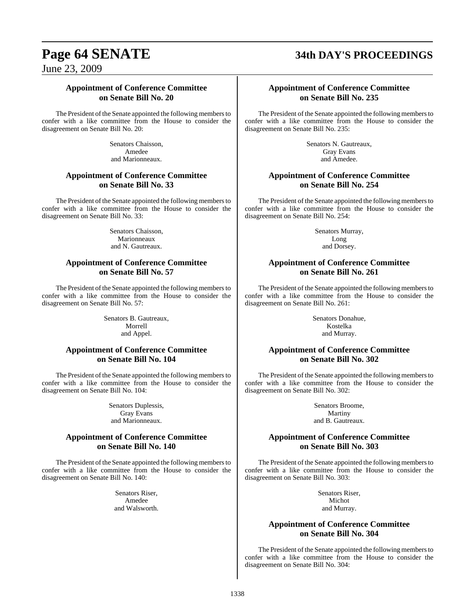# **Page 64 SENATE 34th DAY'S PROCEEDINGS**

June 23, 2009

### **Appointment of Conference Committee on Senate Bill No. 20**

The President of the Senate appointed the following members to confer with a like committee from the House to consider the disagreement on Senate Bill No. 20:

> Senators Chaisson, Amedee and Marionneaux.

## **Appointment of Conference Committee on Senate Bill No. 33**

The President of the Senate appointed the following members to confer with a like committee from the House to consider the disagreement on Senate Bill No. 33:

> Senators Chaisson, Marionneaux and N. Gautreaux.

### **Appointment of Conference Committee on Senate Bill No. 57**

The President of the Senate appointed the following members to confer with a like committee from the House to consider the disagreement on Senate Bill No. 57:

> Senators B. Gautreaux, Morrell and Appel.

## **Appointment of Conference Committee on Senate Bill No. 104**

The President of the Senate appointed the following members to confer with a like committee from the House to consider the disagreement on Senate Bill No. 104:

> Senators Duplessis, Gray Evans and Marionneaux.

### **Appointment of Conference Committee on Senate Bill No. 140**

The President of the Senate appointed the following members to confer with a like committee from the House to consider the disagreement on Senate Bill No. 140:

> Senators Riser, Amedee and Walsworth.

### **Appointment of Conference Committee on Senate Bill No. 235**

The President of the Senate appointed the following members to confer with a like committee from the House to consider the disagreement on Senate Bill No. 235:

> Senators N. Gautreaux, Gray Evans and Amedee.

### **Appointment of Conference Committee on Senate Bill No. 254**

The President of the Senate appointed the following members to confer with a like committee from the House to consider the disagreement on Senate Bill No. 254:

> Senators Murray, Long and Dorsey.

## **Appointment of Conference Committee on Senate Bill No. 261**

The President of the Senate appointed the following members to confer with a like committee from the House to consider the disagreement on Senate Bill No. 261:

> Senators Donahue, Kostelka and Murray.

## **Appointment of Conference Committee on Senate Bill No. 302**

The President of the Senate appointed the following members to confer with a like committee from the House to consider the disagreement on Senate Bill No. 302:

> Senators Broome, Martiny and B. Gautreaux.

## **Appointment of Conference Committee on Senate Bill No. 303**

The President of the Senate appointed the following members to confer with a like committee from the House to consider the disagreement on Senate Bill No. 303:

> Senators Riser, Michot and Murray.

### **Appointment of Conference Committee on Senate Bill No. 304**

The President of the Senate appointed the following members to confer with a like committee from the House to consider the disagreement on Senate Bill No. 304: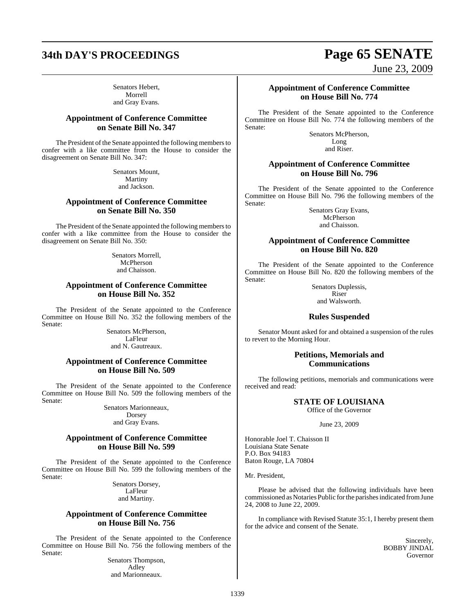Senators Hebert, Morrell and Gray Evans.

### **Appointment of Conference Committee on Senate Bill No. 347**

The President of the Senate appointed the following members to confer with a like committee from the House to consider the disagreement on Senate Bill No. 347:

> Senators Mount, Martiny and Jackson.

### **Appointment of Conference Committee on Senate Bill No. 350**

The President of the Senate appointed the following members to confer with a like committee from the House to consider the disagreement on Senate Bill No. 350:

> Senators Morrell, McPherson and Chaisson.

### **Appointment of Conference Committee on House Bill No. 352**

The President of the Senate appointed to the Conference Committee on House Bill No. 352 the following members of the Senate:

> Senators McPherson, LaFleur and N. Gautreaux.

### **Appointment of Conference Committee on House Bill No. 509**

The President of the Senate appointed to the Conference Committee on House Bill No. 509 the following members of the Senate:

> Senators Marionneaux, Dorsey and Gray Evans.

### **Appointment of Conference Committee on House Bill No. 599**

The President of the Senate appointed to the Conference Committee on House Bill No. 599 the following members of the Senate:

> Senators Dorsey, LaFleur and Martiny.

### **Appointment of Conference Committee on House Bill No. 756**

The President of the Senate appointed to the Conference Committee on House Bill No. 756 the following members of the Senate:

> Senators Thompson, Adley and Marionneaux.

## **Appointment of Conference Committee on House Bill No. 774**

The President of the Senate appointed to the Conference Committee on House Bill No. 774 the following members of the Senate:

> Senators McPherson, Long and Riser.

### **Appointment of Conference Committee on House Bill No. 796**

The President of the Senate appointed to the Conference Committee on House Bill No. 796 the following members of the Senate:

Senators Gray Evans, McPherson and Chaisson.

### **Appointment of Conference Committee on House Bill No. 820**

The President of the Senate appointed to the Conference Committee on House Bill No. 820 the following members of the Senate:

> Senators Duplessis, Riser

and Walsworth.

### **Rules Suspended**

Senator Mount asked for and obtained a suspension of the rules to revert to the Morning Hour.

### **Petitions, Memorials and Communications**

The following petitions, memorials and communications were received and read:

## **STATE OF LOUISIANA**

Office of the Governor

### June 23, 2009

Honorable Joel T. Chaisson II Louisiana State Senate P.O. Box 94183 Baton Rouge, LA 70804

Mr. President,

Please be advised that the following individuals have been commissioned as Notaries Public for the parishes indicated from June 24, 2008 to June 22, 2009.

In compliance with Revised Statute 35:1, I hereby present them for the advice and consent of the Senate.

> Sincerely, BOBBY JINDAL Governor

# **34th DAY'S PROCEEDINGS Page 65 SENATE**

June 23, 2009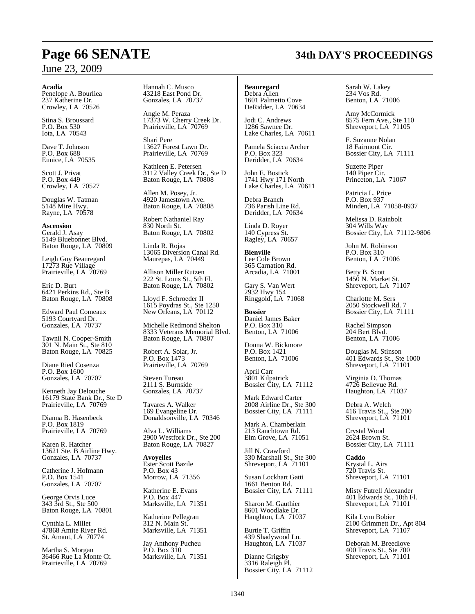### **Acadia**

Penelope A. Bourliea 237 Katherine Dr. Crowley, LA 70526

Stina S. Broussard P.O. Box 530 Iota, LA 70543

Dave T. Johnson P.O. Box 688 Eunice, LA 70535

Scott J. Privat P.O. Box 449 Crowley, LA 70527

Douglas W. Tatman 5148 Mire Hwy. Rayne, LA 70578

**Ascension** Gerald J. Asay 5149 Bluebonnet Blvd. Baton Rouge, LA 70809

Leigh Guy Beauregard 17273 Rue Village Prairieville, LA 70769

Eric D. Burt 6421 Perkins Rd., Ste B Baton Rouge, LA 70808

Edward Paul Comeaux 5193 Courtyard Dr. Gonzales, LA 70737

Tawnii N. Cooper-Smith 301 N. Main St., Ste 810 Baton Rouge, LA 70825

Diane Ried Cosenza P.O. Box 1600 Gonzales, LA 70707

Kenneth Jay Delouche 16179 State Bank Dr., Ste D Prairieville, LA 70769

Dianna B. Hasenbeck P.O. Box 1819 Prairieville, LA 70769

Karen R. Hatcher 13621 Ste. B Airline Hwy. Gonzales, LA 70737

Catherine J. Hofmann P.O. Box 1541 Gonzales, LA 70707

George Orvis Luce 343 3rd St., Ste 500 Baton Rouge, LA 70801

Cynthia L. Millet 47868 Amite River Rd. St. Amant, LA 70774

Martha S. Morgan 36466 Rue La Monte Ct. Prairieville, LA 70769

Hannah C. Musco 43218 East Pond Dr. Gonzales, LA 70737

Angie M. Peraza 17373 W. Cherry Creek Dr. Prairieville, LA 70769

Shari Pere 13627 Forest Lawn Dr. Prairieville, LA 70769

Kathleen E. Petersen 3112 Valley Creek Dr., Ste D Baton Rouge, LA 70808

Allen M. Posey, Jr. 4920 Jamestown Ave. Baton Rouge, LA 70808

Robert Nathaniel Ray 830 North St. Baton Rouge, LA 70802

Linda R. Rojas 13065 Diversion Canal Rd. Maurepas, LA 70449

Allison Miller Rutzen 222 St. Louis St., 5th Fl. Baton Rouge, LA 70802

Lloyd F. Schroeder II 1615 Poydras St., Ste 1250 New Orleans, LA 70112

Michelle Redmond Shelton 8333 Veterans Memorial Blvd. Baton Rouge, LA 70807

Robert A. Solar, Jr. P.O. Box 1473 Prairieville, LA 70769

Steven Tureau 2111 S. Burnside Gonzales, LA 70737

Tavares A. Walker 169 Evangeline Dr. Donaldsonville, LA 70346

Alva L. Williams 2900 Westfork Dr., Ste 200 Baton Rouge, LA 70827

**Avoyelles** Ester Scott Bazile P.O. Box 43 Morrow, LA 71356

Katherine E. Evans P.O. Box 447 Marksville, LA 71351

Katherine Pellegran 312 N. Main St. Marksville, LA 71351

Jay Anthony Pucheu P.O. Box 310 Marksville, LA 71351

**Beauregard** Debra Allen 1601 Palmetto Cove DeRidder, LA 70634

Jodi C. Andrews 1286 Sawnee Dr. Lake Charles, LA 70611

Pamela Sciacca Archer P.O. Box 323 Deridder, LA 70634

John E. Bostick 1741 Hwy 171 North Lake Charles, LA 70611

Debra Branch 736 Parish Line Rd. Deridder, LA 70634

Linda D. Royer 140 Cypress St. Ragley, LA 70657

**Bienville** Lee Cole Brown 365 Carnation Rd. Arcadia, LA 71001

Gary S. Van Wert 2932 Hwy 154 Ringgold, LA 71068

**Bossier** Daniel James Baker P.O. Box 310 Benton, LA 71006

Donna W. Bickmore P.O. Box 1421 Benton, LA 71006

April Carr 3801 Kilpatrick Bossier City, LA 71112

Mark Edward Carter 2008 Airline Dr., Ste 300 Bossier City, LA 71111

Mark A. Chamberlain 213 Ranchtown Rd. Elm Grove, LA 71051

Jill N. Crawford 330 Marshall St., Ste 300 Shreveport, LA 71101

Susan Lockhart Gatti 1661 Benton Rd. Bossier City, LA 71111

Sharon M. Gauthier 8601 Woodlake Dr. Haughton, LA 71037

Burtie T. Griffin 439 Shadywood Ln. Haughton, LA 71037

Dianne Grigsby 3316 Raleigh Pl. Bossier City, LA 71112 Sarah W. Lakey 234 Vos Rd. Benton, LA 71006

Amy McCormick 8575 Fern Ave., Ste 110 Shreveport, LA 71105

F. Suzanne Nolan 18 Fairmont Cir. Bossier City, LA 71111

Suzette Piper 140 Piper Cir. Princeton, LA 71067

Patricia L. Price P.O. Box 937 Minden, LA 71058-0937

Melissa D. Rainbolt 304 Wills Way Bossier City, LA 71112-9806

John M. Robinson P.O. Box 310 Benton, LA 71006

Betty B. Scott 1450 N. Market St. Shreveport, LA 71107

Charlotte M. Sers 2050 Stockwell Rd. 7 Bossier City, LA 71111

Rachel Simpson 204 Bert Blvd. Benton, LA 71006

Douglas M. Stinson 401 Edwards St., Ste 1000 Shreveport, LA 71101

Virginia D. Thomas 4726 Bellevue Rd. Haughton, LA 71037

Debra A. Welch 416 Travis St.,, Ste 200 Shreveport, LA 71101

Crystal Wood 2624 Brown St. Bossier City, LA 71111

**Caddo** Krystal L. Airs 720 Travis St. Shreveport, LA 71101

Misty Futrell Alexander 401 Edwards St., 10th Fl. Shreveport, LA 71101

Kila Lynn Bobier 2100 Grimmett Dr., Apt 804 Shreveport, LA 71107

Deborah M. Breedlove 400 Travis St., Ste 700 Shreveport, LA 71101

# **Page 66 SENATE 34th DAY'S PROCEEDINGS**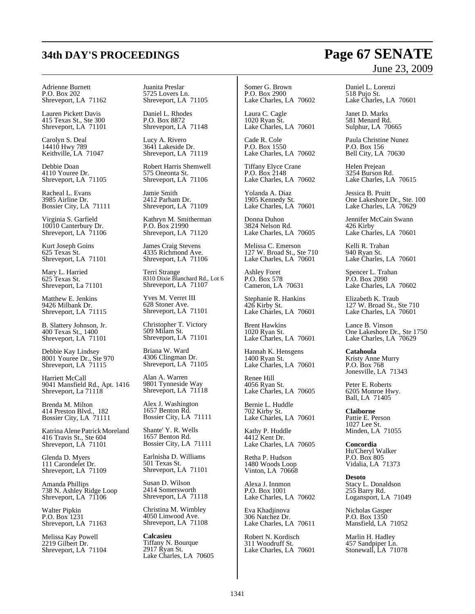# **34th DAY'S PROCEEDINGS Page 67 SENATE**

Adrienne Burnett P.O. Box 202 Shreveport, LA 71162

Lauren Pickett Davis 415 Texas St., Ste 300 Shreveport, LA 71101

Carolyn S. Deal 14410 Hwy 789 Keithville, LA 71047

Debbie Doan 4110 Youree Dr. Shreveport, LA 71105

Racheal L. Evans 3985 Airline Dr. Bossier City, LA 71111

Virginia S. Garfield 10010 Canterbury Dr. Shreveport, LA 71106

Kurt Joseph Goins 625 Texas St. Shreveport, LA 71101

Mary L. Harried 625 Texas St. Shreveport, La 71101

Matthew E. Jenkins 9426 Milbank Dr. Shreveport, LA 71115

B. Slattery Johnson, Jr. 400 Texas St., 1400 Shreveport, LA 71101

Debbie Kay Lindsey 8001 Youree Dr., Ste 970 Shreveport, LA 71115

Harriett McCall 9041 Mansfield Rd., Apt. 1416 Shreveport, La 71118

Brenda M. Milton 414 Preston Blvd., 182 Bossier City, LA 71111

Katrina Alene Patrick Moreland 416 Travis St., Ste 604 Shreveport, LA 71101

Glenda D. Myers 111 Carondelet Dr. Shreveport, LA 71109

Amanda Phillips 738 N. Ashley Ridge Loop Shreveport, LA 71106

Walter Pipkin P.O. Box 1231 Shreveport, LA 71163

Melissa Kay Powell 2219 Gilbert Dr. Shreveport, LA 71104 Juanita Preslar 5725 Lovers Ln. Shreveport, LA 71105

Daniel L. Rhodes P.O. Box 8872 Shreveport, LA 71148

Lucy A. Rivero 3641 Lakeside Dr. Shreveport, LA 71119

Robert Harris Shemwell 575 Oneonta St. Shreveport, LA 71106

Jamie Smith 2412 Parham Dr. Shreveport, LA 71109

Kathryn M. Smitherman P.O. Box 21990 Shreveport, LA 71120

James Craig Stevens 4335 Richmond Ave. Shreveport, LA 71106

Terri Strange 8310 Dixie Blanchard Rd., Lot 6 Shreveport, LA 71107

Yves M. Verret III 628 Stoner Ave. Shreveport, LA 71101

Christopher T. Victory 509 Milam St. Shreveport, LA 71101

Briana W. Ward 4306 Clingman Dr. Shreveport, LA 71105

Alan A. Warren 9801 Tynneside Way Shreveport, LA 71118

Alex J. Washington 1657 Benton Rd. Bossier City, LA 71111

Shante' Y. R. Wells 1657 Benton Rd. Bossier City, LA 71111

Earlnisha D. Williams 501 Texas St. Shreveport, LA 71101

Susan D. Wilson 2414 Somersworth Shreveport, LA 71118

Christina M. Wimbley 4050 Linwood Ave. Shreveport, LA 71108

**Calcasieu** Tiffany N. Bourque 2917 Ryan St. Lake Charles, LA 70605

Somer G. Brown P.O. Box 2900 Lake Charles, LA 70602

Laura C. Cagle 1020 Ryan St. Lake Charles, LA 70601

Cade R. Cole P.O. Box 1550 Lake Charles, LA 70602

Tiffany Elyce Crane P.O. Box 2148 Lake Charles, LA 70602

Yolanda A. Diaz 1905 Kennedy St. Lake Charles, LA 70601

Donna Duhon 3824 Nelson Rd. Lake Charles, LA 70605

Melissa C. Emerson 127 W. Broad St., Ste 710 Lake Charles, LA 70601

Ashley Foret P.O. Box 578 Cameron, LA 70631

Stephanie R. Hankins 426 Kirby St. Lake Charles, LA 70601

Brent Hawkins 1020 Ryan St. Lake Charles, LA 70601

Hannah K. Hensgens 1400 Ryan St. Lake Charles, LA 70601

Renee Hill 4056 Ryan St. Lake Charles, LA 70605

Bernie L. Huddle 702 Kirby St. Lake Charles, LA 70601

Kathy P. Huddle 4412 Kent Dr. Lake Charles, LA 70605

Retha P. Hudson 1480 Woods Loop Vinton, LA 70668

Alexa J. Innmon P.O. Box 1001 Lake Charles, LA 70602

Eva Khadjinova 306 Natchez Dr. Lake Charles, LA 70611

Robert N. Kordisch 311 Woodruff St. Lake Charles, LA 70601

# June 23, 2009

Daniel L. Lorenzi 518 Pujo St. Lake Charles, LA 70601

Janet D. Marks 581 Menard Rd. Sulphur, LA 70665

Paula Christine Nunez P.O. Box 156 Bell City, LA 70630

Helen Prejean 3254 Burson Rd. Lake Charles, LA 70615

Jessica B. Pruitt One Lakeshore Dr., Ste. 100 Lake Charles, LA 70629

Jennifer McCain Swann 426 Kirby Lake Charles, LA 70601

Kelli R. Trahan 940 Ryan St. Lake Charles, LA 70601

Spencer L. Trahan P.O. Box 2090 Lake Charles, LA 70602

Elizabeth K. Traub 127 W. Broad St., Ste 710 Lake Charles, LA 70601

Lance B. Vinson One Lakeshore Dr., Ste 1750 Lake Charles, LA 70629

**Catahoula** Kristy Anne Murry P.O. Box 768 Jonesville, LA 71343

Peter E. Roberts 6205 Monroe Hwy. Ball, LA 71405

**Claiborne** Pattie E. Person 1027 Lee St. Minden, LA 71055

**Concordia** Hu'Cheryl Walker P.O. Box 805 Vidalia, LA 71373

**Desoto** Stacy L. Donaldson 255 Barry Rd. Logansport, LA 71049

Nicholas Gasper P.O. Box 1350 Mansfield, LA 71052

Marlin H. Hadley 457 Sandpiper Ln. Stonewall, LA 71078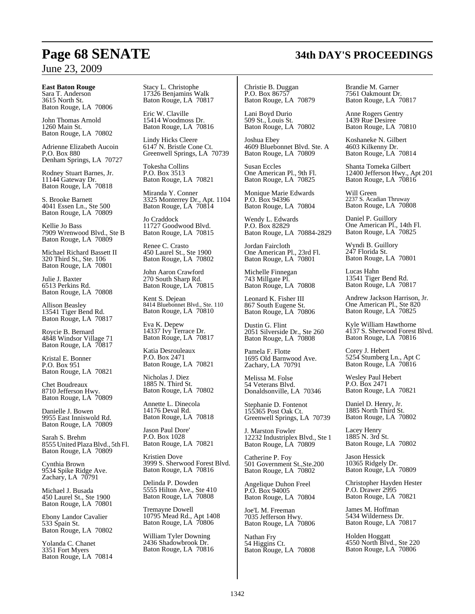### **East Baton Rouge**

Sara T. Anderson 3615 North St. Baton Rouge, LA 70806

John Thomas Arnold 1260 Main St. Baton Rouge, LA 70802

Adrienne Elizabeth Aucoin P.O. Box 880 Denham Springs, LA 70727

Rodney Stuart Barnes, Jr. 11144 Gateway Dr. Baton Rouge, LA 70818

S. Brooke Barnett 4041 Essen Ln., Ste 500 Baton Rouge, LA 70809

Kellie Jo Bass 7909 Wrenwood Blvd., Ste B Baton Rouge, LA 70809

Michael Richard Bassett II 320 Third St., Ste. 106 Baton Rouge, LA 70801

Julie J. Baxter 6513 Perkins Rd. Baton Rouge, LA 70808

Allison Beasley 13541 Tiger Bend Rd. Baton Rouge, LA 70817

Roycie B. Bernard 4848 Windsor Village 71 Baton Rouge, LA 70817

Kristal E. Bonner P.O. Box 951 Baton Rouge, LA 70821

Chet Boudreaux 8710 Jefferson Hwy. Baton Rouge, LA 70809

Danielle J. Bowen 9955 East Inniswold Rd. Baton Rouge, LA 70809

Sarah S. Brehm 8555 United PlazaBlvd., 5th Fl. Baton Rouge, LA 70809

Cynthia Brown 9534 Spike Ridge Ave. Zachary, LA 70791

Michael J. Busada 450 Laurel St., Ste 1900 Baton Rouge, LA 70801

Ebony Landor Cavalier 533 Spain St. Baton Rouge, LA 70802

Yolanda C. Chanet 3351 Fort Myers Baton Rouge, LA 70814 Stacy L. Christophe 17326 Benjamins Walk Baton Rouge, LA 70817

Eric W. Claville 15414 Woodmoss Dr. Baton Rouge, LA 70816

Lindy Hicks Cleere 6147 N. Bristle Cone Ct. Greenwell Springs, LA 70739

Tokesha Collins P.O. Box 3513 Baton Rouge, LA 70821

Miranda Y. Conner 3325 Monterrey Dr., Apt. 1104 Baton Rouge, LA 70814

Jo Craddock 11727 Goodwood Blvd. Baton Rouge, LA 70815

Renee C. Crasto 450 Laurel St., Ste 1900 Baton Rouge, LA 70802

John Aaron Crawford 270 South Sharp Rd. Baton Rouge, LA 70815

Kent S. Dejean 8414 Bluebonnet Blvd., Ste. 110 Baton Rouge, LA 70810

Eva K. Depew 14337 Ivy Terrace Dr. Baton Rouge, LA 70817

Katia Desrouleaux P.O. Box 2471 Baton Rouge, LA 70821

Nicholas J. Diez 1885 N. Third St. Baton Rouge, LA 70802

Annette L. Dinecola 14176 Deval Rd. Baton Rouge, LA 70818

Jason Paul Dore' P.O. Box 1028 Baton Rouge, LA 70821

Kristien Dove 3999 S. Sherwood Forest Blvd. Baton Rouge, LA 70816

Delinda P. Dowden 5555 Hilton Ave., Ste 410 Baton Rouge, LA 70808

Tremayne Dowell 10795 Mead Rd., Apt 1408 Baton Rouge, LA 70806

William Tyler Downing 2436 Shadowbrook Dr. Baton Rouge, LA 70816

Christie B. Duggan P.O. Box 86757 Baton Rouge, LA 70879

Lani Boyd Durio 509 St., Louis St. Baton Rouge, LA 70802

Joshua Ebey 4609 Bluebonnet Blvd. Ste. A Baton Rouge, LA 70809

Susan Eccles One American Pl., 9th Fl. Baton Rouge, LA 70825

Monique Marie Edwards P.O. Box 94396 Baton Rouge, LA 70804

Wendy L. Edwards P.O. Box 82829 Baton Rouge, LA 70884-2829

Jordan Faircloth One American Pl., 23rd Fl. Baton Rouge, LA 70801

Michelle Finnegan 743 Millgate Pl. Baton Rouge, LA 70808

Leonard K. Fisher III 867 South Eugene St. Baton Rouge, LA 70806

Dustin G. Flint 2051 Silverside Dr., Ste 260 Baton Rouge, LA 70808

Pamela F. Flotte 1695 Old Barnwood Ave. Zachary, LA 70791

Melissa M. Folse 54 Veterans Blvd. Donaldsonville, LA 70346

Stephanie D. Fontenot 155365 Post Oak Ct. Greenwell Springs, LA 70739

J. Marston Fowler 12232 Industriplex Blvd., Ste 1 Baton Rouge, LA 70809

Catherine P. Foy 501 Government St.,Ste.200 Baton Rouge, LA 70802

Angelique Duhon Freel P.O. Box 94005 Baton Rouge, LA 70804

Joe'L M. Freeman 7035 Jefferson Hwy. Baton Rouge, LA 70806

Nathan Fry 54 Higgins Ct. Baton Rouge, LA 70808 Brandie M. Garner 7561 Oakmount Dr. Baton Rouge, LA 70817

Anne Rogers Gentry 1439 Rue Desiree Baton Rouge, LA 70810

Koshaneke N. Gilbert 4603 Kilkenny Dr. Baton Rouge, LA 70814

Shanta Tomeka Gilbert 12400 Jefferson Hwy., Apt 201 Baton Rouge, LA 70816

Will Green 2237 S. Acadian Thruway Baton Rouge, LA 70808

Daniel P. Guillory One American Pl., 14th Fl. Baton Rouge, LA 70825

Wyndi B. Guillory 247 Florida St. Baton Rouge, LA 70801

Lucas Hahn 13541 Tiger Bend Rd. Baton Rouge, LA 70817

Andrew Jackson Harrison, Jr. One American Pl., Ste 820 Baton Rouge, LA 70825

Kyle William Hawthorne 4137 S. Sherwood Forest Blvd. Baton Rouge, LA 70816

Corey J. Hebert 5254 Stumberg Ln., Apt C Baton Rouge, LA 70816

Wesley Paul Hebert P.O. Box 2471 Baton Rouge, LA 70821

Daniel D. Henry, Jr. 1885 North Third St. Baton Rouge, LA 70802

Lacey Henry 1885 N. 3rd St. Baton Rouge, LA 70802

Jason Hessick 10365 Ridgely Dr. Baton Rouge, LA 70809

Christopher Hayden Hester P.O. Drawer 2995 Baton Rouge, LA 70821

James M. Hoffman 5434 Wilderness Dr. Baton Rouge, LA 70817

Holden Hoggatt 4550 North Blvd., Ste 220 Baton Rouge, LA 70806

# **Page 68 SENATE 34th DAY'S PROCEEDINGS**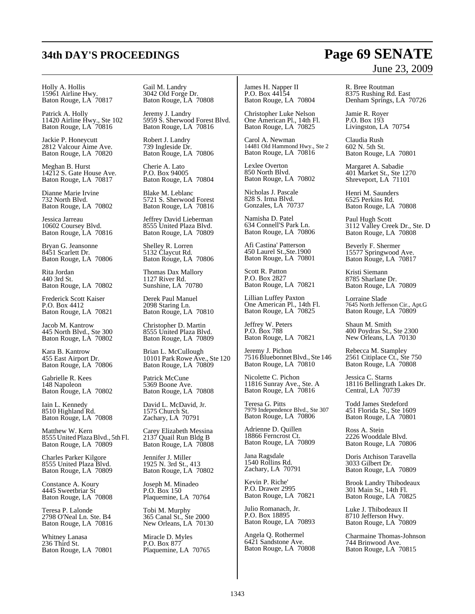### Holly A. Hollis 15961 Airline Hwy. Baton Rouge, LA 70817

Patrick A. Holly 11420 Airline Hwy., Ste 102 Baton Rouge, LA 70816

Jackie P. Honeycutt 2812 Valcour Aime Ave. Baton Rouge, LA 70820

Meghan B. Hurst 14212 S. Gate House Ave. Baton Rouge, LA 70817

Dianne Marie Irvine 732 North Blvd. Baton Rouge, LA 70802

Jessica Jarreau 10602 Coursey Blvd. Baton Rouge, LA 70816

Bryan G. Jeansonne 8451 Scarlett Dr. Baton Rouge, LA 70806

Rita Jordan 440 3rd St. Baton Rouge, LA 70802

Frederick Scott Kaiser P.O. Box 4412 Baton Rouge, LA 70821

Jacob M. Kantrow 445 North Blvd., Ste 300 Baton Rouge, LA 70802

Kara B. Kantrow 455 East Airport Dr. Baton Rouge, LA 70806

Gabrielle R. Kees 148 Napoleon Baton Rouge, LA 70802

Iain L. Kennedy 8510 Highland Rd. Baton Rouge, LA 70808

Matthew W. Kern 8555 United PlazaBlvd., 5th Fl. Baton Rouge, LA 70809

Charles Parker Kilgore 8555 United Plaza Blvd. Baton Rouge, LA 70809

Constance A. Koury 4445 Sweetbriar St Baton Rouge, LA 70808

Teresa P. Lalonde 2798 O'Neal Ln. Ste. B4 Baton Rouge, LA 70816

Whitney Lanasa 236 Third St. Baton Rouge, LA 70801 Gail M. Landry 3042 Old Forge Dr. Baton Rouge, LA 70808

Jeremy J. Landry 5959 S. Sherwood Forest Blvd. Baton Rouge, LA 70816

Robert J. Landry 739 Ingleside Dr. Baton Rouge, LA 70806

Cherie A. Lato P.O. Box 94005 Baton Rouge, LA 70804

Blake M. Leblanc 5721 S. Sherwood Forest Baton Rouge, LA 70816

Jeffrey David Lieberman 8555 United Plaza Blvd. Baton Rouge, LA 70809

Shelley R. Lorren 5132 Claycut Rd. Baton Rouge, LA 70806

Thomas Dax Mallory 1127 River Rd. Sunshine, LA 70780

Derek Paul Manuel 2098 Staring Ln. Baton Rouge, LA 70810

Christopher D. Martin 8555 United Plaza Blvd. Baton Rouge, LA 70809

Brian L. McCullough 10101 Park Rowe Ave., Ste 120 Baton Rouge, LA 70809

Patrick McCune 5369 Boone Ave. Baton Rouge, LA 70808

David L. McDavid, Jr. 1575 Church St. Zachary, LA 70791

Carey Elizabeth Messina 2137 Quail Run Bldg B Baton Rouge, LA 70808

Jennifer J. Miller 1925 N. 3rd St., 413 Baton Rouge, LA 70802

Joseph M. Minadeo P.O. Box 150 Plaquemine, LA 70764

Tobi M. Murphy 365 Canal St., Ste 2000 New Orleans, LA 70130

Miracle D. Myles P.O. Box 877 Plaquemine, LA 70765

James H. Napper II P.O. Box 44154 Baton Rouge, LA 70804

Christopher Luke Nelson One American Pl., 14th Fl. Baton Rouge, LA 70825

Carol A. Newman 14481 Old Hammond Hwy., Ste 2 Baton Rouge, LA 70816

Lexlee Overton 850 North Blvd. Baton Rouge, LA 70802

Nicholas J. Pascale 828 S. Irma Blvd. Gonzales, LA 70737

Namisha D. Patel 634 Connell'S Park Ln. Baton Rouge, LA 70806

Afi Castina' Patterson 450 Laurel St.,Ste.1900 Baton Rouge, LA 70801

Scott R. Patton P.O. Box 2827 Baton Rouge, LA 70821

Lillian Luffey Paxton One American Pl., 14th Fl. Baton Rouge, LA 70825

Jeffrey W. Peters P.O. Box 788 Baton Rouge, LA 70821

Jeremy J. Pichon 7516BluebonnetBlvd., Ste 146 Baton Rouge, LA 70810

Nicolette C. Pichon 11816 Sunray Ave., Ste. A Baton Rouge, LA 70816

Teresa G. Pitts 7979 Independence Blvd., Ste 307 Baton Rouge, LA 70806

Adrienne D. Quillen 18866 Ferncrost Ct. Baton Rouge, LA 70809

Jana Ragsdale 1540 Rollins Rd. Zachary, LA 70791

Kevin P. Riche' P.O. Drawer 2995 Baton Rouge, LA 70821

Julio Romanach, Jr. P.O. Box 18895 Baton Rouge, LA 70893

Angela Q. Rothermel 6421 Sandstone Ave. Baton Rouge, LA 70808

# June 23, 2009

R. Bree Routman 8375 Rushing Rd. East Denham Springs, LA 70726

Jamie R. Royer P.O. Box 193 Livingston, LA 70754

Claudia Rush 602 N. 5th St. Baton Rouge, LA 70801

Margaret A. Sabadie 401 Market St., Ste 1270 Shreveport, LA 71101

Henri M. Saunders 6525 Perkins Rd. Baton Rouge, LA 70808

Paul Hugh Scott 3112 Valley Creek Dr., Ste. D Baton Rouge, LA 70808

Beverly F. Shermer 15577 Springwood Ave. Baton Rouge, LA 70817

Kristi Siemann 8785 Sharlane Dr. Baton Rouge, LA 70809

Lorraine Slade 7645 North Jefferson Cir., Apt.G Baton Rouge, LA 70809

Shaun M. Smith 400 Poydras St., Ste 2300 New Orleans, LA 70130

Rebecca M. Stampley 2561 Citiplace Ct., Ste 750 Baton Rouge, LA 70808

Jessica C. Starns 18116 Bellingrath Lakes Dr. Central, LA 70739

Todd James Stedeford 451 Florida St., Ste 1609 Baton Rouge, LA 70801

Ross A. Stein 2226 Wooddale Blvd. Baton Rouge, LA 70806

Doris Atchison Taravella 3033 Gilbert Dr. Baton Rouge, LA 70809

Brook Landry Thibodeaux 301 Main St., 14th Fl. Baton Rouge, LA 70825

Luke J. Thibodeaux II 8710 Jefferson Hwy. Baton Rouge, LA 70809

Charmaine Thomas-Johnson 744 Brinwood Ave. Baton Rouge, LA 70815

# **34th DAY'S PROCEEDINGS Page 69 SENATE**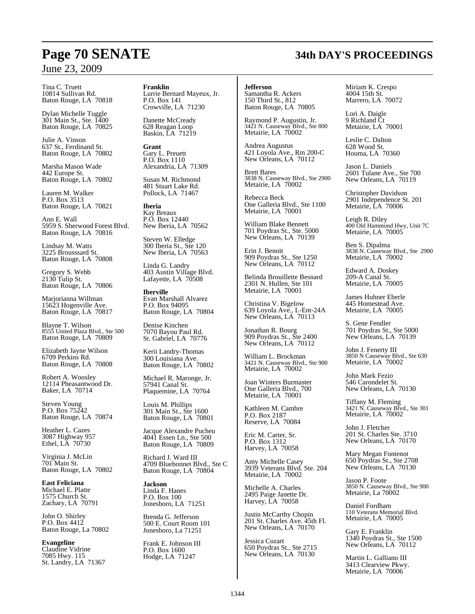Tina C. Truett 10814 Sullivan Rd. Baton Rouge, LA 70818

Dylan Michelle Tuggle 301 Main St., Ste. 1400 Baton Rouge, LA 70825

Julie A. Vinson 637 St., Ferdinand St. Baton Rouge, LA 70802

Marsha Mason Wade 442 Europe St. Baton Rouge, LA 70802

Lauren M. Walker P.O. Box 3513 Baton Rouge, LA 70821

Ann E. Wall 5959 S. Sherwood Forest Blvd. Baton Rouge, LA 70816

Lindsay M. Watts 3225 Brousssard St. Baton Rouge, LA 70808

Gregory S. Webb 2130 Tulip St. Baton Rouge, LA 70806

Marjorianna Willman 15623 Hogenville Ave. Baton Rouge, LA 70817

Blayne T. Wilson 8555 United Plaza Blvd., Ste 500 Baton Rouge, LA 70809

Elizabeth Jayne Wilson 6709 Perkins Rd. Baton Rouge, LA 70808

Robert A. Woosley 12114 Pheasantwood Dr. Baker, LA 70714

Steven Young P.O. Box 75242 Baton Rouge, LA 70874

Heather L. Cazes 3087 Highway 957 Ethel, LA 70730

Virginia J. McLin 701 Main St. Baton Rouge, LA 70802

**East Feliciana** Michael E. Platte 1575 Church St. Zachary, LA 70791

John O. Shirley P.O. Box 4412 Baton Rouge, La 70802

**Evangeline** Claudine Vidrine 7085 Hwy. 115 St. Landry, LA 71367 **Franklin** Lurrie Bernard Mayeux, Jr. P.O. Box 141 Crowville, LA 71230

Danette McCready 628 Reagan Loop Baskin, LA 71219

**Grant** Gary L. Preuett P.O. Box 1110 Alexandria, LA 71309

Susan M. Richmond 481 Stuart Lake Rd. Pollock, LA 71467

**Iberia** Kay Breaux P.O. Box 12440 New Iberia, LA 70562

Steven W. Elledge 300 Iberia St., Ste 120 New Iberia, LA 70563

Linda G. Landry 403 Austin Village Blvd. Lafayette, LA 70508

**Iberville** Evan Marshall Alvarez P.O. Box 94095 Baton Rouge, LA 70804

Denise Kinchen 7070 Bayou Paul Rd. St. Gabriel, LA 70776

Kerii Landry-Thomas 300 Louisiana Ave. Baton Rouge, LA 70802

Michael R. Maronge, Jr. 57941 Canal St. Plaquemine, LA 70764

Louis M. Phillips 301 Main St., Ste 1600 Baton Rouge, LA 70801

Jacque Alexandre Pucheu 4041 Essen Ln., Ste 500 Baton Rouge, LA 70809

Richard J. Ward III 4709 Bluebonnet Blvd., Ste C Baton Rouge, LA 70804

**Jackson** Linda F. Hanes P.O. Box 100 Jonesboro, LA 71251

Brenda G. Jefferson 500 E. Court Room 101 Jonesboro, La 71251

Frank E. Johnson III P.O. Box 1600 Hodge, LA 71247

**Jefferson**

Samantha R. Ackers 150 Third St., 812 Baton Rouge, LA 70805

Raymond P. Augustin, Jr. 3421 N. Causeway Blvd., Ste 800 Metairie, LA 70002

Andrea Augustus 421 Loyola Ave., Rm 200-C New Orleans, LA 70112

Brett Bares 3838 N. Causeway Blvd., Ste 2900 Metairie, LA 70002

Rebecca Beck One Galleria Blvd., Ste 1100 Metairie, LA 70001

William Blake Bennett 701 Poydras St., Ste. 5000 New Orleans, LA 70139

Erin J. Benoit 909 Poydras St., Ste 1250 New Orleans, LA 70112

Belinda Brouillette Besnard 2301 N. Hullen, Ste 101 Metairie, LA 70001

Christina V. Bigelow 639 Loyola Ave., L-Ent-24A New Orleans, LA 70113

Jonathan R. Bourg 909 Poydras St., Ste 2400 New Orleans, LA 70112

William L. Brockman 3421 N. Causeway Blvd., Ste 900 Metairie, LA 70002

Joan Winters Burmaster One Galleria Blvd., 700 Metairie, LA 70001

Kathleen M. Cambre P.O. Box 2187 Reserve, LA 70084

Eric M. Carter, Sr. P.O. Box 1312 Harvey, LA 70058

Amy Michelle Casey 3939 Veterans Blvd. Ste. 204 Metairie, LA 70002

Michelle A. Charles 2495 Paige Janette Dr. Harvey, LA 70058

Justin McCarthy Chopin 201 St. Charles Ave. 45th Fl. New Orleans, LA 70170

Jessica Cozart 650 Poydras St., Ste 2715 New Orleans, LA 70130

Miriam K. Crespo 4004 15th St. Marrero, LA 70072

Lori A. Daigle 9 Richland Ct Metairie, LA 70001

Leslie C. Dalton 628 Wood St. Houma, LA 70360

Jason L. Daniels 2601 Tulane Ave., Ste 700 New Orleans, LA 70119

Christopher Davidson 2901 Independence St. 201 Metairie, LA 70006

Leigh R. Diley 400 Old Hammond Hwy, Unit 7C Metairie, LA 70005

Ben S. Dipalma 3838 N. Causeway Blvd., Ste 2900 Metairie, LA 70002

Edward A. Doskey 209-A Canal St. Metairie, LA 70005

James Huhner Eberle 445 Homestead Ave. Metairie, LA 70005

S. Gene Fendler 701 Poydras St., Ste 5000 New Orleans, LA 70139

John J. Fenerty III 3850 N Causeway Blvd., Ste 630 Metairie, LA 70002

John Mark Fezio 546 Carondelet St. New Orleans, LA 70130

Tiffany M. Fleming 3421 N. Causeway Blvd., Ste 301 Metairie, LA 70002

John J. Fletcher 201 St. Charles Ste. 3710 New Orleans, LA 70170

Mary Megan Fontenot 650 Poydras St., Ste 2708 New Orleans, LA 70130

Jason P. Foote 3850 N. Causeway Blvd., Ste 900 Metairie, La 70002

Daniel Fordham 110 Veterans Memorial Blvd. Metairie, LA 70005

Gary E. Franklin 1340 Poydras St., Ste 1500 New Orleans, LA 70112

Martin L. Galliano III 3413 Clearview Pkwy. Metairie, LA 70006

# **Page 70 SENATE 34th DAY'S PROCEEDINGS**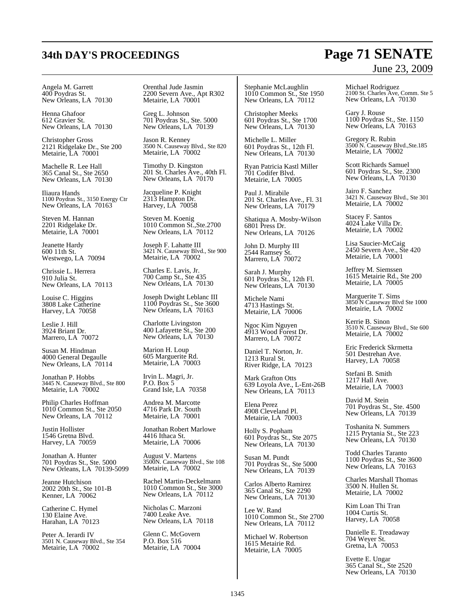# **34th DAY'S PROCEEDINGS Page 71 SENATE**

# June 23, 2009

Angela M. Garrett 400 Poydras St. New Orleans, LA 70130

Henna Ghafoor 612 Gravier St. New Orleans, LA 70130

Christopher Gross 2121 Ridgelake Dr., Ste 200 Metairie, LA 70001

Machelle R. Lee Hall 365 Canal St., Ste 2650 New Orleans, LA 70130

Iliaura Hands 1100 Poydras St., 3150 Energy Ctr New Orleans, LA 70163

Steven M. Hannan 2201 Ridgelake Dr. Metairie, LA 70001

Jeanette Hardy 600 11th St. Westwego, LA 70094

Chrissie L. Herrera 910 Julia St. New Orleans, LA 70113

Louise C. Higgins 3808 Lake Catherine Harvey, LA 70058

Leslie J. Hill 3924 Briant Dr. Marrero, LA 70072

Susan M. Hindman 4000 General Degaulle New Orleans, LA 70114

Jonathan P. Hobbs 3445 N. Causeway Blvd., Ste 800 Metairie, LA 70002

Philip Charles Hoffman 1010 Common St., Ste 2050 New Orleans, LA 70112

Justin Hollister 1546 Gretna Blvd. Harvey, LA 70059

Jonathan A. Hunter 701 Poydras St., Ste. 5000 New Orleans, LA 70139-5099

Jeanne Hutchison 2002 20th St., Ste 101-B Kenner, LA 70062

Catherine C. Hymel 130 Elaine Ave. Harahan, LA 70123

Peter A. Ierardi IV 3501 N. Causeway Blvd., Ste 354 Metairie, LA 70002

Orenthal Jude Jasmin 2200 Severn Ave., Apt R302 Metairie, LA 70001

Greg L. Johnson 701 Poydras St., Ste. 5000 New Orleans, LA 70139

Jason R. Kenney 3500 N. Causeway Blvd., Ste 820 Metairie, LA 70002

Timothy D. Kingston 201 St. Charles Ave., 40th Fl. New Orleans, LA 70170

Jacqueline P. Knight 2313 Hampton Dr. Harvey, LA 70058

Steven M. Koenig 1010 Common St.,Ste.2700 New Orleans, LA 70112

Joseph F. Lahatte III 3421 N. Causeway Blvd., Ste 900 Metairie, LA 70002

Charles E. Lavis, Jr. 700 Camp St., Ste 435 New Orleans, LA 70130

Joseph Dwight Leblanc III 1100 Poydras St., Ste 3600 New Orleans, LA 70163

Charlotte Livingston 400 Lafayette St., Ste 200 New Orleans, LA 70130

Marion H. Loup 605 Marguerite Rd. Metairie, LA 70003

Irvin L. Magri, Jr. P.O. Box 5 Grand Isle, LA 70358

Andrea M. Marcotte 4716 Park Dr. South Metairie, LA 70001

Jonathan Robert Marlowe 4416 Ithaca St. Metairie, LA 70006

August V. Martens 3500N. Causeway Blvd., Ste 108 Metairie, LA 70002

Rachel Martin-Deckelmann 1010 Common St., Ste 3000 New Orleans, LA 70112

Nicholas C. Marzoni 7400 Leake Ave. New Orleans, LA 70118

Glenn C. McGovern P.O. Box 516 Metairie, LA 70004

Stephanie McLaughlin 1010 Common St., Ste 1950 New Orleans, LA 70112

Christopher Meeks 601 Poydras St., Ste 1700 New Orleans, LA 70130

Michelle L. Miller 601 Poydras St., 12th Fl. New Orleans, LA 70130

Ryan Patricia Kastl Miller 701 Codifer Blvd. Metairie, LA 70005

Paul J. Mirabile 201 St. Charles Ave., Fl. 31 New Orleans, LA  $70179$ 

Shatiqua A. Mosby-Wilson 6801 Press Dr. New Orleans, LA 70126

John D. Murphy III 2544 Ramsey St. Marrero, LA 70072

Sarah J. Murphy 601 Poydras St., 12th Fl. New Orleans, LA 70130

Michele Nami 4713 Hastings St. Metairie, LA 70006

Ngoc Kim Nguyen 4913 Wood Forest Dr. Marrero, LA 70072

Daniel T. Norton, Jr. 1213 Rural St. River Ridge, LA 70123

Mark Grafton Otts 639 Loyola Ave., L-Ent-26B New Orleans, LA 70113

Elena Perez 4908 Cleveland Pl. Metairie, LA 70003

Holly S. Popham 601 Poydras St., Ste 2075 New Orleans, LA 70130

Susan M. Pundt 701 Poydras St., Ste 5000 New Orleans, LA 70139

Carlos Alberto Ramirez 365 Canal St., Ste 2290 New Orleans, LA 70130

Lee W. Rand 1010 Common St., Ste 2700 New Orleans, LA 70112

Michael W. Robertson 1615 Metairie Rd. Metairie, LA 70005

Michael Rodriguez 2100 St. Charles Ave, Comm. Ste 5 New Orleans, LA 70130

Gary J. Rouse 1100 Poydras St., Ste. 1150 New Orleans, LA 70163

Gregory R. Rubin 3500 N. Causeway Blvd.,Ste.185 Metairie, LA 70002

Scott Richards Samuel 601 Poydras St., Ste. 2300 New Orleans, LA 70130

Jairo F. Sanchez 3421 N. Causeway Blvd., Ste 301 Metairie, LA 70002

Stacey F. Santos 4024 Lake Villa Dr. Metairie, LA 70002

Lisa Saucier-McCaig 2450 Severn Ave., Ste 420 Metairie, LA 70001

Jeffrey M. Siemssen 1615 Metairie Rd., Ste 200 Metairie, LA 70005

Marguerite T. Sims 3850 N Causeway Blvd Ste 1000 Metairie, LA 70002

Kerrie B. Sinon 3510 N. Causeway Blvd., Ste 600 Metairie, LA 70002

Eric Frederick Skrmetta 501 Destrehan Ave. Harvey, LA 70058

Stefani B. Smith 1217 Hall Ave. Metairie, LA 70003

David M. Stein 701 Poydras St., Ste. 4500 New Orleans, LA 70139

Toshanita N. Summers 1215 Prytania St., Ste 223 New Orleans, LA 70130

Todd Charles Taranto 1100 Poydras St., Ste 3600 New Orleans, LA 70163

Charles Marshall Thomas 3500 N. Hullen St. Metairie, LA 70002

Kim Loan Thi Tran 1004 Curtis St. Harvey, LA 70058

Danielle E. Treadaway 704 Weyer St. Gretna, LA 70053

Evette E. Ungar 365 Canal St., Ste 2520 New Orleans, LA 70130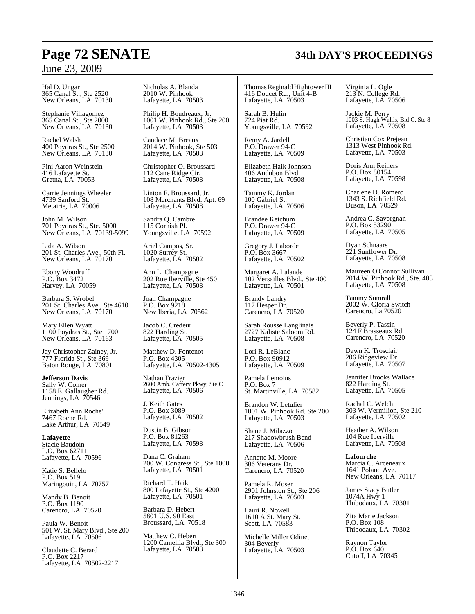Hal D. Ungar 365 Canal St., Ste 2520 New Orleans, LA 70130

Stephanie Villagomez 365 Canal St., Ste 2000 New Orleans, LA 70130

Rachel Walsh 400 Poydras St., Ste 2500 New Orleans, LA 70130

Pini Aaron Weinstein 416 Lafayette St. Gretna, LA 70053

Carrie Jennings Wheeler 4739 Sanford St. Metairie, LA 70006

John M. Wilson 701 Poydras St., Ste. 5000 New Orleans, LA 70139-5099

Lida A. Wilson 201 St. Charles Ave., 50th Fl. New Orleans, LA 70170

Ebony Woodruff P.O. Box 3472 Harvey, LA 70059

Barbara S. Wrobel 201 St. Charles Ave., Ste 4610 New Orleans, LA  $70170$ 

Mary Ellen Wyatt 1100 Poydras St., Ste 1700 New Orleans, LA 70163

Jay Christopher Zainey, Jr. 777 Florida St., Ste 369 Baton Rouge, LA 70801

**Jefferson Davis** Sally W. Comer 1158 E. Gallaugher Rd. Jennings, LA 70546

Elizabeth Ann Roche' 7467 Roche Rd. Lake Arthur, LA 70549

**Lafayette** Stacie Baudoin P.O. Box 62711 Lafayette, LA 70596

Katie S. Bellelo P.O. Box 519 Maringouin, LA 70757

Mandy B. Benoit P.O. Box 1190 Carencro, LA 70520

Paula W. Benoit 501 W. St. Mary Blvd., Ste 200 Lafayette, LA 70506

Claudette C. Berard P.O. Box 2217 Lafayette, LA 70502-2217 Nicholas A. Blanda 2010 W. Pinhook Lafayette, LA 70503

Philip H. Boudreaux, Jr. 1001 W. Pinhook Rd., Ste 200 Lafayette, LA 70503

Candace M. Breaux 2014 W. Pinhook, Ste 503 Lafayette, LA 70508

Christopher O. Broussard 112 Cane Ridge Cir. Lafayette, LA 70508

Linton F. Broussard, Jr. 108 Merchants Blvd. Apt. 69 Lafayette, LA 70508

Sandra Q. Cambre 115 Cornish Pl. Youngsville, LA 70592

Ariel Campos, Sr. 1020 Surrey St. Lafayette, LA 70502

Ann L. Champagne 202 Rue Iberville, Ste 450 Lafayette, LA 70508

Joan Champagne P.O. Box 9218 New Iberia, LA 70562

Jacob C. Credeur 822 Harding St. Lafayette, LA 70505

Matthew D. Fontenot P.O. Box 4305 Lafayette, LA 70502-4305

Nathan Frazier 2600 Amb. Caffery Pkwy, Ste C Lafayette, LA 70506

J. Keith Gates P.O. Box 3089 Lafayette, LA 70502

Dustin B. Gibson P.O. Box 81263 Lafayette, LA 70598

Dana C. Graham 200 W. Congress St., Ste 1000 Lafayette, LA 70501

Richard T. Haik 800 Lafayette St., Ste 4200 Lafayette, LA 70501

Barbara D. Hebert 5801 U.S. 90 East Broussard, LA 70518

Matthew C. Hebert 1200 Camellia Blvd., Ste 300 Lafayette, LA 70508

Thomas Reginald Hightower III 416 Doucet Rd., Unit 4-B Lafayette, LA 70503

Sarah B. Hulin 724 Piat Rd. Youngsville, LA 70592

Remy A. Jardell P.O. Drawer 94-C Lafayette, LA 70509

Elizabeth Haik Johnson 406 Audubon Blvd. Lafayette, LA 70508

Tammy K. Jordan 100 Gabriel St. Lafayette, LA 70506

Brandee Ketchum P.O. Drawer 94-C Lafayette, LA 70509

Gregory J. Laborde P.O. Box 3667 Lafayette, LA 70502

Margaret A. Lalande 102 Versailles Blvd., Ste 400 Lafayette, LA 70501

Brandy Landry 117 Hesper Dr. Carencro, LA 70520

Sarah Rousse Langlinais 2727 Kaliste Saloom Rd. Lafayette, LA 70508

Lori R. LeBlanc P.O. Box 90912 Lafayette, LA 70509

Pamela Lemoins P.O. Box 7 St. Martinville, LA 70582

Brandon W. Letulier 1001 W. Pinhook Rd. Ste 200 Lafayette, LA 70503

Shane J. Milazzo 217 Shadowbrush Bend Lafayette, LA 70506

Annette M. Moore 306 Veterans Dr. Carencro, LA 70520

Pamela R. Moser 2901 Johnston St., Ste 206 Lafayette, LA 70503

Lauri R. Nowell 1610 A St. Mary St. Scott, LA 70583

Michelle Miller Odinet 304 Beverly Lafayette, LA 70503

Virginia L. Ogle 213 N. College Rd. Lafayette, LA 70506

Jackie M. Perry 1003 S. Hugh Wallis, Bld C, Ste 8 Lafayette, LA 70508

Christian Cox Prejean 1313 West Pinhook Rd. Lafayette, LA 70503

Doris Ann Reiners P.O. Box 80154 Lafayette, LA 70598

Charlene D. Romero 1343 S. Richfield Rd. Duson, LA 70529

Andrea C. Savorgnan P.O. Box 53290 Lafayette, LA 70505

Dyan Schnaars 221 Sunflower Dr. Lafayette, LA 70508

Maureen O'Connor Sullivan 2014 W. Pinhook Rd., Ste. 403 Lafayette, LA 70508

Tammy Sumrall 2002 W. Gloria Switch Carencro, La 70520

Beverly P. Tassin 124 F Brasseaux Rd. Carencro, LA 70520

Dawn K. Trosclair 206 Ridgeview Dr. Lafayette, LA 70507

Jennifer Brooks Wallace 822 Harding St. Lafayette, LA 70505

Rachal C. Welch 303 W. Vermilion, Ste 210 Lafayette, LA 70502

Heather A. Wilson 104 Rue Iberville Lafayette, LA 70508

**Lafourche** Marcia C. Arceneaux 1641 Poland Ave. New Orleans, LA 70117

James Stacy Butler 1074A Hwy 1 Thibodaux, LA 70301

Zita Marie Jackson P.O. Box 108 Thibodaux, LA 70302

Raynon Taylor P.O. Box 640 Cutoff, LA 70345

# **Page 72 SENATE 34th DAY'S PROCEEDINGS**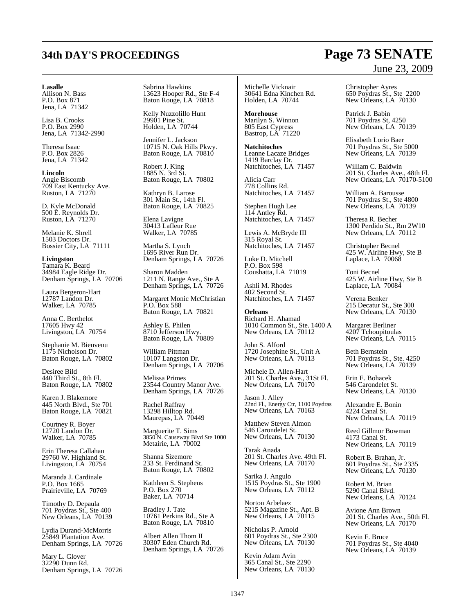#### **Lasalle**

Allison N. Bass P.O. Box 871 Jena, LA 71342

Lisa B. Crooks P.O. Box 2990 Jena, LA 71342-2990

Theresa Isaac P.O. Box 2826 Jena, LA 71342

**Lincoln** Angie Biscomb 709 East Kentucky Ave. Ruston, LA 71270

D. Kyle McDonald 500 E. Reynolds Dr. Ruston, LA 71270

Melanie K. Shrell 1503 Doctors Dr. Bossier City, LA 71111

**Livingston** Tamara K. Beard 34984 Eagle Ridge Dr. Denham Springs, LA 70706

Laura Bergeron-Hart 12787 Landon Dr. Walker, LA 70785

Anna C. Berthelot 17605 Hwy 42 Livingston, LA 70754

Stephanie M. Bienvenu 1175 Nicholson Dr. Baton Rouge, LA 70802

Desiree Bild 440 Third St., 8th Fl. Baton Rouge, LA 70802

Karen J. Blakemore 445 North Blvd., Ste 701 Baton Rouge, LA 70821

Courtney R. Boyer 12720 Landon Dr. Walker, LA 70785

Erin Theresa Callahan 29760 W. Highland St. Livingston, LA 70754

Maranda J. Cardinale P.O. Box 1665 Prairieville, LA 70769

Timothy D. Depaula 701 Poydras St., Ste 400 New Orleans, LA 70139

Lydia Durand-McMorris 25849 Plantation Ave. Denham Springs, LA 70726

Mary L. Glover 32290 Dunn Rd. Denham Springs, LA 70726 Sabrina Hawkins 13623 Hooper Rd., Ste F-4 Baton Rouge, LA 70818

Kelly Nuzzolillo Hunt 29901 Pine St. Holden, LA 70744

Jennifer L. Jackson 10715 N. Oak Hills Pkwy. Baton Rouge, LA 70810

Robert J. King 1885 N. 3rd St. Baton Rouge, LA 70802

Kathryn B. Larose 301 Main St., 14th Fl. Baton Rouge, LA 70825

Elena Lavigne 30413 Lafleur Rue Walker, LA 70785

Martha S. Lynch 1695 River Run Dr. Denham Springs, LA 70726

Sharon Madden 1211 N. Range Ave., Ste A Denham Springs, LA 70726

Margaret Monic McChristian P.O. Box 588 Baton Rouge, LA 70821

Ashley E. Philen 8710 Jefferson Hwy. Baton Rouge, LA 70809

William Pittman 10107 Langston Dr. Denham Springs, LA 70706

Melissa Primes 23544 Country Manor Ave. Denham Springs, LA 70726

Rachel Raffray 13298 Hilltop Rd. Maurepas, LA 70449

Marguerite T. Sims 3850 N. Causeway Blvd Ste 1000 Metairie, LA 70002

Shanna Sizemore 233 St. Ferdinand St. Baton Rouge, LA 70802

Kathleen S. Stephens P.O. Box 270 Baker, LA 70714

Bradley J. Tate 10761 Perkins Rd., Ste A Baton Rouge, LA 70810

Albert Allen Thom II 30307 Eden Church Rd. Denham Springs, LA 70726

Michelle Vicknair 30641 Edna Kinchen Rd. Holden, LA 70744

**Morehouse** Marilyn S. Winnon 805 East Cypress Bastrop, LA 71220

**Natchitoches** Leanne Lacaze Bridges 1419 Barclay Dr. Natchitoches, LA 71457

Alicia Carr 778 Collins Rd. Natchitoches, LA 71457

Stephen Hugh Lee 114 Antley Rd. Natchitoches, LA 71457

Lewis A. McBryde III 315 Royal St. Natchitoches, LA 71457

Luke D. Mitchell P.O. Box 598 Coushatta, LA 71019

Ashli M. Rhodes 402 Second St. Natchitoches, LA 71457

**Orleans** Richard H. Ahamad 1010 Common St., Ste. 1400 A New Orleans, LA 70112

John S. Alford 1720 Josephine St., Unit A New Orleans, LA 70113

Michele D. Allen-Hart 201 St. Charles Ave., 31St Fl. New Orleans, LA 70170

Jason J. Alley 22nd Fl., Energy Ctr, 1100 Poydras New Orleans, LA 70163

Matthew Steven Almon 546 Carondelet St. New Orleans, LA 70130

Tarak Anada 201 St. Charles Ave. 49th Fl. New Orleans, LA 70170

Sarika J. Angulo 1515 Poydras St., Ste 1900 New Orleans, LA 70112

Norton Arbelaez 5215 Magazine St., Apt. B New Orleans, LA 70115

Nicholas P. Arnold 601 Poydras St., Ste 2300 New Orleans, LA 70130

Kevin Adam Avin 365 Canal St., Ste 2290 New Orleans, LA 70130 Christopher Ayres 650 Poydras St., Ste 2200 New Orleans, LA 70130

Patrick J. Babin 701 Poydras St, 4250 New Orleans, LA 70139

Elisabeth Lorio Baer 701 Poydras St., Ste 5000 New Orleans, LA 70139

William C. Baldwin 201 St. Charles Ave., 48th Fl. New Orleans, LA 70170-5100

William A. Barousse 701 Poydras St., Ste 4800 New Orleans, LA 70139

Theresa R. Becher 1300 Perdido St., Rm 2W10 New Orleans, LA 70112

Christopher Becnel 425 W. Airline Hwy, Ste B Laplace, LA 70068

Toni Becnel 425 W. Airline Hwy, Ste B Laplace, LA 70084

Verena Benker 215 Decatur St., Ste 300 New Orleans, LA 70130

Margaret Berliner 4207 Tchoupitoulas New Orleans, LA 70115

Beth Bernstein 701 Poydras St., Ste. 4250 New Orleans, LA 70139

Erin E. Bohacek 546 Carondelet St. New Orleans, LA 70130

Alexandre E. Bonin 4224 Canal St. New Orleans, LA 70119

Reed Gillmor Bowman 4173 Canal St. New Orleans, LA 70119

Robert B. Brahan, Jr. 601 Poydras St., Ste 2335 New Orleans, LA 70130

Robert M. Brian 5290 Canal Blvd. New Orleans, LA 70124

Avione Ann Brown 201 St. Charles Ave., 50th Fl. New Orleans, LA 70170

Kevin F. Bruce 701 Poydras St., Ste 4040 New Orleans, LA 70139

## **34th DAY'S PROCEEDINGS Page 73 SENATE** June 23, 2009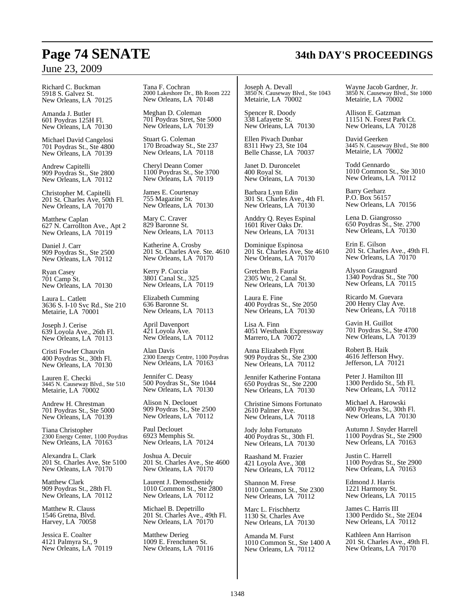## **Page 74 SENATE 34th DAY'S PROCEEDINGS**

### June 23, 2009

Richard C. Buckman 5918 S. Galvez St. New Orleans, LA 70125

Amanda J. Butler 601 Poydras 125H Fl. New Orleans, LA 70130

Michael David Cangelosi 701 Poydras St., Ste 4800 New Orleans, LA 70139

Andrew Capitelli 909 Poydras St., Ste 2800 New Orleans, LA 70112

Christopher M. Capitelli 201 St. Charles Ave, 50th Fl. New Orleans, LA 70170

Matthew Caplan 627 N. Carrollton Ave., Apt 2 New Orleans, LA 70119

Daniel J. Carr 909 Poydras St., Ste 2500 New Orleans, LA 70112

Ryan Casey 701 Camp St. New Orleans, LA 70130

Laura L. Catlett 3636 S. I-10 Svc Rd., Ste 210 Metairie, LA 70001

Joseph J. Cerise 639 Loyola Ave., 26th Fl. New Orleans, LA 70113

Cristi Fowler Chauvin 400 Poydras St., 30th Fl. New Orleans, LA 70130

Lauren E. Checki 3445 N. Causeway Blvd., Ste 510 Metairie, LA 70002

Andrew H. Chrestman 701 Poydras St., Ste 5000 New Orleans, LA 70139

Tiana Christopher 2300 Energy Center, 1100 Poydras New Orleans, LA 70163

Alexandra L. Clark 201 St. Charles Ave, Ste 5100 New Orleans, LA 70170

Matthew Clark 909 Poydras St., 28th Fl. New Orleans, LA 70112

Matthew R. Clauss 1546 Gretna, Blvd. Harvey, LA 70058

Jessica E. Coalter 4121 Palmyra St., 9 New Orleans, LA 70119 Tana F. Cochran 2000 Lakeshore Dr., Bh Room 222 New Orleans, LA 70148

Meghan D. Coleman 701 Poydras Stret, Ste 5000 New Orleans, LA 70139

Stuart G. Coleman 170 Broadway St., Ste 237 New Orleans, LA 70118

Cheryl Deann Comer 1100 Poydras St., Ste 3700 New Orleans, LA 70119

James E. Courtenay 755 Magazine St. New Orleans, LA 70130

Mary C. Craver 829 Baronne St. New Orleans, LA 70113

Katherine A. Crosby 201 St. Charles Ave. Ste. 4610 New Orleans, LA 70170

Kerry P. Cuccia 3801 Canal St., 325 New Orleans, LA 70119

Elizabeth Cumming 636 Baronne St. New Orleans, LA 70113

April Davenport 421 Loyola Ave. New Orleans, LA 70112

Alan Davis 2300 Energy Centre, 1100 Poydras New Orleans, LA 70163

Jennifer C. Deasy 500 Poydras St., Ste 1044 New Orleans, LA 70130

Alison N. Declouet 909 Poydras St., Ste 2500 New Orleans, LA 70112

Paul Declouet 6923 Memphis St. New Orleans, LA 70124

Joshua A. Decuir 201 St. Charles Ave., Ste 4600 New Orleans, LA  $70170$ 

Laurent J. Demosthenidy 1010 Common St., Ste 2800 New Orleans, LA 70112

Michael B. Depetrillo 201 St. Charles Ave., 49th Fl. New Orleans, LA  $70170$ 

Matthew Derieg 1009 E. Frenchmen St. New Orleans, LA 70116

Joseph A. Devall 3850 N. Causeway Blvd., Ste 1043 Metairie, LA 70002

Spencer R. Doody 338 Lafayette St. New Orleans, LA 70130

Ellen Pivach Dunbar 8311 Hwy 23, Ste 104 Belle Chasse, LA 70037

Janet D. Duroncelet 400 Royal St. New Orleans, LA 70130

Barbara Lynn Edin 301 St. Charles Ave., 4th Fl. New Orleans, LA 70130

Anddry Q. Reyes Espinal 1601 River Oaks Dr. New Orleans, LA 70131

Dominique Espinosa 201 St. Charles Ave, Ste 4610 New Orleans, LA 70170

Gretchen B. Fauria 2305 Wtc, 2 Canal St. New Orleans, LA 70130

Laura E. Fine 400 Poydras St., Ste 2050 New Orleans, LA 70130

Lisa A. Finn 4051 Westbank Expressway Marrero, LA 70072

Anna Elizabeth Flynt 909 Poydras St., Ste 2300 New Orleans, LA 70112

Jennifer Katherine Fontana 650 Poydras St., Ste 2200 New Orleans, LA 70130

Christine Simons Fortunato 2610 Palmer Ave. New Orleans, LA 70118

Jody John Fortunato 400 Poydras St., 30th Fl. New Orleans, LA 70130

Raashand M. Frazier 421 Loyola Ave., 308 New Orleans, LA 70112

Shannon M. Frese 1010 Common St., Ste 2300 New Orleans, LA 70112

Marc L. Frischhertz 1130 St. Charles Ave New Orleans, LA 70130

Amanda M. Furst 1010 Common St., Ste 1400 A New Orleans, LA 70112

Wayne Jacob Gardner, Jr. 3850 N. Causeway Blvd., Ste 1000 Metairie, LA 70002

Allison E. Gatzman 11151 N. Forest Park Ct. New Orleans, LA 70128

David Geerken 3445 N. Causeway Blvd., Ste 800 Metairie, LA 70002

Todd Gennardo 1010 Common St., Ste 3010 New Orleans, LA 70112

Barry Gerharz P.O. Box 56157 New Orleans, LA 70156

Lena D. Giangrosso 650 Poydras St., Ste. 2700 New Orleans, LA 70130

Erin E. Gilson 201 St. Charles Ave., 49th Fl. New Orleans, LA  $70170$ 

Alyson Graugnard 1340 Poydras St., Ste 700 New Orleans, LA 70115

Ricardo M. Guevara 200 Henry Clay Ave. New Orleans, LA 70118

Gavin H. Guillot 701 Poydras St., Ste 4700 New Orleans, LA 70139

Robert B. Haik 4616 Jefferson Hwy. Jefferson, LA 70121

Peter J. Hamilton III 1300 Perdido St., 5th Fl. New Orleans, LA 70112

Michael A. Harowski 400 Poydras St., 30th Fl. New Orleans, LA 70130

Autumn J. Snyder Harrell 1100 Poydras St., Ste 2900 New Orleans, LA 70163

Justin C. Harrell 1100 Poydras St., Ste 2900 New Orleans, LA 70163

Edmond J. Harris 1221 Harmony St. New Orleans, LA 70115

James C. Harris III 1300 Perdido St., Ste 2E04 New Orleans, LA 70112

Kathleen Ann Harrison 201 St. Charles Ave., 49th Fl. New Orleans, LA  $70170$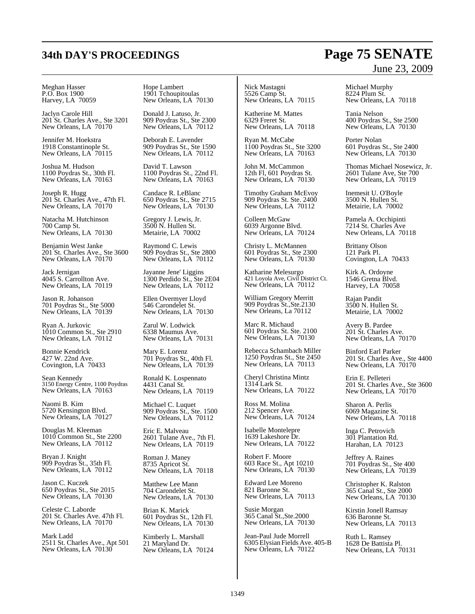#### Meghan Hasser P.O. Box 1900 Harvey, LA 70059

Jaclyn Carole Hill 201 St. Charles Ave., Ste 3201 New Orleans, LA 70170

Jennifer M. Hoekstra 1918 Constantinople St. New Orleans, LA<sup> $\dot{}$ </sup>70115

Joshua M. Hudson 1100 Poydras St., 30th Fl. New Orleans, LA 70163

Joseph R. Hugg 201 St. Charles Ave., 47th Fl. New Orleans, LA 70170

Natacha M. Hutchinson 700 Camp St. New Orleans, LA 70130

Benjamin West Janke 201 St. Charles Ave., Ste 3600 New Orleans, LA 70170

Jack Jernigan 4045 S. Carrollton Ave. New Orleans, LA 70119

Jason R. Johanson 701 Poydras St., Ste 5000 New Orleans, LA 70139

Ryan A. Jurkovic 1010 Common St., Ste 2910 New Orleans, LA 70112

Bonnie Kendrick 427 W. 22nd Ave. Covington, LA 70433

Sean Kennedy 3150 Energy Centre, 1100 Poydras New Orleans, LA 70163

Naomi B. Kim 5720 Kensington Blvd. New Orleans, LA 70127

Douglas M. Kleeman 1010 Common St., Ste 2200 New Orleans, LA 70112

Bryan J. Knight 909 Poydras St., 35th Fl. New Orleans, LA 70112

Jason C. Kuczek 650 Poydras St., Ste 2015 New Orleans, LA 70130

Celeste C. Laborde 201 St. Charles Ave. 47th Fl. New Orleans, LA 70170

Mark Ladd 2511 St. Charles Ave., Apt 501 New Orleans, LA 70130

Hope Lambert 1901 Tchoupitoulas New Orleans, LA 70130

Donald J. Latuso, Jr. 909 Poydras St., Ste 2300 New Orleans, LA 70112

Deborah E. Lavender 909 Poydras St., Ste 1590 New Orleans, LA 70112

David T. Lawson 1100 Poydras St., 22nd Fl. New Orleans, LA 70163

Candace R. LeBlanc 650 Poydras St., Ste 2715 New Orleans, LA 70130

Gregory J. Lewis, Jr. 3500 N. Hullen St. Metairie, LA 70002

Raymond C. Lewis 909 Poydras St., Ste 2800 New Orleans, LA 70112

Jayanne Jene' Liggins 1300 Perdido St., Ste 2E04 New Orleans, LA 70112

Ellen Overmyer Lloyd 546 Carondelet St. New Orleans, LA 70130

Zarul W. Lodwick 6338 Maumus Ave. New Orleans, LA 70131

Mary E. Lorenz 701 Poydras St., 40th Fl. New Orleans, LA 70139

Ronald K. Lospennato 4431 Canal St. New Orleans, LA 70119

Michael C. Luquet 909 Poydras St., Ste. 1500 New Orleans, LA 70112

Eric E. Malveau 2601 Tulane Ave., 7th Fl. New Orleans, LA 70119

Roman J. Maney 8735 Apricot St. New Orleans, LA 70118

Matthew Lee Mann 704 Carondelet St. New Orleans, LA 70130

Brian K. Marick 601 Poydras St., 12th Fl. New Orleans, LA 70130

Kimberly L. Marshall 21 Maryland Dr. New Orleans, LA 70124 Nick Mastagni 5526 Camp St. New Orleans, LA 70115

Katherine M. Mattes 6329 Freret St. New Orleans, LA 70118

Ryan M. McCabe 1100 Poydras St., Ste 3200 New Orleans, LA 70163

John M. McCammon 12th Fl, 601 Poydras St. New Orleans, LA 70130

Timothy Graham McEvoy 909 Poydras St. Ste. 2400 New Orleans, LA 70112

Colleen McGaw 6039 Argonne Blvd. New Orleans, LA 70124

Christy L. McMannen 601 Poydras St., Ste 2300 New Orleans, LA 70130

Katharine Melesurgo 421 Loyola Ave, Civil District Ct. New Orleans, LA 70112

William Gregory Merritt 909 Poydras St.,Ste.2130 New Orleans, La 70112

Marc R. Michaud 601 Poydras St. Ste. 2100 New Orleans, LA 70130

Rebecca Schambach Miller 1250 Poydras St., Ste 2450 New Orleans, LA 70113

Cheryl Christina Mintz 1314 Lark St. New Orleans, LA 70122

Ross M. Molina 212 Spencer Ave. New Orleans, LA 70124

Isabelle Montelepre 1639 Lakeshore Dr. New Orleans, LA 70122

Robert F. Moore 603 Race St., Apt 10210 New Orleans, LA 70130

Edward Lee Moreno 821 Baronne St. New Orleans, LA 70113

Susie Morgan 365 Canal St.,Ste.2000 New Orleans, LA 70130

Jean-Paul Jude Morrell 6305 Elysian Fields Ave. 405-B New Orleans, LA 70122

# June 23, 2009

Michael Murphy 8224 Plum St. New Orleans, LA 70118

Tania Nelson 400 Poydras St., Ste 2500 New Orleans, LA 70130

Porter Nolan 601 Poydras St., Ste 2400 New Orleans, LA 70130

Thomas Michael Nosewicz, Jr. 2601 Tulane Ave, Ste 700 New Orleans, LA 70119

Inemesit U. O'Boyle 3500 N. Hullen St. Metairie, LA 70002

Pamela A. Occhipinti 7214 St. Charles Ave New Orleans, LA 70118

Brittany Olson 121 Park Pl. Covington, LA 70433

Kirk A. Ordoyne 1546 Gretna Blvd. Harvey, LA 70058

Rajan Pandit 3500 N. Hullen St. Metairie, LA 70002

Avery B. Pardee 201 St. Charles Ave. New Orleans, LA 70170

Binford Earl Parker 201 St. Charles Ave., Ste 4400 New Orleans, LA  $70170$ 

Erin E. Pelleteri 201 St. Charles Ave., Ste 3600 New Orleans, LA 70170

Sharon A. Perlis 6069 Magazine St. New Orleans, LA 70118

Inga C. Petrovich 301 Plantation Rd. Harahan, LA 70123

Jeffrey A. Raines 701 Poydras St., Ste 400 New Orleans, LA 70139

Christopher K. Ralston 365 Canal St., Ste 2000 New Orleans, LA 70130

Kirstin Jonell Ramsay 636 Baronne St. New Orleans, LA 70113

Ruth L. Ramsey 1628 De Battista Pl. New Orleans, LA 70131

## **34th DAY'S PROCEEDINGS Page 75 SENATE**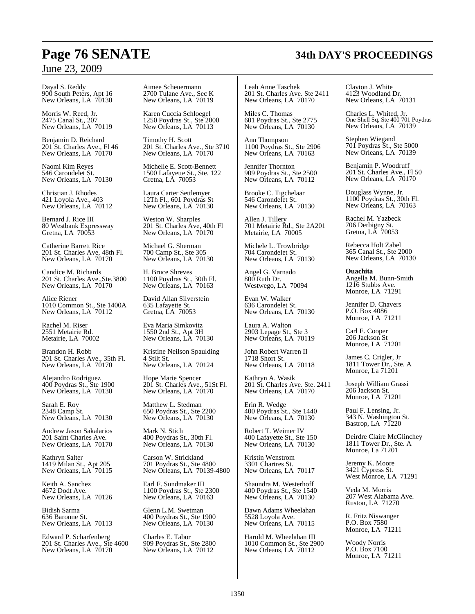### June 23, 2009

Dayal S. Reddy 900 South Peters, Apt 16 New Orleans, LA 70130

Morris W. Reed, Jr. 2475 Canal St., 207 New Orleans, LA 70119

Benjamin D. Reichard 201 St. Charles Ave., Fl 46 New Orleans, LA 70170

Naomi Kim Reyes 546 Carondelet St. New Orleans, LA 70130

Christian J. Rhodes 421 Loyola Ave., 403 New Orleans, LA 70112

Bernard J. Rice III 80 Westbank Expressway Gretna, LA 70053

Catherine Barrett Rice 201 St. Charles Ave, 48th Fl. New Orleans, LA 70170

Candice M. Richards 201 St. Charles Ave.,Ste.3800 New Orleans, LA 70170

Alice Riener 1010 Common St., Ste 1400A New Orleans, LA 70112

Rachel M. Riser 2551 Metairie Rd. Metairie, LA 70002

Brandon H. Robb 201 St. Charles Ave., 35th Fl. New Orleans, LA  $70170$ 

Alejandro Rodriguez 400 Poydras St., Ste 1900 New Orleans, LA 70130

Sarah E. Roy 2348 Camp St. New Orleans, LA 70130

Andrew Jason Sakalarios 201 Saint Charles Ave. New Orleans, LA 70170

Kathryn Salter 1419 Milan St., Apt 205 New Orleans, LA 70115

Keith A. Sanchez 4672 Dodt Ave. New Orleans, LA 70126

Bidish Sarma 636 Baronne St. New Orleans, LA 70113

Edward P. Scharfenberg 201 St. Charles Ave., Ste 4600 New Orleans, LA 70170

Aimee Scheuermann 2700 Tulane Ave., Sec K New Orleans, LA 70119

Karen Cuccia Schloegel 1250 Poydras St., Ste 2000 New Orleans, LA 70113

Timothy H. Scott 201 St. Charles Ave., Ste 3710 New Orleans, LA 70170

Michelle E. Scott-Bennett 1500 Lafayette St., Ste. 122 Gretna, LA 70053

Laura Carter Settlemyer 12Th Fl., 601 Poydras St New Orleans, LA 70130

Weston W. Sharples 201 St. Charles Ave, 40th Fl New Orleans, LA 70170

Michael G. Sherman 700 Camp St., Ste 305 New Orleans, LA 70130

H. Bruce Shreves 1100 Poydras St., 30th Fl. New Orleans, LA 70163

David Allan Silverstein 635 Lafayette St. Gretna, LA 70053

Eva Maria Simkovitz 1550 2nd St., Apt 3H New Orleans, LA 70130

Kristine Neilson Spaulding 4 Stilt St. New Orleans, LA 70124

Hope Marie Spencer 201 St. Charles Ave., 51St Fl. New Orleans, LA 70170

Matthew L. Stedman 650 Poydras St., Ste 2200 New Orleans, LA 70130

Mark N. Stich 400 Poydras St., 30th Fl. New Orleans, LA 70130

Carson W. Strickland 701 Poydras St., Ste 4800 New Orleans, LA 70139-4800

Earl F. Sundmaker III 1100 Poydras St., Ste 2300 New Orleans, LA 70163

Glenn L.M. Swetman 400 Poydras St., Ste 1900 New Orleans, LA 70130

Charles E. Tabor 909 Poydras St., Ste 2800 New Orleans, LA 70112

Leah Anne Taschek 201 St. Charles Ave. Ste 2411 New Orleans, LA 70170

Miles C. Thomas 601 Poydras St., Ste 2775 New Orleans, LA 70130

Ann Thompson 1100 Poydras St., Ste 2906 New Orleans, LA 70163

Jennifer Thornton 909 Poydras St., Ste 2500 New Orleans, LA 70112

Brooke C. Tigchelaar 546 Carondelet St. New Orleans, LA 70130

Allen J. Tillery 701 Metairie Rd., Ste 2A201 Metairie, LA 70005

Michele L. Trowbridge 704 Carondelet St. New Orleans, LA 70130

Angel G. Varnado 800 Ruth Dr. Westwego, LA 70094

Evan W. Walker 636 Carondelet St. New Orleans, LA 70130

Laura A. Walton 2903 Lepage St., Ste 3 New Orleans, LA 70119

John Robert Warren II 1718 Short St. New Orleans, LA 70118

Kathryn A. Wasik 201 St. Charles Ave. Ste. 2411 New Orleans, LA 70170

Erin R. Wedge 400 Poydras St., Ste 1440 New Orleans, LA 70130

Robert T. Weimer IV 400 Lafayette St., Ste 150 New Orleans, LA 70130

Kristin Wenstrom 3301 Chartres St. New Orleans, LA 70117

Shaundra M. Westerhoff 400 Poydras St., Ste 1540 New Orleans, LA 70130

Dawn Adams Wheelahan 5528 Loyola Ave. New Orleans, LA 70115

Harold M. Wheelahan III 1010 Common St., Ste 2900 New Orleans, LA 70112

Clayton J. White 4123 Woodland Dr. New Orleans, LA 70131

Charles L. Whited, Jr. One Shell Sq, Ste 400 701 Poydras New Orleans, LA 70139

Stephen Wiegand 701 Poydras St., Ste 5000 New Orleans, LA 70139

Benjamin P. Woodruff 201 St. Charles Ave., Fl 50 New Orleans, LA 70170

Douglass Wynne, Jr. 1100 Poydras St., 30th Fl. New Orleans, LA 70163

Rachel M. Yazbeck 706 Derbigny St. Gretna, LA 70053

Rebecca Holt Zabel 365 Canal St., Ste 2000 New Orleans, LA 70130

**Ouachita**

Angella M. Bunn-Smith 1216 Stubbs Ave. Monroe, LA 71291

Jennifer D. Chavers P.O. Box 4086 Monroe, LA 71211

Carl E. Cooper 206 Jackson St Monroe, LA 71201

James C. Crigler, Jr 1811 Tower Dr., Ste. A Monroe, La 71201

Joseph William Grassi 206 Jackson St. Monroe, LA 71201

Paul F. Lensing, Jr. 343 N. Washington St. Bastrop, LA 71220

Deirdre Claire McGlinchey 1811 Tower Dr., Ste. A Monroe, La 71201

Jeremy K. Moore 3421 Cypress St. West Monroe, LA 71291

Veda M. Morris 207 West Alabama Ave. Ruston, LA 71270

R. Fritz Niswanger P.O. Box 7580 Monroe, LA 71211

Woody Norris P.O. Box 7100 Monroe, LA 71211

## **Page 76 SENATE 34th DAY'S PROCEEDINGS**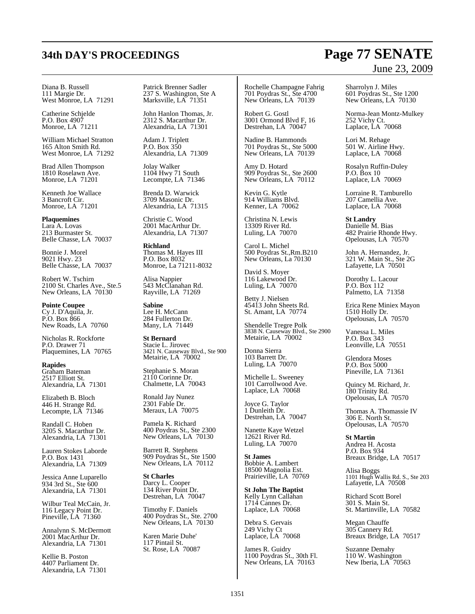## **34th DAY'S PROCEEDINGS Page 77 SENATE** June 23, 2009

Diana B. Russell 111 Margie Dr. West Monroe, LA 71291

Catherine Schjelde P.O. Box 4907 Monroe, LA 71211

William Michael Stratton 165 Alton Smith Rd. West Monroe, LA 71292

Brad Allen Thompson 1810 Roselawn Ave. Monroe, LA 71201

Kenneth Joe Wallace 3 Bancroft Cir. Monroe, LA 71201

**Plaquemines** Lara A. Lovas 213 Burmaster St. Belle Chasse, LA 70037

Bonnie J. Morel 9021 Hwy. 23 Belle Chasse, LA 70037

Robert W. Tschirn 2100 St. Charles Ave., Ste.5 New Orleans, LA 70130

**Pointe Coupee** Cy J. D'Aquila, Jr. P.O. Box 866 New Roads, LA 70760

Nicholas R. Rockforte P.O. Drawer 71 Plaquemines, LA 70765

**Rapides** Graham Bateman 2517 Elliott St. Alexandria, LA 71301

Elizabeth B. Bloch 446 H. Strange Rd. Lecompte, LA 71346

Randall C. Hoben 3205 S. Macarthur Dr. Alexandria, LA 71301

Lauren Stokes Laborde P.O. Box 1431 Alexandria, LA 71309

Jessica Anne Luparello 934 3rd St., Ste 600 Alexandria, LA 71301

Wilbur Teal McCain, Jr. 116 Legacy Point Dr. Pineville, LA 71360

Annalynn S. McDermott 2001 MacArthur Dr. Alexandria, LA 71301

Kellie B. Poston 4407 Parliament Dr. Alexandria, LA 71301 Patrick Brenner Sadler 237 S. Washington, Ste A Marksville, LA 71351

John Hanlon Thomas, Jr. 2312 S. Macarthur Dr. Alexandria, LA 71301

Adam J. Triplett P.O. Box 350 Alexandria, LA 71309

Jolay Walker 1104 Hwy 71 South Lecompte, LA 71346

Brenda D. Warwick 3709 Masonic Dr. Alexandria, LA 71315

Christie C. Wood 2001 MacArthur Dr. Alexandria, LA 71307

**Richland** Thomas M. Hayes III P.O. Box 8032 Monroe, La 71211-8032

Alisa Nappier 543 McClanahan Rd. Rayville, LA 71269

**Sabine** Lee H. McCann 284 Fullerton Dr. Many, LA 71449

**St Bernard** Stacie L. Jirovec 3421 N. Causeway Blvd., Ste 900 Metairie, LA 70002

Stephanie S. Moran 2110 Corinne Dr. Chalmette, LA 70043

Ronald Jay Nunez 2301 Fable Dr. Meraux, LA 70075

Pamela K. Richard 400 Poydras St., Ste 2300 New Orleans, LA 70130

Barrett R. Stephens 909 Poydras St., Ste 1500 New Orleans, LA 70112

**St Charles** Darcy L. Cooper 134 River Point Dr. Destrehan, LA 70047

Timothy F. Daniels 400 Poydras St., Ste. 2700 New Orleans, LA 70130

Karen Marie Duhe' 117 Pintail St. St. Rose, LA 70087

Rochelle Champagne Fahrig 701 Poydras St., Ste 4700 New Orleans, LA 70139

Robert G. Gostl 3001 Ormond Blvd F, 16 Destrehan, LA 70047

Nadine B. Hammonds 701 Poydras St., Ste 5000 New Orleans, LA 70139

Amy D. Hotard 909 Poydras St., Ste 2600 New Orleans, LA 70112

Kevin G. Kytle 914 Williams Blvd. Kenner, LA 70062

Christina N. Lewis 13309 River Rd. Luling, LA 70070

Carol L. Michel 500 Poydras St.,Rm.B210 New Orleans, La 70130

David S. Moyer 116 Lakewood Dr. Luling, LA 70070

Betty J. Nielsen 45413 John Sheets Rd. St. Amant, LA 70774

Shendelle Tregre Polk 3838 N. Causeway Blvd., Ste 2900 Metairie, LA 70002

Donna Sierra 103 Barrett Dr. Luling, LA 70070

Michelle L. Sweeney 101 Carrollwood Ave. Laplace, LA 70068

Joyce G. Taylor 1 Dunleith Dr. Destrehan, LA 70047

Nanette Kaye Wetzel 12621 River Rd. Luling, LA 70070

**St James** Bobbie A. Lambert 18500 Magnolia Est. Prairieville, LA 70769

**St John The Baptist** Kelly Lynn Callahan 1714 Cannes Dr. Laplace, LA 70068

Debra S. Gervais 249 Vichy Ct Laplace, LA 70068

James R. Guidry 1100 Poydras St., 30th Fl. New Orleans, LA 70163

Sharrolyn J. Miles 601 Poydras St., Ste 1200 New Orleans, LA 70130

Norma-Jean Montz-Mulkey 252 Vichy Ct. Laplace, LA 70068

Lori M. Rehage 501 W. Airline Hwy. Laplace, LA 70068

Rosalyn Ruffin-Duley P.O. Box 10 Laplace, LA 70069

Lorraine R. Tamburello 207 Camellia Ave. Laplace, LA 70068

**St Landry** Danielle M. Bias 482 Prairie Rhonde Hwy. Opelousas, LA 70570

John A. Hernandez, Jr. 321 W. Main St., Ste 2G Lafayette, LA 70501

Dorothy L. Lacour P.O. Box 112 Palmetto, LA 71358

Erica Rene Miniex Mayon 1510 Holly Dr. Opelousas, LA 70570

Vanessa L. Miles P.O. Box 343 Leonville, LA 70551

Glendora Moses P.O. Box 5000 Pineville, LA 71361

Quincy M. Richard, Jr. 180 Trinity Rd. Opelousas, LA 70570

Thomas A. Thomassie IV 306 E. North St. Opelousas, LA 70570

**St Martin** Andrea H. Acosta P.O. Box 934 Breaux Bridge, LA 70517

Alisa Boggs 1101 Hugh Wallis Rd. S., Ste 203 Lafayette, LA 70508

Richard Scott Borel 301 S. Main St. St. Martinville, LA 70582

Megan Chauffe 305 Cannery Rd. Breaux Bridge, LA 70517

Suzanne Demahy 110 W. Washington New Iberia, LA 70563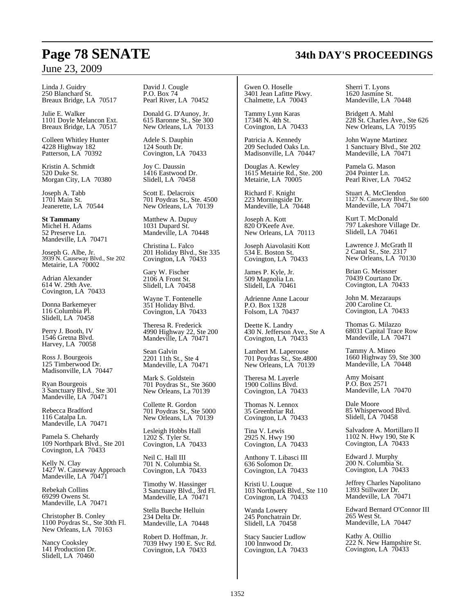### June 23, 2009

Linda J. Guidry 250 Blanchard St. Breaux Bridge, LA 70517

Julie E. Walker 1101 Doyle Melancon Ext. Breaux Bridge, LA 70517

Colleen Whitley Hunter 4228 Highway 182 Patterson, LA 70392

Kristin A. Schmidt 520 Duke St. Morgan City, LA 70380

Joseph A. Tabb 1701 Main St. Jeanerette, LA 70544

**St Tammany** Michel H. Adams 52 Preserve Ln. Mandeville, LA 70471

Joseph G. Albe, Jr. 3939 N. Causeway Blvd., Ste 202 Metairie, LA 70002

Adrian Alexander 614 W. 29th Ave. Covington, LA 70433

Donna Barkemeyer 116 Columbia Pl. Slidell, LA 70458

Perry J. Booth, IV 1546 Gretna Blvd. Harvey, LA 70058

Ross J. Bourgeois 125 Timberwood Dr. Madisonville, LA 70447

Ryan Bourgeois 3 Sanctuary Blvd., Ste 301 Mandeville, LA 70471

Rebecca Bradford 116 Catalpa Ln. Mandeville, LA 70471

Pamela S. Chehardy 109 Northpark Blvd., Ste 201 Covington, LA 70433

Kelly N. Clay 1427 W. Causeway Approach Mandeville, LA 70471

Rebekah Collins 69299 Owens St. Mandeville, LA 70471

Christopher B. Conley 1100 Poydras St., Ste 30th Fl. New Orleans, LA 70163

Nancy Cooksley 141 Production Dr. Slidell, LA 70460

David J. Cougle P.O. Box 74 Pearl River, LA 70452

Donald G. D'Aunoy, Jr. 615 Baronne St., Ste 300 New Orleans, LA 70133

Adele S. Dauphin 124 South Dr. Covington, LA 70433

Joy C. Daussin 1416 Eastwood Dr. Slidell, LA 70458

Scott E. Delacroix 701 Poydras St., Ste. 4500 New Orleans, LA 70139

Matthew A. Dupuy 1031 Dupard St. Mandeville, LA 70448

Christina L. Falco 201 Holiday Blvd., Ste 335 Covington, LA 70433

Gary W. Fischer 2106 A Front St. Slidell, LA 70458

Wayne T. Fontenelle 351 Holiday Blvd. Covington, LA 70433

Theresa R. Frederick 4990 Highway 22, Ste 200 Mandeville, LA 70471

Sean Galvin 2201 11th St., Ste 4 Mandeville, LA 70471

Mark S. Goldstein 701 Poydras St., Ste 3600 New Orleans, La 70139

Collette R. Gordon 701 Poydras St., Ste 5000 New Orleans, LA 70139

Lesleigh Hobbs Hall 1202 S. Tyler St. Covington, LA 70433

Neil C. Hall III 701 N. Columbia St. Covington, LA 70433

Timothy W. Hassinger 3 Sanctuary Blvd., 3rd Fl. Mandeville, LA 70471

Stella Bueche Helluin 234 Delta Dr. Mandeville, LA 70448

Robert D. Hoffman, Jr. 7039 Hwy 190 E. Svc Rd. Covington, LA 70433

Gwen O. Hoselle 3401 Jean Lafitte Pkwy. Chalmette, LA 70043

Tammy Lynn Karas 17348 N. 4th St. Covington, LA 70433

Patricia A. Kennedy 209 Secluded Oaks Ln. Madisonville, LA 70447

Douglas A. Kewley 1615 Metairie Rd., Ste. 200 Metairie, LA 70005

Richard F. Knight 223 Morningside Dr. Mandeville, LA 70448

Joseph A. Kott 820 O'Keefe Ave. New Orleans, LA 70113

Joseph Aiavolasiti Kott 534 E. Boston St. Covington, LA 70433

James P. Kyle, Jr. 509 Magnolia Ln. Slidell, LA 70461

Adrienne Anne Lacour P.O. Box 1328 Folsom, LA 70437

Deette K. Landry 430 N. Jefferson Ave., Ste A Covington, LA 70433

Lambert M. Laperouse 701 Poydras St., Ste.4800 New Orleans, LA 70139

Theresa M. Layerle 1900 Collins Blvd. Covington, LA 70433

Thomas N. Lennox 35 Greenbriar Rd. Covington, LA 70433

Tina V. Lewis 2925 N. Hwy 190 Covington, LA 70433

Anthony T. Libasci III 636 Solomon Dr. Covington, LA 70433

Kristi U. Louque 103 Northpark Blvd., Ste 110 Covington, LA 70433

Wanda Lowery 245 Ponchatrain Dr. Slidell, LA 70458

Stacy Saucier Ludlow 100 Innwood Dr. Covington, LA 70433 Sherri T. Lyons 1620 Jasmine St. Mandeville, LA 70448

Bridgett A. Mahl 228 St. Charles Ave., Ste 626 New Orleans, LA 70195

John Wayne Martinez 1 Sanctuary Blvd., Ste 202 Mandeville, LA 70471

Pamela G. Mason 204 Pointer Ln. Pearl River, LA 70452

Stuart A. McClendon 1127 N. Causeway Blvd., Ste 600 Mandeville, LA 70471

Kurt T. McDonald 797 Lakeshore Village Dr. Slidell, LA 70461

Lawrence J. McGrath II 2 Canal St., Ste. 2317 New Orleans, LA 70130

Brian G. Meissner 70439 Courtano Dr. Covington, LA 70433

John M. Mezaraups 200 Caroline Ct. Covington, LA 70433

Thomas G. Milazzo 68031 Capital Trace Row Mandeville, LA 70471

Tammy A. Mineo 1660 Highway 59, Ste 300 Mandeville, LA 70448

Amy Moisant P.O. Box 2571 Mandeville, LA 70470

Dale Moore 85 Whisperwood Blvd. Slidell, LA 70458

Salvadore A. Mortillaro II 1102 N. Hwy 190, Ste K Covington, LA 70433

Edward J. Murphy 200 N. Columbia St. Covington, LA 70433

Jeffrey Charles Napolitano 1393 Stillwater Dr. Mandeville, LA 70471

Edward Bernard O'Connor III 265 West St. Mandeville, LA 70447

Kathy A. Otillio 222 N. New Hampshire St. Covington, LA 70433

## **Page 78 SENATE 34th DAY'S PROCEEDINGS**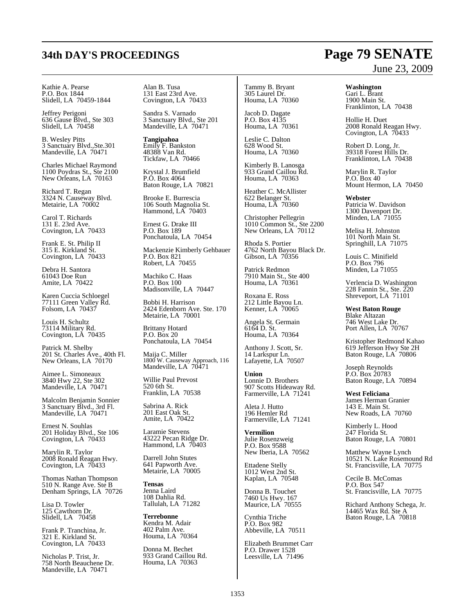Kathie A. Pearse P.O. Box 1844 Slidell, LA 70459-1844

Jeffrey Perigoni 636 Gause Blvd., Ste 303 Slidell, LA 70458

B. Wesley Pitts 3 Sanctuary Blvd.,Ste.301 Mandeville, LA 70471

Charles Michael Raymond 1100 Poydras St., Ste 2100 New Orleans, LA 70163

Richard T. Regan 3324 N. Causeway Blvd. Metairie, LA 70002

Carol T. Richards 131 E. 23rd Ave. Covington, LA 70433

Frank E. St. Philip II 315 E. Kirkland St. Covington, LA 70433

Debra H. Santora 61043 Doe Run Amite, LA 70422

Karen Cuccia Schloegel 77111 Green Valley Rd. Folsom, LA 70437

Louis H. Schultz 73114 Military Rd. Covington, LA 70435

Patrick M. Shelby 201 St. Charles Ave., 40th Fl. New Orleans, LA 70170

Aimee L. Simoneaux 3840 Hwy 22, Ste 302 Mandeville, LA 70471

Malcolm Benjamin Sonnier 3 Sanctuary Blvd., 3rd Fl. Mandeville, LA 70471

Ernest N. Souhlas 201 Holiday Blvd., Ste 106 Covington, LA 70433

Marylin R. Taylor 2008 Ronald Reagan Hwy. Covington, LA 70433

Thomas Nathan Thompson 510 N. Range Ave. Ste B Denham Springs, LA 70726

Lisa D. Towler 125 Cawthorn Dr. Slidell, LA 70458

Frank P. Tranchina, Jr. 321 E. Kirkland St. Covington, LA 70433

Nicholas P. Trist, Jr. 758 North Beauchene Dr. Mandeville, LA 70471

Alan B. Tusa 131 East 23rd Ave. Covington, LA 70433

Sandra S. Varnado 3 Sanctuary Blvd., Ste 201 Mandeville, LA 70471

**Tangipahoa** Emily F. Bankston 48388 Van Rd. Tickfaw, LA 70466

Krystal J. Brumfield P.O. Box 4064 Baton Rouge, LA 70821

Brooke E. Burrescia 106 South Magnolia St. Hammond, LA 70403

Ernest G. Drake III P.O. Box 189 Ponchatoula, LA 70454

Mackenzie Kimberly Gehbauer P.O. Box 821 Robert, LA 70455

Machiko C. Haas P.O. Box 100 Madisonville, LA 70447

Bobbi H. Harrison 2424 Edenborn Ave. Ste. 170 Metairie, LA 70001

Brittany Hotard P.O. Box 20 Ponchatoula, LA 70454

Maija C. Miller 1800 W. Causeway Approach, 116 Mandeville, LA 70471

Willie Paul Prevost 520 6th St. Franklin, LA 70538

Sabrina A. Rick 201 East Oak St. Amite, LA 70422

Laramie Stevens 43222 Pecan Ridge Dr. Hammond, LA 70403

Darrell John Stutes 641 Papworth Ave. Metairie, LA 70005

**Tensas** Jenna Laird 108 Dahlia Rd. Tallulah, LA 71282

**Terrebonne** Kendra M. Adair 402 Palm Ave. Houma, LA 70364

Donna M. Bechet 933 Grand Caillou Rd. Houma, LA 70363

#### Tammy B. Bryant 305 Laurel Dr. Houma, LA 70360

Jacob D. Dagate P.O. Box 4135 Houma, LA 70361

Leslie C. Dalton 628 Wood St. Houma, LA 70360

Kimberly B. Lanosga 933 Grand Caillou Rd. Houma, LA 70363

Heather C. McAllister 622 Belanger St. Houma, LA 70360

Christopher Pellegrin 1010 Common St., Ste 2200 New Orleans, LA 70112

Rhoda S. Portier 4762 North Bayou Black Dr. Gibson, LA 70356

Patrick Redmon 7910 Main St., Ste 400 Houma, LA 70361

Roxana E. Ross 212 Little Bayou Ln. Kenner, LA 70065

Angela St. Germain 6164 D. St. Houma, LA 70364

Anthony J. Scott, Sr. 14 Larkspur Ln. Lafayette, LA 70507

**Union** Lonnie D. Brothers 907 Scotts Hideaway Rd. Farmerville, LA 71241

Aleta J. Hutto 196 Hemler Rd Farmerville, LA 71241

**Vermilion** Julie Rosenzweig P.O. Box 9588 New Iberia, LA 70562

Ettadene Stelly 1012 West 2nd St. Kaplan, LA 70548

Donna B. Touchet 7460 Us Hwy. 167 Maurice, LA 70555

Cynthia Triche P.O. Box 982 Abbeville, LA 70511

Elizabeth Brummet Carr P.O. Drawer 1528 Leesville, LA 71496

## **34th DAY'S PROCEEDINGS Page 79 SENATE** June 23, 2009

**Washington** Gari L. Brant 1900 Main St. Franklinton, LA 70438

Hollie H. Duet 2008 Ronald Reagan Hwy. Covington, LA 70433

Robert D. Long, Jr. 39318 Forest Hills Dr. Franklinton, LA 70438

Marylin R. Taylor P.O. Box 40 Mount Hermon, LA 70450

**Webster** Patricia W. Davidson 1300 Davenport Dr. Minden, LA 71055

Melisa H. Johnston 101 North Main St. Springhill, LA 71075

Louis C. Minifield P.O. Box 796 Minden, La 71055

Verlencia D. Washington 228 Fannin St., Ste. 220 Shreveport, LA 71101

**West Baton Rouge** Blake Altazan 746 West Lake Dr. Port Allen, LA 70767

Kristopher Redmond Kahao 619 Jefferson Hwy Ste 2H Baton Rouge, LA 70806

Joseph Reynolds P.O. Box 20783 Baton Rouge, LA 70894

**West Feliciana** James Herman Granier 143 E. Main St. New Roads, LA 70760

Kimberly L. Hood 247 Florida St. Baton Rouge, LA 70801

Matthew Wayne Lynch 10521 N. Lake Rosemound Rd St. Francisville, LA 70775

Cecile B. McComas P.O. Box 547 St. Francisville, LA 70775

Richard Anthony Schega, Jr. 14465 Wax Rd. Ste A Baton Rouge, LA 70818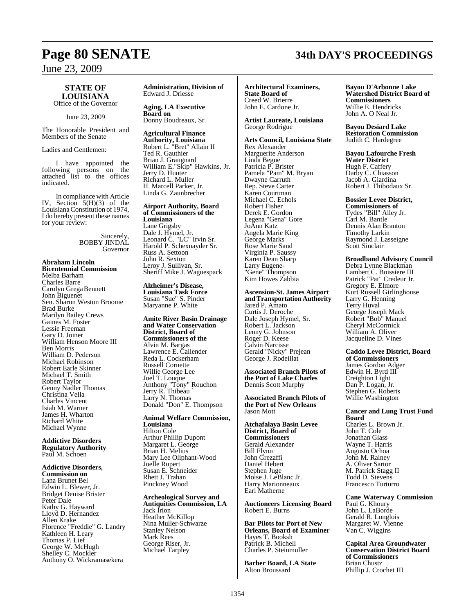## June 23, 2009

### **STATE OF LOUISIANA**

Office of the Governor

June 23, 2009

The Honorable President and Members of the Senate

Ladies and Gentlemen:

I have appointed the following persons on the attached list to the offices indicated.

In compliance with Article IV, Section  $5(H)(3)$  of the Louisiana Constitution of 1974. I do hereby present these names for your review:

> Sincerely, BOBBY JINDAL Governor

**Abraham Lincoln Bicentennial Commission** Melba Barham Charles Barre Carolyn Grega Bennett John Biguenet Sen. Sharon Weston Broome Brad Burke Marilyn Bailey Crews Gaines M. Foster Lessie Freeman Gary D. Joiner William Henson Moore III Ben Morris William D. Pederson Michael Robinson Robert Earle Skinner Michael T. Smith Robert Taylor Genny Nadler Thomas Christina Vella Charles Vincent Isiah M. Warner James H. Wharton Richard White Michael Wynne

**Addictive Disorders Regulatory Authority** Paul M. Schoen

**Addictive Disorders, Commission on** Lana Brunet Bel Edwin L. Blewer, Jr. Bridget Denise Brister Peter Dale Kathy G. Hayward Lloyd D. Hernandez Allen Krake Florence "Freddie" G. Landry Kathleen H. Leary Thomas P. Lief George W. McHugh Shelley C. Mockler Anthony O. Wickramasekera

**Administration, Division of**  Edward J. Driesse

**Aging, LA Executive Board on** Donny Boudreaux, Sr.

**Agricultural Finance Authority, Louisiana** Robert L. "Bret" Allain II Ted R. Gauthier Brian J. Graugnard William E."Skip" Hawkins, Jr. Jerry D. Hunter Richard L. Muller H. Marcell Parker, Jr. Linda G. Zaunbrecher

**Airport Authority, Board of Commissioners of the Louisiana** Lane Grigsby Dale J. Hymel, Jr. Leonard C. "LC" Irvin Sr. Harold P. Schexnayder Sr. Russ A. Settoon John R. Sexton Leroy J. Sullivan, Sr. Sheriff Mike J. Waguespack

**Alzheimer's Disease, Louisiana Task Force** Susan "Sue" S. Pinder Maryanne P. White

**Amite River Basin Drainage and Water Conservation District, Board of Commissioners of the** Alvin M. Bargas Lawrence E. Callender Reda L. Cockerham Russell Cornette Willie George Lee Joel T. Louque Anthony "Tony" Rouchon Jerry R. Thibeau ` Larry N. Thomas Donald "Don" E. Thompson

**Animal Welfare Commission, Louisiana** Hilton Cole Arthur Phillip Dupont Margaret L. George Brian H. Melius Mary Lee Oliphant-Wood Joelle Rupert Susan E. Schneider Rhett J. Trahan Pinckney Wood

**Archeological Survey and Antiquities Commission, LA** Jack Irion Heather McKillop Nina Muller-Schwarze Stanley Nelson Mark Rees George Riser, Jr. Michael Tarpley

**Architectural Examiners, State Board of**  Creed W. Brierre John E. Cardone Jr.

**Artist Laureate, Louisiana** George Rodrigue

**Arts Council, Louisiana State** Rex Alexander Marguerite Anderson Linda Begue Patricia P. Brister Pamela "Pam" M. Bryan Dwayne Carruth Rep. Steve Carter Karen Courtman Michael C. Echols Robert Fisher Derek E. Gordon Legena "Gena" Gore JoAnn Katz Angela Marie King George Marks Rose Marie Sand Virginia P. Saussy Karen Dean Sharp Larry Eugene- "Gene" Thompson Kim Howes Zabbia

#### **Ascension-St. James Airport andTransportation Authority**

Jared P. Amato Curtis J. Deroche Dale Joseph Hymel, Sr. Robert L. Jackson Lenny G. Johnson Roger D. Keese Calvin Narcisse Gerald "Nicky" Prejean George J. Rodeillat

**Associated Branch Pilots of the Port of Lake Charles**  Dennis Scott Murphy

**Associated Branch Pilots of the Port of New Orleans** Jason Mott

**Atchafalaya Basin Levee District, Board of Commissioners**  Gerald Alexander Bill Flynn John Grezaffi Daniel Hebert Stephen Juge Moise J. LeBlanc Jr. Harry Marionneaux Earl Matherne

**Auctioneers Licensing Board** Robert E. Burns

**Bar Pilots for Port of New Orleans, Board of Examiner** Hayes T. Booksh Patrick B. Michell Charles P. Steinmuller

**Barber Board, LA State** Alton Broussard

#### **Bayou D'Arbonne Lake Watershed District Board of Commissioners**  Willie E. Hendricks John A. O Neal Jr.

**Bayou Desiard Lake Restoration Commission** Judith C. Hardegree

**Bayou Lafourche Fresh Water District**  Hugh F. Caffery Darby C. Chiasson Jacob A. Giardina Robert J. Thibodaux Sr.

**Bossier Levee District,**

**Commissioners of** Tydes "Bill" Alley Jr. Carl M. Bantle Dennis Alan Branton Timothy Larkin Raymond J. Lasseigne Scott Sinclair

#### **Broadband Advisory Council**

Debra Lynne Blackman Lambert C. Boissiere III Patrick "Pat" Credeur Jr. Gregory E. Elmore Kurt Russell Girlinghouse Larry G. Henning Terry Huval George Joseph Mack Robert "Bob" Manuel Cheryl McCormick William A. Oliver Jacqueline D. Vines

#### **Caddo Levee District, Board of Commissioners**

James Gordon Adger Edwin H. Byrd III Creighton Light Dan P. Logan, Jr. Stephen G. Roberts Willie Washington

#### **Cancer and Lung Trust Fund Board**

Charles L. Brown Jr. John T. Cole Jonathan Glass Wayne T. Harris Augusto Ochoa John M. Rainey A. Oliver Sartor M. Patrick Stagg II Todd D. Stevens Francesco Turturro

**Cane Waterway Commission** Paul G. Khoury John L. LaBorde Gerald R. Longlois Margaret W. Vienne Van C. Wiggins

**Capital Area Groundwater Conservation District Board of Commissioners** Brian Chustz Phillip J. Crochet III

## **Page 80 SENATE 34th DAY'S PROCEEDINGS**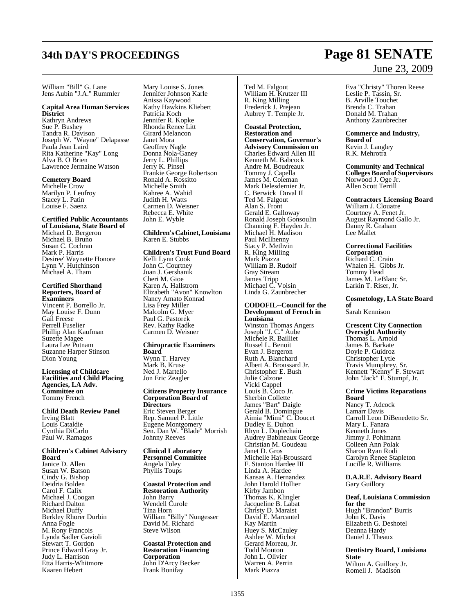William "Bill" G. Lane Jens Aubin "J.A." Rummler

#### **Capital Area Human Services District**

Kathryn Andrews Sue P. Bushey Tandra R. Davison Joseph W. "Wayne" Delapasse Paula Jean Laird Rita Katherine "Kay" Long Alva B. O Brien Lawrence Jermaine Watson

### **Cemetery Board**

Michelle Crow Marilyn P. Leufroy Stacey L. Patin Louise F. Saenz

### **Certified Public Accountants**

**of Louisiana, State Board of**  Michael D. Bergeron Michael B. Bruno Susan C. Cochran Mark P. Harris Desiree' Waynette Honore Lynn V. Hutchinson Michael A. Tham

#### **Certified Shorthand Reporters, Board of Examiners**

Vincent P. Borrello Jr. May Louise F. Dunn Gail Freese Perrell Fuselier Phillip Alan Kaufman Suzette Magee Laura Lee Putnam Suzanne Harper Stinson Dion Young

#### **Licensing of Childcare Facilities and Child Placing Agencies, LA Adv. Committee on** Tommy French

**Child Death Review Panel**  Irving Blatt Louis Cataldie Cynthia DiCarlo Paul W. Ramagos

#### **Children's Cabinet Advisory Board** Janice D. Allen Susan W. Batson

Cindy G. Bishop Deidria Bolden Carol F. Calix Michael J. Coogan Richard Dalton Michael Duffy Berkley Rhorer Durbin Anna Fogle M. Rony Francois Lynda Sadler Gavioli Stewart T. Gordon Prince Edward Gray Jr. Judy L. Harrison Etta Harris-Whitmore Kaaren Hebert

Mary Louise S. Jones Jennifer Johnson Karle Anissa Kaywood Kathy Hawkins Kliebert Patricia Koch Jennifer R. Kopke Rhonda Renee Litt Girard Melancon Janet Mora Geoffrey Nagle Donna Nola-Ganey Jerry L. Phillips Jerry K. Pinsel Frankie George Robertson Ronald A. Rossitto Michelle Smith Kahree A. Wahid Judith H. Watts Carmen D. Weisner Rebecca E. White John E. Wyble

#### **Children's Cabinet, Louisiana** Karen E. Stubbs

**Children's Trust Fund Board** Kelli Lynn Cook John C. Courtney Juan J. Gershanik Cheri M. Gioe Karen A. Hallstrom Elizabeth "Avon" Knowlton Nancy Amato Konrad Lisa Frey Miller Malcolm G. Myer Paul G. Pastorek Rev. Kathy Radke Carmen D. Weisner

#### **Chiropractic Examiners Board**  Wynn T. Harvey Mark B. Kruse Ned J. Martello Jon Eric Zeagler

**Citizens Property Insurance Corporation Board of Directors**  Eric Steven Berger Rep. Samuel P. Little Eugene Montgomery Sen. Dan W. "Blade" Morrish Johnny Reeves

#### **Clinical Laboratory Personnel Committee** Angela Foley Phyllis Toups

**Coastal Protection and Restoration Authority**  John Barry Wendell Curole Tina Horn William "Billy" Nungesser David M. Richard Steve Wilson

**Coastal Protection and Restoration Financing Corporation** John D'Arcy Becker Frank Bonifay

Ted M. Falgout William H. Krutzer III R. King Milling Frederick J. Prejean Aubrey T. Temple Jr.

**Coastal Protection, Restoration and Conservation, Governor's Advisory Commission on** Charles Edward Allen III Kenneth M. Babcock Andre M. Boudreaux Tommy J. Capella James M. Coleman Mark Delesdernier Jr. C. Berwick Duval II Ted M. Falgout Alan S. Front Gerald E. Galloway Ronald Joseph Gonsoulin Channing F. Hayden Jr. Michael H. Madison Paul McIlhenny Stacy P. Methvin R. King Milling Mark Piazza William B. Rudolf Gray Stream James Tripp Michael C. Voisin Linda G. Zaunbrecher

#### **CODOFIL--Council for the Development of French in Louisiana** Winston Thomas Angers

Joseph "J. C." Aube Michele R. Bailliet Russel L. Benoit Evan J. Bergeron Ruth A. Blanchard Albert A. Broussard Jr. Christopher E. Bush Julie Calzone Vicki Cappel Louis B. Coco Jr. Sherbin Collette James "Bart" Daigle Gerald B. Domingue Aimia "Mimi" C. Doucet Dudley E. Duhon Rhyn L. Duplechain Audrey Babineaux George Christian M. Goudeau Janet D. Gros Michelle Haj-Broussard F. Stanton Hardee III Linda A. Hardee Kansas A. Hernandez John Harold Hollier Kirby Jambon Thomas K. Klingler Jacqueline B. Labat Christy D. Maraist David E. Marcantel Kay Martin Huey S. McCauley Ashlee W. Michot Gerard Moreau, Jr. Todd Mouton John L. Olivier Warren A. Perrin Mark Piazza

## **34th DAY'S PROCEEDINGS Page 81 SENATE** June 23, 2009

Eva "Christy" Thoren Reese Leslie P. Tassin, Sr. B. Arville Touchet Brenda C. Trahan Donald M. Trahan Anthony Zaunbrecher

**Commerce and Industry, Board of**  Kevin J. Langley

R.K. Mehrotra

**Community and Technical CollegesBoard of Supervisors** Norwood J. Oge Jr. Allen Scott Terrill

#### **Contractors Licensing Board** William J. Clouatre Courtney A. Fenet Jr. August Raymond Gallo Jr. Danny R. Graham Lee Mallet

**Correctional Facilities Corporation**  Richard C. Crain Whalen H. Gibbs Jr. Tommy Head James M. LeBlanc Sr. Larkin T. Riser, Jr.

**Cosmetology, LA State Board**

**of** Sarah Kennison

**Crescent City Connection Oversight Authority** Thomas L. Arnold James B. Barkate Doyle P. Guidroz Christopher Lytle Travis Mumphrey, Sr. Kennett "Kenny" F. Stewart John "Jack" F. Stumpf, Jr.

**Crime Victims Reparations Board**  Nancy T. Adcock Lamarr Davis

Carroll Leon DiBenedetto Sr. Mary L. Fanara Kenneth Jones Jimmy J. Pohlmann Colleen Ann Polak Sharon Ryan Rodi Carolyn Renee Stapleton Lucille R. Williams

**D.A.R.E. Advisory Board** Gary Guillory

**Deaf, Louisiana Commission for the**  Hugh "Brandon" Burris John K. Davis Elizabeth G. Deshotel Deanna Hardy Daniel J. Theaux

**Dentistry Board, Louisiana State** Wilton A. Guillory Jr. Romell J. Madison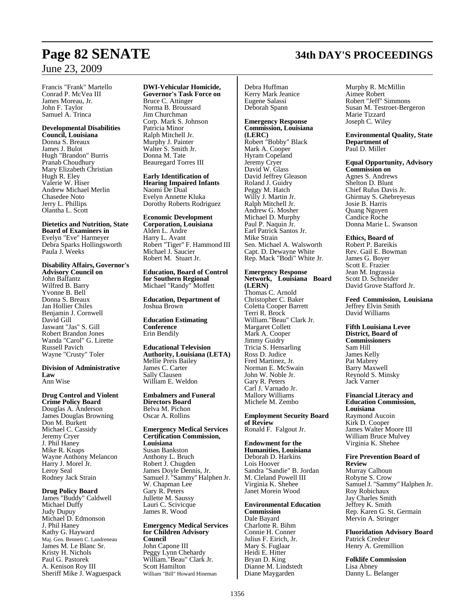## **Page 82 SENATE 34th DAY'S PROCEEDINGS**

### June 23, 2009

Francis "Frank" Martello Conrad P. McVea III James Moreau, Jr. John F. Taylor Samuel A. Trinca

#### **Developmental Disabilities**

**Council, Louisiana** Donna S. Breaux James J. Bulot Hugh "Brandon" Burris Pranab Choudhury Mary Elizabeth Christian Hugh R. Eley Valerie W. Hiser Andrew Michael Merlin Chasedee Noto Jerry L. Phillips Olantha L. Scott

**Dietetics and Nutrition, State Board of Examiners in**  Evelyn "Eve" Harmeyer Debra Sparks Hollingsworth Paula J. Weeks

#### **Disability Affairs, Governor's Advisory Council on** John Balfantz Wilfred B. Barry Yvonne B. Bell Donna S. Breaux Jan Hollier Chiles Benjamin J. Cornwell David Gill Jaswant "Jas" S. Gill Robert Brandon Jones Wanda "Carol" G. Lirette

**Division of Administrative Law** Ann Wise

Russell Pavich Wayne "Crusty" Toler

**Drug Control and Violent Crime Policy Board**  Douglas A. Anderson James Douglas Browning Don M. Burkett Michael C. Cassidy Jeremy Cryer J. Phil Haney Mike R. Knaps Wayne Anthony Melancon Harry J. Morel Jr. Leroy Seal Rodney Jack Strain

#### **Drug Policy Board**

James "Buddy" Caldwell Michael Duffy Judy Dupuy Michael D. Edmonson J. Phil Haney Kathy G. Hayward Maj. Gen. Bennett C. Landreneau James M. Le Blanc Sr. Kristy H. Nichols Paul G. Pastorek A. Kenison Roy III Sheriff Mike J. Waguespack

#### **DWI-Vehicular Homicide, Governor's Task Force on** Bruce C. Attinger Norma B. Broussard Jim Churchman Corp. Mark S. Johnson Patricia Minor Ralph Mitchell Jr. Murphy J. Painter Walter S. Smith Jr. Donna M. Tate Beauregard Torres III

**Early Identification of Hearing Impaired Infants**  Naomi De Dual Evelyn Annette Kluka Dorothy Roberts Rodriguez

### **Economic Development**

**Corporation, Louisiana** Alden L. Andre Harry L. Avant Robert "Tiger" F. Hammond III Michael J. Saucier Robert M. Stuart Jr.

**Education, Board of Control for Southern Regional**  Michael "Randy" Moffett

**Education, Department of** Joshua Brown

**Education Estimating Conference** Erin Bendily

**Educational Television Authority, Louisiana (LETA)** Mellie Preis Bailey James C. Carter Sally Clausen William E. Weldon

**Embalmers and Funeral Directors Board** Belva M. Pichon Oscar A. Rollins

**Emergency Medical Services Certification Commission, Louisiana** Susan Bankston Anthony L. Bruch Robert J. Chugden James Doyle Dennis, Jr. SamuelJ. "Sammy" Halphen Jr. W. Chapman Lee Gary R. Peters Jullette M. Saussy Lauri C. Scivicque James R. Wood

**Emergency Medical Services for Children Advisory Council**  John Capone III Peggy Lynn Chehardy William."Beau" Clark Jr. Scott Hamilton William "Bill" Howard Hineman

Debra Huffman Kerry Mark Jeanice Eugene Salassi Deborah Spann

#### **Emergency Response Commission, Louisiana**

**(LERC)** Robert "Bobby" Black Mark A. Cooper Hyram Copeland Jeremy Cryer David W. Glass David Jeffrey Gleason Roland J. Guidry Peggy M. Hatch Willy J. Martin Jr. Ralph Mitchell Jr. Andrew G. Mosher Michael D. Murphy Paul P. Naquin Jr. Earl Patrick Santos Jr. Mike Strain Sen. Michael A. Walsworth Capt. D. Dewayne White Rep. Mack "Bodi" White Jr.

#### **Emergency Response Network, Louisiana Board (LERN)**

Thomas C. Arnold Christopher C. Baker Coletta Cooper Barrett Terri R. Brock William."Beau" Clark Jr. Margaret Collett Mark A. Cooper Jimmy Guidry Tricia S. Hensarling Ross D. Judice Fred Martinez, Jr. Norman E. McSwain John W. Noble Jr. Gary R. Peters Carl J. Varnado Jr. Mallory Williams Michele M. Zembo

**Employment Security Board of Review** Ronald F. Falgout Jr.

**Endowment for the Humanities, Louisiana** Deborah D. Harkins Lois Hoover Sandra "Sandie" B. Jordan M. Cleland Powell III Virginia K. Shehee Janet Morein Wood

**Environmental Education Commission**  Dale Bayard Charlotte R. Bihm Connie H. Conner Julius F. Eirich, Jr. Mary S. Fuglaar Heidi E. Hitter Bryan D. King Dianne M. Lindstedt Diane Maygarden

Murphy R. McMillin Aimee Robert Robert "Jeff" Simmons Susan M. Testroet-Bergeron Marie Tizzard Joseph C. Wiley

#### **Environmental Quality, State Department of** Paul D. Miller

**Equal Opportunity, Advisory**

**Commission on** Agnes S. Andrews Shelton D. Blunt Chief Rufus Davis Jr. Ghirmay S. Ghebreyesus Josie B. Harris Quang Nguyen Candice Roche Donna Marie L. Swanson

#### **Ethics, Board of**

Robert P. Bareikis Rev. Gail E. Bowman James G. Boyer Scott E. Frazier Jean M. Ingrassia Scott D. Schneider David Grove Stafford Jr.

**Feed Commission, Louisiana** Jeffrey Elvin Smith David Williams

**Fifth Louisiana Levee District, Board of Commissioners**  Sam Hill James Kelly Pat Mabrey Barry Maxwell Reynold S. Minsky Jack Varner

**Financial Literacy and Education Commission, Louisiana** Raymond Aucoin Kirk D. Cooper James Walter Moore III William Bruce Mulvey Virginia K. Shehee

#### **Fire Prevention Board of Review**

Murray Calhoun Robyne S. Crow SamuelJ. "Sammy" Halphen Jr. Roy Robichaux Jay Charles Smith Jeffrey K. Smith Rep. Karen G. St. Germain Mervin A. Stringer

**Fluoridation Advisory Board** Patrick Credeur Henry A. Gremillion

**Folklife Commission**  Lisa Abney Danny L. Belanger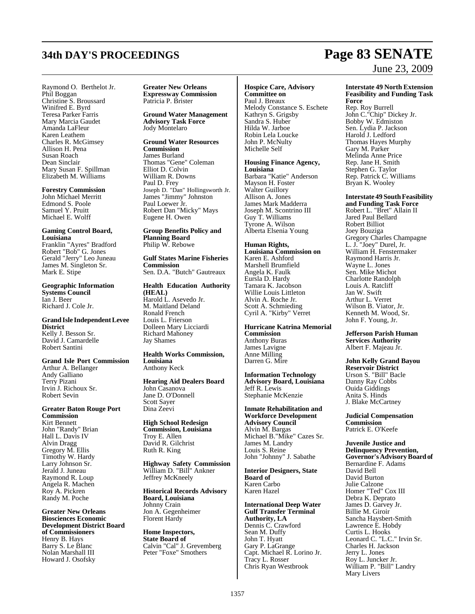## **34th DAY'S PROCEEDINGS Page 83 SENATE**

# June 23, 2009

Raymond O. Berthelot Jr. Phil Boggan Christine S. Broussard Winifred E. Byrd Teresa Parker Farris Mary Marcia Gaudet Amanda LaFleur Karen Leathem Charles R. McGimsey Allison H. Pena Susan Roach Dean Sinclair Mary Susan F. Spillman Elizabeth M. Williams

#### **Forestry Commission**

John Michael Merritt Edmond S. Poole Samuel Y. Pruitt Michael E. Wolff

**Gaming Control Board, Louisiana**  Franklin "Ayres" Bradford Robert "Bob" G. Jones Gerald "Jerry" Leo Juneau James M. Singleton Sr. Mark E. Stipe

**Geographic Information Systems Council**  Ian J. Beer Richard J. Cole Jr.

**GrandIsle IndependentLevee District**  Kelly J. Besson Sr. David J. Camardelle Robert Santini

**Grand Isle Port Commission** Arthur A. Bellanger Andy Galliano Terry Pizani Irvin J. Richoux Sr. Robert Sevin

**Greater Baton Rouge Port Commission** Kirt Bennett John "Randy" Brian Hall L. Davis IV Alvin Dragg Gregory M. Ellis Timothy W. Hardy Larry Johnson Sr. Jerald J. Juneau Raymond R. Loup Angela R. Machen Roy A. Pickren Randy M. Poche

**Greater New Orleans Biosciences Economic Development District Board of Commissioners** Henry B. Hays Barry S. Le Blanc Nolan Marshall III Howard J. Osofsky

**Greater New Orleans Expressway Commission** Patricia P. Brister

**Ground Water Management Advisory Task Force** Jody Montelaro

**Ground Water Resources Commission** James Burland Thomas "Gene" Coleman Elliot D. Colvin William R. Downs Paul D. Frey Joseph D. "Dan" Hollingsworth Jr. James "Jimmy" Johnston Paul Loewer Jr. Robert Dan "Micky" Mays Eugene H. Owen

**Group Benefits Policy and Planning Board** Philip W. Rebowe

**Gulf States Marine Fisheries Commission** Sen. D.A. "Butch" Gautreaux

**Health Education Authority (HEAL)**  Harold L. Asevedo Jr. M. Maitland Deland Ronald French Louis L. Frierson Dolleen Mary Licciardi Richard Mahoney Jay Shames

**Health Works Commission, Louisiana** Anthony Keck

**Hearing Aid Dealers Board** John Casanova Jane D. O'Donnell Scott Sayer Dina Zeevi

**High School Redesign Commission, Louisiana** Troy E. Allen David R. Gilchrist Ruth R. King

**Highway Safety Commission** William D. "Bill" Ankner Jeffrey McKneely

**Historical Records Advisory Board, Louisiana** Johnny Crain Jon A. Gegenheimer Florent Hardy

**Home Inspectors, State Board of**  Calvin "Cal" J. Grevemberg Peter "Foxe" Smothers

**Hospice Care, Advisory Committee on** Paul J. Breaux Melody Constance S. Eschete Kathryn S. Grigsby Sandra S. Huber Hilda W. Jarboe Robin Lela Loucke John P. McNulty Michelle Self

**Housing Finance Agency, Louisiana** Barbara "Katie" Anderson Mayson H. Foster

Walter Guillory Allison A. Jones James Mark Madderra Joseph M. Scontrino III Guy T. Williams Tyrone A. Wilson Alberta Elsenia Young

**Human Rights, Louisiana Commission on**  Karen E. Ashford Marshell Brumfield Angela K. Faulk Eursla D. Hardy Tamara K. Jacobson Willie Louis Littleton Alvin A. Roche Jr. Scott A. Schmieding Cyril A. "Kirby" Verret

**Hurricane Katrina Memorial Commission** Anthony Buras

James Lavigne Anne Milling Darren G. Mire

**Information Technology Advisory Board, Louisiana** Jeff R. Lewis Stephanie McKenzie

**Inmate Rehabilitation and Workforce Development Advisory Council** Alvin M. Bargas Michael B."Mike" Cazes Sr. James M. Landry Louis S. Reine John "Johnny" J. Sabathe

**Interior Designers, State Board of**  Karen Carbo Karen Hazel

**International Deep Water Gulf Transfer Terminal Authority, LA** Dennis C. Crawford Sean M. Duffy John T. Hyatt Gary P. LaGrange Capt. Michael R. Lorino Jr. Tracy L. Rosser Chris Ryan Westbrook

#### **Interstate 49 North Extension Feasibility and Funding Task Force**

Rep. Roy Burrell John C."Chip" Dickey Jr. Bobby W. Edmiston Sen. Lydia P. Jackson Harold J. Ledford Thomas Hayes Murphy Gary M. Parker Melinda Anne Price Rep. Jane H. Smith Stephen G. Taylor Rep. Patrick C. Williams Bryan K. Wooley

**Interstate 49 South Feasibility** 

**and Funding Task Force** Robert L. "Bret" Allain II Jared Paul Bellard Robert Billiot Joey Bouziga Gregory Charles Champagne L. J. "Joey" Durel, Jr. William H. Fenstermaker Raymond Harris Jr. Wayne L. Jones Sen. Mike Michot Charlotte Randolph Louis A. Ratcliff Jan W. Swift Arthur L. Verret Wilson B. Viator, Jr. Kenneth M. Wood, Sr. John F. Young, Jr.

**Jefferson Parish Human Services Authority** Albert F. Majeau Jr.

**John Kelly Grand Bayou Reservoir District** Urson S. "Bill" Bacle Danny Ray Cobbs Ouida Giddings Anita S. Hinds J. Blake McCartney

**Judicial Compensation Commission** Patrick E. O'Keefe

**Juvenile Justice and Delinquency Prevention, Governor'sAdvisoryBoard of** Bernardine F. Adams David Bell David Burton Julie Calzone Homer "Ted" Cox III Debra K. Deprato James D. Garvey Jr. Billie M. Giroir Sancha Haysbert-Smith Lawrence E. Hobdy Curtis L. Hooks Leonard C. "L.C." Irvin Sr. Charles H. Jackson Jerry L. Jones Roy L. Juncker Jr. William P. "Bill" Landry Mary Livers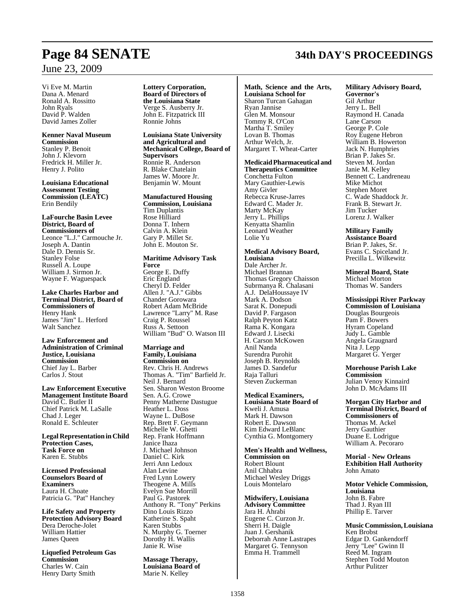### June 23, 2009

Vi Eve M. Martin Dana A. Menard Ronald A. Rossitto John Ryals David P. Walden David James Zoller

**Kenner Naval Museum Commission** Stanley P. Benoit John J. Klevorn Fredrick H. Miller Jr. Henry J. Polito

**Louisiana Educational Assessment Testing Commission (LEATC)** Erin Bendily

**LaFourche Basin Levee District, Board of Commissioners of** Leonce "L.J." Carmouche Jr. Joseph A. Dantin Dale D. Dennis Sr. Stanley Folse Russell A. Loupe William J. Sirmon Jr. Wayne F. Waguespack

**Lake Charles Harbor and Terminal District, Board of Commissioners of** Henry Hank James "Jim" L. Herford Walt Sanchez

**Law Enforcement and Administration of Criminal Justice, Louisiana Commission**  Chief Jay L. Barber Carlos J. Stout

**Law Enforcement Executive Management Institute Board** David C. Butler II Chief Patrick M. LaSalle Chad J. Leger Ronald E. Schleuter

**Legal Representationin Child Protection Cases, Task Force on** Karen E. Stubbs

**Licensed Professional Counselors Board of Examiners** Laura H. Choate Patricia G. "Pat" Hanchey

**Life Safety and Property Protection Advisory Board** Dera Deroche-Jolet William Hattier James Queen

**Liquefied Petroleum Gas Commission** Charles W. Cain Henry Darty Smith

**Lottery Corporation, Board of Directors of the Louisiana State** Verge S. Ausberry Jr. John E. Fitzpatrick III Ronnie Johns

**Louisiana State University and Agricultural and Mechanical College, Board of Supervisors** Ronnie R. Anderson R. Blake Chatelain James W. Moore Jr. Benjamin W. Mount

**Manufactured Housing Commission, Louisiana**  Tim Duplantis Rose Hilliard Donna T. Inhern Calvin A. Klein Gary P. Millet Sr. John E. Mouton Sr.

#### **Maritime Advisory Task Force**

George E. Duffy Eric England Cheryl D. Felder Allen J. "A.J." Gibbs Chander Gorowara Robert Adam McBride Lawrence "Larry" M. Rase Craig P. Roussel Russ A. Settoon William "Bud" O. Watson III

#### **Marriage and Family, Louisiana**

**Commission on**  Rev. Chris H. Andrews Thomas A. "Tim" Barfield Jr. Neil J. Bernard Sen. Sharon Weston Broome Sen. A.G. Crowe Penny Matherne Dastugue Heather L. Doss Wayne L. DuBose Rep. Brett F. Geymann Michelle W. Ghetti Rep. Frank Hoffmann Janice Ihaza J. Michael Johnson Daniel C. Kirk Jerri Ann Ledoux Alan Levine Fred Lynn Lowery Theogene A. Mills Evelyn Sue Morrill Paul G. Pastorek Anthony R. "Tony" Perkins Dino Louis Rizzo Katherine S. Spaht Karen Stubbs N. Murphy G. Toerner Dorothy H. Wallis Janie R. Wise

**Massage Therapy, Louisiana Board of**  Marie N. Kelley

**Math, Science and the Arts, Louisiana School for** Sharon Turcan Gahagan Ryan Jannise Glen M. Monsour Tommy R. O'Con Martha T. Smiley Lovan B. Thomas Arthur Welch, Jr. Margaret T. Wheat-Carter

### **MedicaidPharmaceutical and Therapeutics Committee**

Conchetta Fulton Mary Gauthier-Lewis Amy Givler Rebecca Kruse-Jarres Edward C. Mader Jr. Marty McKay Jerry L. Phillips Kenyatta Shamlin Leonard Weather Lolie Yu

#### **Medical Advisory Board, Louisiana**

Dale Archer Jr. Michael Brannan Thomas Gregory Chaisson Subrmanya R. Chalasani A.J. DelaHoussaye IV Mark A. Dodson Sarat K. Donepudi David P. Fargason Ralph Peyton Katz Rama K. Kongara Edward J. Lisecki H. Carson McKowen Anil Nanda Surendra Purohit Joseph B. Reynolds James D. Sandefur Raja Talluri Steven Zuckerman

**Medical Examiners, Louisiana State Board of**  Kweli J. Amusa Mark H. Dawson Robert E. Dawson Kim Edward LeBlanc Cynthia G. Montgomery

**Men's Health and Wellness, Commission on** Robert Blount Anil Chhabra Michael Wesley Driggs Louis Montelaro

**Midwifery, Louisiana Advisory Committee** Jara H. Ahrabi Eugene C. Curzon Jr. Sherri H. Daigle Juan J. Gershanik Deborrah Anne Lastrapes Margaret G. Tennyson Emma H. Trammell

## **Page 84 SENATE 34th DAY'S PROCEEDINGS**

**Military Advisory Board,**

**Governor's** Gil Arthur Jerry L. Bell Raymond H. Canada Lane Carson George P. Cole Roy Eugene Hebron William B. Howerton Jack N. Humphries Brian P. Jakes Sr. Steven M. Jordan Janie M. Kelley Bennett C. Landreneau Mike Michot Stephen Moret C. Wade Shaddock Jr. Frank B. Stewart Jr. Jim Tucker Lorenz J. Walker

**Military Family Assistance Board** 

Brian P. Jakes, Sr. Evans C. Spiceland Jr. Precilla L. Wilkewitz

**Mineral Board, State**

Michael Morton Thomas W. Sanders

**Mississippi River Parkway Commission of Louisiana** Douglas Bourgeois Pam F. Bowers Hyram Copeland Judy L. Gamble Angela Graugnard Nita J. Lepp Margaret G. Yerger

**Morehouse Parish Lake Commission** Julian Venoy Kinnaird John D. McAdams III

**Morgan City Harbor and Terminal District, Board of Commissioners of**  Thomas M. Ackel Jerry Gauthier Duane E. Lodrigue William A. Pecoraro

**Morial - New Orleans Exhibition Hall Authority** John Amato

**Motor Vehicle Commission, Louisiana** John B. Fabre Thad J. Ryan III Phillip E. Tarver

**MusicCommission, Louisiana** Ken Brobst Edgar D. Gankendorff Jerry "Lee" Gwinn II Reed M. Ingram Stephen Todd Mouton Arthur Pulitzer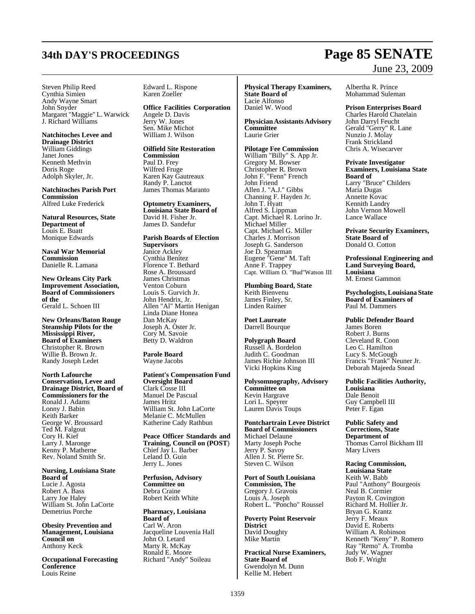Steven Philip Reed Cynthia Simien Andy Wayne Smart John Snyder Margaret "Maggie" L. Warwick J. Richard Williams

**Natchitoches Levee and Drainage District** William Giddings Janet Jones Kenneth Methvin Doris Roge Adolph Skyler, Jr.

**Natchitoches Parish Port Commission** Alfred Luke Frederick

**Natural Resources, State Department of**  Louis E. Buatt Monique Edwards

**Naval War Memorial Commission**  Danielle R. Lamana

**New Orleans City Park Improvement Association, Board of Commissioners of the** Gerald L. Schoen III

**New Orleans/Baton Rouge Steamship Pilots for the Mississippi River, Board of Examiners** Christopher R. Brown Willie B. Brown Jr. Randy Joseph Ledet

**North Lafourche Conservation, Levee and Drainage District, Board of Commissioners for the** Ronald J. Adams Lonny J. Babin Keith Barker George W. Broussard Ted M. Falgout Cory H. Kief Larry J. Maronge Kenny P. Matherne Rev. Noland Smith Sr.

**Nursing, Louisiana State Board of**  Lucie J. Agosta Robert A. Bass Larry Joe Haley William St. John LaCorte Demetrius Porche

**Obesity Prevention and Management, Louisiana Council on**  Anthony Keck

**Occupational Forecasting Conference** Louis Reine

Edward L. Rispone Karen Zoeller

**Office Facilities Corporation** Angele D. Davis Jerry W. Jones Sen. Mike Michot William J. Wilson

**Oilfield Site Restoration Commission**  Paul D. Frey Wilfred Fruge Karen Kay Gautreaux Randy P. Lanctot James Thomas Maranto

**Optometry Examiners, Louisiana State Board of**  David H. Fisher Jr. James D. Sandefur

**Parish Boards of Election Supervisors** Janice Ackley Cynthia Benitez Florence T. Bethard Rose A. Broussard James Christmas Venton Coburn Louis S. Gurvich Jr. John Hendrix, Jr. Allen "Al" Martin Henigan Linda Diane Honea Dan McKay Joseph A. Oster Jr. Cory M. Savoie Betty D. Waldron

**Parole Board** Wayne Jacobs

**Patient's Compensation Fund Oversight Board**  Clark Cosse III Manuel De Pascual James Hritz William St. John LaCorte Melanie C. McMullen Katherine Cady Rathbun

**Peace Officer Standards and Training, Council on (POST**) Chief Jay L. Barber Leland D. Guin Jerry L. Jones

**Perfusion, Advisory Committee on** Debra Craine Robert Keith White

**Pharmacy, Louisiana Board of**  Carl W. Aron Jacqueline Louvenia Hall John O. Letard Marty R. McKay Ronald E. Moore Richard "Andy" Soileau

**Physical Therapy Examiners, State Board of**  Lacie Alfonso Daniel W. Wood

**PhysicianAssistantsAdvisory Committee**  Laurie Grier

**Pilotage Fee Commission** William "Billy" S. App Jr. Gregory M. Bowser Christopher R. Brown John F. "Fenn" French John Friend Allen J. "A.J." Gibbs Channing F. Hayden Jr. John T. Hyatt Alfred S. Lippman Capt. Michael R. Lorino Jr. Michael Miller Capt. Michael G. Miller Charles J. Morrison Joseph G. Sanderson Joe D. Spearman Eugene "Gene" M. Taft Anne F. Trappey Capt. William O. "Bud"Watson III

**Plumbing Board, State** Keith Bienvenu James Finley, Sr. Linden Raimer

**Poet Laureate** Darrell Bourque

**Polygraph Board** Russell A. Bordelon Judith C. Goodman James Richie Johnson III Vicki Hopkins King

**Polysomnography, Advisory Committee on** Kevin Hargrave Lori L. Speyrer Lauren Davis Toups

**Pontchartrain Levee District Board of Commissioners** Michael Delaune Marty Joseph Poche Jerry P. Savoy Allen J. St. Pierre Sr. Steven C. Wilson

**Port of South Louisiana Commission, The** Gregory J. Gravois Louis A. Joseph Robert L. "Poncho" Roussel

**Poverty Point Reservoir District** David Doughty Mike Martin

**Practical Nurse Examiners, State Board of**  Gwendolyn M. Dunn Kellie M. Hebert

## **34th DAY'S PROCEEDINGS Page 85 SENATE** June 23, 2009

Albertha R. Prince Mohammad Suleman

**Prison Enterprises Board** 

Charles Harold Chatelain John Darryl Feucht Gerald "Gerry" R. Lane Nunzio J. Molay Frank Strickland Chris A. Wisecarver

**Private Investigator Examiners, Louisiana State Board of**  Larry "Bruce" Childers Maria Dugas Annette Kovac Kennith Landry John Vernon Mowell Lance Wallace

**Private Security Examiners, State Board of** Donald O. Cotton

**Professional Engineering and Land Surveying Board, Louisiana**  M. Ernest Gammon

**Psychologists, Louisiana State Board of Examiners of**  Paul M. Dammers

**Public Defender Board** James Boren Robert J. Burns Cleveland R. Coon Leo C. Hamilton Lucy S. McGough Francis "Frank" Neuner Jr. Deborah Majeeda Snead

**Public Facilities Authority, Louisiana** Dale Benoit Guy Campbell III Peter F. Egan

**Public Safety and Corrections, State Department of**  Thomas Carrol Bickham III Mary Livers

**Racing Commission, Louisiana State** Keith W. Babb Paul "Anthony" Bourgeois Neal B. Cormier Payton R. Covington Richard M. Hollier Jr. Bryan G. Krantz Jerry F. Meaux David E. Roberts William A. Robinson Kenneth "Keny" P. Romero Ray "Remo" A. Tromba Judy W. Wagner Bob F. Wright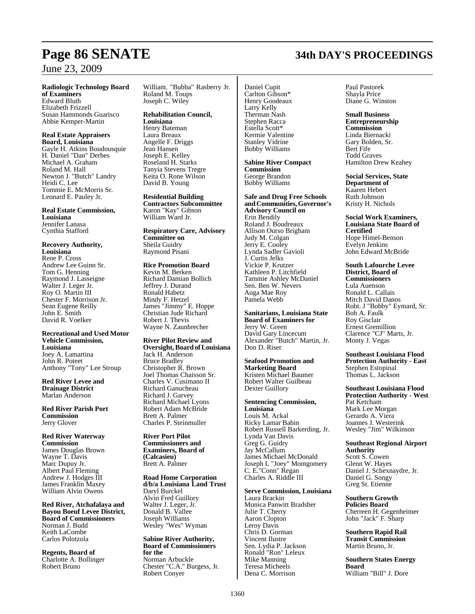## **Page 86 SENATE 34th DAY'S PROCEEDINGS**

## June 23, 2009

### **Radiologic Technology Board**

**of Examiners** Edward Bluth Elizabeth Frizzell Susan Hammonds Guarisco Abbie Kemper-Martin

#### **Real Estate Appraisers Board, Louisiana**

Gayle H. Atkins Boudousquie H. Daniel "Dan" Derbes Michael A. Graham Roland M. Hall Newton J. "Butch" Landry Heidi C. Lee Tommie E. McMorris Sr. Leonard E. Pauley Jr.

**Real Estate Commission, Louisiana**  Jennifer Lanasa Cynthia Stafford

#### **Recovery Authority, Louisiana**  Rene P. Cross Andrew Lee Guinn Sr. Tom G. Henning Raymond J. Lasseigne Walter J. Leger Jr. Roy O. Martin III Chester F. Morrison Jr. Sean Eugene Reilly John E. Smith David R. Voelker

#### **Recreational and Used Motor Vehicle Commission, Louisiana**  Joey A. Lamartina John R. Poteet Anthony "Tony" Lee Stroup

**Red River Levee and Drainage District** Marlan Anderson

**Red River Parish Port Commission** Jerry Glover

**Red River Waterway Commission** James Douglas Brown Wayne T. Davis Marc Dupuy Jr. Albert Paul Fleming Andrew J. Hodges III James Franklin Maxey William Alvin Owens

**Red River, Atchafalaya and Bayou Boeuf Levee District, Board of Commissioners**  Norman J. Budd Keith LaCombe Carlos Polotzola

**Regents, Board of**  Charlotte A. Bollinger Robert Bruno

William. "Bubba" Rasberry Jr. Roland M. Toups Joseph C. Wiley

**Rehabilitation Council, Louisiana** Henry Bateman Laura Breaux Angelle F. Driggs Jean Hansen Joseph E. Kelley Roseland H. Starks Tanyia Stevens Tregre Keita O. Rone Wilson David B. Young

**Residential Building Contractors Subcommittee** Karon "Kay" Gibson William Ward Jr.

**Respiratory Care, Advisory Committee on** Sheila Guidry Raymond Pisani

#### **Rice Promotion Board** Kevin M. Berken Richard Damian Bollich Jeffrey J. Durand Ronald Habetz Mindy F. Hetzel James "Jimmy" E. Hoppe Christian Jude Richard Robert J. Thevis Wayne N. Zaunbrecher

**River Pilot Review and Oversight, Board of Louisiana** Jack H. Anderson Bruce Bradley Christopher R. Brown Joel Thomas Chaisson Sr. Charles V. Cusimano II Richard Ganucheau Richard J. Garvey Richard Michael Lyons Robert Adam McBride Brett A. Palmer Charles P. Steinmuller

**River Port Pilot Commissioners and Examiners, Board of (Calcasieu)** Brett A. Palmer

**Road Home Corporation d/b/a Louisiana Land Trust** Daryl Burckel Alvin Fred Guillory Walter J. Leger, Jr. Donald B. Vallee Joseph Williams Wesley "Wes" Wyman

**Sabine River Authority, Board of Commissioners for the** Norman Arbuckle Chester "C.A." Burgess, Jr. Robert Conyer

Daniel Cupit Carlton Gibson\* Henry Goodeaux Larry Kelly Therman Nash Stephen Racca Estella Scott\* Kermie Valentine Stanley Vidrine Bobby Williams

**Sabine River Compact Commission**  George Brandon Bobby Williams

**Safe and Drug Free Schools andCommunities, Governor's Advisory Council on** Erin Bendily Roland J. Boudreaux Allison Ourso Brigham Judy M. Colgan Jerry E. Cooley Lynda Sadler Gavioli J. Curtis Jelks Vickie P. Krutzer Kathleen P. Litchfield Tammie Ashley McDaniel Sen. Ben W. Nevers Auga Mae Roy Pamela Webb

**Sanitarians, Louisiana State Board of Examiners for** Jerry W. Green David Gary Lincecum Alexander "Butch" Martin, Jr. Don D. Riser

**Seafood Promotion and Marketing Board**  Kristen Michael Baumer Robert Walter Guilbeau Dexter Guillory

**Sentencing Commission, Louisiana**  Louis M. Ackal Ricky Lamar Babin

Robert Russell Barkerding, Jr. Lynda Van Davis Greg G. Guidry Jay McCallum James Michael McDonald Joseph L "Joey" Montgomery C. E."Conn" Regan Charles A. Riddle III

#### **Serve Commission, Louisiana**

Laura Brackin Monica Panwitt Bradsher Julie T. Cherry Aaron Clopton Leroy Davis Chris D. Gorman Vincent Ilustre Sen. Lydia P. Jackson Ronald "Ron" Leleux Mike Manning Teresa Micheels Dena C. Morrison

Paul Pastorek Shayla Price Diane G. Winston

**Small Business Entrepreneurship Commission**  Linda Biernacki Gary Bolden, Sr. Bert Fife Todd Graves Hamilton Drew Keahey

**Social Services, State Department of**  Kaaren Hebert Ruth Johnson Kristy H. Nichols

**Social Work Examiners, Louisiana State Board of Certified** Hope Himel-Benson Evelyn Jenkins John Edward McBride

**South Lafourche Levee District, Board of Commissioners** Lula Auenson Ronald L. Callais Mitch David Danos Robt. J "Bobby" Eymard, Sr. Bob A. Faulk Roy Gisclair Ernest Gremillion Clarence "CJ" Marts, Jr. Monty J. Vegas

**Southeast Louisiana Flood Protection Authority - East** Stephen Estopinal Thomas L. Jackson

**Southeast Louisiana Flood Protection Authority - West**  Pat Ketcham Mark Lee Morgan Gerardo A. Viera Joannes J. Westerink Wesley "Jim" Wilkinson

**Southeast Regional Airport Authority** Scott S. Cowen Glenn W. Hayes

Daniel J. Schexnaydre, Jr. Daniel G. Songy Greg St. Etienne

**Southern Growth Policies Board**  Cherreen H. Gegenheimer John "Jack" F. Sharp

**Southern Rapid Rail Transit Commission**  Martin Bruno, Jr.

**Southern States Energy Board** William "Bill" J. Dore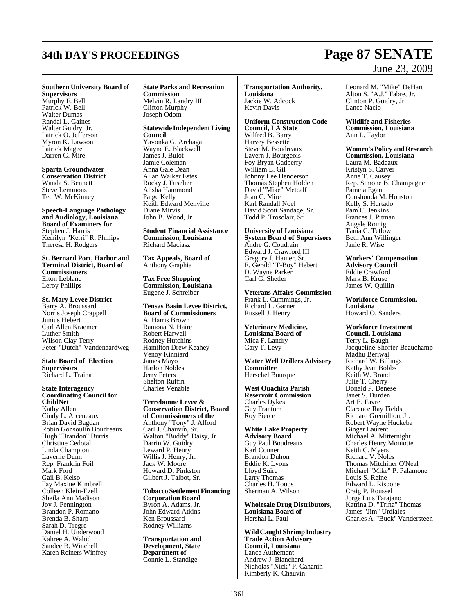## **34th DAY'S PROCEEDINGS Page 87 SENATE**

#### **Southern University Board of**

**Supervisors**  Murphy F. Bell Patrick W. Bell Walter Dumas Randal L. Gaines Walter Guidry, Jr. Patrick O. Jefferson Myron K. Lawson Patrick Magee Darren G. Mire

**Sparta Groundwater Conservation District** 

Wanda S. Bennett Steve Lemmons Ted W. McKinney

**Speech-Language Pathology and Audiology, Louisiana Board of Examiners for** Stephen J. Harris Kerrilyn "Kerri" R. Phillips Theresa H. Rodgers

**St. Bernard Port, Harbor and Terminal District, Board of Commissioners** Elton Leblanc Leroy Phillips

### **St. Mary Levee District**

Barry A. Broussard Norris Joseph Crappell Junius Hebert Carl Allen Kraemer Luther Smith Wilson Clay Terry Peter "Dutch" Vandenaardweg

#### **State Board of Election Supervisors**  Richard L. Traina

**State Interagency Coordinating Council for ChildNet**  Kathy Allen Cindy L. Arceneaux Brian David Bagdan Robin Gonsoulin Boudreaux Hugh "Brandon" Burris Christine Cedotal Linda Champion Laverne Dunn Rep. Franklin Foil Mark Ford Gail B. Kelso Fay Maxine Kimbrell Colleen Klein-Ezell Sheila Ann Madison Joy J. Pennington Brandon P. Romano Brenda B. Sharp Sarah D. Tregre Daniel H. Underwood Kahree A. Wahid Sandee B. Winchell Karen Reiners Winfrey

#### **State Parks and Recreation Commission** Melvin R. Landry III

Clifton Murphy Joseph Odom

**Statewide Independent Living Council** Yavonka G. Archaga Wayne E. Blackwell James J. Bulot Jamie Coleman Anna Gale Dean Allan Walker Estes Rocky J. Fuselier Alisha Hammond Paige Kelly Keith Edward Menville Diane Mirvis John B. Wood, Jr.

**Student Financial Assistance Commission, Louisiana** Richard Maciasz

**Tax Appeals, Board of** Anthony Graphia

**Tax Free Shopping Commission, Louisiana** Eugene J. Schreiber

**Tensas Basin Levee District, Board of Commissioners** A. Harris Brown Ramona N. Haire Robert Harwell Rodney Hutchins Hamilton Drew Keahey Venoy Kinniard James Mayo Harlon Nobles Jerry Peters Shelton Ruffin Charles Venable

**Terrebonne Levee & Conservation District, Board of Commissioners of the** Anthony "Tony" J. Alford Carl J. Chauvin, Sr. Walton "Buddy" Daisy, Jr. Darrin W. Guidry Leward P. Henry Willis J. Henry, Jr. Jack W. Moore Howard D. Pinkston Gilbert J. Talbot, Sr.

**Tobacco Settlement Financing Corporation Board**  Byron A. Adams, Jr. John Edward Atkins Ken Broussard Rodney Williams

**Transportation and Development, State Department of**  Connie L. Standige

**Transportation Authority, Louisiana** Jackie W. Adcock Kevin Davis

**Uniform Construction Code Council, LA State**  Wilfred B. Barry Harvey Bessette Steve M. Boudreaux Lavern J. Bourgeois Foy Bryan Gadberry William L. Gil Johnny Lee Henderson Thomas Stephen Holden David "Mike" Metcalf Joan C. Mire Karl Randall Noel David Scott Sandage, Sr. Todd P. Trosclair, Sr.

**University of Louisiana System Board of Supervisors** Andre G. Coudrain Edward J. Crawford III Gregory J. Hamer, Sr. E. Gerald "T-Boy" Hebert D. Wayne Parker Carl G. Shetler

**Veterans Affairs Commission** Frank L. Cummings, Jr. Richard L. Garner Russell J. Henry

**Veterinary Medicine, Louisiana Board of**  Mica F. Landry Gary T. Levy

**Water Well Drillers Advisory Committee** Herschel Bourque

**West Ouachita Parish Reservoir Commission** Charles Dykes Guy Frantom Roy Pierce

**White Lake Property Advisory Board**  Guy Paul Boudreaux Karl Conner Brandon Duhon Eddie K. Lyons Lloyd Suire Larry Thomas Charles H. Toups Sherman A. Wilson

**Wholesale Drug Distributors, Louisiana Board of**  Hershal L. Paul

**Wild Caught Shrimp Industry Trade Action Advisory Council, Louisiana**  Lance Authement Andrew J. Blanchard Nicholas "Nick" P. Cahanin Kimberly K. Chauvin

Leonard M. "Mike" DeHart Alton S. "A.J." Fabre, Jr. Clinton P. Guidry, Jr. Lance Nacio

**Wildlife and Fisheries Commission, Louisiana**

Ann L. Taylor

#### **Women's Policy and Research Commission, Louisiana**

Laura M. Badeaux Kristyn S. Carver Anne T. Causey Rep. Simone B. Champagne Pamela Egan Conshonda M. Houston Kelly S. Hurtado Pam C. Jenkins Frances J. Pitman Angele Romig Tania C. Tetlow Beth Ann Willinger Janie R. Wise

**Workers' Compensation Advisory Council**  Eddie Crawford Mark B. Kruse James W. Quillin

**Workforce Commission, Louisiana** Howard O. Sanders

#### **Workforce Investment Council, Louisiana**

Terry L. Baugh Jacqueline Shorter Beauchamp Madhu Beriwal Richard W. Billings Kathy Jean Bobbs Keith W. Brand Julie T. Cherry Donald P. Denese Janet S. Durden Art E. Favre Clarence Ray Fields Richard Gremillion, Jr. Robert Wayne Huckeba Ginger Laurent Michael A. Mitternight Charles Henry Moniotte Keith C. Myers Richard V. Noles Thomas Mitchiner O'Neal Michael "Mike" P. Palamone Louis S. Reine Edward L. Rispone Craig P. Roussel Jorge Luis Tarajano Katrina D. "Trina" Thomas James "Jim" Urdiales Charles A. "Buck" Vandersteen

# June 23, 2009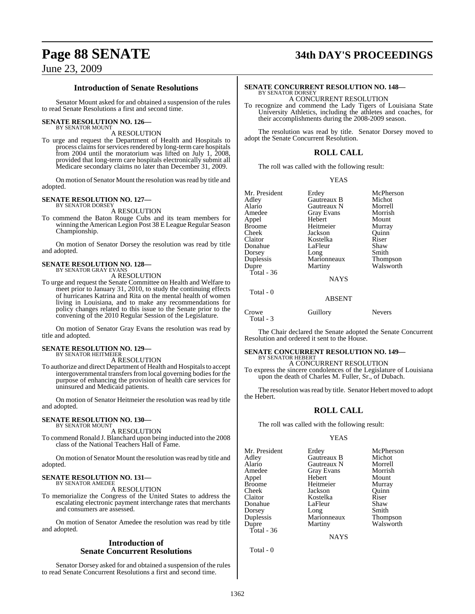## **Page 88 SENATE 34th DAY'S PROCEEDINGS**

### June 23, 2009

#### **Introduction of Senate Resolutions**

Senator Mount asked for and obtained a suspension of the rules to read Senate Resolutions a first and second time.

#### **SENATE RESOLUTION NO. 126—**

BY SENATOR MOUNT A RESOLUTION

To urge and request the Department of Health and Hospitals to process claims for services rendered by long-term care hospitals from 2004 until the moratorium was lifted on July 1, 2008, provided that long-term care hospitals electronically submit all Medicare secondary claims no later than December 31, 2009.

On motion of Senator Mount the resolution wasread by title and adopted.

#### **SENATE RESOLUTION NO. 127—** BY SENATOR DORSEY

A RESOLUTION

To commend the Baton Rouge Cubs and its team members for winning the American Legion Post 38 E League Regular Season Championship.

On motion of Senator Dorsey the resolution was read by title and adopted.

#### **SENATE RESOLUTION NO. 128—** BY SENATOR GRAY EVANS

A RESOLUTION

To urge and request the Senate Committee on Health and Welfare to meet prior to January 31, 2010, to study the continuing effects of hurricanes Katrina and Rita on the mental health of women living in Louisiana, and to make any recommendations for policy changes related to this issue to the Senate prior to the convening of the 2010 Regular Session of the Legislature.

On motion of Senator Gray Evans the resolution was read by title and adopted.

## **SENATE RESOLUTION NO. 129—** BY SENATOR HEITMEIER

A RESOLUTION

To authorize and direct Department of Health and Hospitalsto accept intergovernmental transfers from local governing bodies for the purpose of enhancing the provision of health care services for uninsured and Medicaid patients.

On motion of Senator Heitmeier the resolution was read by title and adopted.

#### **SENATE RESOLUTION NO. 130—** BY SENATOR MOUNT

A RESOLUTION

To commend Ronald J. Blanchard upon being inducted into the 2008 class of the National Teachers Hall of Fame.

On motion of Senator Mount the resolution was read by title and adopted.

## **SENATE RESOLUTION NO. 131—** BY SENATOR AMEDEE

A RESOLUTION

To memorialize the Congress of the United States to address the escalating electronic payment interchange rates that merchants and consumers are assessed.

On motion of Senator Amedee the resolution was read by title and adopted.

#### **Introduction of Senate Concurrent Resolutions**

Senator Dorsey asked for and obtained a suspension of the rules to read Senate Concurrent Resolutions a first and second time.

A CONCURRENT RESOLUTION

To recognize and commend the Lady Tigers of Louisiana State University Athletics, including the athletes and coaches, for their accomplishments during the 2008-2009 season.

The resolution was read by title. Senator Dorsey moved to adopt the Senate Concurrent Resolution.

### **ROLL CALL**

The roll was called with the following result:

#### YEAS

Mr. President Erdey McPherson<br>Adley Gautreaux B Michot Adley Gautreaux B Michot Alario Gautreaux N Morrell<br>Amedee Gray Evans Morrish Appel Broome Heitmeier Murray<br>Cheek Jackson Quinn Cheek Jackson Quinn Claitor Kostelka Riser Dorsey Long Smith<br>
Duplessis Marionneaux Thompson Duplessis Marionneaux<br>
Dupre Martiny Total - 36

Total - 0

Gray Evans Morris<br>
Hebert Mount LaFleur Shaw<br>Long Smith Walsworth

NAYS

#### ABSENT

Crowe Guillory Nevers Total - 3

The Chair declared the Senate adopted the Senate Concurrent Resolution and ordered it sent to the House.

### **SENATE CONCURRENT RESOLUTION NO. 149—**

BY SENATOR HEBERT A CONCURRENT RESOLUTION

To express the sincere condolences of the Legislature of Louisiana upon the death of Charles M. Fuller, Sr., of Dubach.

The resolution was read by title. Senator Hebert moved to adopt the Hebert.

### **ROLL CALL**

The roll was called with the following result:

#### YEAS

Mr. President Erdey McPherson<br>Adley Gautreaux B Michot Adley Gautreaux B Michot Alario Gautreaux N Morrell<br>Amedee Gray Evans Morrish Appel Broome Heitmeier Murray<br>Cheek Jackson Ouinn Cheek Jackson Quinn Donahue LaFleur Shaw<br>Dorsey Long Smith Dorsey Long Smith<br>
Duplessis Marionneaux Thompson Duplessis Marionneaux<br>
Dupre Martiny Total - 36

Total - 0

Gray Evans Morris<br>
Hebert Mount Kostelka Riser<br>LaFleur Shaw

Walsworth

**NAYS**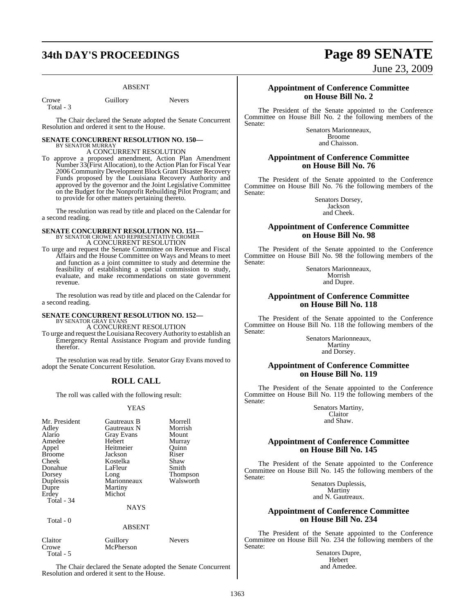## **34th DAY'S PROCEEDINGS Page 89 SENATE**

#### ABSENT

Crowe Guillory Nevers Total - 3

The Chair declared the Senate adopted the Senate Concurrent Resolution and ordered it sent to the House.

#### **SENATE CONCURRENT RESOLUTION NO. 150—** BY SENATOR MURRAY

A CONCURRENT RESOLUTION To approve a proposed amendment, Action Plan Amendment Number 33(First Allocation), to the Action Plan for Fiscal Year 2006 Community Development Block Grant Disaster Recovery Funds proposed by the Louisiana Recovery Authority and approved by the governor and the Joint Legislative Committee on the Budget for the Nonprofit Rebuilding Pilot Program; and to provide for other matters pertaining thereto.

The resolution was read by title and placed on the Calendar for a second reading.

## **SENATE CONCURRENT RESOLUTION NO. 151—**<br>BY SENATOR CROWE AND REPRESENTATIVE CROMER<br>A CONCURRENT RESOLUTION

To urge and request the Senate Committee on Revenue and Fiscal Affairs and the House Committee on Ways and Means to meet and function as a joint committee to study and determine the feasibility of establishing a special commission to study, evaluate, and make recommendations on state government revenue.

The resolution was read by title and placed on the Calendar for a second reading.

## **SENATE CONCURRENT RESOLUTION NO. 152—** BY SENATOR GRAY EVANS

A CONCURRENT RESOLUTION

To urge and request the Louisiana Recovery Authority to establish an Emergency Rental Assistance Program and provide funding therefor.

The resolution was read by title. Senator Gray Evans moved to adopt the Senate Concurrent Resolution.

### **ROLL CALL**

The roll was called with the following result:

#### YEAS

| Mr. President<br>Adley<br>Alario<br>Amedee<br>Appel<br><b>Broome</b><br>Cheek<br>Donahue<br>Dorsey<br>Duplessis<br>Dupre<br>Erdey<br>Total - 34<br>Total - 0 | Gautreaux B<br>Gautreaux N<br><b>Gray Evans</b><br>Hebert<br>Heitmeier<br>Jackson<br>Kostelka<br>LaFleur<br>Long<br>Marionneaux<br>Martiny<br>Michot<br><b>NAYS</b><br><b>ABSENT</b> | Morrell<br>Morrish<br>Mount<br>Murray<br>Ouinn<br>Riser<br>Shaw<br>Smith<br>Thompson<br>Walsworth |
|--------------------------------------------------------------------------------------------------------------------------------------------------------------|--------------------------------------------------------------------------------------------------------------------------------------------------------------------------------------|---------------------------------------------------------------------------------------------------|
|                                                                                                                                                              |                                                                                                                                                                                      |                                                                                                   |
| Claitor<br>Crowe                                                                                                                                             | Guillory<br>McPherson                                                                                                                                                                | <b>Nevers</b>                                                                                     |

The Chair declared the Senate adopted the Senate Concurrent Resolution and ordered it sent to the House.

Total - 5

June 23, 2009

#### **Appointment of Conference Committee on House Bill No. 2**

The President of the Senate appointed to the Conference Committee on House Bill No. 2 the following members of the Senate:

Senators Marionneaux, Broome and Chaisson.

#### **Appointment of Conference Committee on House Bill No. 76**

The President of the Senate appointed to the Conference Committee on House Bill No. 76 the following members of the Senate:

> Senators Dorsey, Jackson and Cheek.

### **Appointment of Conference Committee on House Bill No. 98**

The President of the Senate appointed to the Conference Committee on House Bill No. 98 the following members of the Senate:

> Senators Marionneaux, Morrish and Dupre.

#### **Appointment of Conference Committee on House Bill No. 118**

The President of the Senate appointed to the Conference Committee on House Bill No. 118 the following members of the Senate:

Senators Marionneaux, Martiny and Dorsey.

### **Appointment of Conference Committee on House Bill No. 119**

The President of the Senate appointed to the Conference Committee on House Bill No. 119 the following members of the Senate:

> Senators Martiny, Claitor and Shaw.

### **Appointment of Conference Committee on House Bill No. 145**

The President of the Senate appointed to the Conference Committee on House Bill No. 145 the following members of the Senate:

> Senators Duplessis, **Martiny** and N. Gautreaux.

#### **Appointment of Conference Committee on House Bill No. 234**

The President of the Senate appointed to the Conference Committee on House Bill No. 234 the following members of the Senate:

Senators Dupre, Hebert and Amedee.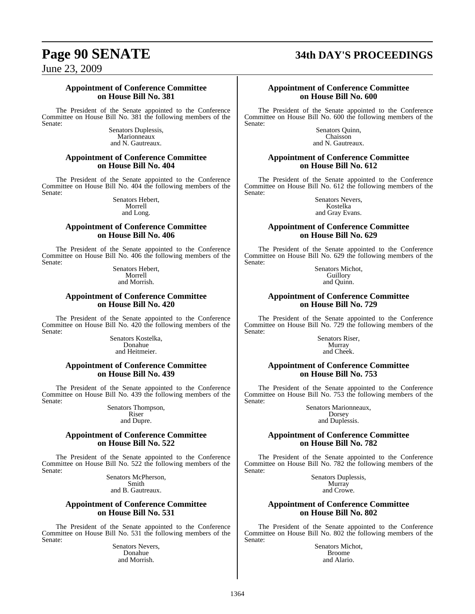## **Page 90 SENATE 34th DAY'S PROCEEDINGS**

June 23, 2009

#### **Appointment of Conference Committee on House Bill No. 381**

The President of the Senate appointed to the Conference Committee on House Bill No. 381 the following members of the Senate:

> Senators Duplessis, **Marionneaux** and N. Gautreaux.

#### **Appointment of Conference Committee on House Bill No. 404**

The President of the Senate appointed to the Conference Committee on House Bill No. 404 the following members of the Senate:

> Senators Hebert, Morrell and Long.

#### **Appointment of Conference Committee on House Bill No. 406**

The President of the Senate appointed to the Conference Committee on House Bill No. 406 the following members of the Senate:

Senators Hebert, Morrell and Morrish.

#### **Appointment of Conference Committee on House Bill No. 420**

The President of the Senate appointed to the Conference Committee on House Bill No. 420 the following members of the Senate:

Senators Kostelka, Donahue and Heitmeier.

#### **Appointment of Conference Committee on House Bill No. 439**

The President of the Senate appointed to the Conference Committee on House Bill No. 439 the following members of the Senate:

> Senators Thompson, Riser and Dupre.

#### **Appointment of Conference Committee on House Bill No. 522**

The President of the Senate appointed to the Conference Committee on House Bill No. 522 the following members of the Senate:

> Senators McPherson, Smith and B. Gautreaux.

### **Appointment of Conference Committee on House Bill No. 531**

The President of the Senate appointed to the Conference Committee on House Bill No. 531 the following members of the Senate:

Senators Nevers, Donahue and Morrish.

#### **Appointment of Conference Committee on House Bill No. 600**

The President of the Senate appointed to the Conference Committee on House Bill No. 600 the following members of the Senate:

Senators Quinn, Chaisson and N. Gautreaux.

#### **Appointment of Conference Committee on House Bill No. 612**

The President of the Senate appointed to the Conference Committee on House Bill No. 612 the following members of the Senate:

> Senators Nevers, Kostelka and Gray Evans.

### **Appointment of Conference Committee on House Bill No. 629**

The President of the Senate appointed to the Conference Committee on House Bill No. 629 the following members of the Senate:

> Senators Michot, **Guillory** and Quinn.

#### **Appointment of Conference Committee on House Bill No. 729**

The President of the Senate appointed to the Conference Committee on House Bill No. 729 the following members of the Senate:

Senators Riser, Murray and Cheek.

#### **Appointment of Conference Committee on House Bill No. 753**

The President of the Senate appointed to the Conference Committee on House Bill No. 753 the following members of the Senate:

Senators Marionneaux, Dorsey and Duplessis.

#### **Appointment of Conference Committee on House Bill No. 782**

The President of the Senate appointed to the Conference Committee on House Bill No. 782 the following members of the Senate:

> Senators Duplessis, Murray and Crowe.

### **Appointment of Conference Committee on House Bill No. 802**

The President of the Senate appointed to the Conference Committee on House Bill No. 802 the following members of the Senate:

Senators Michot, Broome and Alario.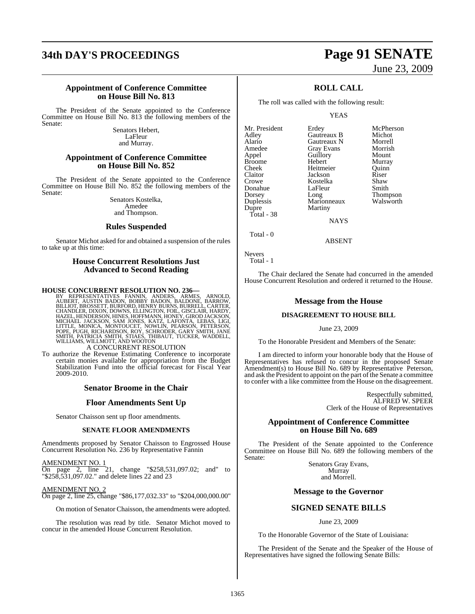## **34th DAY'S PROCEEDINGS Page 91 SENATE**

# June 23, 2009

#### **Appointment of Conference Committee on House Bill No. 813**

The President of the Senate appointed to the Conference Committee on House Bill No. 813 the following members of the Senate:

> Senators Hebert, LaFleur and Murray.

#### **Appointment of Conference Committee on House Bill No. 852**

The President of the Senate appointed to the Conference Committee on House Bill No. 852 the following members of the Senate:

> Senators Kostelka, Amedee and Thompson.

#### **Rules Suspended**

Senator Michot asked for and obtained a suspension of the rules to take up at this time:

### **House Concurrent Resolutions Just Advanced to Second Reading**

**HOUSE CONCURRENT RESOLUTION NO. 236**<br>BY REPRESENTATIVES FANNIN, ANDERS, ARMES, ARNOLD,<br>AUBERT, AUSTIN BADON, BOBBY BADON, BALDONE, BARROW,<br>BILLIOT, BROSSETT, BURFORD, HENRY BURNS, BURRELL, CARTER,<br>CHANDLER, DIXON, DOWNS,

A CONCURRENT RESOLUTION

To authorize the Revenue Estimating Conference to incorporate certain monies available for appropriation from the Budget Stabilization Fund into the official forecast for Fiscal Year 2009-2010.

#### **Senator Broome in the Chair**

#### **Floor Amendments Sent Up**

Senator Chaisson sent up floor amendments.

#### **SENATE FLOOR AMENDMENTS**

Amendments proposed by Senator Chaisson to Engrossed House Concurrent Resolution No. 236 by Representative Fannin

AMENDMENT NO. 1 On page 2, line 21, change "\$258,531,097.02; and" to "\$258,531,097.02." and delete lines 22 and 23

AMENDMENT NO. 2 On page 2, line 25, change "\$86,177,032.33" to "\$204,000,000.00"

On motion of Senator Chaisson, the amendments were adopted.

The resolution was read by title. Senator Michot moved to concur in the amended House Concurrent Resolution.

### **ROLL CALL**

The roll was called with the following result:

Martiny

YEAS

**Gautreaux B** Michot<br> **Gautreaux N** Morrell

Guillory Mount<br>Hebert Murray

Mr. President Erdey McPherson<br>Adley Gautreaux B Michot Alario Gautreaux N Morrell Amedee Gray Evans Morrisl<br>Appel Guillory Mount Broome Hebert Murray<br>
Cheek Heitmeier Ouinn Cheek Heitmeier Quinn Claitor Jackson Riser<br>Crowe Kostelka Shaw Donahue LaFle<br>Dorsey Long Dorsey Long Thompson<br>
Duplessis Marionneaux Walsworth Duplessis Marionneaux<br>Dupre Martiny Total - 38

Kostelka Shaw<br>LaFleur Smith NAYS

Nevers Total - 1

Total - 0

The Chair declared the Senate had concurred in the amended House Concurrent Resolution and ordered it returned to the House.

ABSENT

#### **Message from the House**

#### **DISAGREEMENT TO HOUSE BILL**

#### June 23, 2009

To the Honorable President and Members of the Senate:

I am directed to inform your honorable body that the House of Representatives has refused to concur in the proposed Senate Amendment(s) to House Bill No. 689 by Representative Peterson, and ask the President to appoint on the part of the Senate a committee to confer with a like committee from the House on the disagreement.

> Respectfully submitted, ALFRED W. SPEER Clerk of the House of Representatives

#### **Appointment of Conference Committee on House Bill No. 689**

The President of the Senate appointed to the Conference Committee on House Bill No. 689 the following members of the Senate:

> Senators Gray Evans, Murray and Morrell.

#### **Message to the Governor**

### **SIGNED SENATE BILLS**

June 23, 2009

To the Honorable Governor of the State of Louisiana:

The President of the Senate and the Speaker of the House of Representatives have signed the following Senate Bills: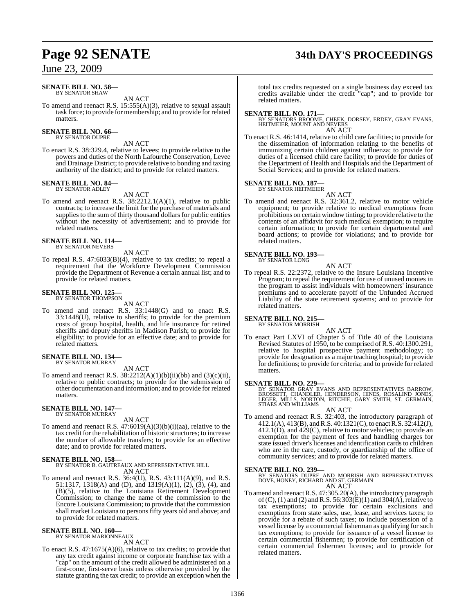## **Page 92 SENATE 34th DAY'S PROCEEDINGS**

### June 23, 2009

#### **SENATE BILL NO. 58—** BY SENATOR SHAW

AN ACT

To amend and reenact R.S. 15:555(A)(3), relative to sexual assault task force; to provide for membership; and to provide for related matters.

#### **SENATE BILL NO. 66—** BY SENATOR DUPRE

AN ACT

To enact R.S. 38:329.4, relative to levees; to provide relative to the powers and duties of the North Lafourche Conservation, Levee and Drainage District; to provide relative to bonding and taxing authority of the district; and to provide for related matters.

#### **SENATE BILL NO. 84—** BY SENATOR ADLEY

AN ACT

To amend and reenact R.S. 38:2212.1(A)(1), relative to public contracts; to increase the limit for the purchase of materials and supplies to the sum of thirty thousand dollars for public entities without the necessity of advertisement; and to provide for related matters.

#### **SENATE BILL NO. 114—** BY SENATOR NEVERS

AN ACT

To repeal R.S. 47:6033(B)(4), relative to tax credits; to repeal a requirement that the Workforce Development Commission provide the Department of Revenue a certain annual list; and to provide for related matters.

#### **SENATE BILL NO. 125—** BY SENATOR THOMPSON

AN ACT

To amend and reenact R.S. 33:1448(G) and to enact R.S. 33:1448(U), relative to sheriffs; to provide for the premium costs of group hospital, health, and life insurance for retired sheriffs and deputy sheriffs in Madison Parish; to provide for eligibility; to provide for an effective date; and to provide for related matters.

#### **SENATE BILL NO. 134—** BY SENATOR MURRAY

AN ACT

To amend and reenact R.S.  $38:2212(A)(1)(b)(ii)(bb)$  and  $(3)(c)(ii)$ , relative to public contracts; to provide for the submission of other documentation and information; and to provide for related matters.

#### **SENATE BILL NO. 147—** BY SENATOR MURRAY

AN ACT

To amend and reenact R.S. 47:6019(A)(3)(b)(i)(aa), relative to the tax credit for the rehabilitation of historic structures; to increase the number of allowable transfers; to provide for an effective date; and to provide for related matters.

#### **SENATE BILL NO. 158—**

BY SENATOR B. GAUTREAUX AND REPRESENTATIVE HILL AN ACT

To amend and reenact R.S. 36:4(U), R.S. 43:111(A)(9), and R.S. 51:1317, 1318(A) and (D), and 1319(A)(1), (2), (3), (4), and (B)(5), relative to the Louisiana Retirement Development Commission; to change the name of the commission to the Encore Louisiana Commission; to provide that the commission shall market Louisiana to persons fifty years old and above; and to provide for related matters.

## **SENATE BILL NO. 160—** BY SENATOR MARIONNEAUX

AN ACT

To enact R.S. 47:1675(A)(6), relative to tax credits; to provide that any tax credit against income or corporate franchise tax with a "cap" on the amount of the credit allowed be administered on a first-come, first-serve basis unless otherwise provided by the statute granting the tax credit; to provide an exception when the

total tax credits requested on a single business day exceed tax credits available under the credit "cap"; and to provide for related matters.

**SENATE BILL NO. 171—** BY SENATORS BROOME, CHEEK, DORSEY, ERDEY, GRAY EVANS, HEITMEIER, MOUNT AND NEVERS

### AN ACT

To enact R.S. 46:1414, relative to child care facilities; to provide for the dissemination of information relating to the benefits of immunizing certain children against influenza; to provide for duties of a licensed child care facility; to provide for duties of the Department of Health and Hospitals and the Department of Social Services; and to provide for related matters.

## **SENATE BILL NO. 187—** BY SENATOR HEITMEIER

AN ACT To amend and reenact R.S. 32:361.2, relative to motor vehicle equipment; to provide relative to medical exemptions from prohibitions on certain window tinting; to provide relative to the contents of an affidavit for such medical exemption; to require certain information; to provide for certain departmental and board actions; to provide for violations; and to provide for related matters.

#### **SENATE BILL NO. 193—** BY SENATOR LONG

AN ACT

To repeal R.S. 22:2372, relative to the Insure Louisiana Incentive Program; to repeal the requirement for use of unused monies in the program to assist individuals with homeowners' insurance premiums and to accelerate payoff of the Unfunded Accrued Liability of the state retirement systems; and to provide for related matters.

#### **SENATE BILL NO. 215—**

BY SENATOR MORRISH

- AN ACT
- To enact Part LXVI of Chapter 5 of Title 40 of the Louisiana Revised Statutes of 1950, to be comprised of R.S. 40:1300.291, relative to hospital prospective payment methodology; to provide for designation as a major teaching hospital; to provide for definitions; to provide for criteria; and to provide for related matters.

**SENATE BILL NO. 229—**<br>BY SENATOR GRAY EVANS AND REPRESENTATIVES BARROW,<br>BROSSETT, CHANDLER, HENDERSON, HINES, ROSALIND JONES,<br>LEGER, MILLS, NORTON, RITCHIE, GARY SMITH, ST. GERMAIN, STIAES AND WILLIAMS

AN ACT

To amend and reenact R.S. 32:403, the introductory paragraph of 412.1(A), 413(B), and R.S. 40:1321(C), to enact R.S. 32:412(J), 412.1(D), and 429(C), relative to motor vehicles; to provide an exemption for the payment of fees and handling charges for state issued driver's licenses and identification cards to children who are in the care, custody, or guardianship of the office of community services; and to provide for related matters.

**SENATE BILL NO. 239—**<br>BY SENATORS DUPRE AND MORRISH AND REPRESENTATIVES<br>DOVE, HONEY, RICHARD AND ST. GERMAIN

AN ACT

To amend and reenactR.S. 47:305.20(A), the introductory paragraph of (C), (1) and (2) and R.S.  $56:303(E)(1)$  and  $304(A)$ , relative to tax exemptions; to provide for certain exclusions and exemptions from state sales, use, lease, and services taxes; to provide for a rebate of such taxes; to include possession of a vessel license by a commercial fisherman as qualifying for such tax exemptions; to provide for issuance of a vessel license to certain commercial fishermen; to provide for certification of certain commercial fishermen licenses; and to provide for related matters.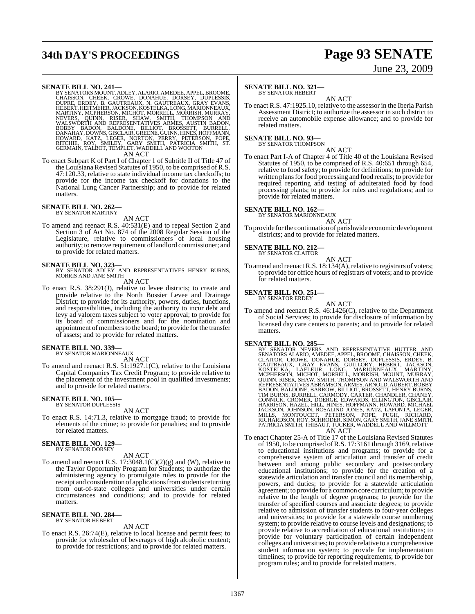## **34th DAY'S PROCEEDINGS Page 93 SENATE**

SENATE BILL NO. 241—<br>
BY SENATORS MOUNT, ADLEY, ALARIO, AMEDEE, APPEL, BROOME, CHAISSON, CHEEK, CROWE, DONAHUE, DORSEY, DUPLESSIS,<br>
CHAISSON, CHEEK, CROWE, DONAHUE, DORSEY, DUPLESSIS,<br>
EUPRE, ERDEY, B. GAUTREAUX, N. GAUTRE

To enact Subpart K of Part I of Chapter 1 of Subtitle II of Title 47 of the Louisiana Revised Statutes of 1950, to be comprised of R.S. 47:120.33, relative to state individual income tax checkoffs; to provide for the income tax checkoff for donations to the National Lung Cancer Partnership; and to provide for related matters.

## **SENATE BILL NO. 262—** BY SENATOR MARTINY

### AN ACT

To amend and reenact R.S. 40:531(E) and to repeal Section 2 and Section 3 of Act No. 874 of the 2008 Regular Session of the Legislature, relative to commissioners of local housing authority; to remove requirement oflandlord commissioner; and to provide for related matters.

**SENATE BILL NO. 323—**<br>BY SENATOR ADLEY AND REPRESENTATIVES HENRY BURNS,<br>MORRIS AND JANE SMITH

AN ACT

To enact R.S. 38:291(J), relative to levee districts; to create and provide relative to the North Bossier Levee and Drainage District; to provide for its authority, powers, duties, functions, and responsibilities, including the authority to incur debt and levy ad valorem taxes subject to voter approval; to provide for its board of commissioners and for the nomination and appointment of members to the board; to provide for the transfer of assets; and to provide for related matters.

#### **SENATE BILL NO. 339—**

BY SENATOR MARIONNEAUX

AN ACT To amend and reenact R.S. 51:1927.1(C), relative to the Louisiana Capital Companies Tax Credit Program; to provide relative to the placement of the investment pool in qualified investments; and to provide for related matters.

#### **SENATE BILL NO. 105—** BY SENATOR DUPLESSIS

AN ACT

To enact R.S. 14:71.3, relative to mortgage fraud; to provide for elements of the crime; to provide for penalties; and to provide for related matters.

#### **SENATE BILL NO. 129—** BY SENATOR DORSEY

AN ACT

To amend and reenact R.S.  $17:3048.1(C)(2)(g)$  and (W), relative to the Taylor Opportunity Program for Students; to authorize the administering agency to promulgate rules to provide for the receipt and consideration of applications from students returning from out-of-state colleges and universities under certain circumstances and conditions; and to provide for related matters.

#### **SENATE BILL NO. 284—** BY SENATOR HEBERT

#### AN ACT

To enact R.S. 26:74(E), relative to local license and permit fees; to provide for wholesaler of beverages of high alcoholic content; to provide for restrictions; and to provide for related matters.

# June 23, 2009

#### **SENATE BILL NO. 321—**

BY SENATOR HEBERT

AN ACT To enact R.S. 47:1925.10, relative to the assessor in the Iberia Parish Assessment District; to authorize the assessor in such district to receive an automobile expense allowance; and to provide for related matters.

#### **SENATE BILL NO. 93—**

BY SENATOR THOMPSON

AN ACT To enact Part I-A of Chapter 4 of Title 40 of the Louisiana Revised Statutes of 1950, to be comprised of R.S. 40:651 through 654, relative to food safety; to provide for definitions; to provide for written plans for food processing and food recalls; to provide for required reporting and testing of adulterated food by food processing plants; to provide for rules and regulations; and to provide for related matters.

## **SENATE BILL NO. 162—** BY SENATOR MARIONNEAUX

AN ACT To provide forthe continuation of parishwide economic development districts; and to provide for related matters.

## **SENATE BILL NO. 212—** BY SENATOR CLAITOR

$$
10 \times 10^{10}
$$

AN ACT To amend and reenact R.S. 18:134(A), relative to registrars of voters; to provide for office hours of registrars of voters; and to provide for related matters.

#### **SENATE BILL NO. 251—**

BY SENATOR ERDEY

AN ACT To amend and reenact R.S. 46:1426(C), relative to the Department of Social Services; to provide for disclosure of information by licensed day care centers to parents; and to provide for related matters.

SENATE BILL NO. 285-<br>BY SENATOR NEVERS AND REPRESENTATIVE HUTTER AND<br>BY SENATOR NEVERS AND REPRESENTATIVE HUTTER AND<br>CLAITOR, CROWE, DONAHUE, DORSEY, DUPLESSIS, ERDEY, B.<br>GAUTREAUX, GRAY EVANS, GUILLORY, HEBERT, JACKSON,<br>K

AN ACT

To enact Chapter 25-A of Title 17 of the Louisiana Revised Statutes of 1950, to be comprised ofR.S. 17:3161 through 3169, relative to educational institutions and programs; to provide for a comprehensive system of articulation and transfer of credit between and among public secondary and postsecondary educational institutions; to provide for the creation of a statewide articulation and transfer council and its membership, powers, and duties; to provide for a statewide articulation agreement; to provide for a common core curriculum; to provide relative to the length of degree programs; to provide for the transfer of specified courses and associate degrees; to provide relative to admission of transfer students to four-year colleges and universities; to provide for a statewide course numbering system; to provide relative to course levels and designations; to provide relative to accreditation of educational institutions; to provide for voluntary participation of certain independent colleges and universities; to provide relative to a comprehensive student information system; to provide for implementation timelines; to provide for reporting requirements; to provide for program rules; and to provide for related matters.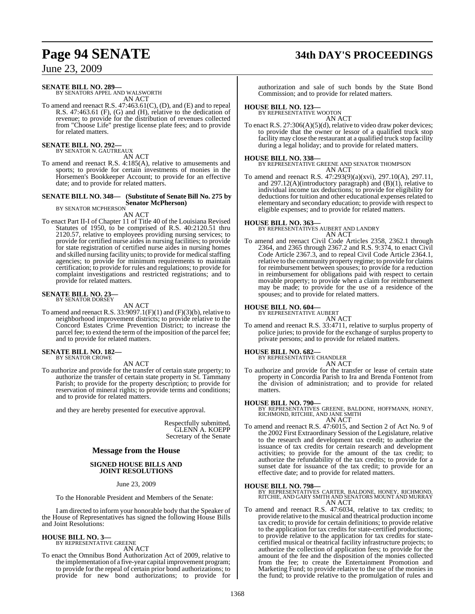## **Page 94 SENATE 34th DAY'S PROCEEDINGS**

June 23, 2009

## **SENATE BILL NO. 289—** BY SENATORS APPEL AND WALSWORTH

AN ACT

To amend and reenact R.S. 47:463.61(C), (D), and (E) and to repeal R.S. 47:463.61 (F), (G) and (H), relative to the dedication of revenue; to provide for the distribution of revenues collected from "Choose Life" prestige license plate fees; and to provide for related matters.

## **SENATE BILL NO. 292—** BY SENATOR N. GAUTREAUX

AN ACT

To amend and reenact R.S. 4:185(A), relative to amusements and sports; to provide for certain investments of monies in the Horsemen's Bookkeeper Account; to provide for an effective date; and to provide for related matters.

### **SENATE BILL NO. 348— (Substitute of Senate Bill No. 275 by Senator McPherson)** BY SENATOR MCPHERSON

AN ACT

To enact Part II-I of Chapter 11 of Title 40 of the Louisiana Revised Statutes of 1950, to be comprised of R.S. 40:2120.51 thru 2120.57, relative to employees providing nursing services; to provide for certified nurse aides in nursing facilities; to provide for state registration of certified nurse aides in nursing homes and skilled nursing facility units; to provide for medical staffing agencies; to provide for minimum requirements to maintain certification; to provide for rules and regulations; to provide for complaint investigations and restricted registrations; and to provide for related matters.

#### **SENATE BILL NO. 23—** BY SENATOR DORSEY

#### AN ACT

To amend and reenact R.S.  $33:9097.1(F)(1)$  and  $(F)(3)(b)$ , relative to neighborhood improvement districts; to provide relative to the Concord Estates Crime Prevention District; to increase the parcel fee; to extend the term of the imposition of the parcel fee; and to provide for related matters.

#### **SENATE BILL NO. 182—** BY SENATOR CROWE

#### AN ACT

To authorize and provide for the transfer of certain state property; to authorize the transfer of certain state property in St. Tammany Parish; to provide for the property description; to provide for reservation of mineral rights; to provide terms and conditions; and to provide for related matters.

and they are hereby presented for executive approval.

Respectfully submitted, GLENN A. KOEPP Secretary of the Senate

#### **Message from the House**

#### **SIGNED HOUSE BILLS AND JOINT RESOLUTIONS**

June 23, 2009

To the Honorable President and Members of the Senate:

I am directed to inform your honorable body that the Speaker of the House of Representatives has signed the following House Bills and Joint Resolutions:

## **HOUSE BILL NO. 3—** BY REPRESENTATIVE GREENE

AN ACT

To enact the Omnibus Bond Authorization Act of 2009, relative to the implementation of a five-year capital improvement program; to provide for the repeal of certain prior bond authorizations; to provide for new bond authorizations; to provide for authorization and sale of such bonds by the State Bond Commission; and to provide for related matters.

## **HOUSE BILL NO. 123—** BY REPRESENTATIVE WOOTON

AN ACT

To enact R.S. 27:306(A)(5)(d), relative to video draw poker devices; to provide that the owner or lessor of a qualified truck stop facility may close the restaurant at a qualified truck stop facility during a legal holiday; and to provide for related matters.

#### **HOUSE BILL NO. 338—**

BY REPRESENTATIVE GREENE AND SENATOR THOMPSON AN ACT

To amend and reenact R.S. 47:293(9)(a)(xvi), 297.10(A), 297.11, and  $297.12(A)$ (introductory paragraph) and  $(B)(1)$ , relative to individual income tax deductions; to provide for eligibility for deductions for tuition and other educational expenses related to elementary and secondary education; to provide with respect to eligible expenses; and to provide for related matters.

#### **HOUSE BILL NO. 363—**

BY REPRESENTATIVES AUBERT AND LANDRY AN ACT

To amend and reenact Civil Code Articles 2358, 2362.1 through 2364, and 2365 through 2367.2 and R.S. 9:374, to enact Civil Code Article 2367.3, and to repeal Civil Code Article 2364.1, relative to the community property regime; to provide for claims for reimbursement between spouses; to provide for a reduction in reimbursement for obligations paid with respect to certain movable property; to provide when a claim for reimbursement may be made; to provide for the use of a residence of the spouses; and to provide for related matters.

#### **HOUSE BILL NO. 604—**

BY REPRESENTATIVE AUBERT

AN ACT

To amend and reenact R.S. 33:4711, relative to surplus property of police juries; to provide for the exchange of surplus property to private persons; and to provide for related matters.

#### **HOUSE BILL NO. 682—**

BY REPRESENTATIVE CHANDLER AN ACT

To authorize and provide for the transfer or lease of certain state property in Concordia Parish to Ira and Brenda Fontenot from the division of administration; and to provide for related matters.

**HOUSE BILL NO. 790—** BY REPRESENTATIVES GREENE, BALDONE, HOFFMANN, HONEY, RICHMOND, RITCHIE, AND JANE SMITH AN ACT

- 
- To amend and reenact R.S. 47:6015, and Section 2 of Act No. 9 of the 2002 First Extraordinary Session of the Legislature, relative to the research and development tax credit; to authorize the issuance of tax credits for certain research and development activities; to provide for the amount of the tax credit; to authorize the refundability of the tax credits; to provide for a sunset date for issuance of the tax credit; to provide for an effective date; and to provide for related matters.

**HOUSE BILL NO. 798—** BY REPRESENTATIVES CARTER, BALDONE, HONEY, RICHMOND, RITCHIE, AND GARY SMITH AND SENATORS MOUNT AND MURRAY AN ACT

To amend and reenact R.S. 47:6034, relative to tax credits; to provide relative to the musical and theatrical production income tax credit; to provide for certain definitions; to provide relative to the application for tax credits for state-certified productions; to provide relative to the application for tax credits for statecertified musical or theatrical facility infrastructure projects; to authorize the collection of application fees; to provide for the amount of the fee and the disposition of the monies collected from the fee; to create the Entertainment Promotion and Marketing Fund; to provide relative to the use of the monies in the fund; to provide relative to the promulgation of rules and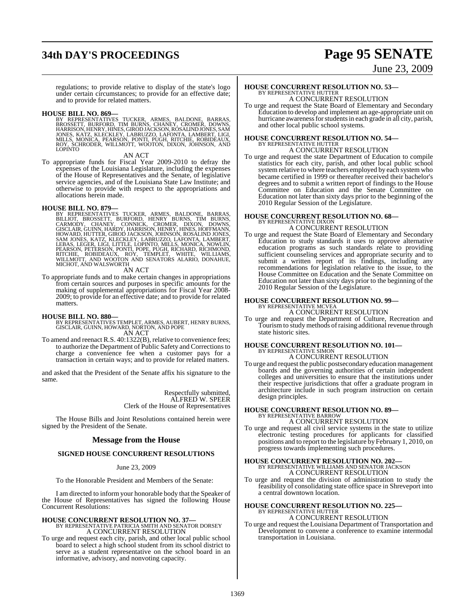## **34th DAY'S PROCEEDINGS Page 95 SENATE**

and to provide for related matters.

# June 23, 2009

regulations; to provide relative to display of the state's logo under certain circumstances; to provide for an effective date;

**HOUSE BILL NO. 869—**<br>BY REPRESENTATIVES TUCKER, ARMES, BALDONE, BARRAS,<br>BROSSETT, BURFORD, TIM BURNS, CHANEY, CROMER, DOWNS,<br>HARRISON, HENRY, HINES, GIROD JACKSON, ROSALIND JONES, SAM<br>JONES, KATZ, KLECKLEY, LABRUZZO, LAFO

AN ACT

To appropriate funds for Fiscal Year 2009-2010 to defray the expenses of the Louisiana Legislature, including the expenses of the House of Representatives and the Senate, of legislative service agencies, and of the Louisiana State Law Institute; and otherwise to provide with respect to the appropriations and allocations herein made.

HOUSE BILL NO. 879—<br>BY REPRESENTATIVES TUCKER, ARMES, BALDONE, BARRAS,<br>BILLIOT, BROSSETT, BURFORD, HENRY BURNS, TIM BURNS,<br>CARMODY, CHANEY, CONNICK, CROMER, DIXON, DOWNS,<br>GISCLAIR, GUINN, HARDY, HARRISON, HENRY, HINES, HOF

AN ACT

To appropriate funds and to make certain changes in appropriations from certain sources and purposes in specific amounts for the making of supplemental appropriations for Fiscal Year 2008- 2009; to provide for an effective date; and to provide for related matters.

- **HOUSE BILL NO. 880—** BY REPRESENTATIVES TEMPLET, ARMES, AUBERT, HENRY BURNS, GISCLAIR, GUINN, HOWARD, NORTON, AND POPE AN ACT
- To amend and reenact R.S. 40:1322(B), relative to convenience fees; to authorize the Department of Public Safety and Corrections to charge a convenience fee when a customer pays for a transaction in certain ways; and to provide for related matters.

and asked that the President of the Senate affix his signature to the same.

> Respectfully submitted, ALFRED W. SPEER Clerk of the House of Representatives

The House Bills and Joint Resolutions contained herein were signed by the President of the Senate.

#### **Message from the House**

#### **SIGNED HOUSE CONCURRENT RESOLUTIONS**

#### June 23, 2009

To the Honorable President and Members of the Senate:

I am directed to inform your honorable body that the Speaker of the House of Representatives has signed the following House Concurrent Resolutions:

### **HOUSE CONCURRENT RESOLUTION NO. 37—** BY REPRESENTATIVE PATRICIA SMITH AND SENATOR DORSEY A CONCURRENT RESOLUTION

To urge and request each city, parish, and other local public school board to select a high school student from its school district to serve as a student representative on the school board in an informative, advisory, and nonvoting capacity.

### **HOUSE CONCURRENT RESOLUTION NO. 53—** BY REPRESENTATIVE HUTTER A CONCURRENT RESOLUTION

To urge and request the State Board of Elementary and Secondary Education to develop and implement an age-appropriate unit on hurricane awareness for students in each grade in all city, parish, and other local public school systems.

## **HOUSE CONCURRENT RESOLUTION NO. 54—** BY REPRESENTATIVE HUTTER A CONCURRENT RESOLUTION

To urge and request the state Department of Education to compile statistics for each city, parish, and other local public school system relative to where teachers employed by each system who became certified in 1999 or thereafter received their bachelor's degrees and to submit a written report of findings to the House Committee on Education and the Senate Committee on Education not later than sixty days prior to the beginning of the 2010 Regular Session of the Legislature.

#### **HOUSE CONCURRENT RESOLUTION NO. 68—** BY REPRESENTATIVE DIXON A CONCURRENT RESOLUTION

To urge and request the State Board of Elementary and Secondary Education to study standards it uses to approve alternative education programs as such standards relate to providing sufficient counseling services and appropriate security and to submit a written report of its findings, including any recommendations for legislation relative to the issue, to the House Committee on Education and the Senate Committee on Education not later than sixty days prior to the beginning of the 2010 Regular Session of the Legislature.

## **HOUSE CONCURRENT RESOLUTION NO. 99—** BY REPRESENTATIVE MCVEA

A CONCURRENT RESOLUTION

To urge and request the Department of Culture, Recreation and Tourism to study methods ofraising additional revenue through state historic sites.

### **HOUSE CONCURRENT RESOLUTION NO. 101—** BY REPRESENTATIVE SIMON A CONCURRENT RESOLUTION

To urge and request the public postsecondary education management boards and the governing authorities of certain independent colleges and universities to ensure that the institutions under their respective jurisdictions that offer a graduate program in architecture include in such program instruction on certain design principles.

### **HOUSE CONCURRENT RESOLUTION NO. 89—** BY REPRESENTATIVE BARROW A CONCURRENT RESOLUTION

To urge and request all civil service systems in the state to utilize electronic testing procedures for applicants for classified positions and to report to the legislature by February 1, 2010, on

**HOUSE CONCURRENT RESOLUTION NO. 202—** BY REPRESENTATIVE WILLIAMS AND SENATOR JACKSON A CONCURRENT RESOLUTION

progress towards implementing such procedures.

To urge and request the division of administration to study the feasibility of consolidating state office space in Shreveport into a central downtown location.

#### **HOUSE CONCURRENT RESOLUTION NO. 225—** BY REPRESENTATIVE HUTTER

A CONCURRENT RESOLUTION

To urge and request the Louisiana Department of Transportation and Development to convene a conference to examine intermodal transportation in Louisiana.